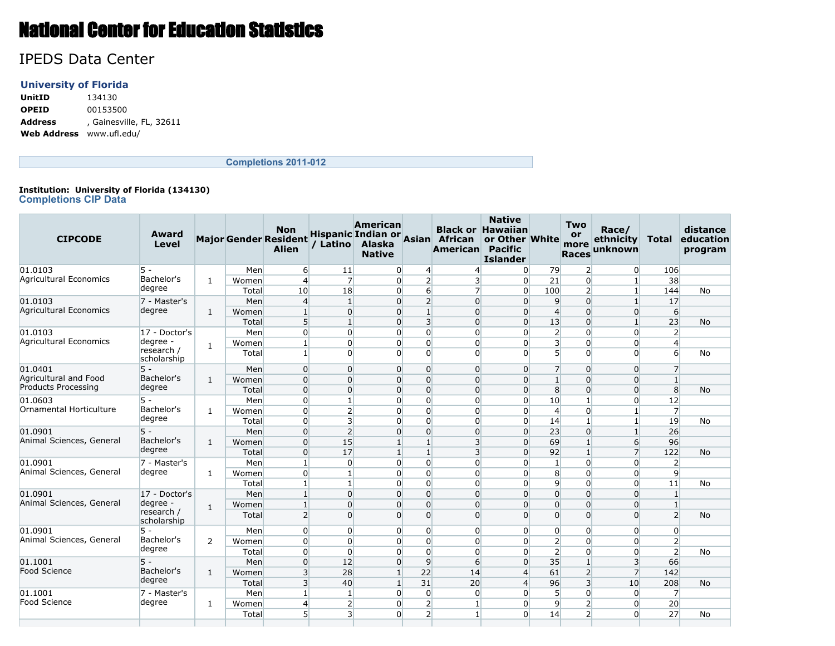# National Center for Education Statistics

## IPEDS Data Center

### **University of Florida**

**UnitID** 134130 **OPEID** 00153500 **Address** , Gainesville, FL, 32611 **Web Address** www.ufl.edu/

**Completions 2011-012**

#### **Institution: University of Florida (134130) Completions CIP Data**

| <b>CIPCODE</b>                | Award<br>Level            |                |       | <b>Non</b><br><b>Major Gender Resident</b><br><b>Alien</b> |                | American<br>/ Latino Alaska<br><b>Native</b> |                  | Hispanic Indian or Asian African<br>American | <b>Native</b><br><b>Black or Hawaiian</b><br>or Other White<br><b>Pacific</b><br><b>Islander</b> |                 | <b>Two</b><br>or<br>more<br><b>Races</b> | Race/<br>ethnicity<br>unknown | <b>Total</b>   | distance<br>education<br>program |
|-------------------------------|---------------------------|----------------|-------|------------------------------------------------------------|----------------|----------------------------------------------|------------------|----------------------------------------------|--------------------------------------------------------------------------------------------------|-----------------|------------------------------------------|-------------------------------|----------------|----------------------------------|
| 01.0103                       | $5 -$                     |                | Men   | 6                                                          | 11             | 0                                            | $\overline{4}$   | 4                                            | $\overline{0}$                                                                                   | 79              | $\overline{2}$                           | $\Omega$                      | 106            |                                  |
| Agricultural Economics        | Bachelor's                | $\mathbf{1}$   | Women | $\overline{4}$                                             | $\overline{7}$ | $\overline{0}$                               | $\overline{2}$   | 3                                            | $\Omega$                                                                                         | 21              | $\Omega$                                 | 1                             | 38             |                                  |
|                               | degree                    |                | Total | 10                                                         | 18             | $\overline{0}$                               | $6 \overline{6}$ | $\overline{7}$                               | $\Omega$                                                                                         | 100             | $\overline{2}$                           | $\mathbf{1}$                  | 144            | <b>No</b>                        |
| 01.0103                       | 7 - Master's              |                | Men   | $\overline{4}$                                             | $\mathbf{1}$   | $\overline{0}$                               | $\overline{2}$   | $\overline{0}$                               | $\Omega$                                                                                         | $\overline{9}$  | $\overline{0}$                           | $\mathbf{1}$                  | 17             |                                  |
| <b>Agricultural Economics</b> | degree                    | 1              | Women | $\mathbf{1}$                                               | $\Omega$       | $\overline{0}$                               | $\mathbf{1}$     | $\overline{0}$                               | $\Omega$                                                                                         | $\overline{4}$  | $\overline{0}$                           | $\overline{0}$                | 6              |                                  |
|                               |                           |                | Total | 5                                                          | $\mathbf{1}$   | $\overline{0}$                               | $\overline{3}$   | $\overline{0}$                               | $\overline{0}$                                                                                   | 13              | $\overline{0}$                           | $\mathbf{1}$                  | 23             | <b>No</b>                        |
| 01.0103                       | 17 - Doctor's             |                | Men   | $\Omega$                                                   | $\Omega$       | $\overline{0}$                               | $\Omega$         | 0                                            | $\overline{0}$                                                                                   | $\overline{2}$  | $\Omega$                                 | $\Omega$                      | $\overline{2}$ |                                  |
| Agricultural Economics        | degree -                  | 1              | Women | $\mathbf{1}$                                               | $\mathbf{0}$   | $\overline{0}$                               | $\overline{0}$   | 0                                            | $\overline{0}$                                                                                   | $\overline{3}$  | $\overline{0}$                           | 0                             | $\overline{4}$ |                                  |
|                               | research /<br>scholarship |                | Total | $\mathbf{1}$                                               | $\Omega$       | $\overline{0}$                               | $\Omega$         | $\overline{0}$                               | $\Omega$                                                                                         | $5\overline{ }$ | $\Omega$                                 | $\Omega$                      | 6              | <b>No</b>                        |
| 01.0401                       | $5 -$                     |                | Men   | $\Omega$                                                   | $\Omega$       | $\overline{0}$                               | $\overline{0}$   | $\overline{0}$                               | $\overline{0}$                                                                                   | $\overline{7}$  | $\overline{0}$                           | $\Omega$                      | $\overline{7}$ |                                  |
| Agricultural and Food         | Bachelor's                | 1              | Women | $\overline{0}$                                             | $\Omega$       | $\overline{0}$                               | $\overline{0}$   | $\overline{0}$                               | $\overline{0}$                                                                                   | $\mathbf{1}$    | $\overline{0}$                           | $\Omega$                      | $\mathbf{1}$   |                                  |
| <b>Products Processing</b>    | degree                    |                | Total | $\Omega$                                                   | $\Omega$       | $\overline{0}$                               | $\overline{0}$   | $\overline{0}$                               | $\overline{0}$                                                                                   | 8               | $\overline{0}$                           | $\Omega$                      | 8 <sup>1</sup> | <b>No</b>                        |
| 01.0603                       | $5 -$                     |                | Men   | $\overline{0}$                                             | 1              | $\overline{0}$                               | $\overline{0}$   | $\overline{0}$                               | $\overline{0}$                                                                                   | 10              | $\mathbf{1}$                             | $\Omega$                      | 12             |                                  |
| Ornamental Horticulture       | Bachelor's                | 1              | Women | $\overline{0}$                                             | $\overline{2}$ | $\overline{0}$                               | $\overline{0}$   | $\overline{0}$                               | $\Omega$                                                                                         | $\overline{4}$  | $\overline{0}$                           |                               | $\overline{7}$ |                                  |
|                               | degree                    |                | Total | $\overline{0}$                                             | 3              | $\overline{0}$                               | $\overline{0}$   | 0                                            | $\overline{0}$                                                                                   | 14              | $\mathbf{1}$                             |                               | 19             | <b>No</b>                        |
| 01.0901                       | $5 -$                     |                | Men   | $\overline{0}$                                             | $\overline{2}$ | $\overline{0}$                               | $\overline{0}$   | $\overline{0}$                               | $\overline{0}$                                                                                   | 23              | $\overline{0}$                           | $\mathbf{1}$                  | 26             |                                  |
| Animal Sciences, General      | Bachelor's                | 1              | Women | $\Omega$                                                   | 15             | 1                                            | $\mathbf{1}$     | $\overline{\mathbf{3}}$                      | $\Omega$                                                                                         | 69              | $1\overline{ }$                          | $6 \overline{6}$              | 96             |                                  |
|                               | degree                    |                | Total | $\overline{0}$                                             | 17             | $1\overline{ }$                              | $\mathbf{1}$     | $\overline{\mathbf{3}}$                      | $\Omega$                                                                                         | 92              | $\mathbf{1}$                             | $\overline{7}$                | 122            | <b>No</b>                        |
| 01.0901                       | 7 - Master's              |                | Men   | $\mathbf{1}$                                               | $\Omega$       | $\overline{0}$                               | $\overline{0}$   | 0                                            | $\Omega$                                                                                         | $\mathbf{1}$    | $\overline{0}$                           | 0                             | $\overline{2}$ |                                  |
| Animal Sciences, General      | degree                    | 1              | Women | $\overline{0}$                                             | 1              | $\overline{0}$                               | $\overline{0}$   | $\overline{0}$                               | $\Omega$                                                                                         | 8               | $\overline{0}$                           | $\Omega$                      | 9              |                                  |
|                               |                           |                | Total | $\mathbf{1}$                                               | $\mathbf{1}$   | $\overline{0}$                               | $\overline{0}$   | $\overline{0}$                               | $\overline{0}$                                                                                   | $\overline{9}$  | $\overline{0}$                           | $\Omega$                      | 11             | No                               |
| 01.0901                       | 17 - Doctor's             |                | Men   | $\mathbf{1}$                                               | $\Omega$       | $\overline{0}$                               | $\overline{0}$   | $\overline{0}$                               | $\overline{0}$                                                                                   | $\overline{0}$  | $\overline{0}$                           | $\Omega$                      | $\mathbf{1}$   |                                  |
| Animal Sciences, General      | degree -                  | 1              | Women | $\mathbf{1}$                                               | $\Omega$       | $\overline{0}$                               | $\overline{0}$   | $\overline{0}$                               | $\overline{0}$                                                                                   | $\overline{0}$  | $\overline{0}$                           | $\overline{0}$                | $\mathbf{1}$   |                                  |
|                               | research /<br>scholarship |                | Total | $\overline{2}$                                             | $\Omega$       | $\overline{0}$                               | $\Omega$         | $\overline{0}$                               | $\overline{0}$                                                                                   | $\Omega$        | $\Omega$                                 | $\Omega$                      | $\overline{2}$ | <b>No</b>                        |
| 01.0901                       | $5 -$                     |                | Men   | $\Omega$                                                   | $\Omega$       | 0                                            | $\overline{0}$   | $\overline{0}$                               | $\Omega$                                                                                         | $\overline{0}$  | $\overline{0}$                           | $\Omega$                      | $\overline{0}$ |                                  |
| Animal Sciences, General      | Bachelor's                | $\overline{2}$ | Women | $\Omega$                                                   | $\Omega$       | $\overline{0}$                               | $\Omega$         | $\Omega$                                     | $\overline{0}$                                                                                   | $\overline{2}$  | $\Omega$                                 | $\Omega$                      | $\overline{2}$ |                                  |
|                               | degree                    |                | Total | $\Omega$                                                   | $\Omega$       | $\overline{0}$                               | $\Omega$         | $\Omega$                                     | $\Omega$                                                                                         | $\overline{2}$  | $\Omega$                                 | $\Omega$                      | $\overline{2}$ | <b>No</b>                        |
| 01.1001                       | $5 -$                     |                | Men   | $\Omega$                                                   | 12             | $\Omega$                                     | 9                | $6 \overline{}$                              | $\Omega$                                                                                         | 35              | $\mathbf{1}$                             | $\overline{3}$                | 66             |                                  |
| <b>Food Science</b>           | Bachelor's                | 1              | Women | 3                                                          | 28             | $1\vert$                                     | 22               | 14                                           | $\overline{4}$                                                                                   | 61              | $\overline{2}$                           | $\overline{7}$                | 142            |                                  |
|                               | degree                    |                | Total | $\overline{3}$                                             | 40             | 1 <sup>1</sup>                               | 31               | 20                                           | $\overline{4}$                                                                                   | 96              | $\mathsf{3}$                             | 10                            | 208            | <b>No</b>                        |
| 01.1001                       | 7 - Master's              |                | Men   | $\mathbf{1}$                                               | 1              | $\overline{0}$                               | $\Omega$         | $\overline{0}$                               | $\Omega$                                                                                         | 5 <sup>1</sup>  | $\overline{0}$                           | $\Omega$                      | $\overline{7}$ |                                  |
| Food Science                  | degree                    | $\mathbf{1}$   | Women | $\overline{4}$                                             | 2              | 0                                            | $\overline{2}$   | 1                                            | $\Omega$                                                                                         | $\overline{9}$  | $\overline{2}$                           | $\Omega$                      | 20             |                                  |
|                               |                           |                | Total | 5 <sup>1</sup>                                             | 3              | $\overline{0}$                               | $\overline{2}$   | $\mathbf{1}$                                 | $\Omega$                                                                                         | 14              | $\overline{2}$                           | $\Omega$                      | 27             | <b>No</b>                        |
|                               |                           |                |       |                                                            |                |                                              |                  |                                              |                                                                                                  |                 |                                          |                               |                |                                  |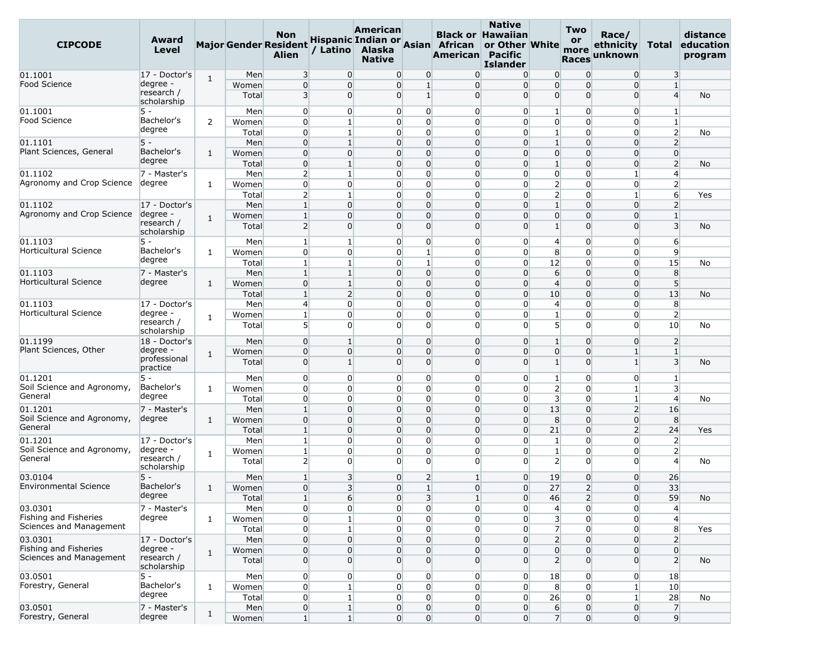| <b>CIPCODE</b>                        | Award<br>Level            |                |              | <b>Non</b><br><b>Major Gender Resident</b><br><b>Alien</b> | / Latino                         | American<br>Alaska<br><b>Native</b> |                         | Hispanic Indian or Asian African<br>American Pacific | <b>Native</b><br><b>Black or Hawaiian</b><br>or Other White<br><b>Islander</b> |                                | <b>Two</b><br>or<br>more<br><b>Races</b> | Race/<br>ethnicity<br>unknown    | Total                            | distance<br>education<br>program |
|---------------------------------------|---------------------------|----------------|--------------|------------------------------------------------------------|----------------------------------|-------------------------------------|-------------------------|------------------------------------------------------|--------------------------------------------------------------------------------|--------------------------------|------------------------------------------|----------------------------------|----------------------------------|----------------------------------|
| 01.1001                               | 17 - Doctor's             | $\mathbf{1}$   | Men          | 3                                                          | $\overline{0}$                   | $\overline{0}$                      | 0                       | $\Omega$                                             | $\overline{0}$                                                                 | $\overline{0}$                 | $\overline{0}$                           | $\overline{0}$                   | 3                                |                                  |
| <b>Food Science</b>                   | degree -                  |                | Women        | $\mathbf 0$                                                | $\Omega$                         | $\overline{0}$                      | $\mathbf{1}$            | $\overline{0}$                                       | $\overline{0}$                                                                 | $\overline{0}$                 | $\overline{0}$                           | $\overline{0}$                   | $\mathbf{1}$                     |                                  |
|                                       | research /<br>scholarship |                | Total        | $\overline{\mathbf{3}}$                                    | $\Omega$                         | $\overline{0}$                      | $1\overline{ }$         | $\overline{0}$                                       | $\Omega$                                                                       | $\overline{0}$                 | $\overline{0}$                           | $\Omega$                         | $\overline{4}$                   | No                               |
| 01.1001                               | $5 -$                     |                | Men          | $\overline{0}$                                             | $\overline{0}$                   | $\overline{0}$                      | 0                       | $\overline{0}$                                       | $\overline{0}$                                                                 | 1                              | $\overline{0}$                           | 0                                | $\mathbf{1}$                     |                                  |
| <b>Food Science</b>                   | Bachelor's                | $\overline{2}$ | Women        | $\overline{0}$                                             | $\mathbf{1}$                     | $\overline{0}$                      | 0                       | $\overline{0}$                                       | $\overline{0}$                                                                 | $\overline{0}$                 | $\overline{0}$                           | $\overline{0}$                   | $\mathbf{1}$                     |                                  |
|                                       | degree                    |                | Total        | $\overline{0}$                                             | 1 <sup>1</sup>                   | $\overline{0}$                      | $\mathbf 0$             | $\overline{0}$                                       | $\Omega$                                                                       | $\mathbf{1}$                   | $\overline{0}$                           | $\overline{0}$                   | $\overline{2}$                   | No                               |
| 01.1101                               | $5 -$                     |                | Men          | $\overline{0}$                                             | $\mathbf{1}$                     | $\overline{0}$                      | $\Omega$                | $\overline{0}$                                       | $\overline{0}$                                                                 | $\mathbf{1}$                   | $\Omega$                                 | $\Omega$                         | $\overline{2}$                   |                                  |
| Plant Sciences, General               | Bachelor's                | $\mathbf{1}$   | Women        | $\overline{0}$                                             | $\overline{0}$                   | 0                                   | $\mathbf 0$             | $\overline{0}$                                       | $\Omega$                                                                       | $\overline{0}$                 | $\overline{0}$                           | $\overline{0}$                   | $\overline{0}$                   |                                  |
|                                       | degree                    |                | Total        | $\overline{0}$                                             | $\mathbf{1}$                     | $\overline{0}$                      | $\mathbf 0$             | $\overline{0}$                                       | $\Omega$                                                                       | $\mathbf{1}$                   | $\overline{0}$                           | $\overline{0}$                   | $\overline{2}$                   | No                               |
| 01.1102                               | 7 - Master's              |                | Men          | $\overline{2}$                                             | $\mathbf{1}$                     | $\overline{0}$                      | $\mathbf{0}$            | $\overline{0}$                                       | $\overline{0}$                                                                 | $\overline{0}$                 | $\overline{0}$                           | $\mathbf{1}$                     | $\overline{4}$                   |                                  |
| Agronomy and Crop Science             | degree                    | 1              | Women        | $\overline{0}$                                             | $\overline{0}$                   | $\overline{0}$                      | 0                       | $\overline{0}$                                       | $\overline{0}$                                                                 | $\overline{2}$                 | $\overline{0}$                           | 0                                | $\overline{2}$                   |                                  |
|                                       |                           |                | Total        | $\overline{2}$                                             | $\mathbf{1}$                     | $\overline{0}$                      | 0                       | $\overline{0}$                                       | $\Omega$                                                                       | $\overline{2}$                 | $\overline{0}$                           | 1                                | $6 \overline{}$                  | Yes                              |
| 01.1102                               | 17 - Doctor's             |                | Men          | $\vert$ 1                                                  | $\overline{0}$                   | $\overline{0}$                      | $\mathbf 0$             | $\overline{0}$                                       | $\Omega$                                                                       | $\mathbf{1}$                   | $\overline{0}$                           | $\overline{0}$                   | $\overline{2}$                   |                                  |
| Agronomy and Crop Science             | degree -                  | $\mathbf{1}$   | Women        | $\vert$ 1                                                  | $\overline{0}$                   | $\overline{0}$                      | $\mathbf 0$             | $\overline{0}$                                       | $\Omega$                                                                       | $\overline{0}$                 | $\overline{0}$                           | $\overline{0}$                   | $\mathbf{1}$                     |                                  |
|                                       | research /                |                | Total        | $\overline{2}$                                             | $\Omega$                         | 0                                   | 0                       | $\overline{0}$                                       | $\Omega$                                                                       | 1                              | $\overline{0}$                           | $\Omega$                         | $\overline{3}$                   | No                               |
|                                       | scholarship               |                |              |                                                            |                                  |                                     |                         |                                                      |                                                                                |                                |                                          |                                  |                                  |                                  |
| 01.1103<br>Horticultural Science      | $5 -$<br>Bachelor's       |                | Men          | $\mathbf{1}$                                               | $\mathbf{1}$                     | $\overline{0}$                      | $\overline{0}$          | $\overline{0}$                                       | $\overline{0}$                                                                 | $\overline{4}$                 | $\overline{0}$                           | $\overline{0}$                   | 6                                |                                  |
|                                       | degree                    | $\mathbf{1}$   | Women        | $\overline{0}$                                             | $\overline{0}$                   | $\overline{0}$                      | $\mathbf{1}$            | $\overline{0}$                                       | $\overline{0}$                                                                 | 8                              | $\overline{0}$                           | $\overline{0}$                   | $\overline{9}$                   |                                  |
|                                       |                           |                | Total        | $\mathbf{1}$                                               | $\mathbf{1}$                     | $\overline{0}$                      | $\mathbf{1}$            | $\overline{0}$                                       | $\overline{0}$                                                                 | 12                             | $\Omega$                                 | $\overline{0}$                   | 15                               | No                               |
| 01.1103<br>Horticultural Science      | 7 - Master's<br>degree    |                | Men          | $\mathbf{1}$                                               | $\mathbf{1}$                     | $\overline{0}$                      | $\mathbf 0$             | $\overline{0}$                                       | $\overline{0}$                                                                 | 6                              | $\overline{0}$                           | $\overline{0}$                   | 8                                |                                  |
|                                       |                           | $\mathbf{1}$   | Women        | $\mathbf 0$                                                | $\mathbf{1}$                     | $\overline{0}$                      | $\mathbf 0$<br>$\Omega$ | $\overline{0}$                                       | $\Omega$                                                                       | $\overline{4}$                 | $\overline{0}$                           | $\overline{0}$                   | 5 <sup>5</sup>                   |                                  |
| 01.1103                               | 17 - Doctor's             |                | Total        | 1                                                          | $\overline{2}$<br>$\overline{0}$ | $\overline{0}$<br>$\overline{0}$    | 0                       | $\overline{0}$<br>$\overline{0}$                     | $\overline{0}$<br>$\overline{0}$                                               | 10                             | $\overline{0}$<br>$\overline{0}$         | $\overline{0}$<br>0              | 13<br>8                          | No                               |
| <b>Horticultural Science</b>          | degree -                  |                | Men<br>Women | $\overline{4}$<br>$\mathbf{1}$                             | $\Omega$                         | $\overline{0}$                      | 0                       | $\overline{0}$                                       | $\Omega$                                                                       | $\overline{4}$<br>$\mathbf{1}$ | $\overline{0}$                           | $\overline{0}$                   | $\overline{2}$                   |                                  |
|                                       | research /                | $\mathbf{1}$   | Total        | 5 <sup>1</sup>                                             | $\Omega$                         | $\overline{0}$                      | $\Omega$                | $\overline{0}$                                       | $\Omega$                                                                       | 5 <sup>1</sup>                 | $\overline{0}$                           | $\Omega$                         | 10                               | No                               |
|                                       | scholarship               |                |              |                                                            |                                  |                                     |                         |                                                      |                                                                                |                                |                                          |                                  |                                  |                                  |
| 01.1199                               | 18 - Doctor's             |                | Men          | $\overline{0}$                                             | $\mathbf{1}$                     | $\overline{0}$                      | $\overline{0}$          | $\overline{0}$                                       | $\overline{0}$                                                                 | $\mathbf{1}$                   | $\overline{0}$                           | $\overline{0}$                   | $\overline{2}$                   |                                  |
| Plant Sciences, Other                 | degree -                  | $\mathbf{1}$   | Women        | $\overline{0}$                                             | $\Omega$                         | 0                                   | $\mathbf 0$             | $\overline{0}$                                       | $\Omega$                                                                       | $\overline{0}$                 | $\overline{0}$                           | $\mathbf{1}$                     | $\mathbf{1}$                     |                                  |
|                                       | professional<br>practice  |                | Total        | $\overline{0}$                                             | $\mathbf{1}$                     | $\overline{0}$                      | $\overline{0}$          | $\overline{0}$                                       | $\overline{0}$                                                                 | $\mathbf{1}$                   | $\overline{0}$                           | $\mathbf{1}$                     | $\overline{3}$                   | No                               |
| 01.1201                               | $5 -$                     |                | Men          | $\overline{0}$                                             | $\Omega$                         | $\overline{0}$                      | 0                       | $\overline{0}$                                       | $\overline{0}$                                                                 | 1                              | $\overline{0}$                           | $\overline{0}$                   | $\mathbf{1}$                     |                                  |
| Soil Science and Agronomy,<br>General | Bachelor's<br>degree      | 1              | Women        | $\overline{0}$                                             | $\Omega$                         | $\overline{0}$                      | $\mathbf 0$             | $\overline{0}$                                       | $\overline{0}$                                                                 | $\overline{2}$                 | $\overline{0}$                           | $\mathbf{1}$                     | $\overline{\mathbf{3}}$          |                                  |
|                                       |                           |                | Total        | $\overline{0}$                                             | $\overline{0}$                   | $\overline{0}$                      | 0                       | $\overline{0}$                                       | $\overline{0}$                                                                 | $\overline{3}$                 | $\overline{0}$                           | $1\vert$                         | $\overline{4}$                   | No                               |
| 01.1201                               | 7 - Master's              |                | Men          | $\mathbf{1}$                                               | $\overline{0}$                   | 0                                   | $\mathbf 0$             | $\overline{0}$                                       | $\overline{0}$                                                                 | 13                             | $\overline{0}$                           | $\overline{2}$                   | 16                               |                                  |
| Soil Science and Agronomy,<br>General | degree                    | $\mathbf{1}$   | Women        | $\overline{0}$                                             | $\overline{0}$                   | $\overline{0}$                      | $\mathbf 0$             | $\overline{0}$                                       | $\Omega$                                                                       | 8                              | $\overline{0}$                           | $\overline{0}$                   | 8                                |                                  |
|                                       |                           |                | Total        | $\mathbf{1}$                                               | $\Omega$                         | $\overline{0}$                      | $\mathbf 0$             | $\overline{0}$                                       | $\overline{0}$                                                                 | 21                             | $\overline{0}$                           | $\overline{2}$                   | 24                               | Yes                              |
| 01.1201<br>Soil Science and Agronomy, | 17 - Doctor's<br>degree - |                | Men          | $\mathbf{1}$                                               | $\overline{0}$                   | $\overline{0}$                      | 0                       | $\overline{0}$                                       | $\overline{0}$                                                                 | $\mathbf{1}$                   | $\overline{0}$                           | 0                                | $\overline{2}$                   |                                  |
| General                               | research /                | 1              | Women        | $\mathbf{1}$<br>$\overline{2}$                             | $\Omega$<br>$\overline{0}$       | $\overline{0}$<br>$\overline{0}$    | 0<br>$\overline{0}$     | $\overline{0}$<br>$\overline{0}$                     | $\Omega$<br>$\Omega$                                                           | $\mathbf{1}$<br>$\overline{2}$ | $\overline{0}$<br>$\overline{0}$         | $\overline{0}$<br>$\overline{0}$ | $\overline{2}$<br>$\overline{4}$ |                                  |
|                                       | scholarship               |                | Total        |                                                            |                                  |                                     |                         |                                                      |                                                                                |                                |                                          |                                  |                                  | No                               |
| 03.0104                               | $5 -$                     |                | Men          | $\mathbf{1}$                                               | $\overline{\mathbf{3}}$          | 0                                   | $\overline{2}$          | $\mathbf{1}$                                         | $\overline{0}$                                                                 | 19                             | $\overline{0}$                           | $\overline{0}$                   | 26                               |                                  |
| <b>Environmental Science</b>          | Bachelor's                | 1              | Women        | $\overline{0}$                                             | 3                                | $\overline{0}$                      | $1\overline{ }$         | $\overline{0}$                                       | $\overline{0}$                                                                 | 27                             | $\overline{2}$                           | $\overline{0}$                   | 33                               |                                  |
|                                       | degree                    |                | Total        | $\vert$                                                    | $6 \overline{6}$                 |                                     | $\overline{0}$          | $\overline{\mathbf{3}}$<br>$\vert$ 1                 | $\overline{0}$                                                                 | 46                             | $\overline{2}$                           | $\overline{0}$                   | 59                               | No                               |
| 03.0301                               | 7 - Master's              |                | Men          | $\overline{0}$                                             | $\overline{0}$                   |                                     | $\overline{0}$          | $\overline{0}$<br>$\overline{0}$                     | $\overline{0}$                                                                 | $\overline{4}$                 | $\overline{0}$                           | $\overline{0}$                   | $\overline{4}$                   |                                  |
| Fishing and Fisheries                 | degree                    | $\mathbf{1}$   | Women        | $\overline{0}$                                             | 1 <sup>1</sup>                   |                                     | $\overline{0}$          | $\overline{0}$<br>$\overline{0}$                     | $\overline{0}$                                                                 | $\overline{\mathbf{3}}$        | $\overline{0}$                           | $\overline{0}$                   | $\left 4\right $                 |                                  |
| Sciences and Management               |                           |                | Total        | $\overline{0}$                                             | 1 <sup>1</sup>                   | $\overline{0}$                      |                         | $\overline{0}$<br>$\overline{0}$                     | $\overline{0}$                                                                 | $\overline{7}$                 | $\overline{0}$                           | $\overline{0}$                   | 8                                | Yes                              |
| 03.0301                               | 17 - Doctor's             |                | Men          | $\overline{0}$                                             | $\overline{0}$                   | $\overline{0}$                      |                         | $\overline{0}$<br>$\overline{0}$                     | $\overline{0}$                                                                 | $\overline{2}$                 | $\overline{0}$                           | $\overline{0}$                   | $\overline{2}$                   |                                  |
| Fishing and Fisheries                 | degree -                  | $\mathbf{1}$   | Women        | $\overline{0}$                                             | $\overline{0}$                   | $\overline{0}$                      |                         | $\overline{0}$<br>$\overline{0}$                     | $\overline{0}$                                                                 | $\overline{0}$                 | $\overline{0}$                           | $\overline{0}$                   | $\overline{0}$                   |                                  |
| Sciences and Management               | research /<br>scholarship |                | Total        | $\overline{0}$                                             | $\Omega$                         | $\overline{0}$                      |                         | $\overline{0}$<br>$\overline{0}$                     | $\overline{0}$                                                                 | $\overline{2}$                 | $\overline{0}$                           | $\overline{0}$                   | $\overline{2}$                   | No                               |
| 03.0501                               | $5 -$                     |                | Men          | $\overline{0}$                                             | $\overline{0}$                   | $\overline{0}$                      |                         | $\overline{0}$<br>$\overline{0}$                     | $\overline{0}$                                                                 | 18                             | $\overline{0}$                           | $\overline{0}$                   | 18                               |                                  |
| Forestry, General                     | Bachelor's                | $\mathbf{1}$   | Women        | $\overline{0}$                                             | 1 <sup>1</sup>                   |                                     | $\overline{0}$          | $\overline{0}$<br>$\overline{0}$                     | $\overline{0}$                                                                 | 8                              | $\overline{0}$                           | $\mathbf{1}$                     | 10                               |                                  |
|                                       | degree                    |                | Total        | $\overline{0}$                                             | 1 <sup>1</sup>                   |                                     | $\overline{0}$          | $\overline{0}$<br>$\overline{0}$                     | $\overline{0}$                                                                 | 26                             | $\overline{0}$                           | $1\vert$                         | 28                               | No                               |
| 03.0501                               | 7 - Master's              |                | Men          | $\overline{0}$                                             | $1\vert$                         |                                     | $\overline{0}$          | $\overline{0}$<br>$\overline{0}$                     | $\overline{0}$                                                                 | $6 \overline{6}$               | $\overline{0}$                           | $\overline{0}$                   | 7                                |                                  |
| Forestry, General                     | degree                    | $\mathbf{1}$   | Women        | $1\vert$                                                   | 1 <sup>1</sup>                   |                                     | $\overline{0}$          | $\overline{0}$<br> 0                                 | $\overline{0}$                                                                 | $\overline{7}$                 | $\overline{0}$                           | $\overline{0}$                   | 9                                |                                  |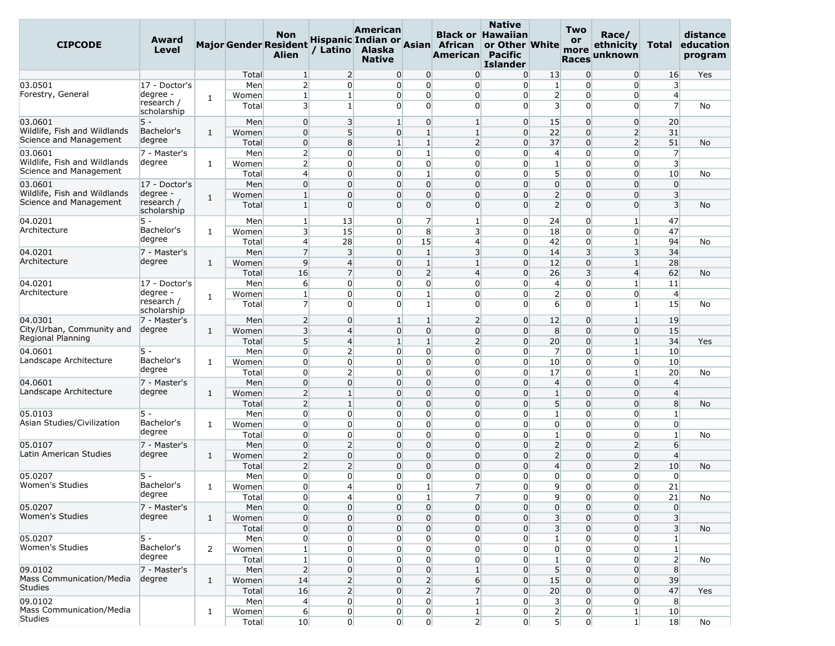| <b>CIPCODE</b>                  | Award<br>Level            |                |       | Non<br><b>Major Gender Resident</b><br><b>Alien</b> | / Latino       | <b>American</b><br>Alaska<br><b>Native</b> |                                   | Hispanic Indian or Asian African<br>American Pacific | <b>Native</b><br><b>Black or Hawaiian</b><br>or Other White<br><b>Islander</b> |                         | Two<br>or<br>more<br><b>Races</b> | Race/<br>ethnicity<br>unknown | Total                   | distance<br>education<br>program |
|---------------------------------|---------------------------|----------------|-------|-----------------------------------------------------|----------------|--------------------------------------------|-----------------------------------|------------------------------------------------------|--------------------------------------------------------------------------------|-------------------------|-----------------------------------|-------------------------------|-------------------------|----------------------------------|
|                                 |                           |                | Total | $\mathbf{1}$                                        | $\overline{2}$ |                                            | $\overline{0}$<br>0               | $\overline{0}$                                       | $\overline{0}$                                                                 | 13                      | $\overline{0}$                    | $\overline{0}$                | 16                      | Yes                              |
| 03.0501                         | 17 - Doctor's             |                | Men   | $\overline{2}$                                      | $\Omega$       |                                            | $\overline{0}$<br>0               | $\overline{0}$                                       | $\Omega$                                                                       | $\mathbf{1}$            | $\overline{0}$                    | 0                             | $\overline{3}$          |                                  |
| Forestry, General               | degree -                  | 1              | Women | $\mathbf{1}$                                        | $\mathbf{1}$   |                                            | 0<br>$\overline{0}$               | $\overline{0}$                                       | $\overline{0}$                                                                 | $\overline{2}$          | $\overline{0}$                    | 0                             | $\overline{4}$          |                                  |
|                                 | research /<br>scholarship |                | Total | $\overline{\mathbf{3}}$                             | 1              |                                            | $\Omega$<br>0                     | $\overline{0}$                                       | $\Omega$                                                                       | $\overline{\mathbf{3}}$ | $\overline{0}$                    | $\Omega$                      | $\overline{7}$          | No                               |
| 03.0601                         | 5 -                       |                | Men   | $\overline{0}$                                      | 3              | $\mathbf{1}$                               | $\overline{0}$                    | $\mathbf{1}$                                         | $\overline{0}$                                                                 | 15                      | $\overline{0}$                    | $\overline{0}$                | 20                      |                                  |
| Wildlife, Fish and Wildlands    | Bachelor's                | $\mathbf{1}$   | Women | $\overline{0}$                                      | 5 <sup>1</sup> |                                            | $\mathbf{1}$<br>0                 | $\mathbf{1}$                                         | $\overline{0}$                                                                 | 22                      | $\overline{0}$                    | $\overline{2}$                | 31                      |                                  |
| Science and Management          | degree                    |                | Total | $\overline{0}$                                      | 8              |                                            | $\mathbf{1}$<br>$\mathbf{1}$      | $\overline{2}$                                       | $\Omega$                                                                       | 37                      | $\Omega$                          | $\overline{2}$                | 51                      | No                               |
| 03.0601                         | 7 - Master's              |                | Men   | $\overline{2}$                                      | $\overline{0}$ |                                            | $\mathbf{1}$<br>0                 | $\overline{0}$                                       | $\Omega$                                                                       | $\overline{4}$          | $\overline{0}$                    | 0                             | $\overline{7}$          |                                  |
| Wildlife, Fish and Wildlands    | degree                    | 1              | Women | $\overline{2}$                                      | $\Omega$       |                                            | $\overline{0}$<br>0               | $\overline{0}$                                       | $\Omega$                                                                       | $\mathbf{1}$            | $\overline{0}$                    | $\overline{0}$                | $\overline{\mathbf{3}}$ |                                  |
| Science and Management          |                           |                | Total | $\overline{4}$                                      | $\Omega$       |                                            | $1\overline{ }$<br>0              | $\overline{0}$                                       | $\Omega$                                                                       | 5 <sup>1</sup>          | $\overline{0}$                    | $\overline{0}$                | 10                      | No                               |
| 03.0601                         | 17 - Doctor's             |                | Men   | $\overline{0}$                                      | $\overline{0}$ |                                            | $\overline{0}$<br>$\overline{0}$  | $\overline{0}$                                       | $\overline{0}$                                                                 | $\overline{0}$          | $\overline{0}$                    | $\overline{0}$                | $\overline{0}$          |                                  |
| Wildlife, Fish and Wildlands    | degree -                  |                | Women | $\mathbf{1}$                                        | $\Omega$       |                                            | $\overline{0}$<br>0               | 0                                                    | $\Omega$                                                                       | $\overline{2}$          | 0                                 | $\overline{0}$                | $\overline{3}$          |                                  |
| Science and Management          | research /                | 1              | Total | $1\overline{ }$                                     | $\Omega$       |                                            | $\overline{0}$<br>0               | $\overline{0}$                                       | $\Omega$                                                                       | $\overline{2}$          | $\overline{0}$                    | $\overline{0}$                | $\overline{3}$          | No                               |
|                                 | scholarship               |                |       |                                                     |                |                                            |                                   |                                                      |                                                                                |                         |                                   |                               |                         |                                  |
| 04.0201                         | 5 -                       |                | Men   | $\mathbf{1}$                                        | 13             |                                            | $\overline{7}$<br>0               | $\vert$ 1                                            | $\overline{0}$                                                                 | 24                      | $\overline{0}$                    | $1\vert$                      | 47                      |                                  |
| Architecture                    | Bachelor's                | 1              | Women | $\overline{\mathbf{3}}$                             | 15             |                                            | 0<br>8                            | 3                                                    | $\overline{0}$                                                                 | 18                      | $\overline{0}$                    | 0                             | 47                      |                                  |
|                                 | degree                    |                | Total | $\overline{4}$                                      | 28             |                                            | 15<br>0                           | $\overline{4}$                                       | $\overline{0}$                                                                 | 42                      | $\overline{0}$                    | 1                             | 94                      | No                               |
| 04.0201                         | 7 - Master's              |                | Men   | $\overline{7}$                                      | 3              |                                            | $1\overline{ }$<br>$\overline{0}$ | $\overline{\mathbf{3}}$                              | $\overline{0}$                                                                 | 14                      | $\overline{\mathbf{3}}$           | $\overline{3}$                | 34                      |                                  |
| Architecture                    | degree                    | $\mathbf{1}$   | Women | $\overline{9}$                                      | $\overline{4}$ |                                            | 0<br>$\mathbf{1}$                 | $\mathbf{1}$                                         | $\Omega$                                                                       | 12                      | $\overline{0}$                    | $\mathbf{1}$                  | 28                      |                                  |
|                                 |                           |                | Total | 16                                                  | $\overline{7}$ |                                            | $\overline{2}$<br>$\overline{0}$  | $\overline{4}$                                       | $\overline{0}$                                                                 | 26                      | $\overline{\mathbf{3}}$           | $\overline{4}$                | 62                      | No                               |
| 04.0201                         | 17 - Doctor's             |                | Men   | $6 \overline{}$                                     | $\Omega$       |                                            | $\overline{0}$<br>0               | $\overline{0}$                                       | $\Omega$                                                                       | $\overline{4}$          | $\overline{0}$                    | $\mathbf{1}$                  | 11                      |                                  |
| Architecture                    | degree -                  | 1              | Women | $\mathbf{1}$                                        | $\Omega$       |                                            | $\mathbf{1}$<br>0                 | $\overline{0}$                                       | $\Omega$                                                                       | $\overline{2}$          | $\overline{0}$                    | 0                             | $\overline{4}$          |                                  |
|                                 | research /                |                | Total | $\overline{7}$                                      | $\Omega$       |                                            | 0<br>1 <sup>1</sup>               | $\overline{0}$                                       | $\Omega$                                                                       | $6 \overline{6}$        | $\overline{0}$                    | $\mathbf{1}$                  | 15                      | No                               |
|                                 | scholarship               |                |       |                                                     |                |                                            |                                   |                                                      |                                                                                |                         |                                   |                               |                         |                                  |
| 04.0301                         | 7 - Master's              |                | Men   | $\overline{2}$                                      | $\Omega$       | $\mathbf{1}$                               | $\mathbf{1}$                      | $\overline{2}$                                       | $\overline{0}$                                                                 | 12                      | 0                                 | $\mathbf{1}$                  | 19                      |                                  |
| City/Urban, Community and       | degree                    | 1              | Women | $\overline{3}$                                      | $\overline{4}$ |                                            | $\overline{0}$<br>0               | $\overline{0}$                                       | $\Omega$                                                                       | 8 <sup>°</sup>          | $\overline{0}$                    | $\overline{0}$                | 15                      |                                  |
| Regional Planning               |                           |                | Total | 5 <sup>1</sup>                                      | $\overline{4}$ |                                            | $\mathbf{1}$<br>$\mathbf{1}$      | 2                                                    | $\overline{0}$                                                                 | 20                      | $\overline{0}$                    | $\mathbf{1}$                  | 34                      | Yes                              |
| 04.0601                         | 5 -                       |                | Men   | $\overline{0}$                                      | $\overline{2}$ |                                            | 0<br>$\overline{0}$               | $\overline{0}$                                       | $\overline{0}$                                                                 | $\overline{7}$          | $\overline{0}$                    | $1\vert$                      | 10                      |                                  |
| Landscape Architecture          | Bachelor's                | 1              | Women | $\overline{0}$                                      | $\overline{0}$ |                                            | $\overline{0}$<br>0               | $\overline{0}$                                       | $\overline{0}$                                                                 | 10                      | $\overline{0}$                    | 0                             | 10                      |                                  |
|                                 | degree                    |                | Total | $\overline{0}$                                      | $\overline{2}$ |                                            | $\overline{0}$<br>0               | $\overline{0}$                                       | $\Omega$                                                                       | 17                      | $\overline{0}$                    | $1\vert$                      | 20                      | No                               |
| 04.0601                         | 7 - Master's              |                | Men   | $\overline{0}$                                      | $\Omega$       |                                            | $\Omega$<br>0                     | $\overline{0}$                                       | $\Omega$                                                                       | $\overline{4}$          | $\overline{0}$                    | $\overline{0}$                | $\overline{4}$          |                                  |
| Landscape Architecture          | degree                    | 1              | Women | $\overline{2}$                                      | $\mathbf{1}$   |                                            | $\overline{0}$<br>0               | $\overline{0}$                                       | $\overline{0}$                                                                 | $1\,$                   | $\overline{0}$                    | $\overline{0}$                | $\overline{4}$          |                                  |
|                                 |                           |                | Total | $\overline{2}$                                      | 1              |                                            | $\overline{0}$<br>0               | $\overline{0}$                                       | $\Omega$                                                                       | 5                       | $\overline{0}$                    | $\overline{0}$                | 8                       | No                               |
| 05.0103                         | 5 -                       |                | Men   | $\overline{0}$                                      | $\overline{0}$ |                                            | $\overline{0}$<br>0               | $\overline{0}$                                       | $\overline{0}$                                                                 | $\mathbf{1}$            | $\overline{0}$                    | $\overline{0}$                | $\mathbf{1}$            |                                  |
| Asian Studies/Civilization      | Bachelor's                | 1              | Women | $\overline{0}$                                      | $\overline{0}$ |                                            | $\overline{0}$<br>0               | $\overline{0}$                                       | $\overline{0}$                                                                 | $\overline{0}$          | $\overline{0}$                    | 0                             | $\overline{0}$          |                                  |
|                                 | degree                    |                | Total | $\overline{0}$                                      | $\overline{0}$ |                                            | $\overline{0}$<br>0               | $\overline{0}$                                       | $\Omega$                                                                       | 1                       | $\overline{0}$                    | 0                             | $\mathbf{1}$            | No                               |
| 05.0107                         | 7 - Master's              |                | Men   | $\overline{0}$                                      | $\overline{2}$ |                                            | $\overline{0}$<br>0               | $\overline{0}$                                       | $\overline{0}$                                                                 | $\overline{2}$          | $\overline{0}$                    | $\overline{2}$                | 6                       |                                  |
| Latin American Studies          | degree                    | $\mathbf{1}$   | Women | $\overline{2}$                                      | $\overline{0}$ |                                            | $\overline{0}$<br>$\overline{0}$  | $\overline{0}$                                       | $\Omega$                                                                       | $\overline{2}$          | $\overline{0}$                    | $\overline{0}$                | $\overline{4}$          |                                  |
|                                 |                           |                | Total | $\overline{2}$                                      | $\overline{2}$ |                                            | $\overline{0}$<br>0               | $\overline{0}$                                       | $\overline{0}$                                                                 | $\overline{4}$          | $\overline{0}$                    | $\overline{2}$                | 10                      | No                               |
| 05.0207                         | 5 -                       |                | Men   | $\overline{0}$                                      | $\Omega$       |                                            | $\overline{0}$<br>0               | $\overline{0}$                                       | $\Omega$                                                                       | $\overline{0}$          | $\overline{0}$                    | $\overline{0}$                | $\overline{0}$          |                                  |
| Women's Studies                 | Bachelor's                | 1              | Women | $\overline{0}$                                      | $\overline{4}$ |                                            | $\mathbf{1}$<br>0                 | $\overline{7}$                                       | $\overline{0}$                                                                 | 9                       | $\overline{0}$                    | $\overline{0}$                | 21                      |                                  |
|                                 | aegree                    |                | Total | $\overline{0}$                                      | $\overline{4}$ |                                            | 0                                 | $\overline{7}$<br>$1\vert$                           | $\overline{0}$                                                                 | 9                       | $\overline{0}$                    | $\overline{0}$                | 21                      | No                               |
| 05.0207                         | 7 - Master's              |                | Men   | $\overline{0}$                                      | $\overline{0}$ |                                            | $\overline{0}$<br>$\overline{0}$  | $\overline{0}$                                       | $\overline{0}$                                                                 | $\mathbf{0}$            | $\overline{0}$                    | $\overline{0}$                | $\overline{0}$          |                                  |
| Women's Studies                 | degree                    | $\mathbf{1}$   | Women | $\overline{0}$                                      | $\overline{0}$ |                                            | $\overline{0}$<br>$\overline{0}$  | $\overline{0}$                                       | $\overline{0}$                                                                 | 3 <sup>1</sup>          | $\overline{0}$                    | $\overline{0}$                | $\overline{\mathbf{3}}$ |                                  |
|                                 |                           |                | Total | $\overline{0}$                                      | $\overline{0}$ |                                            | $\overline{0}$<br>0               | $\overline{0}$                                       | $\overline{0}$                                                                 | $\overline{\mathbf{3}}$ | $\overline{0}$                    | $\overline{0}$                | $\overline{\mathbf{3}}$ | No                               |
| 05.0207                         | $5 -$                     |                | Men   | $\overline{0}$                                      | $\overline{0}$ |                                            | $\mathbf 0$<br>0                  | $\overline{0}$                                       | $\overline{0}$                                                                 | $\mathbf{1}$            | $\overline{0}$                    | $\overline{0}$                | $1\vert$                |                                  |
| Women's Studies                 | Bachelor's                | $\overline{2}$ | Women | $1\vert$                                            | $\overline{0}$ |                                            | $\overline{0}$<br>0               | $\overline{0}$                                       | $\overline{0}$                                                                 | $\overline{0}$          | $\overline{0}$                    | $\overline{0}$                | $\mathbf{1}$            |                                  |
|                                 | degree                    |                | Total | $1\vert$                                            | $\overline{0}$ |                                            | $\overline{0}$<br>0               | $\overline{0}$                                       | $\overline{0}$                                                                 | $\mathbf{1}$            | $\overline{0}$                    | $\overline{0}$                | $\overline{2}$          | No                               |
| 09.0102                         | 7 - Master's              |                | Men   | 2                                                   | $\overline{0}$ |                                            | $\overline{0}$<br>$\overline{0}$  | $\mathbf{1}$                                         | $\overline{0}$                                                                 | 5 <sup>1</sup>          | $\overline{0}$                    | $\overline{0}$                | 8 <sup>°</sup>          |                                  |
| <b>Mass Communication/Media</b> | degree                    | $\mathbf{1}$   | Women | 14                                                  | $\overline{2}$ |                                            | $\overline{2}$<br>$\overline{0}$  | $6 \mid$                                             | $\overline{0}$                                                                 | 15                      | $\overline{0}$                    | $\overline{0}$                | 39                      |                                  |
| <b>Studies</b>                  |                           |                | Total | 16                                                  | $\overline{2}$ |                                            | $\overline{2}$<br>$\overline{0}$  | 7                                                    | $\overline{0}$                                                                 | 20                      | $\overline{0}$                    | $\overline{0}$                | 47                      | Yes                              |
| 09.0102                         |                           |                | Men   | $\overline{4}$                                      | $\overline{0}$ |                                            | 0                                 | $\overline{0}$<br>$\mathbf{1}$                       | $\overline{0}$                                                                 | 3 <sup>1</sup>          | $\overline{0}$                    | $\overline{0}$                | 8                       |                                  |
| <b>Mass Communication/Media</b> |                           | $\mathbf{1}$   | Women | $6 \overline{6}$                                    | $\overline{0}$ |                                            | 0                                 | $\boldsymbol{0}$<br>$1\vert$                         | $\overline{0}$                                                                 | $\mathbf{2}$            | $\overline{0}$                    | $\mathbf{1}$                  | 10                      |                                  |
| <b>Studies</b>                  |                           |                | Total | 10                                                  | $\overline{0}$ |                                            | $\mathbf{0}$                      | $\overline{0}$<br>2                                  | $\overline{0}$                                                                 | $\overline{5}$          | $\overline{0}$                    | $1\vert$                      | 18                      | No                               |
|                                 |                           |                |       |                                                     |                |                                            |                                   |                                                      |                                                                                |                         |                                   |                               |                         |                                  |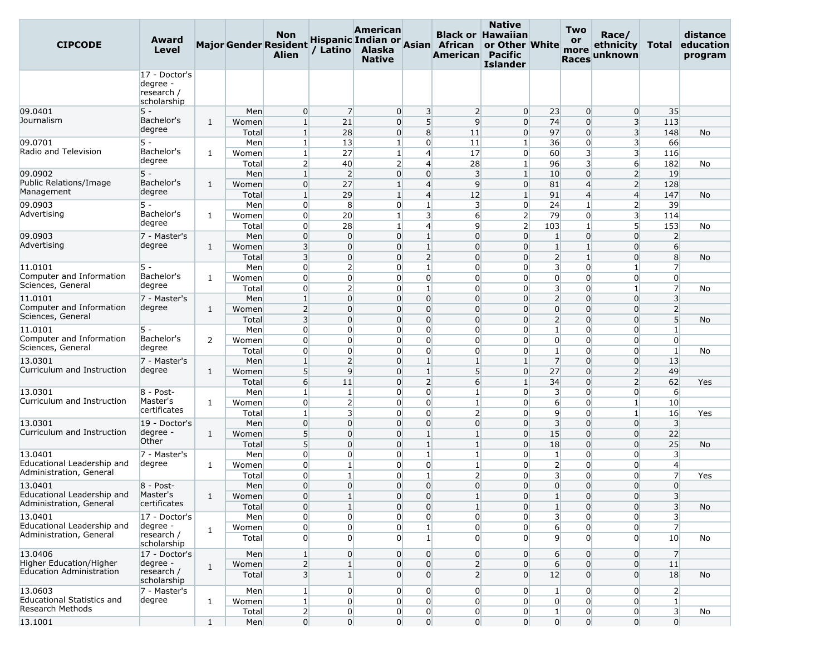| <b>CIPCODE</b>                                                        | Award<br>Level                                         |              |                                | <b>Non</b><br><b>Major Gender Resident</b><br><b>Alien</b>   | / Latino                                                             | American<br>Alaska<br><b>Native</b>                |                                                                  | Hispanic Indian or Asian African<br>American Pacific                 | <b>Native</b><br><b>Black or Hawaiian</b><br>or Other White<br><b>Islander</b> |                                                             | Two<br><b>or</b><br>more<br><b>Races</b>                             | Race/<br>ethnicity<br>unknown                                      | Total                                                   | distance<br>education<br>program |
|-----------------------------------------------------------------------|--------------------------------------------------------|--------------|--------------------------------|--------------------------------------------------------------|----------------------------------------------------------------------|----------------------------------------------------|------------------------------------------------------------------|----------------------------------------------------------------------|--------------------------------------------------------------------------------|-------------------------------------------------------------|----------------------------------------------------------------------|--------------------------------------------------------------------|---------------------------------------------------------|----------------------------------|
|                                                                       | 17 - Doctor's<br>degree -<br>research /<br>scholarship |              |                                |                                                              |                                                                      |                                                    |                                                                  |                                                                      |                                                                                |                                                             |                                                                      |                                                                    |                                                         |                                  |
| 09.0401<br>Journalism                                                 | $5 -$<br>Bachelor's<br>degree                          | 1            | Men<br>Women<br>Total          | 0<br>$\mathbf{1}$<br>$\mathbf{1}$                            | $\overline{7}$<br>21<br>28                                           | $\overline{0}$<br>$\overline{0}$<br>$\overline{0}$ | 3<br>5 <sup>1</sup><br>8                                         | $\overline{2}$<br>$\overline{9}$<br>11                               | $\overline{0}$<br>$\overline{0}$<br>$\overline{0}$                             | 23<br>74<br>97                                              | $\overline{0}$<br>$\overline{0}$<br>$\overline{0}$                   | $\overline{0}$<br>$\overline{\mathbf{3}}$<br>3                     | 35<br>113<br>148                                        | No                               |
| 09.0701<br>Radio and Television                                       | 5 -<br>Bachelor's<br>degree                            | 1            | Men<br>Women<br>Total          | 1 <sup>1</sup><br>$\mathbf{1}$<br>$\overline{2}$             | 13<br>27<br>40                                                       | $1 \vert$<br>$\mathbf{1}$<br>$\overline{2}$        | $\overline{0}$<br>$\overline{4}$<br>$\overline{4}$               | 11<br>17<br>28                                                       | $\mathbf{1}$<br>$\overline{0}$<br>$\mathbf{1}$                                 | 36<br>60<br>96                                              | $\overline{0}$<br>$\overline{\mathbf{3}}$<br>$\overline{\mathbf{3}}$ | 3<br>3<br>6                                                        | 66<br>116<br>182                                        | No                               |
| 09.0902<br>Public Relations/Image<br>Management                       | $5 -$<br>Bachelor's<br>degree                          | 1            | Men<br>Women<br>Total          | $\mathbf{1}$<br>$\overline{0}$<br>$\mathbf{1}$               | $\overline{2}$<br>27<br>29                                           | $\overline{0}$<br>$1\overline{ }$<br>$\mathbf{1}$  | $\overline{0}$<br>$\overline{4}$<br>$\overline{4}$               | $\overline{3}$<br>$\overline{9}$<br>12                               | $\mathbf{1}$<br>$\overline{0}$<br>$\mathbf{1}$                                 | 10<br>81<br>91                                              | $\overline{0}$<br>$\overline{4}$<br>$\overline{4}$                   | $\overline{2}$<br>$\overline{2}$<br>$\overline{4}$                 | 19<br>128<br>147                                        | No                               |
| 09.0903<br>Advertising                                                | $5 -$<br>Bachelor's<br>degree                          | 1            | Men<br>Women                   | 0<br>$\overline{0}$<br>0                                     | 8<br>20                                                              | $\overline{0}$<br>$\mathbf{1}$                     | $\mathbf{1}$<br>$\overline{\mathbf{3}}$<br>$\overline{4}$        | $\overline{\mathbf{3}}$<br>$6 \overline{}$<br>9                      | $\overline{0}$<br>$\overline{2}$<br>$\overline{2}$                             | 24<br>79                                                    | $\mathbf{1}$<br>$\overline{0}$                                       | $\overline{2}$<br>$\overline{\mathbf{3}}$<br>5 <sup>1</sup>        | 39<br>114                                               |                                  |
| 09.0903<br>Advertising                                                | 7 - Master's<br>degree                                 | 1            | Total<br>Men<br>Women          | 0<br>3                                                       | 28<br>$\overline{0}$<br>$\overline{0}$                               | $\mathbf{1}$<br>$\overline{0}$<br>0                | $\mathbf{1}$<br>$\mathbf{1}$                                     | $\overline{0}$<br>$\overline{0}$                                     | $\overline{0}$<br>$\Omega$                                                     | 103<br>$\mathbf{1}$<br>$\mathbf{1}$                         | 1<br>$\overline{0}$<br>$\mathbf{1}$<br>$\mathbf{1}$                  | $\overline{0}$<br>$\overline{0}$                                   | 153<br>$\overline{2}$<br>$6 \overline{}$                | No                               |
| 11.0101<br>Computer and Information<br>Sciences, General              | $5 -$<br>Bachelor's<br>degree                          | 1            | Total<br>Men<br>Women          | $\overline{3}$<br>0<br>$\overline{0}$<br>$\overline{0}$      | $\overline{0}$<br>$\overline{2}$<br>$\overline{0}$                   | 0<br>$\overline{0}$<br>$\overline{0}$              | $\overline{2}$<br>$\mathbf{1}$<br>$\overline{0}$<br>$\mathbf{1}$ | $\overline{0}$<br>$\overline{0}$<br>$\overline{0}$<br>$\overline{0}$ | $\overline{0}$<br>$\Omega$<br>$\Omega$<br>$\Omega$                             | $\overline{2}$<br>$\overline{\mathbf{3}}$<br>$\overline{0}$ | $\overline{0}$<br>$\overline{0}$<br>$\Omega$                         | $\Omega$<br>$\mathbf{1}$<br>$\overline{0}$                         | 8<br>$\overline{7}$<br>$\overline{0}$<br>$\overline{7}$ | No                               |
| 11.0101<br>Computer and Information<br>Sciences, General              | 7 - Master's<br>degree                                 | 1            | Total<br>Men<br>Women<br>Total | $\mathbf{1}$<br>$\overline{2}$<br>3                          | $\overline{2}$<br>$\overline{0}$<br>$\overline{0}$<br>$\overline{0}$ | $\overline{0}$<br>0<br>$\overline{0}$<br>0         | $\overline{0}$<br>$\overline{0}$<br>$\overline{0}$               | $\overline{0}$<br>$\overline{0}$<br>$\overline{0}$                   | $\Omega$<br>$\Omega$<br>$\Omega$                                               | 3<br>$\overline{2}$<br>$\overline{0}$<br>$\overline{2}$     | $\Omega$<br>$\overline{0}$<br>$\overline{0}$                         | $\mathbf{1}$<br>$\overline{0}$<br>$\overline{0}$<br>$\overline{0}$ | $\overline{3}$<br>$\overline{2}$<br>5 <sup>1</sup>      | No<br>No                         |
| 11.0101<br>Computer and Information<br>Sciences, General              | 5 -<br>Bachelor's<br>degree                            | 2            | Men<br>Women<br>Total          | $\overline{0}$<br>$\overline{0}$<br>$\overline{0}$           | $\overline{0}$<br>$\Omega$<br>$\overline{0}$                         | $\overline{0}$<br>$\overline{0}$<br>$\overline{0}$ | $\overline{0}$<br>$\overline{0}$<br>$\overline{0}$               | $\overline{0}$<br>$\overline{0}$<br>$\overline{0}$                   | $\overline{0}$<br>$\Omega$<br>$\overline{0}$                                   | $\mathbf{1}$<br>$\overline{0}$<br>$\mathbf{1}$              | $\overline{0}$<br>$\overline{0}$<br>$\overline{0}$                   | $\overline{0}$<br>$\Omega$<br>$\overline{0}$                       | $\mathbf{1}$<br>$\overline{0}$<br>$\mathbf{1}$          | No                               |
| 13.0301<br>Curriculum and Instruction                                 | 7 - Master's<br>degree                                 | 1            | Men<br>Women<br>Total          | $\mathbf{1}$<br>5<br>$6 \overline{}$                         | $\overline{2}$<br>9<br>11                                            | 0<br>0<br>0                                        | $\mathbf{1}$<br>$\mathbf{1}$<br>$\overline{2}$                   | $\mathbf{1}$<br>5<br>$6 \overline{}$                                 | $\mathbf{1}$<br>$\overline{0}$<br>$\mathbf{1}$                                 | $\overline{7}$<br>27<br>34                                  | $\overline{0}$<br>$\Omega$<br>$\overline{0}$                         | $\overline{0}$<br>$\overline{2}$<br>$\overline{2}$                 | 13<br>49<br>62                                          | Yes                              |
| 13.0301<br>Curriculum and Instruction                                 | 8 - Post-<br>Master's<br>certificates                  | 1            | Men<br>Women<br>Total          | $\mathbf{1}$<br>$\overline{0}$<br>$\mathbf{1}$               | $\mathbf{1}$<br>$\overline{2}$<br>3                                  | $\overline{0}$<br>$\overline{0}$<br>$\overline{0}$ | $\overline{0}$<br>0<br>$\overline{0}$                            | $\mathbf{1}$<br>$\mathbf{1}$<br>$\overline{2}$                       | $\Omega$<br>$\Omega$<br>$\Omega$                                               | 3<br>$6 \overline{6}$<br>9                                  | $\overline{0}$<br>$\Omega$<br>$\overline{0}$                         | $\overline{0}$<br>$\mathbf{1}$<br>$\mathbf{1}$                     | $6 \overline{}$<br>10<br>16                             | Yes                              |
| 13.0301<br>Curriculum and Instruction                                 | 19 - Doctor's<br>degree -<br>Other                     | 1            | Men<br>Women<br>Total          | $\mathbf 0$<br>5<br>5 <sup>1</sup>                           | $\overline{0}$<br>$\overline{0}$<br>$\overline{0}$                   | $\overline{0}$<br>0<br>0                           | $\overline{0}$<br>$\mathbf{1}$<br>$\mathbf{1}$                   | $\overline{0}$<br>$\mathbf{1}$<br>$\vert$ 1                          | $\overline{0}$<br>$\Omega$<br>$\overline{0}$                                   | $\overline{3}$<br>15<br>18                                  | $\overline{0}$<br>$\overline{0}$<br>$\Omega$                         | $\overline{0}$<br>$\Omega$<br>$\overline{0}$                       | $\overline{3}$<br>22<br>25                              | No                               |
| 13.0401<br>Educational Leadership and<br>Administration, General      | 7 - Master's<br>degree                                 | 1            | Men<br>Women<br>Total          | $\overline{0}$<br>0<br>$\overline{0}$                        | $\overline{0}$<br>$\mathbf{1}$<br>$\mathbf{1}$                       | $\overline{0}$<br>$\overline{0}$<br>$\overline{0}$ | $\mathbf{1}$<br>$\overline{0}$<br>$\mathbf{1}$                   | $\vert$ 1<br>$\mathbf{1}$<br>$\overline{2}$                          | $\Omega$<br>$\Omega$<br>0                                                      | $\mathbf{1}$<br>$\overline{2}$<br>3                         | $\overline{0}$<br>$\overline{0}$<br>$\overline{0}$                   | $\overline{0}$<br>$\Omega$<br>$\overline{0}$                       | 3<br>$\overline{4}$<br>$\overline{7}$                   | Yes                              |
| 13.0401<br>Educational Leadership and<br>Administration, General      | $8 - Post-$<br>Master's<br>certificates                | 1            | Men<br>Women<br>Total          | $\overline{0}$<br>$\mathbf{0}$<br>$\overline{0}$             | $\Omega$<br>$\mathbf{1}$<br>$\mathbf{1}$                             | $\overline{0}$<br>$\mathbf{0}$<br>$\overline{0}$   | $\Omega$<br>$\mathbf{0}$<br>$\overline{0}$                       | $\overline{0}$<br>$\mathbf{1}$<br>$\vert$ 1                          | $\Omega$<br>0<br>$\overline{0}$                                                | $\overline{0}$<br>$\mathbf{1}$<br>$1\overline{ }$           | $\Omega$<br>$\overline{0}$<br>$\overline{0}$                         | $\Omega$<br>0<br>$\overline{0}$                                    | $\overline{0}$<br>3<br>3 <sup>l</sup>                   | No                               |
| 13.0401<br>Educational Leadership and<br>Administration, General      | 17 - Doctor's<br>degree -<br>research /<br>scholarship | 1            | Men<br>Women<br>Total          | $\overline{0}$<br>$\overline{0}$<br>$\overline{0}$           | $\overline{0}$<br>$\overline{0}$<br>$\overline{0}$                   | $\overline{0}$<br>$\overline{0}$<br>$\overline{0}$ | $\overline{0}$<br>$\mathbf{1}$<br>$1\vert$                       | $\overline{0}$<br>$\overline{0}$<br>$\overline{0}$                   | $\overline{0}$<br>$\overline{0}$<br>$\Omega$                                   | $\overline{\mathbf{3}}$<br>$6 \overline{6}$<br>9            | $\overline{0}$<br>$\overline{0}$<br>$\overline{0}$                   | $\overline{0}$<br>$\overline{0}$<br>$\overline{0}$                 | 3<br>$\overline{7}$<br>10                               | No                               |
| 13.0406<br>Higher Education/Higher<br><b>Education Administration</b> | 17 - Doctor's<br>degree -<br>research /                | $\mathbf{1}$ | Men<br>Women<br>Total          | $1\overline{ }$<br>$\overline{2}$<br>$\overline{\mathbf{3}}$ | $\overline{0}$<br>$\mathbf{1}$<br>$\mathbf{1}$                       | $\overline{0}$<br>$\overline{0}$<br>$\overline{0}$ | $\overline{0}$<br>$\overline{0}$<br>$\overline{0}$               | $\overline{0}$<br>$\overline{2}$<br>$\overline{2}$                   | $\overline{0}$<br>$\overline{0}$<br>$\overline{0}$                             | 6<br>$6 \overline{6}$<br>12                                 | $\overline{0}$<br>$\overline{0}$<br>$\overline{0}$                   | $\overline{0}$<br>$\overline{0}$<br>$\overline{0}$                 | $\overline{7}$<br>11<br>18                              | No                               |
| 13.0603<br>Educational Statistics and<br>Research Methods             | scholarship<br>7 - Master's<br>degree                  | 1            | Men<br>Women<br>Total          | $\mathbf{1}$<br>$1\vert$<br>$\overline{2}$                   | $\overline{0}$<br>$\overline{0}$<br>$\overline{0}$                   | $\overline{0}$<br>$\overline{0}$<br>$\overline{0}$ | $\overline{0}$<br>$\overline{0}$<br>$\overline{0}$               | $\overline{0}$<br>$\overline{0}$<br>$\overline{0}$                   | $\overline{0}$<br>$\overline{0}$<br>$\overline{0}$                             | $\mathbf{1}$<br>$\overline{0}$<br>$1\overline{ }$           | $\overline{0}$<br>$\overline{0}$<br>$\overline{0}$                   | $\overline{0}$<br>$\overline{0}$<br>$\overline{0}$                 | $\overline{2}$<br>$\mathbf{1}$<br>3 <sup>1</sup>        | No                               |
| 13.1001                                                               |                                                        | $\mathbf{1}$ | Men                            | $\overline{0}$                                               | $\overline{0}$                                                       | $\overline{0}$                                     | $\overline{0}$                                                   | $\overline{0}$                                                       | $\overline{0}$                                                                 | $\overline{0}$                                              | $\overline{0}$                                                       | $\overline{0}$                                                     | $\overline{0}$                                          |                                  |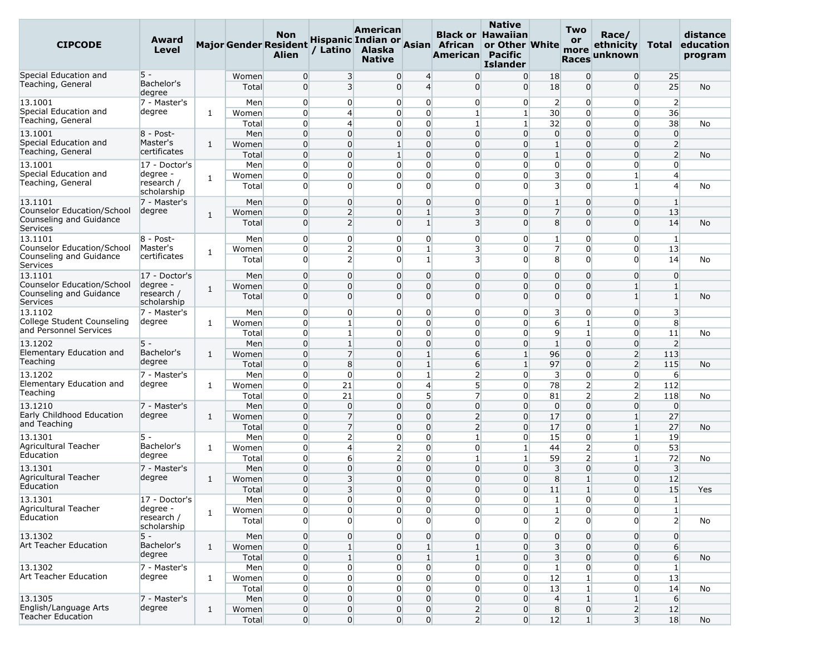| <b>CIPCODE</b>                                                    | Award<br>Level                        |              |                | Non<br><b>Major Gender Resident</b><br><b>Alien</b> | / Latino                         | American<br>Alaska<br><b>Native</b> |                                                         | Hispanic Indian or Asian African<br>American Pacific | <b>Native</b><br><b>Black or Hawaiian</b><br>or Other White<br><b>Islander</b> |                                  | Two<br>or<br>more<br><b>Races</b> | Race/<br>ethnicity<br>unknown   | Total                            | distance<br>education<br>program |
|-------------------------------------------------------------------|---------------------------------------|--------------|----------------|-----------------------------------------------------|----------------------------------|-------------------------------------|---------------------------------------------------------|------------------------------------------------------|--------------------------------------------------------------------------------|----------------------------------|-----------------------------------|---------------------------------|----------------------------------|----------------------------------|
| Special Education and                                             | 5 -                                   |              | Women          | $\overline{0}$                                      | 3                                |                                     | 0<br>$\overline{4}$                                     | $\overline{0}$                                       | $\overline{0}$                                                                 | 18                               | $\overline{0}$                    | $\overline{0}$                  | 25                               |                                  |
| Teaching, General                                                 | Bachelor's<br>degree                  |              | Total          | $\overline{0}$                                      | 3                                |                                     | $\overline{4}$<br>0                                     | $\overline{0}$                                       | $\Omega$                                                                       | 18                               | $\Omega$                          | $\Omega$                        | 25                               | <b>No</b>                        |
| 13.1001                                                           | 7 - Master's                          |              | Men            | $\overline{0}$                                      | $\overline{0}$                   |                                     | 0<br>$\overline{0}$                                     | $\overline{0}$                                       | $\overline{0}$                                                                 | $\overline{2}$                   | $\overline{0}$                    | $\overline{0}$                  | $\overline{2}$                   |                                  |
| Special Education and                                             | degree                                | 1            | Women          | $\overline{0}$                                      | $\overline{4}$                   |                                     | $\overline{0}$<br>$\overline{0}$                        | $\mathbf{1}$                                         | 1 <sup>1</sup>                                                                 | 30                               | $\overline{0}$                    | $\overline{0}$                  | 36                               |                                  |
| Teaching, General                                                 |                                       |              | Total          | $\overline{0}$                                      | $\overline{4}$                   |                                     | $\overline{0}$<br>0                                     | $\mathbf{1}$                                         | 1 <sup>1</sup>                                                                 | 32                               | $\overline{0}$                    | 0                               | 38                               | No                               |
| 13.1001                                                           | 8 - Post-                             |              | Men            | $\overline{0}$                                      | $\overline{0}$                   |                                     | $\overline{0}$<br>0                                     | $\overline{0}$                                       | $\overline{0}$                                                                 | $\overline{0}$                   | $\overline{0}$                    | $\overline{0}$                  | $\overline{0}$                   |                                  |
| Special Education and<br>Teaching, General                        | Master's<br>certificates              | 1            | Women          | $\overline{0}$                                      | $\Omega$                         | $\mathbf{1}$                        | $\overline{0}$                                          | $\overline{0}$                                       | $\overline{0}$                                                                 | $\mathbf{1}$                     | $\overline{0}$                    | $\overline{0}$                  | $\overline{2}$                   |                                  |
| 13.1001                                                           |                                       |              | Total          | $\overline{0}$                                      | $\Omega$<br>$\overline{0}$       |                                     | $\overline{0}$<br>$\mathbf{1}$<br>0<br>$\overline{0}$   | $\overline{0}$<br>$\overline{0}$                     | $\Omega$                                                                       | $\mathbf{1}$                     | $\overline{0}$<br>$\overline{0}$  | $\overline{0}$<br>0             | $\overline{2}$<br>$\overline{0}$ | No                               |
| Special Education and                                             | 17 - Doctor's<br>degree -             |              | Men<br>Women   | $\overline{0}$<br>$\overline{0}$                    | $\Omega$                         |                                     | $\overline{0}$<br>0                                     | $\overline{0}$                                       | $\overline{0}$<br>$\Omega$                                                     | $\overline{0}$<br>3              | $\overline{0}$                    | 1                               | $\overline{4}$                   |                                  |
| Teaching, General                                                 | research /<br>scholarship             | 1            | Total          | $\overline{0}$                                      | $\Omega$                         |                                     | $\Omega$<br>$\overline{0}$                              | $\overline{0}$                                       | $\Omega$                                                                       | $\overline{3}$                   | $\overline{0}$                    | 1                               | $\overline{4}$                   | No                               |
| 13.1101                                                           | 7 - Master's                          |              | Men            | $\overline{0}$                                      | $\overline{0}$                   |                                     | $\overline{0}$<br>$\overline{0}$                        | $\overline{0}$                                       | $\overline{0}$                                                                 | $\mathbf{1}$                     | $\overline{0}$                    | $\overline{0}$                  | $\mathbf{1}$                     |                                  |
| Counselor Education/School                                        | degree                                | $\mathbf{1}$ | Women          | $\overline{0}$                                      | $\overline{2}$                   |                                     | 0<br>$\mathbf{1}$                                       | $\overline{\mathbf{3}}$                              | $\overline{0}$                                                                 | $\overline{7}$                   | $\overline{0}$                    | $\Omega$                        | 13                               |                                  |
| Counseling and Guidance<br>Services                               |                                       |              | Total          | $\overline{0}$                                      | $\overline{2}$                   |                                     | $\mathbf{1}$<br>$\Omega$                                | $\overline{\mathbf{3}}$                              | $\Omega$                                                                       | 8                                | $\Omega$                          | $\Omega$                        | 14                               | No                               |
| 13.1101                                                           | $8 - Post -$                          |              | Men            | $\overline{0}$                                      | $\overline{0}$                   |                                     | 0<br>$\overline{0}$                                     | $\overline{0}$                                       | $\overline{0}$                                                                 | 1                                | $\overline{0}$                    | $\overline{0}$                  | $\mathbf{1}$                     |                                  |
| Counselor Education/School                                        | Master's<br>certificates              | 1            | Women          | $\overline{0}$                                      | $\overline{2}$                   |                                     | $\mathbf{1}$<br>0                                       | $\overline{\mathbf{3}}$                              | $\overline{0}$                                                                 | $\overline{7}$                   | $\overline{0}$                    | 0                               | 13                               |                                  |
| Counseling and Guidance<br>Services                               |                                       |              | Total          | $\overline{0}$                                      | $\overline{2}$                   |                                     | $\overline{0}$<br>$1\overline{ }$                       | 3                                                    | $\overline{0}$                                                                 | 8                                | $\overline{0}$                    | $\Omega$                        | 14                               | No                               |
| 13.1101                                                           | 17 - Doctor's                         |              | Men            | $\overline{0}$                                      | $\Omega$                         |                                     | $\overline{0}$<br>0                                     | $\overline{0}$                                       | $\overline{0}$                                                                 | $\overline{0}$                   | 0                                 | $\Omega$                        | $\overline{0}$                   |                                  |
| Counselor Education/School<br>Counseling and Guidance<br>Services | degree -<br>research /<br>scholarship | 1            | Women<br>Total | $\overline{0}$<br>$\overline{0}$                    | $\overline{0}$<br>$\Omega$       |                                     | $\overline{0}$<br>0<br>$\overline{0}$<br>0              | $\overline{0}$<br>$\overline{0}$                     | $\Omega$<br>$\Omega$                                                           | $\overline{0}$<br>$\overline{0}$ | 0<br>$\overline{0}$               | $\mathbf{1}$<br>$1\vert$        | $\mathbf{1}$<br>$\mathbf{1}$     | No                               |
| 13.1102                                                           | 7 - Master's                          |              | Men            | $\overline{0}$                                      | $\overline{0}$                   |                                     | $\overline{0}$<br>0                                     | $\overline{0}$                                       | $\overline{0}$                                                                 | $\overline{\mathbf{3}}$          | $\overline{0}$                    | 0                               | $\overline{\mathbf{3}}$          |                                  |
| College Student Counseling                                        | degree                                | 1            | Women          | $\overline{0}$                                      | $\mathbf{1}$                     |                                     | $\overline{0}$<br>0                                     | $\overline{0}$                                       | $\overline{0}$                                                                 | 6                                | $\mathbf{1}$                      | $\overline{0}$                  | 8                                |                                  |
| and Personnel Services                                            |                                       |              | Total          | $\overline{0}$                                      | 1                                |                                     | $\overline{0}$<br>0                                     | $\overline{0}$                                       | $\overline{0}$                                                                 | 9                                | $\mathbf{1}$                      | 0                               | 11                               | No                               |
| 13.1202                                                           | $5 -$                                 |              | Men            | $\overline{0}$                                      | $\mathbf{1}$                     |                                     | $\overline{0}$<br>0                                     | $\overline{0}$                                       | $\Omega$                                                                       | $\mathbf{1}$                     | $\overline{0}$                    | $\overline{0}$                  | $\overline{2}$                   |                                  |
| Elementary Education and                                          | Bachelor's                            | $\mathbf{1}$ | Women          | $\overline{0}$                                      | $\overline{7}$                   |                                     | $\mathbf{1}$<br>0                                       | $6 \overline{}$                                      | $\mathbf{1}$                                                                   | 96                               | $\overline{0}$                    | $\overline{2}$                  | 113                              |                                  |
| Teaching                                                          | degree                                |              | Total          | $\overline{0}$                                      | 8                                |                                     | 0<br>$\mathbf{1}$                                       | $6 \overline{6}$                                     | $\mathbf{1}$                                                                   | 97                               | $\Omega$                          | $\overline{2}$                  | 115                              | No                               |
| 13.1202                                                           | 7 - Master's                          |              | Men            | $\overline{0}$                                      | $\Omega$                         |                                     | $\mathbf{1}$<br>0                                       | $\overline{2}$                                       | $\overline{0}$                                                                 | 3                                | $\overline{0}$                    | $\overline{0}$                  | 6                                |                                  |
| Elementary Education and                                          | degree                                | 1            | Women          | $\overline{0}$                                      | 21                               |                                     | $\overline{4}$<br>$\overline{0}$                        | 5 <sup>1</sup>                                       | $\overline{0}$                                                                 | 78                               | 2                                 | $\overline{2}$                  | 112                              |                                  |
| Teaching                                                          |                                       |              | Total          | $\overline{0}$                                      | 21                               |                                     | $5\overline{)}$<br>0                                    | $\overline{7}$                                       | $\overline{0}$                                                                 | 81                               | $\mathbf{2}$                      | $\overline{2}$                  | 118                              | No                               |
| 13.1210<br>Early Childhood Education                              | 7 - Master's                          |              | Men            | $\overline{0}$                                      | $\overline{0}$                   |                                     | $\overline{0}$<br>$\overline{0}$                        | $\overline{0}$                                       | $\overline{0}$                                                                 | $\overline{0}$                   | $\overline{0}$                    | $\overline{0}$                  | $\overline{0}$                   |                                  |
| and Teaching                                                      | degree                                | $\mathbf{1}$ | Women          | $\overline{0}$                                      | $\overline{7}$                   |                                     | $\overline{0}$<br>0                                     | $\overline{2}$                                       | $\overline{0}$                                                                 | 17                               | $\overline{0}$                    | $1\overline{ }$                 | 27                               |                                  |
|                                                                   | $5 -$                                 |              | Total          | $\overline{0}$<br>$\overline{0}$                    | $\overline{7}$<br>$\overline{2}$ |                                     | $\overline{0}$<br>0<br>0<br>$\overline{0}$              | $\overline{2}$<br>$1\overline{ }$                    | $\Omega$<br>$\overline{0}$                                                     | 17<br>15                         | $\overline{0}$<br>$\overline{0}$  | $1\overline{ }$<br>$\mathbf{1}$ | 27<br>19                         | No                               |
| 13.1301<br>Agricultural Teacher                                   | Bachelor's                            | 1            | Men<br>Women   | $\overline{0}$                                      | $\overline{4}$                   |                                     | $\overline{2}$<br>$\overline{0}$                        | $\overline{0}$                                       | $\mathbf{1}$                                                                   | 44                               | $\mathbf{2}$                      | $\overline{0}$                  | 53                               |                                  |
| Education                                                         | degree                                |              | Total          | $\overline{0}$                                      | 6                                |                                     | $\overline{0}$<br>$\overline{2}$                        | $\mathbf{1}$                                         | $1\overline{ }$                                                                | 59                               | 2                                 | $1\vert$                        | 72                               | No                               |
| 13.1301                                                           | 7 - Master's                          |              | Men            | $\overline{0}$                                      | $\Omega$                         |                                     | $\overline{0}$<br>$\Omega$                              | $\overline{0}$                                       | $\Omega$                                                                       | $\overline{\mathbf{3}}$          | $\overline{0}$                    | $\Omega$                        | $\overline{\mathbf{3}}$          |                                  |
| Agricultural Teacher                                              | degree                                | 1            | Women          | $\overline{0}$                                      | 3                                |                                     | $\overline{0}$<br>0                                     | $\overline{0}$                                       | $\overline{0}$                                                                 | 8                                | $\mathbf{1}$                      | $\overline{0}$                  | 12                               |                                  |
| Education                                                         |                                       |              | Total          | $\overline{0}$                                      | $\overline{\mathbf{3}}$          |                                     | $\Omega$<br>$\Omega$                                    | $\Omega$                                             | $\Omega$                                                                       | 11                               | $1\overline{ }$                   | $\Omega$                        | 15                               | Yes                              |
| 13.1301                                                           | 17 - Doctor's                         |              | Men            | $\overline{0}$                                      | $\overline{0}$                   |                                     | 0                                                       | $\overline{0}$<br>$\overline{0}$                     | $\overline{0}$                                                                 | $1\vert$                         | $\overline{0}$                    | $\overline{0}$                  | $1\vert$                         |                                  |
| Agricultural Teacher                                              | degree -                              | $\mathbf{1}$ | Women          | $\overline{0}$                                      | $\Omega$                         |                                     | $\overline{0}$<br>$\overline{0}$                        | $\overline{0}$                                       | $\overline{0}$                                                                 | $1\overline{ }$                  | $\overline{0}$                    | $\overline{0}$                  | $1\overline{ }$                  |                                  |
| Education                                                         | research /<br>scholarship             |              | Total          | $\overline{0}$                                      | $\Omega$                         |                                     | $\overline{0}$                                          | $\overline{0}$<br>$\overline{0}$                     | $\Omega$                                                                       | 2                                | $\overline{0}$                    | $\Omega$                        | 2                                | No                               |
| 13.1302                                                           | $5 -$                                 |              | Men            | $\overline{0}$                                      | $\overline{0}$                   |                                     | $\overline{0}$<br>$\overline{0}$                        | $\overline{0}$                                       | $\overline{0}$                                                                 | $\overline{0}$                   | $\overline{0}$                    | $\overline{0}$                  | $\overline{0}$                   |                                  |
| Art Teacher Education                                             | Bachelor's<br>degree                  | $\mathbf{1}$ | Women          | $\overline{0}$                                      | $1\overline{ }$                  |                                     | $\overline{0}$<br>$\mathbf{1}$                          | $\mathbf{1}$                                         | $\overline{0}$                                                                 | $\overline{3}$                   | $\overline{0}$                    | $\overline{0}$                  | $6 \overline{6}$                 |                                  |
|                                                                   |                                       |              | Total          | $\overline{0}$                                      | $1\vert$                         |                                     | $\overline{0}$<br>$1\overline{ }$                       | $\mathbf{1}$                                         | $\overline{0}$                                                                 | $\overline{\mathbf{3}}$          | $\overline{0}$                    | $\overline{0}$                  | 6                                | <b>No</b>                        |
| 13.1302<br>Art Teacher Education                                  | 7 - Master's<br>degree                |              | Men            | $\overline{0}$                                      | $\overline{0}$                   |                                     | $\mathbf 0$<br>0                                        | $\overline{0}$                                       | $\overline{0}$                                                                 | $\mathbf{1}$                     | $\overline{0}$                    | $\overline{0}$                  | $\mathbf{1}$                     |                                  |
|                                                                   |                                       | $\mathbf{1}$ | Women          | $\overline{0}$                                      | $\overline{0}$                   |                                     | 0<br>$\overline{0}$                                     | $\overline{0}$                                       | $\overline{0}$                                                                 | 12                               | $1\overline{ }$                   | $\overline{0}$                  | 13                               |                                  |
| 13.1305                                                           | 7 - Master's                          |              | Total<br>Men   | $\overline{0}$<br>$\overline{0}$                    | $\overline{0}$<br>$\overline{0}$ |                                     | $\overline{0}$<br>0<br>$\overline{0}$<br>$\overline{0}$ | $\overline{0}$                                       | $\overline{0}$<br>$\overline{0}$                                               | 13<br>$\overline{4}$             | $1\overline{ }$<br>$\mathbf{1}$   | $\overline{0}$<br>$1\vert$      | 14<br>6                          | No                               |
| English/Language Arts                                             | degree                                | $\mathbf{1}$ | Women          | $\boldsymbol{0}$                                    | $\overline{0}$                   |                                     | $\overline{0}$<br>$\overline{0}$                        | $\overline{0}$<br>2                                  | $\overline{0}$                                                                 | 8                                | $\overline{0}$                    | $\overline{2}$                  | 12                               |                                  |
| <b>Teacher Education</b>                                          |                                       |              | Total          | $\overline{0}$                                      | $\overline{0}$                   |                                     | $\overline{0}$                                          | 0 <br>2                                              | $\overline{0}$                                                                 | 12                               | $1\vert$                          | 3 <sup>1</sup>                  | 18                               | No                               |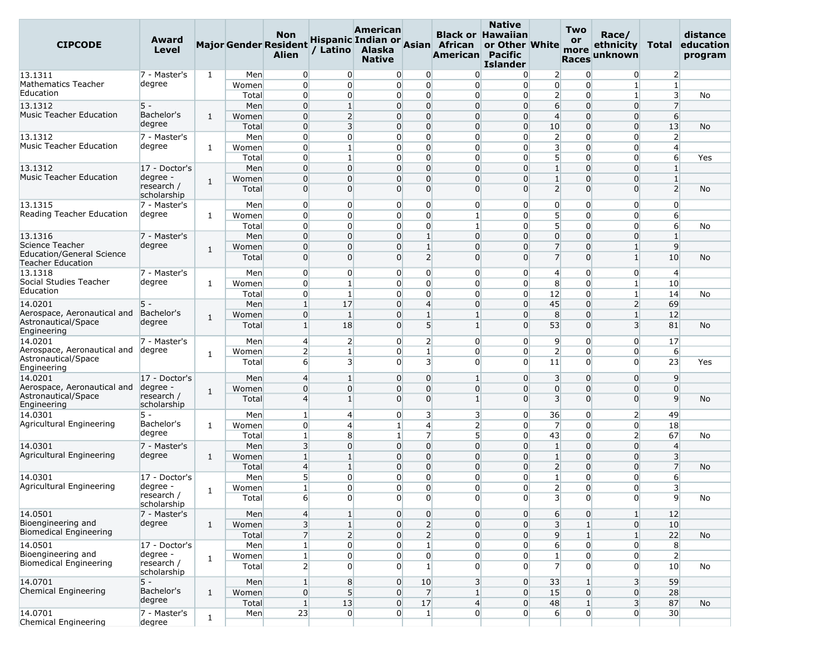| <b>CIPCODE</b>                                               | Award<br>Level            |              |                | <b>Non</b><br><b>Major Gender Resident</b><br><b>Alien</b> | / Latino                       | American<br>Alaska<br><b>Native</b> |                                 | Hispanic Indian or Asian African<br>American Pacific | <b>Native</b><br><b>Black or Hawaiian</b><br>or Other White<br><b>Islander</b> |                                  | <b>Two</b><br><b>or</b><br>more<br><b>Races</b> | Race/<br>ethnicity<br>unknown           | Total                   | distance<br>education<br>program |
|--------------------------------------------------------------|---------------------------|--------------|----------------|------------------------------------------------------------|--------------------------------|-------------------------------------|---------------------------------|------------------------------------------------------|--------------------------------------------------------------------------------|----------------------------------|-------------------------------------------------|-----------------------------------------|-------------------------|----------------------------------|
| 13.1311                                                      | 7 - Master's              | $\mathbf{1}$ | Men            | $\overline{0}$                                             | $\overline{0}$                 | 0                                   | $\overline{0}$                  | $\Omega$                                             | $\overline{0}$                                                                 | $\overline{2}$                   | $\overline{0}$                                  | $\overline{0}$                          | $\overline{2}$          |                                  |
| <b>Mathematics Teacher</b>                                   | degree                    |              | Women          | $\overline{0}$                                             | $\Omega$                       | 0                                   | $\overline{0}$                  | $\overline{0}$                                       | $\Omega$                                                                       | $\overline{0}$                   | $\overline{0}$                                  | $1\vert$                                | $\mathbf{1}$            |                                  |
| Education                                                    |                           |              | Total          | $\overline{0}$                                             | $\overline{0}$                 | $\overline{0}$                      | $\overline{0}$                  | $\overline{0}$                                       | $\overline{0}$                                                                 | $\overline{2}$                   | $\overline{0}$                                  | $\mathbf{1}$                            | $\overline{\mathbf{3}}$ | No                               |
| 13.1312                                                      | $5 -$                     |              | Men            | $\overline{0}$                                             | $\mathbf{1}$                   | $\overline{0}$                      | $\overline{0}$                  | $\overline{0}$                                       | $\Omega$                                                                       | 6                                | 0                                               | $\overline{0}$                          | $\overline{7}$          |                                  |
| <b>Music Teacher Education</b>                               | Bachelor's                | 1            | Women          | $\mathbf 0$                                                | $\overline{2}$                 | $\overline{0}$                      | $\overline{0}$                  | $\overline{0}$                                       | $\overline{0}$                                                                 | $\overline{4}$                   | $\overline{0}$                                  | $\overline{0}$                          | $6 \overline{6}$        |                                  |
|                                                              | degree                    |              | Total          | $\overline{0}$                                             | $\overline{\mathbf{3}}$        | $\overline{0}$                      | $\overline{0}$                  | $\overline{0}$                                       | $\overline{0}$                                                                 | 10                               | $\overline{0}$                                  | $\overline{0}$                          | 13                      | No                               |
| 13.1312                                                      | 7 - Master's              |              | Men            | $\overline{0}$                                             | $\overline{0}$                 | 0                                   | 0                               | $\overline{0}$                                       | $\Omega$                                                                       | $\overline{2}$                   | $\overline{0}$                                  | 0                                       | $\overline{2}$          |                                  |
| <b>Music Teacher Education</b>                               | degree                    | 1            | Women          | $\overline{0}$                                             | $\mathbf{1}$                   | 0                                   | $\overline{0}$                  | $\overline{0}$                                       | $\Omega$                                                                       | 3                                | $\overline{0}$                                  | $\overline{0}$                          | $\overline{4}$          |                                  |
|                                                              |                           |              | Total          | $\overline{0}$                                             | $\mathbf{1}$                   | 0                                   | $\overline{0}$                  | $\overline{0}$                                       | $\Omega$                                                                       | 5                                | $\overline{0}$                                  | $\overline{0}$                          | 6                       | Yes                              |
| 13.1312                                                      | 17 - Doctor's             |              | Men            | $\overline{0}$                                             | $\Omega$                       | $\overline{0}$                      | $\overline{0}$                  | $\overline{0}$                                       | $\Omega$                                                                       | $\mathbf{1}$                     | $\overline{0}$                                  | $\Omega$                                | $\mathbf{1}$            |                                  |
| <b>Music Teacher Education</b>                               | degree -                  | $\mathbf{1}$ | Women          | $\overline{0}$                                             | $\overline{0}$                 | $\overline{0}$                      | $\overline{0}$                  | $\overline{0}$                                       | $\Omega$                                                                       | $\mathbf{1}$                     | $\overline{0}$                                  | $\overline{0}$                          | $\mathbf{1}$            |                                  |
|                                                              | research /<br>scholarship |              | Total          | $\overline{0}$                                             | $\Omega$                       | $\overline{0}$                      | $\overline{0}$                  | $\overline{0}$                                       | $\Omega$                                                                       | $\overline{2}$                   | $\overline{0}$                                  | $\overline{0}$                          | $\overline{2}$          | No                               |
| 13.1315                                                      | 7 - Master's              |              | Men            | $\overline{0}$                                             | $\overline{0}$                 | 0                                   | 0                               | $\overline{0}$                                       | $\overline{0}$                                                                 | $\overline{0}$                   | $\overline{0}$                                  | $\overline{0}$                          | $\overline{0}$          |                                  |
| Reading Teacher Education                                    | degree                    | 1            | Women          | $\overline{0}$                                             | $\overline{0}$                 | $\overline{0}$                      | $\overline{0}$                  | $\mathbf{1}$                                         | $\overline{0}$                                                                 | 5 <sup>1</sup>                   | $\overline{0}$                                  | $\overline{0}$                          | 6                       |                                  |
|                                                              |                           |              | Total          | $\overline{0}$                                             | $\Omega$                       | 0                                   | 0                               | $\mathbf{1}$                                         | $\Omega$                                                                       | 5                                | $\overline{0}$                                  | 0                                       | 6                       | No                               |
| 13.1316                                                      | 7 - Master's              |              | Men            | $\overline{0}$                                             | $\overline{0}$                 | 0                                   | $\mathbf{1}$                    | $\overline{0}$                                       | $\Omega$                                                                       | $\overline{0}$                   | $\overline{0}$                                  | $\overline{0}$                          | $\mathbf{1}$            |                                  |
| Science Teacher                                              | degree                    | $\mathbf{1}$ | Women          | $\overline{0}$                                             | $\Omega$                       | $\overline{0}$                      | $\mathbf{1}$                    | $\overline{0}$                                       | $\Omega$                                                                       | $\overline{7}$                   | $\overline{0}$                                  | $1\vert$                                | $\overline{9}$          |                                  |
| <b>Education/General Science</b><br><b>Teacher Education</b> |                           |              | Total          | $\overline{0}$                                             | $\Omega$                       | $\overline{0}$                      | $\overline{2}$                  | $\overline{0}$                                       | $\Omega$                                                                       | $\overline{7}$                   | $\overline{0}$                                  | $1\overline{ }$                         | 10                      | No                               |
| 13.1318                                                      | 7 - Master's              |              | Men            | $\overline{0}$                                             | $\overline{0}$                 | 0                                   | 0                               | $\overline{0}$                                       | $\overline{0}$                                                                 | $\overline{4}$                   | $\overline{0}$                                  | 0                                       | $\overline{4}$          |                                  |
| Social Studies Teacher<br>Education                          | degree                    | 1            | Women          | $\overline{0}$                                             | $\mathbf{1}$                   | 0                                   | $\overline{0}$                  | $\overline{0}$                                       | $\Omega$                                                                       | 8                                | $\overline{0}$                                  | $\mathbf{1}$                            | 10                      |                                  |
|                                                              |                           |              | Total          | $\overline{0}$                                             | 1                              | 0                                   | $\overline{0}$                  | $\overline{0}$                                       | $\overline{0}$                                                                 | 12                               | $\overline{0}$                                  | $1\vert$                                | 14                      | No                               |
| 14.0201                                                      | $5 -$                     |              | Men            | $\mathbf{1}$                                               | 17                             | $\overline{0}$                      | $\overline{4}$                  | $\overline{0}$                                       | $\overline{0}$                                                                 | 45                               | $\overline{0}$                                  | $\overline{2}$                          | 69                      |                                  |
| Aerospace, Aeronautical and<br>Astronautical/Space           | Bachelor's<br>degree      | $\mathbf{1}$ | Women<br>Total | $\overline{0}$<br>$\mathbf{1}$                             | $\mathbf{1}$<br>18             | $\overline{0}$<br>$\overline{0}$    | $\mathbf{1}$<br>$5\overline{)}$ | $\mathbf{1}$<br>$\mathbf{1}$                         | $\Omega$<br>$\Omega$                                                           | 8<br>53                          | 0<br>$\overline{0}$                             | $\mathbf{1}$<br>$\overline{\mathbf{3}}$ | 12<br>81                | No                               |
| Engineering                                                  |                           |              |                |                                                            |                                |                                     |                                 |                                                      |                                                                                |                                  |                                                 |                                         |                         |                                  |
| 14.0201                                                      | 7 - Master's              |              | Men            | $\overline{4}$                                             | $\overline{2}$                 | $\overline{0}$                      | $\overline{2}$                  | $\overline{0}$                                       | $\overline{0}$                                                                 | $\overline{9}$                   | $\overline{0}$                                  | $\overline{0}$                          | 17                      |                                  |
| Aerospace, Aeronautical and<br>Astronautical/Space           | degree                    | $\mathbf{1}$ | Women          | $\overline{2}$                                             | $\mathbf{1}$                   | 0                                   | $\mathbf{1}$                    | $\overline{0}$                                       | $\Omega$                                                                       | $\overline{2}$                   | $\overline{0}$                                  | 0                                       | 6                       |                                  |
| Engineering                                                  |                           |              | Total          | $6 \overline{6}$                                           | 3                              | $\overline{0}$                      | 3                               | $\overline{0}$                                       | $\Omega$                                                                       | 11                               | $\overline{0}$                                  | $\Omega$                                | 23                      | Yes                              |
| 14.0201<br>Aerospace, Aeronautical and                       | 17 - Doctor's<br>degree - |              | Men            | $\overline{4}$                                             | $\mathbf{1}$                   | $\overline{0}$                      | 0<br>$\overline{0}$             | $\mathbf{1}$                                         | $\Omega$<br>$\Omega$                                                           | $\overline{\mathbf{3}}$          | $\overline{0}$                                  | $\overline{0}$                          | 9<br>$\overline{0}$     |                                  |
| Astronautical/Space<br>Engineering                           | research /<br>scholarship | 1            | Women<br>Total | $\mathbf 0$<br>$\overline{4}$                              | $\overline{0}$<br>$\mathbf{1}$ | $\overline{0}$<br>$\Omega$          | $\overline{0}$                  | $\overline{0}$<br>$\mathbf{1}$                       | $\Omega$                                                                       | $\overline{0}$<br>$\overline{3}$ | $\overline{0}$<br>$\overline{0}$                | $\overline{0}$<br>$\Omega$              | $\overline{9}$          | No                               |
| 14.0301                                                      | $5 -$                     |              | Men            | $\mathbf{1}$                                               | 4                              | 0                                   | 3                               | 3                                                    | $\overline{0}$                                                                 | 36                               | $\overline{0}$                                  | 2                                       | 49                      |                                  |
| Agricultural Engineering                                     | Bachelor's                | 1            | Women          | $\overline{0}$                                             | 4                              | $\mathbf{1}$                        | $\overline{4}$                  | $\overline{2}$                                       | $\Omega$                                                                       | $\overline{7}$                   | $\overline{0}$                                  | $\overline{0}$                          | 18                      |                                  |
|                                                              | degree                    |              | Total          | $\mathbf{1}$                                               | 8                              | $1\overline{ }$                     | $\overline{7}$                  | 5 <sup>1</sup>                                       | $\Omega$                                                                       | 43                               | $\overline{0}$                                  | $\overline{2}$                          | 67                      | No                               |
| 14.0301                                                      | 7 - Master's              |              | Men            | 3                                                          | $\Omega$                       | $\overline{0}$                      | $\overline{0}$                  | $\overline{0}$                                       | $\Omega$                                                                       | $\mathbf{1}$                     | $\Omega$                                        | $\overline{0}$                          | $\overline{4}$          |                                  |
| Agricultural Engineering                                     | degree                    | $\mathbf{1}$ | Women          | $\mathbf{1}$                                               | $\mathbf{1}$                   | $\overline{0}$                      | $\overline{0}$                  | $\overline{0}$                                       | 0                                                                              | $1\,$                            | $\overline{0}$                                  | $\overline{0}$                          | $\overline{\mathbf{3}}$ |                                  |
|                                                              |                           |              | Total          | $\overline{4}$                                             | $\mathbf{1}$                   | $\overline{0}$                      | $\overline{0}$                  | $\overline{0}$                                       | $\Omega$                                                                       | $\overline{2}$                   | $\overline{0}$                                  | $\overline{0}$                          | $\overline{7}$          | No                               |
| 14.0301                                                      | 17 - Doctor's             |              | Men            | 5 <sup>5</sup>                                             | $\overline{0}$                 | 0                                   | 0                               | $\overline{0}$                                       | $\overline{0}$                                                                 | $\mathbf{1}$                     | $\overline{0}$                                  | 0                                       | 6                       |                                  |
| Agricultural Engineering                                     | degree -                  |              | Women          | $\mathbf{1}$                                               | $\Omega$                       | $\overline{0}$                      | $\overline{0}$                  | $\overline{0}$                                       | $\overline{0}$                                                                 | $\overline{2}$                   | $\overline{0}$                                  | $\overline{0}$                          | 3                       |                                  |
|                                                              | research /<br>scholarship | $\mathbf{1}$ | Total          | $6 \overline{6}$                                           | $\Omega$                       | $\overline{0}$                      | $\overline{0}$                  | $\overline{0}$                                       | $\overline{0}$                                                                 | 3                                | $\overline{0}$                                  | $\overline{0}$                          | 9                       | No                               |
| 14.0501                                                      | 7 - Master's              |              | Men            | $\vert 4 \vert$                                            | $\mathbf{1}$                   | $\overline{0}$                      | $\overline{0}$                  | $\overline{0}$                                       | $\overline{0}$                                                                 | $6 \overline{}$                  | $\overline{0}$                                  | $\mathbf{1}$                            | 12                      |                                  |
| Bioengineering and                                           | degree                    | $\mathbf{1}$ | Women          | 3                                                          | $\mathbf{1}$                   | $\overline{0}$                      | $\overline{2}$                  | $\overline{0}$                                       | $\overline{0}$                                                                 | $\overline{3}$                   | $1\vert$                                        | $\overline{0}$                          | 10                      |                                  |
| <b>Biomedical Engineering</b>                                |                           |              | Total          | $\overline{7}$                                             | $\overline{2}$                 | $\overline{0}$                      | $\overline{2}$                  | $\overline{0}$                                       | $\overline{0}$                                                                 | $\overline{9}$                   | 1 <sup>1</sup>                                  | $1\overline{ }$                         | 22                      | <b>No</b>                        |
| 14.0501                                                      | 17 - Doctor's             |              | Men            | $\mathbf{1}$                                               | $\overline{0}$                 | 0                                   | $\mathbf{1}$                    | $\overline{0}$                                       | $\overline{0}$                                                                 | $6 \overline{}$                  | $\overline{0}$                                  | $\overline{0}$                          | 8                       |                                  |
| Bioengineering and                                           | degree -                  | $\mathbf{1}$ | Women          | $\mathbf{1}$                                               | $\overline{0}$                 | 0                                   | $\mathbf{0}$                    | $\overline{0}$                                       | $\overline{0}$                                                                 | $\mathbf{1}$                     | $\overline{0}$                                  | $\overline{0}$                          | $\overline{2}$          |                                  |
| <b>Biomedical Engineering</b>                                | research /<br>scholarship |              | Total          | $\overline{2}$                                             | $\Omega$                       | 0                                   | $\mathbf{1}$                    | $\overline{0}$                                       | $\Omega$                                                                       | $\overline{7}$                   | $\overline{0}$                                  | $\overline{0}$                          | 10                      | No                               |
| 14.0701                                                      | $5 -$                     |              | Men            | $1\overline{ }$                                            | 8                              | $\overline{0}$                      | 10                              | 3 <sup>l</sup>                                       | $\overline{0}$                                                                 | 33                               | $1\overline{ }$                                 | $\overline{\mathbf{3}}$                 | 59                      |                                  |
| Chemical Engineering                                         | Bachelor's                | $\mathbf{1}$ | Women          | $\overline{0}$                                             | $5\overline{)}$                | $\overline{0}$                      | $\overline{7}$                  | $1\overline{ }$                                      | $\overline{0}$                                                                 | 15                               | $\overline{0}$                                  | $\overline{0}$                          | 28                      |                                  |
|                                                              | degree                    |              | Total          | $\mathbf 1$                                                | 13                             | $\overline{0}$                      | 17                              | $\overline{4}$                                       | $\overline{0}$                                                                 | 48                               | 1 <sup>1</sup>                                  | $\overline{\mathbf{3}}$                 | 87                      | No                               |
| 14.0701<br>Chemical Engineering                              | 7 - Master's<br>degree    | $\mathbf{1}$ | Men            | 23                                                         | $\overline{0}$                 | $\overline{0}$                      | $1\vert$                        | $\overline{0}$                                       | $\overline{0}$                                                                 | $6 \overline{6}$                 | $\overline{0}$                                  | $\overline{0}$                          | 30                      |                                  |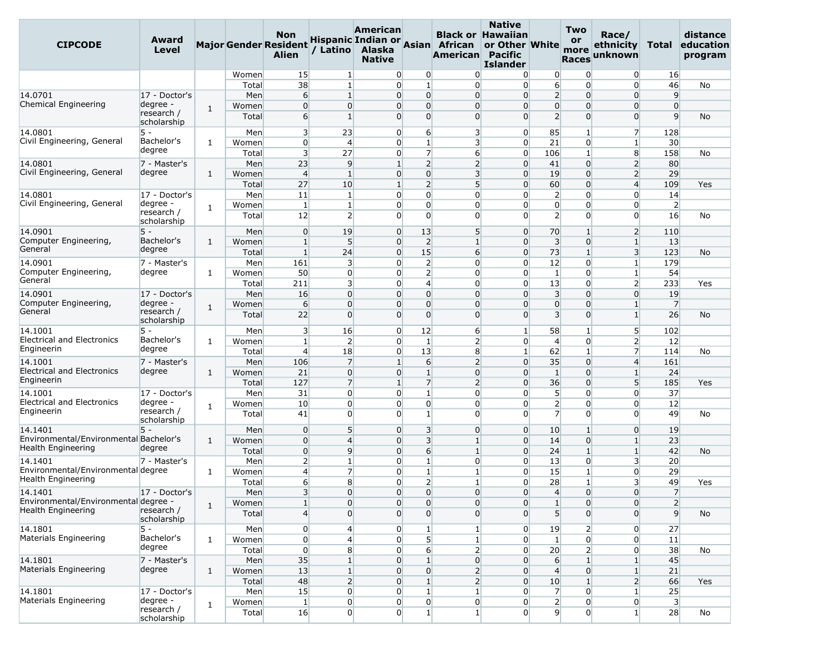| <b>CIPCODE</b>                         | Award<br><b>Level</b>     |              |       | Non<br><b>Major Gender Resident</b><br><b>Alien</b> | / Latino                | American<br>Alaska<br><b>Native</b> |                 | Hispanic Indian or Asian African<br>American Pacific | <b>Native</b><br><b>Black or Hawaiian</b><br>or Other White<br><b>Islander</b> |                         | Two<br>or<br>more<br><b>Races</b> | Race/<br>ethnicity<br>unknown | Total                   | distance<br>education<br>program |
|----------------------------------------|---------------------------|--------------|-------|-----------------------------------------------------|-------------------------|-------------------------------------|-----------------|------------------------------------------------------|--------------------------------------------------------------------------------|-------------------------|-----------------------------------|-------------------------------|-------------------------|----------------------------------|
|                                        |                           |              | Women | 15                                                  | $\mathbf{1}$            | 0                                   | $\overline{0}$  | $\Omega$                                             | $\overline{0}$                                                                 | 0                       | $\overline{0}$                    | $\overline{0}$                | 16                      |                                  |
|                                        |                           |              | Total | 38                                                  | 1                       | 0                                   | $\mathbf{1}$    | $\overline{0}$                                       | $\overline{0}$                                                                 | $6 \overline{6}$        | $\overline{0}$                    | $\overline{0}$                | 46                      | No                               |
| 14.0701                                | 17 - Doctor's             |              | Men   | $6 \overline{}$                                     | 1                       | $\overline{0}$                      | $\overline{0}$  | $\overline{0}$                                       | $\overline{0}$                                                                 | $\overline{2}$          | $\overline{0}$                    | $\overline{0}$                | 9                       |                                  |
| Chemical Engineering                   | degree -                  | 1            | Women | $\overline{0}$                                      | $\overline{0}$          | 0                                   | $\overline{0}$  | $\overline{0}$                                       | $\Omega$                                                                       | $\overline{0}$          | 0                                 | $\overline{0}$                | $\overline{0}$          |                                  |
|                                        | research /<br>scholarship |              | Total | $6 \overline{}$                                     | 1                       | 0                                   | $\overline{0}$  | $\overline{0}$                                       | $\Omega$                                                                       | $\overline{2}$          | $\overline{0}$                    | $\overline{0}$                | $\overline{9}$          | No                               |
| 14.0801                                | 5 -                       |              | Men   | $\overline{\mathbf{3}}$                             | 23                      | 0                                   | $6 \overline{}$ | $\overline{\mathbf{3}}$                              | $\overline{0}$                                                                 | 85                      | $1\vert$                          | $\overline{7}$                | 128                     |                                  |
| Civil Engineering, General             | Bachelor's                | 1            | Women | $\overline{0}$                                      | $\overline{4}$          | 0                                   | $\mathbf{1}$    | 3                                                    | $\overline{0}$                                                                 | 21                      | $\overline{0}$                    | $1\vert$                      | 30                      |                                  |
|                                        | degree                    |              | Total | $\overline{\mathbf{3}}$                             | 27                      | 0                                   | $\overline{7}$  | $6 \overline{6}$                                     | $\overline{0}$                                                                 | 106                     | $\mathbf{1}$                      | 8                             | 158                     | No                               |
| 14.0801                                | 7 - Master's              |              | Men   | 23                                                  | 9                       | $\mathbf{1}$                        | $\overline{2}$  | $\overline{2}$                                       | $\overline{0}$                                                                 | 41                      | $\overline{0}$                    | $\overline{2}$                | 80                      |                                  |
| Civil Engineering, General             | degree                    | 1            | Women | $\overline{4}$                                      | 1                       | 0                                   | $\overline{0}$  | $\overline{\mathbf{3}}$                              | $\Omega$                                                                       | 19                      | $\overline{0}$                    | $\overline{2}$                | 29                      |                                  |
|                                        |                           |              | Total | 27                                                  | 10                      | $\mathbf{1}$                        | $\overline{2}$  | 5 <sup>1</sup>                                       | $\overline{0}$                                                                 | 60                      | $\overline{0}$                    | $\overline{4}$                | 109                     | Yes                              |
| 14.0801                                | 17 - Doctor's             |              | Men   | 11                                                  | 1                       | 0                                   | $\overline{0}$  | $\overline{0}$                                       | $\Omega$                                                                       | $\overline{2}$          | $\overline{0}$                    | $\overline{0}$                | 14                      |                                  |
| Civil Engineering, General             | degree -                  | 1            | Women | $\mathbf{1}$                                        | 1                       | 0                                   | $\overline{0}$  | $\overline{0}$                                       | $\overline{0}$                                                                 | $\overline{0}$          | $\overline{0}$                    | $\overline{0}$                | $\overline{2}$          |                                  |
|                                        | research /<br>scholarship |              | Total | 12                                                  | $\overline{2}$          | $\overline{0}$                      | $\overline{0}$  | $\overline{0}$                                       | $\Omega$                                                                       | $\overline{2}$          | $\overline{0}$                    | $\Omega$                      | 16                      | No                               |
| 14.0901                                | $5 -$                     |              | Men   | $\overline{0}$                                      | 19                      | 0                                   | 13              | 5 <sup>1</sup>                                       | $\overline{0}$                                                                 | 70                      | $\mathbf{1}$                      | $\overline{2}$                | 110                     |                                  |
| Computer Engineering,                  | Bachelor's                | $\mathbf{1}$ | Women | $\mathbf{1}$                                        | 5                       | $\overline{0}$                      | $\overline{2}$  | $\mathbf{1}$                                         | $\overline{0}$                                                                 | $\overline{\mathbf{3}}$ | $\overline{0}$                    | $\vert$ 1                     | 13                      |                                  |
| General                                | degree                    |              | Total | $\mathbf{1}$                                        | 24                      | $\overline{0}$                      | 15              | $6 \overline{6}$                                     | $\overline{0}$                                                                 | 73                      | $1\vert$                          | $\overline{\mathbf{3}}$       | 123                     | No                               |
| 14.0901                                | 7 - Master's              |              | Men   | 161                                                 | 3                       | 0                                   | $\overline{2}$  | $\overline{0}$                                       | $\overline{0}$                                                                 | 12                      | $\overline{0}$                    | $\mathbf{1}$                  | 179                     |                                  |
| Computer Engineering,                  | degree                    | 1            | Women | 50                                                  | $\overline{0}$          | $\overline{0}$                      | $\overline{2}$  | $\overline{0}$                                       | $\overline{0}$                                                                 | $\mathbf{1}$            | $\overline{0}$                    | $1\overline{ }$               | 54                      |                                  |
| General                                |                           |              | Total | 211                                                 | $\overline{\mathbf{3}}$ | 0                                   | $\overline{4}$  | $\overline{0}$                                       | $\Omega$                                                                       | 13                      | $\overline{0}$                    | $\overline{2}$                | 233                     | Yes                              |
| 14.0901                                | 17 - Doctor's             |              | Men   | 16                                                  | $\overline{0}$          | 0                                   | $\overline{0}$  | $\overline{0}$                                       | $\Omega$                                                                       | 3                       | $\overline{0}$                    | $\overline{0}$                | 19                      |                                  |
| Computer Engineering,                  | degree -                  | $\mathbf{1}$ | Women | $6 \overline{}$                                     | $\overline{0}$          | $\overline{0}$                      | $\overline{0}$  | $\overline{0}$                                       | $\overline{0}$                                                                 | $\overline{0}$          | $\overline{0}$                    | $\mathbf{1}$                  | $\overline{7}$          |                                  |
| General                                | research /<br>scholarship |              | Total | 22                                                  | $\Omega$                | 0                                   | $\overline{0}$  | $\overline{0}$                                       | $\Omega$                                                                       | $\overline{\mathbf{3}}$ | $\overline{0}$                    | $1\vert$                      | 26                      | No                               |
| 14.1001                                | 5 -                       |              | Men   | $\overline{\mathbf{3}}$                             | 16                      | 0                                   | 12              | 6                                                    | $\mathbf{1}$                                                                   | 58                      | $\mathbf{1}$                      | 5 <sup>1</sup>                | 102                     |                                  |
| <b>Electrical and Electronics</b>      | Bachelor's                | $\mathbf{1}$ | Women | $\mathbf{1}$                                        | $\overline{2}$          | 0                                   | $\mathbf{1}$    | $\overline{2}$                                       | $\overline{0}$                                                                 | $\overline{4}$          | $\overline{0}$                    | $\overline{2}$                | 12                      |                                  |
| Engineerin                             | degree                    |              | Total | $\overline{4}$                                      | 18                      | 0                                   | 13              | 8                                                    | $\mathbf{1}$                                                                   | 62                      | $\mathbf{1}$                      | $\overline{7}$                | 114                     | No                               |
| 14.1001                                | 7 - Master's              |              | Men   | 106                                                 | 7                       | $\mathbf{1}$                        | 6               | $\overline{2}$                                       | $\overline{0}$                                                                 | 35                      | $\overline{0}$                    | $\overline{4}$                | 161                     |                                  |
| <b>Electrical and Electronics</b>      | degree                    | 1            | Women | 21                                                  | $\overline{0}$          | 0                                   | $\mathbf{1}$    | $\overline{0}$                                       | $\overline{0}$                                                                 | $\mathbf{1}$            | $\overline{0}$                    | $\mathbf{1}$                  | 24                      |                                  |
| Engineerin                             |                           |              | Total | 127                                                 | $\overline{7}$          | $\mathbf{1}$                        | $\overline{7}$  | $\overline{2}$                                       | $\Omega$                                                                       | 36                      | $\overline{0}$                    | 5 <sup>1</sup>                | 185                     | Yes                              |
| 14.1001                                | 17 - Doctor's             |              | Men   | 31                                                  | $\overline{0}$          | $\overline{0}$                      | $\mathbf{1}$    | $\overline{0}$                                       | $\overline{0}$                                                                 | 5 <sup>1</sup>          | $\overline{0}$                    | $\overline{0}$                | 37                      |                                  |
| <b>Electrical and Electronics</b>      | degree -                  | 1            | Women | 10                                                  | $\Omega$                | 0                                   | $\overline{0}$  | $\overline{0}$                                       | $\Omega$                                                                       | $\overline{2}$          | $\overline{0}$                    | $\overline{0}$                | 12                      |                                  |
| Engineerin                             | research /<br>scholarship |              | Total | 41                                                  | $\Omega$                | 0                                   | $1\overline{ }$ | $\overline{0}$                                       | $\Omega$                                                                       | $\overline{7}$          | $\overline{0}$                    | $\Omega$                      | 49                      | No                               |
| 14.1401                                | 5 -                       |              | Men   | $\overline{0}$                                      | $5\overline{)}$         | $\overline{0}$                      | $\overline{3}$  | $\overline{0}$                                       | $\overline{0}$                                                                 | 10                      | 1 <sup>1</sup>                    | $\overline{0}$                | 19                      |                                  |
| Environmental/Environmental Bachelor's |                           | 1            | Women | $\overline{0}$                                      | $\overline{4}$          | 0                                   | 3               | $\mathbf{1}$                                         | $\overline{0}$                                                                 | 14                      | $\overline{0}$                    | $\mathbf{1}$                  | 23                      |                                  |
| Health Engineering                     | degree                    |              | Total | $\overline{0}$                                      | $\overline{9}$          | 0                                   | $6 \overline{}$ | $\mathbf{1}$                                         | $\overline{0}$                                                                 | 24                      | $\mathbf{1}$                      | $1\overline{ }$               | 42                      | No                               |
| 14.1401                                | 7 - Master's              |              | Men   | $\overline{2}$                                      | $\mathbf{1}$            | 0                                   | $\mathbf{1}$    | $\overline{0}$                                       | $\overline{0}$                                                                 | 13                      | $\overline{0}$                    | $\overline{\mathbf{3}}$       | 20                      |                                  |
| Environmental/Environmental degree     |                           | $\mathbf{1}$ | Women | $\overline{4}$                                      | $\overline{7}$          | 0                                   | $1\vert$        | $\mathbf{1}$                                         | $\Omega$                                                                       | 15                      | $\mathbf{1}$                      | $\Omega$                      | 29                      |                                  |
| Health Engineering                     |                           |              | Total | $6 \overline{}$                                     | 8                       | 0                                   | $\overline{2}$  | $\mathbf{1}$                                         | $\overline{0}$                                                                 | 28                      | $1\vert$                          | 3                             | 49                      | Yes                              |
| 14.1401                                | 17 - Doctor's             |              | Men   | $\overline{\mathbf{3}}$                             | $\overline{0}$          | $\overline{0}$                      |                 | $\overline{0}$<br>$\overline{0}$                     | $\overline{0}$                                                                 | $\overline{4}$          | $\overline{0}$                    | $\overline{0}$                | $\overline{7}$          |                                  |
| Environmental/Environmental degree -   |                           | 1            | Women | $\mathbf{1}$                                        | $\overline{0}$          | 0                                   | $\overline{0}$  | $\overline{0}$                                       | $\overline{0}$                                                                 | $1\,$                   | $\overline{0}$                    | 0                             | $\overline{2}$          |                                  |
| Health Engineering                     | research /<br>scholarship |              | Total | $\overline{4}$                                      | $\Omega$                | $\overline{0}$                      |                 | $\overline{0}$<br>$\overline{0}$                     | $\overline{0}$                                                                 | 5 <sup>1</sup>          | $\overline{0}$                    | $\overline{0}$                | $\overline{9}$          | No                               |
| 14.1801                                | 5 -                       |              | Men   | $\overline{0}$                                      | 4                       | 0                                   | $\mathbf{1}$    | $\mathbf{1}$                                         | $\overline{0}$                                                                 | 19                      | $\overline{2}$                    | $\overline{0}$                | 27                      |                                  |
| Materials Engineering                  | Bachelor's                | $\mathbf{1}$ | Women | $\overline{0}$                                      | $\overline{4}$          | 0                                   | 5               | $\vert 1 \vert$                                      | $\overline{0}$                                                                 | $\mathbf{1}$            | $\overline{0}$                    | $\overline{0}$                | 11                      |                                  |
|                                        | degree                    |              | Total | $\overline{0}$                                      | 8                       | 0                                   |                 | $6 \mid$<br>$\overline{2}$                           | $\overline{0}$                                                                 | 20                      | $\overline{2}$                    | $\overline{0}$                | 38                      | No                               |
| 14.1801                                | 7 - Master's              |              | Men   | 35                                                  |                         | $\overline{0}$                      | $\mathbf{1}$    | $\overline{0}$                                       | $\overline{0}$                                                                 | $6 \overline{6}$        | $1\overline{ }$                   | $1\overline{ }$               | 45                      |                                  |
| Materials Engineering                  | degree                    | 1            | Women | 13                                                  | 1                       | 0                                   | $\overline{0}$  | $\overline{2}$                                       | $\overline{0}$                                                                 | $\overline{4}$          | $\overline{0}$                    | $\mathbf{1}$                  | 21                      |                                  |
|                                        |                           |              | Total | 48                                                  | $\overline{2}$          | $\overline{0}$                      | $\mathbf{1}$    | $\overline{2}$                                       | $\overline{0}$                                                                 | 10                      | $1\vert$                          | $\overline{2}$                | 66                      | Yes                              |
| 14.1801                                | 17 - Doctor's             |              | Men   | 15                                                  | $\overline{0}$          | 0                                   | $1\overline{ }$ | $\mathbf{1}$                                         | $\overline{0}$                                                                 | $\overline{7}$          | $\overline{0}$                    | $\mathbf{1}$                  | 25                      |                                  |
| Materials Engineering                  | degree -                  |              | Women | $1\vert$                                            | $\overline{0}$          | 0                                   | $\overline{0}$  | 0                                                    | $\overline{0}$                                                                 | $\overline{2}$          | $\overline{0}$                    | $\overline{0}$                | $\overline{\mathbf{3}}$ |                                  |
|                                        | research /<br>scholarship | $\mathbf{1}$ | Total | 16                                                  | $\overline{0}$          | 0                                   | $1\overline{ }$ | $1\overline{ }$                                      | $\Omega$                                                                       | $\overline{9}$          | $\overline{0}$                    | $\mathbf{1}$                  | 28                      | No                               |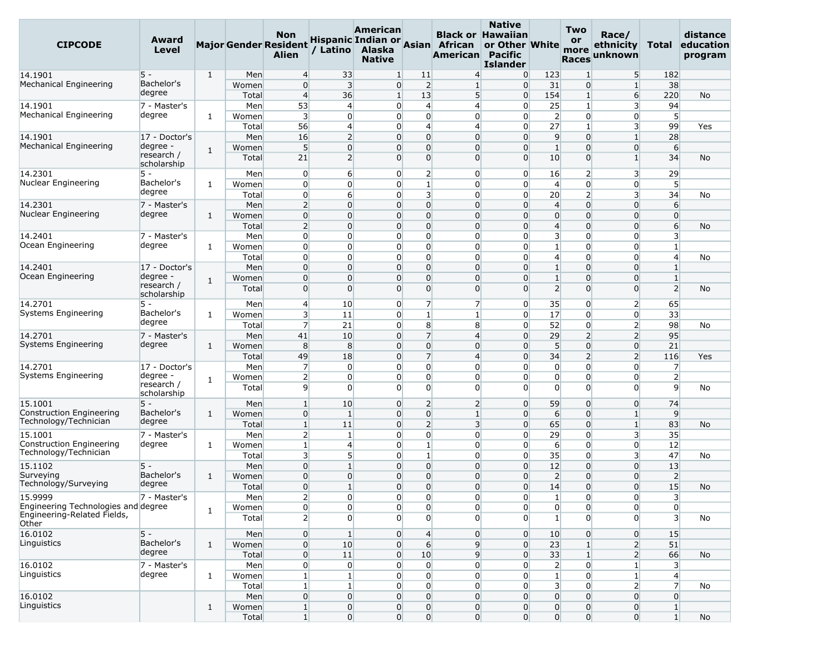| <b>CIPCODE</b>                                    | Award<br>Level            |              |       | Non<br><b>Major Gender Resident</b><br><b>Alien</b> | / Latino       | American<br>Hispanic Indian or<br>Alaska<br><b>Native</b> |                                    | Asian African<br>American        | <b>Native</b><br><b>Black or Hawaiian</b><br>or Other White<br><b>Pacific</b><br><b>Islander</b> |                         | <b>Two</b><br>or<br>more<br><b>Races</b> | Race/<br>ethnicity<br>unknown | Total                   | distance<br>education<br>program |
|---------------------------------------------------|---------------------------|--------------|-------|-----------------------------------------------------|----------------|-----------------------------------------------------------|------------------------------------|----------------------------------|--------------------------------------------------------------------------------------------------|-------------------------|------------------------------------------|-------------------------------|-------------------------|----------------------------------|
| 14.1901                                           | 5 -                       | $\mathbf{1}$ | Men   | $\overline{4}$                                      | 33             | $\mathbf{1}$                                              | 11                                 | $\overline{4}$                   | $\overline{0}$                                                                                   | 123                     | $\mathbf{1}$                             | 5                             | 182                     |                                  |
| Mechanical Engineering                            | Bachelor's                |              | Women | $\mathbf 0$                                         | 3              | $\overline{0}$                                            | $\overline{2}$                     | $\mathbf{1}$                     | $\overline{0}$                                                                                   | 31                      | $\overline{0}$                           | $\mathbf{1}$                  | 38                      |                                  |
|                                                   | degree                    |              | Total | $\overline{4}$                                      | 36             | $1\overline{ }$                                           | 13                                 | 5                                | $\overline{0}$                                                                                   | 154                     | $1\overline{ }$                          | $6 \overline{}$               | 220                     | No                               |
| 14.1901                                           | 7 - Master's              |              | Men   | 53                                                  | $\overline{4}$ |                                                           | $\overline{0}$<br>4                | $\overline{4}$                   | $\Omega$                                                                                         | 25                      | $\mathbf{1}$                             | 3                             | 94                      |                                  |
| Mechanical Engineering                            | degree                    | 1            | Women | $\overline{3}$                                      | $\overline{0}$ | 0                                                         | $\mathbf 0$                        | $\overline{0}$                   | $\overline{0}$                                                                                   | $\overline{2}$          | $\overline{0}$                           | 0                             | $5\overline{)}$         |                                  |
|                                                   |                           |              | Total | 56                                                  | $\overline{4}$ | 0                                                         | $\overline{4}$                     | $\overline{4}$                   | $\overline{0}$                                                                                   | 27                      | $1\vert$                                 | 3                             | 99                      | Yes                              |
| 14.1901                                           | 17 - Doctor's             |              | Men   | 16                                                  | $\overline{2}$ | 0                                                         | $\mathbf 0$                        | $\overline{0}$                   | $\overline{0}$                                                                                   | 9                       | $\overline{0}$                           | $\mathbf{1}$                  | 28                      |                                  |
| Mechanical Engineering                            | degree -                  | 1            | Women | $5\overline{)}$                                     | $\Omega$       |                                                           | $\mathbf 0$<br>$\overline{0}$      | $\overline{0}$                   | $\Omega$                                                                                         | $\mathbf{1}$            | $\overline{0}$                           | $\overline{0}$                | 6                       |                                  |
|                                                   | research /<br>scholarship |              | Total | 21                                                  | $\overline{2}$ |                                                           | $\Omega$<br>$\overline{0}$         | $\overline{0}$                   | $\Omega$                                                                                         | 10                      | $\overline{0}$                           | $1\overline{ }$               | 34                      | No                               |
| 14.2301                                           | 5 -                       |              | Men   | $\overline{0}$                                      | 6              |                                                           | $\overline{2}$<br>$\overline{0}$   | $\overline{0}$                   | $\overline{0}$                                                                                   | 16                      | $\overline{2}$                           | 3                             | 29                      |                                  |
| Nuclear Engineering                               | Bachelor's                | 1            | Women | $\overline{0}$                                      | $\overline{0}$ |                                                           | $\mathbf{1}$<br>$\overline{0}$     | $\overline{0}$                   | $\overline{0}$                                                                                   | $\overline{4}$          | $\overline{0}$                           | 0                             | 5 <sup>5</sup>          |                                  |
|                                                   | degree                    |              | Total | $\overline{0}$                                      | 6              |                                                           | 3<br>$\overline{0}$                | $\Omega$                         | $\Omega$                                                                                         | 20                      | $\overline{2}$                           | 3                             | 34                      | No                               |
| 14.2301                                           | 7 - Master's              |              | Men   | $\overline{2}$                                      | $\Omega$       |                                                           | $\overline{0}$<br>$\overline{0}$   | $\overline{0}$                   | $\overline{0}$                                                                                   | $\overline{4}$          | $\overline{0}$                           | $\overline{0}$                | 6                       |                                  |
| Nuclear Engineering                               | degree                    | $\mathbf{1}$ | Women | $\overline{0}$                                      | $\overline{0}$ | $\overline{0}$                                            | $\Omega$                           | $\overline{0}$                   | $\Omega$                                                                                         | $\overline{0}$          | $\overline{0}$                           | $\overline{0}$                | $\overline{0}$          |                                  |
|                                                   |                           |              | Total | $\overline{2}$                                      | $\Omega$       | 0                                                         | 0                                  | $\overline{0}$                   | $\Omega$                                                                                         | $\overline{4}$          | $\overline{0}$                           | $\overline{0}$                | $6 \overline{}$         | No                               |
| 14.2401                                           | 7 - Master's              |              | Men   | $\overline{0}$                                      | $\Omega$       |                                                           | 0<br>$\overline{0}$                | $\overline{0}$                   | $\Omega$                                                                                         | $\overline{\mathbf{3}}$ | $\overline{0}$                           | 0                             | $\overline{\mathbf{3}}$ |                                  |
| Ocean Engineering                                 | degree                    | $\mathbf{1}$ | Women | $\overline{0}$                                      | $\Omega$       |                                                           | $\mathbf 0$<br>$\overline{0}$      | $\overline{0}$                   | $\Omega$                                                                                         | 1                       | $\overline{0}$                           | 0                             | $\mathbf{1}$            |                                  |
|                                                   |                           |              | Total | $\overline{0}$                                      | $\overline{0}$ | 0                                                         | 0                                  | $\overline{0}$                   | $\overline{0}$                                                                                   | $\overline{4}$          | $\overline{0}$                           | 0                             | $\overline{4}$          | No                               |
| 14.2401                                           | 17 - Doctor's             |              | Men   | $\mathbf 0$                                         | $\Omega$       | $\overline{0}$                                            | $\mathbf 0$                        | $\overline{0}$                   | $\Omega$                                                                                         | $\mathbf{1}$            | $\overline{0}$                           | $\overline{0}$                | $\mathbf{1}$            |                                  |
| Ocean Engineering                                 | degree -<br>research /    | $\mathbf{1}$ | Women | $\overline{0}$                                      | $\overline{0}$ | $\overline{0}$                                            | $\overline{0}$                     | $\overline{0}$                   | $\Omega$                                                                                         | $\mathbf{1}$            | $\overline{0}$                           | $\overline{0}$                | $\mathbf{1}$            |                                  |
|                                                   | scholarship               |              | Total | $\overline{0}$                                      | $\Omega$       | $\overline{0}$                                            | $\Omega$                           | $\overline{0}$                   | $\Omega$                                                                                         | $\overline{2}$          | $\overline{0}$                           | $\overline{0}$                | $\overline{2}$          | No                               |
| 14.2701                                           | $5 -$                     |              | Men   | $\overline{4}$                                      | 10             |                                                           | $\overline{0}$<br>7                | $\overline{7}$                   | $\overline{0}$                                                                                   | 35                      | $\overline{0}$                           | $\overline{2}$                | 65                      |                                  |
| Systems Engineering                               | Bachelor's                | 1            | Women | $\overline{\mathbf{3}}$                             | 11             |                                                           | $\mathbf{1}$<br>$\overline{0}$     | $\mathbf{1}$                     | $\overline{0}$                                                                                   | 17                      | $\overline{0}$                           | $\overline{0}$                | 33                      |                                  |
|                                                   | degree                    |              | Total | $\overline{7}$                                      | 21             |                                                           | 8<br>$\overline{0}$                | 8                                | $\overline{0}$                                                                                   | 52                      | $\overline{0}$                           | $\overline{2}$                | 98                      | No                               |
| 14.2701                                           | 7 - Master's              |              | Men   | 41                                                  | 10             | $\overline{0}$                                            | $\overline{7}$                     | $\overline{4}$                   | $\overline{0}$                                                                                   | 29                      | $\overline{2}$                           | $\overline{2}$                | 95                      |                                  |
| Systems Engineering                               | degree                    | 1            | Women | 8                                                   | 8              | 0                                                         | $\mathbf 0$                        | $\overline{0}$                   | $\overline{0}$                                                                                   | $5\overline{)}$         | $\overline{0}$                           | $\overline{0}$                | 21                      |                                  |
|                                                   |                           |              | Total | 49                                                  | 18             |                                                           | 7<br>$\overline{0}$                | $\overline{4}$                   | $\Omega$                                                                                         | 34                      | $\overline{2}$                           | $\overline{2}$                | 116                     | Yes                              |
| 14.2701                                           | 17 - Doctor's             |              | Men   | $\overline{7}$                                      | $\overline{0}$ |                                                           | $\mathbf 0$<br>$\overline{0}$      | $\overline{0}$                   | $\Omega$                                                                                         | $\overline{0}$          | $\overline{0}$                           | $\overline{0}$                | $\overline{7}$          |                                  |
| Systems Engineering                               | degree -                  | 1            | Women | $\overline{2}$                                      | $\Omega$       | 0                                                         | $\mathbf{0}$                       | $\overline{0}$                   | $\overline{0}$                                                                                   | $\overline{0}$          | $\overline{0}$                           | 0                             | $\overline{2}$          |                                  |
|                                                   | research /<br>scholarship |              | Total | 9                                                   | $\Omega$       |                                                           | $\Omega$<br>$\Omega$               | $\Omega$                         | $\Omega$                                                                                         | $\Omega$                | $\Omega$                                 | $\Omega$                      | $\overline{9}$          | No                               |
| 15.1001                                           | $5 -$                     |              | Men   | $\mathbf{1}$                                        | 10             |                                                           | $\overline{0}$<br>2                | $\overline{2}$                   | $\overline{0}$                                                                                   | 59                      | $\overline{0}$                           | $\overline{0}$                | 74                      |                                  |
| Construction Engineering                          | Bachelor's                | 1            | Women | $\overline{0}$                                      | $\mathbf{1}$   |                                                           | $\mathbf 0$<br>$\overline{0}$      | $\mathbf{1}$                     | $\overline{0}$                                                                                   | 6                       | $\overline{0}$                           | $\mathbf{1}$                  | $\overline{9}$          |                                  |
| Technology/Technician                             | degree                    |              | Total | $\mathbf{1}$                                        | 11             | $\overline{0}$                                            | $\overline{2}$                     | 3                                | $\overline{0}$                                                                                   | 65                      | $\overline{0}$                           | $\mathbf{1}$                  | 83                      | No                               |
| 15.1001                                           | 7 - Master's              |              | Men   | $\overline{2}$                                      | 1              | 0                                                         | 0                                  | $\overline{0}$                   | $\Omega$                                                                                         | 29                      | $\overline{0}$                           | 3                             | 35                      |                                  |
| Construction Engineering<br>Technology/Technician | degree                    | 1            | Women | $\vert$ 1                                           | $\overline{4}$ |                                                           | $\mathbf{1}$<br>$\overline{0}$     | $\overline{0}$                   | $\overline{0}$                                                                                   | 6                       | $\overline{0}$                           | 0                             | 12                      |                                  |
|                                                   |                           |              | Total | $\overline{\mathbf{3}}$                             | 5              | $\overline{0}$                                            | $\mathbf{1}$                       | $\overline{0}$                   | $\overline{0}$                                                                                   | 35                      | $\overline{0}$                           | $\overline{\mathbf{3}}$       | 47                      | No                               |
| 15.1102                                           | $5 -$                     |              | Men   | $\overline{0}$                                      |                | $\overline{0}$                                            | $\mathbf 0$                        | $\overline{0}$                   | $\overline{0}$                                                                                   | 12                      | $\overline{0}$                           | $\overline{0}$                | 13                      |                                  |
| Surveying<br>Technology/Surveying                 | Bachelor's<br>degree      | $\mathbf{1}$ | Women | $\overline{0}$                                      | $\overline{0}$ | $\overline{0}$                                            | 0                                  | $\overline{0}$                   | $\Omega$                                                                                         | $\overline{2}$          | $\overline{0}$                           | $\overline{0}$                | $\overline{2}$          |                                  |
|                                                   |                           |              | Total | $\overline{0}$                                      | 1 <sup>1</sup> |                                                           | $\overline{0}$<br>$\overline{0}$   | $\overline{0}$                   | $\Omega$                                                                                         | 14                      | $\overline{0}$                           | $\overline{0}$                | 15                      | No                               |
| 15.9999<br>Engineering Technologies and degree    | 7 - Master's              |              | Men   | $\overline{2}$                                      | $\overline{0}$ |                                                           | $\overline{0}$<br>$\overline{0}$   | $\overline{0}$                   | $\overline{0}$                                                                                   | $1\overline{ }$         | $\overline{0}$                           | $\overline{0}$                | 3                       |                                  |
| Engineering-Related Fields,                       |                           | $\mathbf{1}$ | Women | $\overline{0}$                                      | $\overline{0}$ |                                                           | $\overline{0}$<br>$\overline{0}$   | $\overline{0}$                   | $\overline{0}$                                                                                   | $\overline{0}$          | $\overline{0}$                           | $\overline{0}$                | $\overline{0}$          |                                  |
| Other                                             |                           |              | Total | $\overline{2}$                                      | $\Omega$       |                                                           | $\overline{0}$<br>$\overline{0}$   | $\overline{0}$                   | $\Omega$                                                                                         | $\mathbf{1}$            | $\overline{0}$                           | $\overline{0}$                | $\overline{3}$          | <b>No</b>                        |
| 16.0102                                           | $5 -$                     |              | Men   | $\overline{0}$                                      | $\mathbf{1}$   |                                                           | $\overline{0}$<br>4                | $\overline{0}$                   | $\overline{0}$                                                                                   | 10                      | $\overline{0}$                           | $\overline{0}$                | 15                      |                                  |
| Linguistics                                       | Bachelor's                | $\mathbf{1}$ | Women | $\overline{0}$                                      | 10             |                                                           | $\overline{0}$<br>$6 \overline{6}$ | $\overline{9}$                   | $\overline{0}$                                                                                   | 23                      | 1 <sup>1</sup>                           | $\overline{2}$                | 51                      |                                  |
|                                                   | degree                    |              | Total | $\overline{0}$                                      | 11             |                                                           | $\overline{0}$<br>10               | $\overline{9}$                   | $\overline{0}$                                                                                   | 33                      | $1\overline{ }$                          | $\overline{2}$                | 66                      | No                               |
| 16.0102                                           | 7 - Master's              |              | Men   | $\overline{0}$                                      | $\overline{0}$ |                                                           | $\overline{0}$<br>$\overline{0}$   | $\overline{0}$                   | $\overline{0}$                                                                                   | $\overline{2}$          | $\overline{0}$                           | $\mathbf{1}$                  | $\overline{\mathbf{3}}$ |                                  |
| Linguistics                                       | degree                    | $\mathbf{1}$ | Women | $\mathbf{1}$                                        | $1\vert$       |                                                           | $\overline{0}$<br>$\overline{0}$   | $\overline{0}$                   | $\overline{0}$                                                                                   | $1\overline{ }$         | $\overline{0}$                           | $\mathbf{1}$                  | $\overline{4}$          |                                  |
|                                                   |                           |              | Total | $1\vert$                                            | 1 <sup>1</sup> |                                                           | $\overline{0}$<br>$\overline{0}$   | $\overline{0}$                   | $\overline{0}$                                                                                   | $\overline{\mathbf{3}}$ | $\overline{0}$                           | $\overline{2}$                | $\overline{7}$          | No                               |
| 16.0102                                           |                           |              | Men   | $\overline{0}$                                      | $\overline{0}$ |                                                           | $\overline{0}$<br>$\overline{0}$   | $\overline{0}$                   | $\overline{0}$                                                                                   | $\overline{0}$          | $\overline{0}$                           | $\overline{0}$                | $\overline{0}$          |                                  |
| Linguistics                                       |                           | $\mathbf{1}$ | Women | 1                                                   | $\overline{0}$ |                                                           | $\overline{0}$<br>$\overline{0}$   | $\overline{0}$                   | $\overline{0}$                                                                                   | $\overline{0}$          | $\mathbf{0}$                             | $\overline{0}$                | $1\overline{ }$         |                                  |
|                                                   |                           |              | Total | $1\vert$                                            | $\overline{0}$ |                                                           | $\overline{0}$                     | $\overline{0}$<br>$\overline{0}$ | $\overline{0}$                                                                                   | $\overline{0}$          | $\overline{0}$                           | $\overline{0}$                | 1 <sup>1</sup>          | No                               |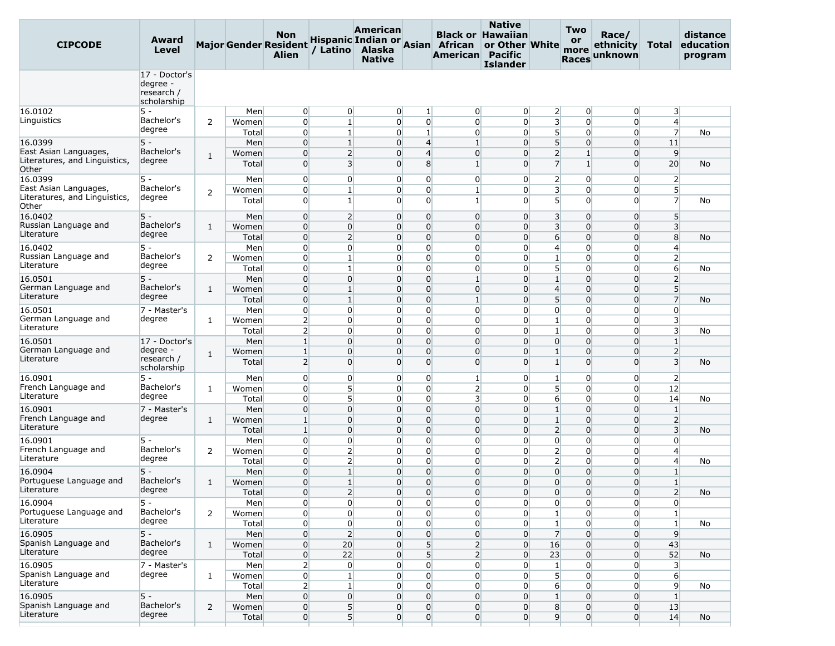| <b>CIPCODE</b>                         | Award<br>Level                                       |                |       | Non<br><b>Major Gender Resident</b><br><b>Alien</b> | / Latino       | American<br><b>Hispanic Indian or Asian</b><br>Alaska<br><b>Native</b> |                | African<br>American | <b>Native</b><br><b>Black or Hawaiian</b><br>or Other White<br><b>Pacific</b><br><b>Islander</b> |                         | Two<br><b>or</b><br>more<br><b>Races</b> | Race/<br>ethnicity<br>unknown | <b>Total</b>            | distance<br>education<br>program |
|----------------------------------------|------------------------------------------------------|----------------|-------|-----------------------------------------------------|----------------|------------------------------------------------------------------------|----------------|---------------------|--------------------------------------------------------------------------------------------------|-------------------------|------------------------------------------|-------------------------------|-------------------------|----------------------------------|
|                                        | 17 - Doctor's<br>degree<br>research /<br>scholarship |                |       |                                                     |                |                                                                        |                |                     |                                                                                                  |                         |                                          |                               |                         |                                  |
| 16.0102                                | $5 -$                                                |                | Men   | 0                                                   | $\overline{0}$ | $\overline{0}$                                                         | 1              | $\overline{0}$      | $\overline{0}$                                                                                   | $\overline{2}$          | $\overline{0}$                           | $\overline{0}$                | 3                       |                                  |
| Linguistics                            | Bachelor's                                           | 2              | Women | $\overline{0}$                                      | $\mathbf{1}$   | $\overline{0}$                                                         | $\overline{0}$ | $\overline{0}$      | $\overline{0}$                                                                                   | $\overline{\mathbf{3}}$ | $\overline{0}$                           | 0                             | $\overline{4}$          |                                  |
|                                        | degree                                               |                | Total | $\overline{0}$                                      | $\mathbf 1$    | $\overline{0}$                                                         | $1\vert$       | $\overline{0}$      | $\Omega$                                                                                         | $5\overline{)}$         | $\overline{0}$                           | $\overline{0}$                | $\overline{7}$          | No                               |
| 16.0399                                | $5 -$                                                |                | Men   | $\overline{0}$                                      | $\mathbf{1}$   | $\overline{0}$                                                         | 4              | $\mathbf{1}$        | $\overline{0}$                                                                                   | 5 <sup>5</sup>          | $\overline{0}$                           | 0                             | 11                      |                                  |
| East Asian Languages                   | Bachelor's                                           | 1              | Women | $\overline{0}$                                      | $\overline{2}$ | $\overline{0}$                                                         | $\overline{4}$ | $\overline{0}$      | $\overline{0}$                                                                                   | $\overline{2}$          | $\mathbf{1}$                             | 0                             | 9                       |                                  |
| Literatures, and Linguistics,<br>Other | degree                                               |                | Total | $\overline{0}$                                      | $\overline{3}$ | $\Omega$                                                               | 8              | $\mathbf{1}$        | $\Omega$                                                                                         | $\overline{7}$          | $1\vert$                                 | 0                             | 20                      | No                               |
| 16.0399                                | 5 -                                                  |                | Men   | $\overline{0}$                                      | $\overline{0}$ | $\overline{0}$                                                         | $\overline{0}$ | $\overline{0}$      | $\Omega$                                                                                         | $\overline{2}$          | $\overline{0}$                           | $\overline{0}$                | $\overline{2}$          |                                  |
| East Asian Languages,                  | Bachelor's                                           |                | Women | $\overline{0}$                                      | $\mathbf{1}$   | $\overline{0}$                                                         | $\overline{0}$ | $\mathbf{1}$        | $\overline{0}$                                                                                   | $\overline{\mathbf{3}}$ | $\overline{0}$                           | 0                             | $5\overline{)}$         |                                  |
| Literatures, and Linguistics,<br>Other | degree                                               | 2              | Total | $\overline{0}$                                      | $\mathbf{1}$   | $\Omega$                                                               | $\overline{0}$ | $\mathbf{1}$        | $\Omega$                                                                                         | 5 <sup>1</sup>          | $\overline{0}$                           | $\overline{0}$                | $\overline{7}$          | No                               |
| 16.0402                                | l5 -                                                 |                | Men   | $\overline{0}$                                      | $\overline{2}$ | $\overline{0}$                                                         | $\overline{0}$ | $\overline{0}$      | $\overline{0}$                                                                                   | $\overline{\mathbf{3}}$ | $\overline{0}$                           | $\overline{0}$                | 5                       |                                  |
| Russian Language and                   | Bachelor's                                           | 1              | Women | $\overline{0}$                                      | $\overline{0}$ | $\overline{0}$                                                         | $\overline{0}$ | $\overline{0}$      | $\Omega$                                                                                         | $\overline{3}$          | $\overline{0}$                           | 0                             | $\overline{3}$          |                                  |
| Literature                             | degree                                               |                | Total | $\overline{0}$                                      | $\overline{2}$ | 0                                                                      | $\Omega$       | $\overline{0}$      | $\Omega$                                                                                         | $6 \overline{}$         | $\overline{0}$                           | 0                             | 8                       | No                               |
| 16.0402                                | $5 -$                                                |                | Men   | $\overline{0}$                                      | $\overline{0}$ | $\overline{0}$                                                         | $\overline{0}$ | $\overline{0}$      | $\Omega$                                                                                         | $\overline{4}$          | $\overline{0}$                           | $\overline{0}$                | $\overline{4}$          |                                  |
| Russian Language and                   | Bachelor's                                           | 2              | Women | $\overline{0}$                                      | $\mathbf{1}$   | $\overline{0}$                                                         | $\overline{0}$ | $\overline{0}$      | $\overline{0}$                                                                                   | $\mathbf{1}$            | $\overline{0}$                           | $\overline{0}$                | $\overline{2}$          |                                  |
| Literature                             | degree                                               |                | Total | $\overline{0}$                                      | 1              | $\Omega$                                                               | $\overline{0}$ | $\overline{0}$      | $\Omega$                                                                                         | 5 <sup>1</sup>          | $\overline{0}$                           | 0                             | $6 \overline{}$         | No                               |
| 16.0501                                | $5 -$                                                |                | Men   | $\overline{0}$                                      | $\overline{0}$ | 0                                                                      | $\overline{0}$ | $\mathbf{1}$        | $\Omega$                                                                                         | $\mathbf{1}$            | $\overline{0}$                           | 0                             | $\overline{2}$          |                                  |
| German Language and                    | Bachelor's                                           | 1              | Women | $\overline{0}$                                      | $\mathbf{1}$   | $\overline{0}$                                                         | $\overline{0}$ | $\overline{0}$      | $\Omega$                                                                                         | $\overline{4}$          | $\overline{0}$                           | $\overline{0}$                | 5 <sup>5</sup>          |                                  |
| Literature                             | degree                                               |                | Total | $\overline{0}$                                      | $\mathbf{1}$   | $\overline{0}$                                                         | $\mathbf 0$    | $\mathbf{1}$        | $\Omega$                                                                                         | 5                       | $\overline{0}$                           | 0                             | $\overline{7}$          | No                               |
| 16.0501                                | 7 - Master's                                         |                | Men   | $\overline{0}$                                      | $\overline{0}$ | $\overline{0}$                                                         | $\overline{0}$ | $\overline{0}$      | $\overline{0}$                                                                                   | $\overline{0}$          | $\overline{0}$                           | $\overline{0}$                | $\overline{0}$          |                                  |
| German Language and                    | degree                                               | 1              | Women | $\overline{2}$                                      | $\Omega$       | $\overline{0}$                                                         | $\overline{0}$ | $\overline{0}$      | $\Omega$                                                                                         | $\mathbf{1}$            | $\overline{0}$                           | $\overline{0}$                | $\overline{\mathbf{3}}$ |                                  |
| Literature                             |                                                      |                | Total | $\overline{2}$                                      | $\overline{0}$ | $\overline{0}$                                                         | $\overline{0}$ | $\overline{0}$      | $\overline{0}$                                                                                   | $\mathbf{1}$            | $\overline{0}$                           | 0                             | $\overline{3}$          | No                               |
| 16.0501                                | 17 - Doctor's                                        |                | Men   | $\mathbf{1}$                                        | $\overline{0}$ | $\overline{0}$                                                         | $\overline{0}$ | $\overline{0}$      | $\Omega$                                                                                         | $\overline{0}$          | $\overline{0}$                           | $\overline{0}$                | $\mathbf{1}$            |                                  |
| German Language and                    | degree -                                             |                | Women | $\mathbf{1}$                                        | $\overline{0}$ | 0                                                                      | $\Omega$       | $\overline{0}$      | $\Omega$                                                                                         | $\mathbf{1}$            | $\overline{0}$                           | 0                             | $\overline{2}$          |                                  |
| Literature                             | research /<br>scholarship                            | $\mathbf{1}$   | Total | $\overline{2}$                                      | $\overline{0}$ | $\Omega$                                                               | $\overline{0}$ | $\overline{0}$      | $\Omega$                                                                                         | $\mathbf{1}$            | $\overline{0}$                           | $\overline{0}$                | $\overline{3}$          | No                               |
| 16.0901                                | $5 -$                                                |                | Men   | $\overline{0}$                                      | $\overline{0}$ | $\overline{0}$                                                         | $\overline{0}$ | $\mathbf{1}$        | $\overline{0}$                                                                                   | $\mathbf{1}$            | $\overline{0}$                           | $\overline{0}$                | $\overline{2}$          |                                  |
| French Language and                    | Bachelor's                                           | $\mathbf{1}$   | Women | $\overline{0}$                                      | 5              | $\Omega$                                                               | $\overline{0}$ | $\overline{2}$      | $\Omega$                                                                                         | 5                       | $\Omega$                                 | $\overline{0}$                | 12                      |                                  |
| Literature                             | degree                                               |                | Total | $\overline{0}$                                      | 5 <sup>1</sup> | $\overline{0}$                                                         | $\overline{0}$ | 3                   | $\overline{0}$                                                                                   | 6                       | $\overline{0}$                           | 0                             | 14                      | No                               |
| 16.0901                                | 7 - Master's                                         |                | Men   | $\overline{0}$                                      | $\overline{0}$ | $\overline{0}$                                                         | $\overline{0}$ | $\overline{0}$      | $\Omega$                                                                                         | $\mathbf{1}$            | $\overline{0}$                           | $\overline{0}$                | $\mathbf{1}$            |                                  |
| French Language and                    | degree                                               | 1              | Women | $\mathbf{1}$                                        | $\overline{0}$ | $\overline{0}$                                                         | $\mathbf 0$    | $\overline{0}$      | $\Omega$                                                                                         | $\mathbf{1}$            | $\overline{0}$                           | 0                             | $\overline{2}$          |                                  |
| Literature                             |                                                      |                | Total | $\mathbf{1}$                                        | $\overline{0}$ | $\overline{0}$                                                         | $\overline{0}$ | $\overline{0}$      | $\Omega$                                                                                         | $\overline{2}$          | $\overline{0}$                           | 0                             | $\overline{\mathbf{3}}$ | No                               |
| 16.0901                                | $5 -$                                                |                | Men   | $\overline{0}$                                      | $\overline{0}$ | 0                                                                      | $\overline{0}$ | $\overline{0}$      | $\overline{0}$                                                                                   | $\overline{0}$          | $\overline{0}$                           | $\overline{0}$                | $\overline{0}$          |                                  |
| French Language and                    | Bachelor's                                           | 2              | Women | $\overline{0}$                                      | $\overline{2}$ | $\overline{0}$                                                         | $\overline{0}$ | $\overline{0}$      | $\overline{0}$                                                                                   | $\overline{2}$          | $\overline{0}$                           | 0                             | $\overline{4}$          |                                  |
| Literature                             | degree                                               |                | Total | $\overline{0}$                                      | $\overline{2}$ | $\overline{0}$                                                         | $\overline{0}$ | $\overline{0}$      | $\Omega$                                                                                         | $\overline{2}$          | $\overline{0}$                           | 0                             | $\overline{4}$          | No                               |
| 16.0904                                | $5 -$                                                |                | Men   | $\Omega$                                            | $\mathbf{1}$   | 0                                                                      | $\Omega$       | 0                   | $\Omega$                                                                                         | $\overline{0}$          | $\overline{0}$                           | 0                             | $\mathbf{1}$            |                                  |
| Portuguese Language and                | Bachelor's                                           | $\mathbf{1}$   | Women | $\overline{0}$                                      | $\mathbf{1}$   | $\overline{0}$                                                         | $\overline{0}$ | $\overline{0}$      | $\Omega$                                                                                         | $\overline{0}$          | $\overline{0}$                           | $\overline{0}$                | $\mathbf{1}$            |                                  |
| Literature                             | degree                                               |                | Total | $\overline{0}$                                      | $\overline{2}$ | $\overline{0}$                                                         | $\overline{0}$ | $\overline{0}$      | $\overline{0}$                                                                                   | $\overline{0}$          | $\overline{0}$                           | $\overline{0}$                | $\overline{2}$          | No                               |
| 16.0904                                | 5 -                                                  |                | Men   | $\overline{0}$                                      | $\overline{0}$ | $\overline{0}$                                                         | $\overline{0}$ | $\overline{0}$      | $\overline{0}$                                                                                   | $\overline{0}$          | $\overline{0}$                           | $\overline{0}$                | $\overline{0}$          |                                  |
| Portuguese Language and                | Bachelor's                                           | $\overline{2}$ | Women | $\overline{0}$                                      | $\overline{0}$ | $\overline{0}$                                                         | $\mathbf 0$    | $\overline{0}$      | $\overline{0}$                                                                                   | $\mathbf{1}$            | $\overline{0}$                           | $\overline{0}$                | $1\overline{ }$         |                                  |
| Literature                             | degree                                               |                | Total | $\overline{0}$                                      | $\overline{0}$ | $\overline{0}$                                                         | $\overline{0}$ | $\overline{0}$      | $\overline{0}$                                                                                   | $\mathbf{1}$            | $\overline{0}$                           | $\overline{0}$                | $1\overline{ }$         | No                               |
| 16.0905                                | $5 -$                                                |                | Men   | $\overline{0}$                                      | $\overline{2}$ | $\overline{0}$                                                         | $\overline{0}$ | $\overline{0}$      | $\overline{0}$                                                                                   | $\overline{7}$          | $\overline{0}$                           | $\overline{0}$                | 9                       |                                  |
| Spanish Language and                   | Bachelor's                                           | $\mathbf{1}$   | Women | $\overline{0}$                                      | 20             | $\overline{0}$                                                         | 5 <sup>1</sup> | $\overline{2}$      | $\overline{0}$                                                                                   | 16                      | $\overline{0}$                           | 0                             | 43                      |                                  |
| Literature                             | degree                                               |                | Total | $\overline{0}$                                      | 22             | $\overline{0}$                                                         | 5 <sup>1</sup> | $\overline{2}$      | $\overline{0}$                                                                                   | 23                      | $\overline{0}$                           | $\overline{0}$                | 52                      | No                               |
| 16.0905                                | 7 - Master's                                         |                | Men   | $\overline{2}$                                      | $\overline{0}$ | $\overline{0}$                                                         | $\overline{0}$ | $\overline{0}$      | $\overline{0}$                                                                                   | $\mathbf{1}$            | $\overline{0}$                           | $\overline{0}$                | $\overline{3}$          |                                  |
| Spanish Language and                   | degree                                               | $\mathbf{1}$   | Women | $\overline{0}$                                      | $\vert$ 1      | $\overline{0}$                                                         | $\overline{0}$ | $\overline{0}$      | $\overline{0}$                                                                                   | 5 <sup>1</sup>          | $\overline{0}$                           | $\overline{0}$                | 6                       |                                  |
| Literature                             |                                                      |                | Total | $\overline{2}$                                      | $\mathbf{1}$   | $\overline{0}$                                                         | $\overline{0}$ | $\overline{0}$      | $\overline{0}$                                                                                   | $6 \overline{}$         | $\overline{0}$                           | $\overline{0}$                | 9                       | No                               |
| 16.0905                                | $5 -$                                                |                | Men   | $\overline{0}$                                      | $\overline{0}$ | $\overline{0}$                                                         | $\overline{0}$ | $\overline{0}$      | $\overline{0}$                                                                                   | $\mathbf{1}$            | $\overline{0}$                           | 0                             | $1\overline{ }$         |                                  |
| Spanish Language and                   | Bachelor's                                           | $\overline{2}$ | Women | $\overline{0}$                                      | 5 <sup>1</sup> | $\overline{0}$                                                         | $\overline{0}$ | $\overline{0}$      | $\overline{0}$                                                                                   | 8                       | $\overline{0}$                           | $\overline{0}$                | 13                      |                                  |
| Literature                             | degree                                               |                | Total | $\overline{0}$                                      | 5 <sup>1</sup> | $\overline{0}$                                                         | $\overline{0}$ | $\overline{0}$      | $\overline{0}$                                                                                   | 9                       | $\overline{0}$                           | $\overline{0}$                | 14                      | No                               |
|                                        |                                                      |                |       |                                                     |                |                                                                        |                |                     |                                                                                                  |                         |                                          |                               |                         |                                  |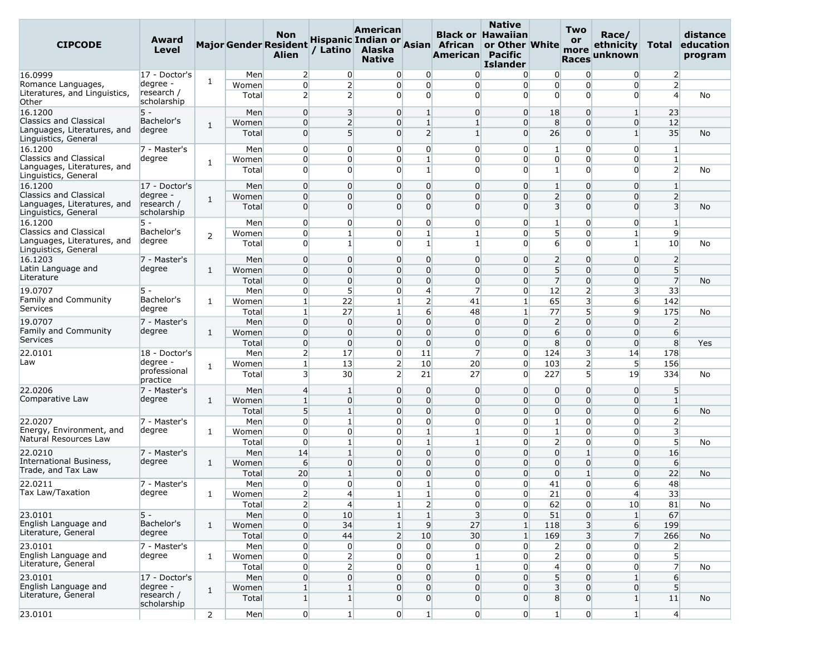| <b>CIPCODE</b>                                               | Award<br>Level                        |                |                | Non<br><b>Major Gender Resident</b><br><b>Alien</b> |                                  | American<br>Alaska<br><b>Native</b> |                                          | Hispanic Indian or Asian African<br>American Pacific | <b>Native</b><br><b>Black or Hawaiian</b><br>or Other White<br><b>Islander</b> |                                 | Two<br><b>or</b><br>more<br><b>Races</b> | Race/<br>ethnicity<br>unknown    | Total                            | distance<br>education<br>program |
|--------------------------------------------------------------|---------------------------------------|----------------|----------------|-----------------------------------------------------|----------------------------------|-------------------------------------|------------------------------------------|------------------------------------------------------|--------------------------------------------------------------------------------|---------------------------------|------------------------------------------|----------------------------------|----------------------------------|----------------------------------|
| 16.0999                                                      | 17 - Doctor's                         |                | Men            | $\overline{2}$                                      | $\overline{0}$                   |                                     | 0<br>$\overline{0}$                      | $\Omega$                                             | $\overline{0}$                                                                 | $\overline{0}$                  | $\overline{0}$                           | $\overline{0}$                   | $\overline{2}$                   |                                  |
| Romance Languages,<br>Literatures, and Linguistics,<br>Other | degree -<br>research /<br>scholarship | 1              | Women<br>Total | $\overline{0}$<br>$\overline{2}$                    | $\overline{2}$<br>$\overline{2}$ | 0                                   | $\overline{0}$<br>$\overline{0}$         | $\overline{0}$<br>$\overline{0}$<br>$\overline{0}$   | $\Omega$<br>$\Omega$                                                           | $\overline{0}$<br>$\Omega$      | $\overline{0}$<br>$\overline{0}$         | 0<br>$\Omega$                    | $\overline{2}$<br>$\overline{4}$ | No                               |
| 16.1200                                                      | $5 -$                                 |                | Men            | $\overline{0}$                                      | 3                                | 0                                   | $\mathbf{1}$                             | $\overline{0}$                                       | $\overline{0}$                                                                 | 18                              | $\overline{0}$                           | $\mathbf{1}$                     | 23                               |                                  |
| <b>Classics and Classical</b>                                | Bachelor's                            | 1              | Women          | $\overline{0}$                                      | $\overline{2}$                   | 0                                   | $\mathbf{1}$                             | $\mathbf{1}$                                         | $\overline{0}$                                                                 | 8                               | $\overline{0}$                           | $\overline{0}$                   | 12                               |                                  |
| Languages, Literatures, and<br>Linguistics, General          | degree                                |                | Total          | $\overline{0}$                                      | 5 <sup>1</sup>                   |                                     | $\overline{2}$<br>$\Omega$               | $1\overline{ }$                                      | $\overline{0}$                                                                 | 26                              | $\Omega$                                 | $1\overline{ }$                  | 35                               | No                               |
| 16.1200<br><b>Classics and Classical</b>                     | 7 - Master's<br>degree                |                | Men<br>Women   | $\overline{0}$<br>$\overline{0}$                    | $\Omega$<br>$\overline{0}$       | 0                                   | $\overline{0}$<br>$\mathbf{1}$<br>0      | $\overline{0}$<br>$\overline{0}$                     | $\overline{0}$<br>$\Omega$                                                     | 1<br>$\overline{0}$             | $\overline{0}$<br>$\overline{0}$         | $\Omega$<br>$\overline{0}$       | $\mathbf{1}$<br>$\mathbf{1}$     |                                  |
| Languages, Literatures, and<br>Linguistics, General          |                                       | 1              | Total          | $\overline{0}$                                      | $\Omega$                         |                                     | $\overline{0}$<br>$1\overline{ }$        | $\overline{0}$                                       | $\Omega$                                                                       | $\mathbf{1}$                    | $\overline{0}$                           | $\Omega$                         | $\overline{2}$                   | No                               |
| 16.1200                                                      | 17 - Doctor's                         |                | Men            | $\overline{0}$                                      | $\Omega$                         | 0                                   | $\overline{0}$                           | $\overline{0}$                                       | $\overline{0}$                                                                 | $\mathbf{1}$                    | $\overline{0}$                           | $\overline{0}$                   | $\mathbf{1}$                     |                                  |
| <b>Classics and Classical</b>                                | degree -                              | $\mathbf{1}$   | Women          | $\overline{0}$                                      | $\Omega$                         | $\overline{0}$                      | $\overline{0}$                           | $\overline{0}$                                       | $\Omega$                                                                       | $\overline{2}$                  | $\Omega$                                 | $\Omega$                         | $\overline{2}$                   |                                  |
| Languages, Literatures, and<br>Linguistics, General          | research /<br>scholarship             |                | Total          | $\overline{0}$                                      | $\Omega$                         |                                     | $\overline{0}$<br>$\overline{0}$         | $\overline{0}$                                       | $\Omega$                                                                       | $\overline{\mathbf{3}}$         | $\Omega$                                 | $\Omega$                         | $\overline{3}$                   | No                               |
| 16.1200<br>Classics and Classical                            | 5 -<br>Bachelor's                     |                | Men            | $\overline{0}$<br>$\overline{0}$                    | $\overline{0}$<br>$\mathbf{1}$   |                                     | $\overline{0}$<br>0<br>$\mathbf{1}$<br>0 | $\overline{0}$<br>$\mathbf{1}$                       | $\overline{0}$<br>$\overline{0}$                                               | $\mathbf{1}$<br>5 <sup>1</sup>  | $\overline{0}$<br>$\overline{0}$         | $\overline{0}$                   | $\mathbf{1}$<br>9                |                                  |
| Languages, Literatures, and<br>Linguistics, General          | degree                                | 2              | Women<br>Total | $\Omega$                                            | $\mathbf{1}$                     | 0                                   | $\mathbf{1}$                             | $\mathbf{1}$                                         | $\Omega$                                                                       | 6                               | $\overline{0}$                           | $\mathbf{1}$<br>1 <sup>1</sup>   | 10                               | No                               |
| 16.1203                                                      | 7 - Master's                          |                | Men            | $\overline{0}$                                      | $\Omega$                         | $\overline{0}$                      | $\overline{0}$                           | $\overline{0}$                                       | $\overline{0}$                                                                 | $\overline{2}$                  | $\overline{0}$                           | $\Omega$                         | $\overline{2}$                   |                                  |
| Latin Language and                                           | degree                                | 1              | Women          | $\overline{0}$                                      | $\Omega$                         | 0                                   | $\overline{0}$                           | $\overline{0}$                                       | $\Omega$                                                                       | 5 <sup>1</sup>                  | $\overline{0}$                           | $\overline{0}$                   | 5 <sup>5</sup>                   |                                  |
| Literature                                                   |                                       |                | Total          | $\overline{0}$                                      | $\overline{0}$                   | $\overline{0}$                      | $\overline{0}$                           | $\overline{0}$                                       | $\Omega$                                                                       | $\overline{7}$                  | $\overline{0}$                           | $\overline{0}$                   | $\overline{7}$                   | No                               |
| 19.0707                                                      | $5 -$                                 |                | Men            | $\overline{0}$                                      | $5\overline{)}$                  | 0                                   | $\overline{4}$                           | $\overline{7}$                                       | $\overline{0}$                                                                 | 12                              | $\overline{2}$                           | $\overline{\mathbf{3}}$          | 33 <sup>5</sup>                  |                                  |
| <b>Family and Community</b><br>Services                      | Bachelor's<br>degree                  | 1              | Women          | $\mathbf{1}$                                        | 22                               | $\mathbf{1}$                        | $\overline{2}$                           | 41                                                   | $\mathbf{1}$                                                                   | 65                              | 3                                        | 6                                | 142                              |                                  |
|                                                              |                                       |                | Total          | $\mathbf{1}$                                        | 27                               | $\mathbf{1}$                        | $6 \overline{}$<br>$\overline{0}$        | 48                                                   | $\mathbf{1}$<br>$\Omega$                                                       | 77                              | 5                                        | $\overline{9}$                   | 175                              | No                               |
| 19.0707<br>Family and Community                              | 7 - Master's<br>degree                | $\mathbf{1}$   | Men<br>Women   | $\overline{0}$<br>$\Omega$                          | $\overline{0}$<br>$\Omega$       | $\overline{0}$                      | $\overline{0}$<br>$\Omega$               | $\overline{0}$<br>$\overline{0}$                     | $\overline{0}$                                                                 | $\overline{2}$<br>6             | $\overline{0}$<br>$\overline{0}$         | $\overline{0}$<br>$\Omega$       | $\overline{2}$<br>6              |                                  |
| Services                                                     |                                       |                | Total          | $\overline{0}$                                      | $\overline{0}$                   |                                     | $\overline{0}$<br>$\overline{0}$         | $\overline{0}$                                       | $\Omega$                                                                       | 8                               | $\overline{0}$                           | $\overline{0}$                   | 8 <sup>°</sup>                   | Yes                              |
| 22.0101                                                      | 18 - Doctor's                         |                | Men            | $\overline{2}$                                      | 17                               |                                     | $\overline{0}$<br>11                     | $\overline{7}$                                       | $\Omega$                                                                       | 124                             | 3                                        | 14                               | 178                              |                                  |
| Law                                                          | degree -                              | $\mathbf{1}$   | Women          | $\mathbf{1}$                                        | 13                               |                                     | $\overline{2}$<br>10                     | 20                                                   | $\overline{0}$                                                                 | 103                             | $\mathbf{2}$                             | 5                                | 156                              |                                  |
|                                                              | professional<br>practice              |                | Total          | $\overline{\mathbf{3}}$                             | 30                               |                                     | $\overline{2}$<br>21                     | 27                                                   | $\overline{0}$                                                                 | 227                             | 5 <sup>1</sup>                           | 19                               | 334                              | No                               |
| 22.0206                                                      | 7 - Master's                          |                | Men            | $\overline{4}$                                      | 1                                |                                     | $\overline{0}$<br>$\overline{0}$         | $\overline{0}$                                       | $\overline{0}$                                                                 | $\overline{0}$                  | 0                                        | $\overline{0}$                   | 5 <sup>5</sup>                   |                                  |
| Comparative Law                                              | degree                                | 1              | Women          | $\mathbf{1}$                                        | $\overline{0}$                   |                                     | $\overline{0}$<br>$\overline{0}$         | $\overline{0}$                                       | $\overline{0}$                                                                 | $\overline{0}$                  | $\overline{0}$                           | $\overline{0}$                   | $\mathbf{1}$                     |                                  |
|                                                              |                                       |                | Total          | 5                                                   | $\mathbf{1}$                     |                                     | $\overline{0}$<br>$\overline{0}$         | $\overline{0}$                                       | $\Omega$                                                                       | $\overline{0}$                  | $\overline{0}$                           | $\overline{0}$                   | $6 \overline{}$                  | No                               |
| 22.0207<br>Energy, Environment, and                          | 7 - Master's<br>degree                | $\mathbf{1}$   | Men<br>Women   | $\overline{0}$<br>$\overline{0}$                    | 1<br>$\overline{0}$              | 0                                   | $\overline{0}$<br>$\mathbf{1}$<br>0      | $\overline{0}$<br>$\mathbf{1}$                       | $\overline{0}$<br>$\overline{0}$                                               | $\mathbf{1}$<br>$1\overline{ }$ | $\overline{0}$<br>$\overline{0}$         | $\Omega$<br>$\overline{0}$       | $\overline{2}$<br>$\overline{3}$ |                                  |
| Natural Resources Law                                        |                                       |                | Total          | $\overline{0}$                                      | $\mathbf{1}$                     |                                     | $\mathbf{1}$<br>$\overline{0}$           | $\mathbf{1}$                                         | $\Omega$                                                                       | $\overline{2}$                  | $\overline{0}$                           | $\overline{0}$                   | 5 <sup>5</sup>                   | No                               |
| 22.0210                                                      | 7 - Master's                          |                | Men            | 14                                                  | $\mathbf{1}$                     | 0                                   | $\Omega$                                 | $\overline{0}$                                       | $\overline{0}$                                                                 | $\overline{0}$                  | $\mathbf{1}$                             | $\overline{0}$                   | 16                               |                                  |
| International Business,                                      | degree                                | $\mathbf{1}$   | Women          | $6 \overline{}$                                     | $\overline{0}$                   |                                     | $\overline{0}$<br>$\overline{0}$         | $\overline{0}$                                       | $\overline{0}$                                                                 | $\overline{0}$                  | $\overline{0}$                           | $\overline{0}$                   | 6                                |                                  |
| Trade, and Tax Law                                           |                                       |                | Total          | 20                                                  | 1                                | 0                                   | $\overline{0}$                           | $\overline{0}$                                       | $\Omega$                                                                       | $\overline{0}$                  | $\mathbf{1}$                             | $\overline{0}$                   | 22                               | <b>No</b>                        |
| 22.0211                                                      | 7 - Master's                          |                | Men            | $\Omega$                                            | $\Omega$                         | 0                                   | $1\overline{ }$                          | $\Omega$                                             | $\Omega$                                                                       | 41                              | $\overline{0}$                           | 6                                | 48                               |                                  |
| Tax Law/Taxation                                             | degree                                | $\mathbf{1}$   | Women          | $\overline{2}$                                      | $\overline{4}$                   | $\mathbf{1}$                        | $\mathbf{1}$                             | $\overline{0}$                                       | $\overline{0}$                                                                 | 21                              | 0                                        | $\overline{4}$                   | 33                               |                                  |
|                                                              |                                       |                | Total          | 2                                                   | $\overline{4}$                   | $\mathbf{1}$                        | $\overline{2}$                           | $\overline{0}$                                       | $\overline{0}$                                                                 | 62                              | $\overline{0}$                           | 10                               | 81                               | No                               |
| 23.0101<br>English Language and                              | $5 -$<br>Bachelor's                   |                | Men            | $\overline{0}$                                      | 10                               | $1\vert$                            | $1\vert$                                 | $\overline{3}$                                       | $\overline{0}$                                                                 | 51                              | $\overline{0}$                           | $\vert$ 1                        | 67                               |                                  |
| Literature, General                                          | degree                                | $\mathbf{1}$   | Women          | $\overline{0}$                                      | 34                               | $1\overline{ }$                     | 9                                        | 27                                                   | $\mathbf{1}$                                                                   | 118                             | 3 <sup>1</sup>                           | $6 \overline{6}$                 | 199                              |                                  |
| 23.0101                                                      | 7 - Master's                          |                | Total<br>Men   | $\overline{0}$<br>$\overline{0}$                    | 44<br>$\overline{0}$             |                                     | $\overline{2}$<br>10<br>0                | 30<br>$\overline{0}$<br>$\overline{0}$               | $\mathbf{1}$<br>$\overline{0}$                                                 | 169<br>$\overline{2}$           | 3 <sup>1</sup><br>$\overline{0}$         | $\overline{7}$<br>$\overline{0}$ | 266<br>$\overline{2}$            | No                               |
| English Language and                                         | degree                                | $\mathbf{1}$   | Women          | $\overline{0}$                                      | $\overline{2}$                   |                                     | $\overline{0}$                           | $\overline{0}$<br>$\vert$ 1                          | $\overline{0}$                                                                 | 2 <sup>1</sup>                  | $\overline{0}$                           | $\overline{0}$                   | $5\overline{)}$                  |                                  |
| Literature, General                                          |                                       |                | Total          | $\overline{0}$                                      | $\overline{2}$                   |                                     | $\overline{0}$<br>$\overline{0}$         | $1\overline{ }$                                      | $\overline{0}$                                                                 | $\overline{4}$                  | $\overline{0}$                           | $\overline{0}$                   | $\overline{7}$                   | No                               |
| 23.0101                                                      | 17 - Doctor's                         |                | Men            | $\overline{0}$                                      | $\overline{0}$                   |                                     | $\overline{0}$<br>$\overline{0}$         | $\overline{0}$                                       | $\overline{0}$                                                                 | 5 <sup>1</sup>                  | $\overline{0}$                           | $\mathbf{1}$                     | $6 \overline{}$                  |                                  |
| English Language and                                         | degree -                              | $\mathbf{1}$   | Women          | $\mathbf{1}$                                        | $\mathbf{1}$                     |                                     | $\overline{0}$<br>$\overline{0}$         | $\overline{0}$                                       | $\overline{0}$                                                                 | $\overline{\mathbf{3}}$         | $\overline{0}$                           | $\overline{0}$                   | $5\overline{)}$                  |                                  |
| Literature, General                                          | research /<br>scholarship             |                | Total          | $1\vert$                                            | 1 <sup>1</sup>                   |                                     | $\overline{0}$<br>$\overline{0}$         | $\overline{0}$                                       | $\overline{0}$                                                                 | 8 <sup>1</sup>                  | $\Omega$                                 | $1\vert$                         | 11                               | No                               |
| 23.0101                                                      |                                       | $\overline{2}$ | Men            | $\overline{0}$                                      | $1\vert$                         |                                     | $\overline{0}$<br>1 <sup>1</sup>         | $\overline{0}$                                       | $\overline{0}$                                                                 | $1\overline{ }$                 | $\overline{0}$                           | 1 <sup>1</sup>                   | $\overline{4}$                   |                                  |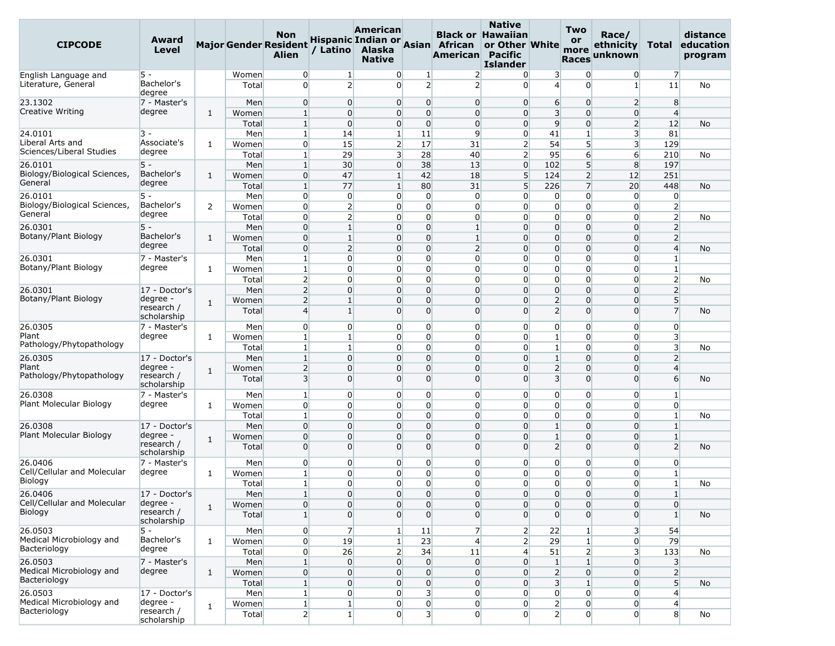| <b>CIPCODE</b>                           | Award<br>Level            |              |                | <b>Non</b><br><b>Major Gender Resident</b><br><b>Alien</b> | / Latino                         | American<br>Alaska<br><b>Native</b> |                                                      | Hispanic Indian or Asian African<br>American Pacific | <b>Native</b><br><b>Black or Hawaiian</b><br>or Other White<br><b>Islander</b> |                                  | Two<br>or<br>more<br><b>Races</b> | Race/<br>ethnicity<br>unknown    | Total                            | distance<br>education<br>program |
|------------------------------------------|---------------------------|--------------|----------------|------------------------------------------------------------|----------------------------------|-------------------------------------|------------------------------------------------------|------------------------------------------------------|--------------------------------------------------------------------------------|----------------------------------|-----------------------------------|----------------------------------|----------------------------------|----------------------------------|
| English Language and                     | 5 -                       |              | Women          | $\overline{0}$                                             | 1 <sup>1</sup>                   |                                     | 0<br>1                                               | $\overline{2}$                                       | $\overline{0}$                                                                 | $\overline{\mathbf{3}}$          | $\mathbf{0}$                      | 0                                | $\overline{7}$                   |                                  |
| Literature, General                      | Bachelor's<br>degree      |              | Total          | $\Omega$                                                   | $\overline{2}$                   | $\overline{0}$                      | $\overline{2}$                                       | $\overline{2}$                                       | $\Omega$                                                                       | $\overline{4}$                   | $\Omega$                          | $1\vert$                         | 11                               | No                               |
| 23.1302                                  | 7 - Master's              |              | Men            | $\overline{0}$                                             | $\overline{0}$                   |                                     | $\overline{0}$<br>$\overline{0}$                     | $\overline{0}$                                       | $\overline{0}$                                                                 | 6                                | $\overline{0}$                    | $\overline{2}$                   | 8                                |                                  |
| Creative Writing                         | degree                    | 1            | Women          | $\mathbf{1}$                                               | $\overline{0}$                   |                                     | $\overline{0}$<br>$\mathbf 0$                        | $\overline{0}$                                       | $\Omega$                                                                       | $\overline{3}$                   | $\overline{0}$                    | $\overline{0}$                   | $\overline{4}$                   |                                  |
|                                          |                           |              | Total          | $\mathbf{1}$                                               | $\Omega$                         |                                     | $\Omega$<br>$\overline{0}$                           | $\Omega$                                             | $\overline{0}$                                                                 | $\overline{9}$                   | $\Omega$                          | $\overline{2}$                   | 12                               | No                               |
| 24.0101<br>Liberal Arts and              | 3 -<br>Associate's        | $\mathbf{1}$ | Men<br>Women   | $1\overline{ }$<br>$\overline{0}$                          | 14<br>15                         | $\mathbf{1}$                        | 11<br>$\overline{2}$<br>17                           | 9<br>31                                              | $\overline{0}$<br>$\overline{2}$                                               | 41<br>54                         | $\mathbf{1}$<br>5                 | 3<br>3                           | 81<br>129                        |                                  |
| Sciences/Liberal Studies                 | degree                    |              | Total          | $\mathbf{1}$                                               | 29                               |                                     | 3<br>28                                              | 40                                                   | $\overline{2}$                                                                 | 95                               | $6 \overline{6}$                  | $6 \overline{6}$                 | 210                              | No                               |
| 26.0101                                  | $5 -$                     |              | Men            | 1                                                          | 30                               |                                     | $\overline{0}$<br>38                                 | 13                                                   | $\overline{0}$                                                                 | 102                              | 5                                 | 8                                | 197                              |                                  |
| Biology/Biological Sciences,             | Bachelor's                | 1            | Women          | $\overline{0}$                                             | 47                               | $1\overline{ }$                     | 42                                                   | 18                                                   | 5                                                                              | 124                              | $\overline{2}$                    | 12                               | 251                              |                                  |
| General                                  | degree                    |              | Total          | $\mathbf{1}$                                               | 77                               | $\mathbf{1}$                        | 80                                                   | 31                                                   | 5                                                                              | 226                              | $\overline{7}$                    | 20                               | 448                              | No                               |
| 26.0101                                  | $5 -$                     |              | Men            | $\overline{0}$                                             | $\overline{0}$                   |                                     | $\overline{0}$<br>0                                  | $\overline{0}$                                       | $\overline{0}$                                                                 | $\overline{0}$                   | $\overline{0}$                    | $\overline{0}$                   | $\overline{0}$                   |                                  |
| Biology/Biological Sciences,             | Bachelor's                | 2            | Women          | $\overline{0}$                                             | $\overline{2}$                   |                                     | 0<br>$\overline{0}$                                  | $\overline{0}$                                       | $\overline{0}$                                                                 | $\overline{0}$                   | $\overline{0}$                    | $\overline{0}$                   | $\overline{2}$                   |                                  |
| General                                  | degree                    |              | Total          | $\overline{0}$                                             | $\overline{2}$                   |                                     | 0<br>$\overline{0}$                                  | $\overline{0}$                                       | $\Omega$                                                                       | $\overline{0}$                   | $\overline{0}$                    | 0                                | $\overline{2}$                   | No                               |
| 26.0301                                  | $5 -$                     |              | Men            | $\mathbf 0$                                                | $\mathbf{1}$                     |                                     | $\overline{0}$<br>$\Omega$                           | $\mathbf{1}$                                         | $\Omega$                                                                       | $\overline{0}$                   | $\overline{0}$                    | $\overline{0}$                   | $\overline{2}$                   |                                  |
| Botany/Plant Biology                     | Bachelor's                | 1            | Women          | $\overline{0}$                                             | $\mathbf{1}$                     | $\overline{0}$                      | $\Omega$                                             | $\mathbf{1}$                                         | $\overline{0}$                                                                 | $\overline{0}$                   | $\Omega$                          | $\overline{0}$                   | $\overline{2}$                   |                                  |
|                                          | degree                    |              | Total          | $\overline{0}$                                             | $\overline{2}$                   |                                     | $\mathbf 0$<br>$\overline{0}$                        | $\overline{2}$                                       | $\Omega$                                                                       | $\overline{0}$                   | $\overline{0}$                    | $\overline{0}$                   | $\overline{4}$                   | No                               |
| 26.0301<br>Botany/Plant Biology          | 7 - Master's              |              | Men            | $\mathbf{1}$                                               | $\overline{0}$                   |                                     | $\mathbf 0$<br>$\overline{0}$                        | $\overline{0}$                                       | $\Omega$                                                                       | $\overline{0}$                   | $\overline{0}$                    | $\overline{0}$                   | $\mathbf{1}$                     |                                  |
|                                          | degree                    | $\mathbf{1}$ | Women          | $\mathbf{1}$                                               | $\Omega$                         | 0                                   | $\Omega$                                             | $\overline{0}$                                       | $\Omega$                                                                       | $\mathbf{0}$                     | $\Omega$                          | 0                                | $\mathbf{1}$                     |                                  |
| 26.0301                                  |                           |              | Total          | $\overline{2}$<br>$\overline{2}$                           | $\overline{0}$<br>$\Omega$       |                                     | 0<br>$\overline{0}$<br>$\mathbf 0$<br>$\overline{0}$ | $\overline{0}$<br>$\overline{0}$                     | $\overline{0}$<br>$\Omega$                                                     | $\overline{0}$<br>$\overline{0}$ | $\overline{0}$<br>$\overline{0}$  | 0<br>$\overline{0}$              | $\overline{2}$<br>$\overline{2}$ | No                               |
| Botany/Plant Biology                     | 17 - Doctor's<br>degree - |              | Men<br>Women   | $\overline{2}$                                             | $\mathbf{1}$                     | $\overline{0}$                      | $\Omega$                                             | $\overline{0}$                                       | $\Omega$                                                                       | $\overline{2}$                   | $\overline{0}$                    | $\overline{0}$                   | 5 <sup>1</sup>                   |                                  |
|                                          | research /<br>scholarship | 1            | Total          | $\overline{4}$                                             | $1\vert$                         |                                     | $\overline{0}$<br>$\Omega$                           | $\overline{0}$                                       | $\Omega$                                                                       | $\overline{2}$                   | $\Omega$                          | $\Omega$                         | $\overline{7}$                   | No                               |
| 26.0305                                  | 7 - Master's              |              | Men            | $\overline{0}$                                             | $\overline{0}$                   |                                     | $\overline{0}$<br>0                                  | $\overline{0}$                                       | $\overline{0}$                                                                 | $\overline{0}$                   | $\overline{0}$                    | 0                                | $\overline{0}$                   |                                  |
| Plant                                    | degree                    | 1            | Women          | 1                                                          | $\mathbf{1}$                     |                                     | 0<br>$\overline{0}$                                  | $\overline{0}$                                       | $\overline{0}$                                                                 | $\mathbf{1}$                     | $\overline{0}$                    | $\overline{0}$                   | $\overline{\mathbf{3}}$          |                                  |
| Pathology/Phytopathology                 |                           |              | Total          | $\vert$ 1                                                  | $1\vert$                         |                                     | $\mathbf 0$<br>$\overline{0}$                        | $\overline{0}$                                       | $\Omega$                                                                       | $\mathbf{1}$                     | $\overline{0}$                    | $\overline{0}$                   | $\overline{\mathbf{3}}$          | No                               |
| 26.0305                                  | 17 - Doctor's             |              | Men            | $\mathbf{1}$                                               | $\Omega$                         | 0                                   | $\Omega$                                             | $\overline{0}$                                       | $\Omega$                                                                       | $\mathbf{1}$                     | $\Omega$                          | $\Omega$                         | $\overline{2}$                   |                                  |
| Plant                                    | degree -                  | 1            | Women          | $\overline{2}$                                             | $\Omega$                         | 0                                   | 0                                                    | $\overline{0}$                                       | $\Omega$                                                                       | $\overline{2}$                   | $\overline{0}$                    | $\overline{0}$                   | $\overline{4}$                   |                                  |
| Pathology/Phytopathology                 | research /<br>scholarship |              | Total          | $\overline{\mathbf{3}}$                                    | $\Omega$                         |                                     | $\Omega$<br>$\overline{0}$                           | $\overline{0}$                                       | $\Omega$                                                                       | $\overline{3}$                   | $\overline{0}$                    | $\Omega$                         | 6                                | No                               |
| 26.0308                                  | 7 - Master's              |              | Men            | $\mathbf{1}$                                               | $\Omega$                         |                                     | 0<br>$\overline{0}$                                  | $\overline{0}$                                       | $\overline{0}$                                                                 | $\overline{0}$                   | $\overline{0}$                    | 0                                | $\mathbf{1}$                     |                                  |
| Plant Molecular Biology                  | degree                    | $\mathbf{1}$ | Women          | $\overline{0}$                                             | $\overline{0}$                   |                                     | $\overline{0}$<br>$\overline{0}$                     | $\overline{0}$                                       | $\overline{0}$                                                                 | $\overline{0}$                   | $\overline{0}$                    | $\overline{0}$                   | $\overline{0}$                   |                                  |
|                                          |                           |              | Total          | $\mathbf{1}$                                               | $\overline{0}$                   |                                     | 0<br>$\overline{0}$                                  | $\overline{0}$                                       | $\overline{0}$                                                                 | $\overline{0}$                   | $\overline{0}$                    | 0                                | $\mathbf{1}$                     | No                               |
| 26.0308                                  | 17 - Doctor's             |              | Men            | $\overline{0}$                                             | $\Omega$                         |                                     | $\mathbf 0$<br>$\overline{0}$                        | $\overline{0}$                                       | $\Omega$                                                                       | $\mathbf{1}$                     | $\overline{0}$                    | $\overline{0}$                   | $\mathbf{1}$                     |                                  |
| Plant Molecular Biology                  | degree -<br>research /    | $\mathbf{1}$ | Women          | $\mathbf 0$                                                | $\Omega$                         | $\overline{0}$                      | $\Omega$                                             | $\overline{0}$                                       | $\Omega$                                                                       | $\mathbf{1}$                     | $\overline{0}$                    | $\overline{0}$                   | $\mathbf{1}$                     |                                  |
|                                          | scholarship               |              | Total          | $\overline{0}$                                             | $\Omega$                         | 0                                   | $\Omega$                                             | $\overline{0}$                                       | $\Omega$                                                                       | $\overline{2}$                   | $\overline{0}$                    | $\Omega$                         | $\overline{2}$                   | No                               |
| 26.0406                                  | 7 - Master's              |              | Men            | $\overline{0}$                                             | $\overline{0}$                   |                                     | $\overline{0}$<br>$\overline{0}$                     | $\overline{0}$                                       | $\overline{0}$                                                                 | $\overline{0}$                   | $\overline{0}$                    | 0                                | $\overline{0}$                   |                                  |
| Cell/Cellular and Molecular              | degree                    | 1            | Women          | $\mathbf{1}$                                               | $\Omega$                         |                                     | $\overline{0}$<br>0                                  | $\overline{0}$                                       | $\Omega$                                                                       | $\mathbf{0}$                     | $\overline{0}$                    | $\overline{0}$                   | $\mathbf{1}$                     |                                  |
| Biology                                  |                           |              | Total          | $\mathbf{1}$                                               | $\Omega$                         |                                     | $\overline{0}$<br>$\overline{0}$                     | $\overline{0}$                                       | $\overline{0}$                                                                 | $\overline{0}$                   | $\overline{0}$                    | 0                                | $\mathbf{1}$                     | No                               |
| 26.0406                                  | 17 - Doctor's             |              | Men            | $1\vert$                                                   | $\overline{0}$                   |                                     | $\overline{0}$<br>$\overline{0}$                     | $\overline{0}$                                       | $\overline{0}$                                                                 | $\overline{0}$                   | $\overline{0}$                    | $\overline{0}$                   | $\mathbf{1}$                     |                                  |
| Cell/Cellular and Molecular              | degree -                  | $\mathbf{1}$ | Women          | $\overline{0}$                                             | $\overline{0}$                   |                                     | $\overline{0}$<br>$\overline{0}$                     | $\overline{0}$                                       | $\overline{0}$                                                                 | $\overline{0}$                   | $\overline{0}$                    | $\overline{0}$                   | $\overline{0}$                   |                                  |
| Biology                                  | research /<br>scholarship |              | Total          | 1 <sup>1</sup>                                             | $\Omega$                         |                                     | $\overline{0}$<br>$\overline{0}$                     | $\overline{0}$                                       | $\Omega$                                                                       | $\overline{0}$                   | $\overline{0}$                    | $\Omega$                         | 1 <sup>1</sup>                   | No                               |
| 26.0503                                  | $5 -$                     |              | Men            | $\overline{0}$                                             | $\overline{7}$                   | $\mathbf{1}$                        | 11                                                   | $\overline{7}$                                       | $\overline{2}$                                                                 | 22                               | 1 <sup>1</sup>                    | 3                                | 54                               |                                  |
| Medical Microbiology and<br>Bacteriology | Bachelor's<br>degree      | $\mathbf{1}$ | Women          | $\overline{0}$                                             | 19                               | $\mathbf{1}$                        | 23                                                   | $\overline{4}$                                       | $\overline{2}$                                                                 | 29                               | $\mathbf{1}$                      | $\overline{0}$                   | 79                               |                                  |
|                                          |                           |              | Total          | $\overline{0}$                                             | 26                               |                                     | $2\vert$<br>34                                       | 11                                                   | $\overline{4}$                                                                 | 51                               | $\overline{2}$                    | $\overline{\mathbf{3}}$          | 133                              | No                               |
| 26.0503<br>Medical Microbiology and      | 7 - Master's<br>degree    |              | Men            | $\vert$ 1                                                  | $\overline{0}$                   |                                     | $\overline{0}$<br>$\overline{0}$                     | $\overline{0}$                                       | $\overline{0}$                                                                 | $1\overline{ }$                  | $1\overline{ }$                   | $\overline{0}$                   | 3                                |                                  |
| Bacteriology                             |                           | $\mathbf{1}$ | Women<br>Total | $\overline{0}$                                             | $\overline{0}$<br>$\overline{0}$ |                                     | $\overline{0}$<br>$\overline{0}$<br>$\overline{0}$   | $\overline{0}$                                       | $\overline{0}$<br>$\overline{0}$                                               | $\overline{2}$                   | $\overline{0}$<br>$1\overline{ }$ | $\overline{0}$<br>$\overline{0}$ | $\overline{2}$                   |                                  |
| 26.0503                                  | 17 - Doctor's             |              |                | $1\vert$                                                   | $\overline{0}$                   |                                     | $\overline{0}$<br>$\overline{\mathbf{3}}$            | $\overline{0}$                                       | $\overline{0}$                                                                 | $\overline{\mathbf{3}}$          |                                   |                                  | 5 <sup>5</sup><br>$\overline{4}$ | No                               |
| Medical Microbiology and                 | degree -                  |              | Men<br>Women   | $\vert$ 1<br>$\mathbf{1}$                                  | 1 <sup>1</sup>                   |                                     | $\overline{0}$<br>$\overline{0}$<br>$\overline{0}$   | $\overline{0}$<br>$\overline{0}$                     | $\overline{0}$                                                                 | $\overline{0}$<br>$\overline{2}$ | $\overline{0}$<br>$\overline{0}$  | $\overline{0}$<br>$\overline{0}$ | $\overline{4}$                   |                                  |
| Bacteriology                             | research /<br>scholarship | $\mathbf{1}$ | Total          | $\overline{2}$                                             | 1 <sup>1</sup>                   |                                     | $\overline{0}$                                       | $\overline{\mathbf{3}}$<br>$\overline{0}$            | $\overline{0}$                                                                 | $\overline{2}$                   | $\overline{0}$                    | $\overline{0}$                   | 8                                | No                               |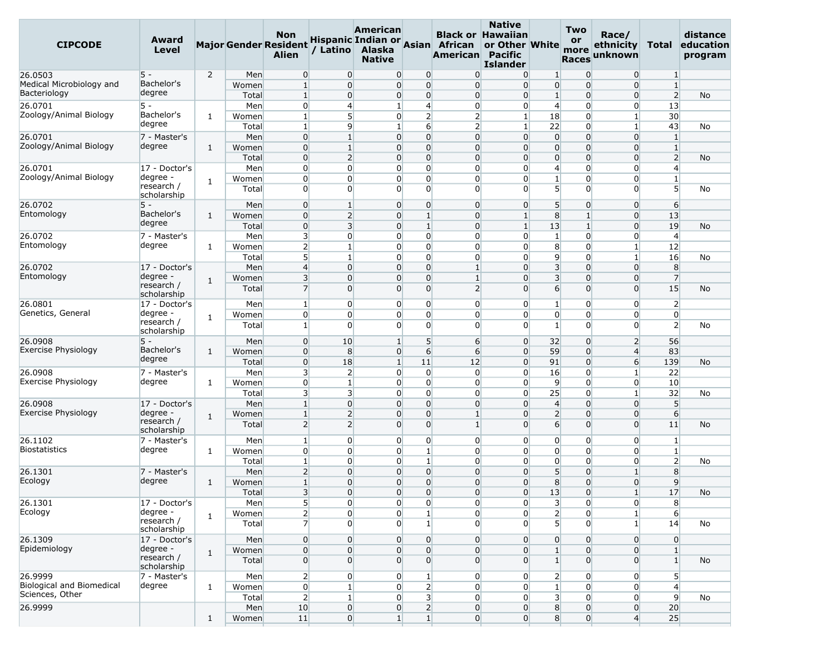| <b>CIPCODE</b>             | Award<br>Level            |                |                | <b>Non</b><br><b>Major Gender Resident</b><br><b>Alien</b> | / Latino                   | American<br>Alaska<br><b>Native</b> |                                | Hispanic Indian or Asian African<br>American Pacific | <b>Native</b><br><b>Black or Hawaiian</b><br>or Other White<br><b>Islander</b> |                                | <b>Two</b><br><b>or</b><br>more<br><b>Races</b> | Race/<br>ethnicity<br>unknown | Total                            | distance<br>education<br>program |
|----------------------------|---------------------------|----------------|----------------|------------------------------------------------------------|----------------------------|-------------------------------------|--------------------------------|------------------------------------------------------|--------------------------------------------------------------------------------|--------------------------------|-------------------------------------------------|-------------------------------|----------------------------------|----------------------------------|
| 26.0503                    | 5 -                       | $\overline{2}$ | Men            | $\overline{0}$                                             | $\overline{0}$             | $\overline{0}$                      | $\overline{0}$                 | $\overline{0}$                                       | $\overline{0}$                                                                 | 1                              | $\overline{0}$                                  | $\overline{0}$                | $\mathbf{1}$                     |                                  |
| Medical Microbiology and   | Bachelor's                |                | Women          | $\mathbf{1}$                                               | $\overline{0}$             | $\overline{0}$                      | $\overline{0}$                 | $\overline{0}$                                       | $\Omega$                                                                       | $\overline{0}$                 | $\overline{0}$                                  | $\overline{0}$                | $\mathbf{1}$                     |                                  |
| Bacteriology               | degree                    |                | Total          | $\mathbf{1}$                                               | $\overline{0}$             | $\overline{0}$                      | $\overline{0}$                 | $\overline{0}$                                       | 0                                                                              | $\mathbf{1}$                   | $\overline{0}$                                  | $\overline{0}$                | $\overline{2}$                   | No                               |
| 26.0701                    | 5 -                       |                | Men            | $\overline{0}$                                             | 4                          | 1                                   | $\overline{4}$                 | $\overline{0}$                                       | $\overline{0}$                                                                 | $\overline{4}$                 | $\overline{0}$                                  | $\overline{0}$                | 13                               |                                  |
| Zoology/Animal Biology     | Bachelor's                | 1              | Women          | $\mathbf 1$                                                | $5\overline{)}$            | $\overline{0}$                      | $\overline{2}$                 | $\overline{2}$                                       | $\mathbf{1}$                                                                   | 18                             | $\overline{0}$                                  | $1\vert$                      | 30 <sup>°</sup>                  |                                  |
|                            | degree                    |                | Total          | 1                                                          | 9                          | $\mathbf{1}$                        | $6 \overline{}$                | $\overline{2}$                                       | $\mathbf{1}$                                                                   | 22                             | $\overline{0}$                                  | $\mathbf{1}$                  | 43                               | No                               |
| 26.0701                    | 7 - Master's              |                | Men            | $\overline{0}$                                             | 1                          | $\overline{0}$                      | $\overline{0}$                 | $\overline{0}$                                       | $\overline{0}$                                                                 | $\overline{0}$                 | $\overline{0}$                                  | $\overline{0}$                | $\mathbf{1}$                     |                                  |
| Zoology/Animal Biology     | degree                    | 1              | Women          | $\overline{0}$                                             | $\mathbf{1}$               | 0                                   | $\overline{0}$                 | $\overline{0}$                                       | $\Omega$                                                                       | $\overline{0}$                 | $\overline{0}$                                  | $\overline{0}$                | $\mathbf{1}$                     |                                  |
|                            |                           |                | Total          | $\overline{0}$                                             | $\overline{2}$             | $\overline{0}$                      | $\overline{0}$                 | $\overline{0}$                                       | $\overline{0}$                                                                 | $\overline{0}$                 | $\overline{0}$                                  | $\overline{0}$                | $\overline{2}$                   | No                               |
| 26.0701                    | 17 - Doctor's             |                | Men            | $\overline{0}$                                             | $\overline{0}$             | 0                                   | $\overline{0}$                 | $\overline{0}$                                       | 0                                                                              | $\overline{4}$                 | $\overline{0}$                                  | 0                             | $\overline{4}$                   |                                  |
| Zoology/Animal Biology     | degree -                  | 1              | Women          | $\overline{0}$                                             | $\overline{0}$             | 0                                   | $\mathbf{0}$                   | $\overline{0}$                                       | $\Omega$                                                                       | $\mathbf{1}$                   | $\overline{0}$                                  | 0                             | $\mathbf{1}$                     |                                  |
|                            | research /<br>scholarship |                | Total          | $\overline{0}$                                             | $\overline{0}$             | $\overline{0}$                      | $\overline{0}$                 | $\overline{0}$                                       | $\Omega$                                                                       | 5 <sup>1</sup>                 | $\overline{0}$                                  | $\overline{0}$                | 5 <sup>5</sup>                   | No                               |
| 26.0702                    | $5 -$                     |                | Men            | $\overline{0}$                                             | $\mathbf{1}$               | $\overline{0}$                      | $\overline{0}$                 | $\overline{0}$                                       | $\overline{0}$                                                                 | 5                              | $\overline{0}$                                  | $\overline{0}$                | 6                                |                                  |
| Entomology                 | Bachelor's                | 1              | Women          | $\overline{0}$                                             | $\overline{2}$             | $\overline{0}$                      | $\mathbf{1}$                   | $\overline{0}$                                       | $\mathbf{1}$                                                                   | 8                              | $1\overline{ }$                                 | $\overline{0}$                | 13                               |                                  |
|                            | degree                    |                | Total          | $\overline{0}$                                             | 3                          | $\overline{0}$                      | 1                              | $\overline{0}$                                       | 1                                                                              | 13                             | $1\overline{ }$                                 | $\overline{0}$                | 19                               | No                               |
| 26.0702                    | 7 - Master's              |                | Men            | 3                                                          | $\overline{0}$             | 0                                   | $\overline{0}$                 | $\overline{0}$                                       | $\overline{0}$                                                                 | $\mathbf{1}$                   | $\overline{0}$                                  | $\overline{0}$                | $\overline{4}$                   |                                  |
| Entomology                 | degree                    | 1              | Women          | $\overline{2}$                                             | $\mathbf{1}$               | 0                                   | $\overline{0}$                 | $\overline{0}$                                       | $\overline{0}$                                                                 | 8                              | $\overline{0}$                                  | $1\vert$                      | 12                               |                                  |
|                            |                           |                | Total          | 5 <sup>5</sup>                                             | $\mathbf{1}$               | 0                                   | 0                              | $\overline{0}$                                       | 0                                                                              | $\overline{9}$                 | $\overline{0}$                                  | $\mathbf{1}$                  | 16                               | No                               |
| 26.0702                    | 17 - Doctor's             |                | Men            | $\overline{4}$                                             | $\overline{0}$             | 0                                   | $\overline{0}$                 | 1                                                    | $\Omega$                                                                       | $\overline{\mathbf{3}}$        | $\overline{0}$                                  | $\overline{0}$                | 8                                |                                  |
| Entomology                 | degree -                  | $\mathbf{1}$   | Women          | $\overline{3}$                                             | $\overline{0}$             | 0                                   | $\overline{0}$                 | $\mathbf{1}$                                         | $\Omega$                                                                       | $\overline{3}$                 | $\overline{0}$                                  | $\overline{0}$                | $\overline{7}$                   |                                  |
|                            | research /<br>scholarship |                | Total          | $\overline{7}$                                             | $\overline{0}$             | $\overline{0}$                      | $\overline{0}$                 | $\overline{2}$                                       | $\Omega$                                                                       | $6 \overline{}$                | $\overline{0}$                                  | $\overline{0}$                | 15                               | No                               |
| 26.0801                    | 17 - Doctor's             |                | Men            | 1                                                          | $\overline{0}$             | $\overline{0}$                      | $\overline{0}$                 | $\overline{0}$                                       | $\overline{0}$                                                                 | 1                              | $\overline{0}$                                  | $\overline{0}$                | $\overline{2}$                   |                                  |
| Genetics, General          | degree -<br>research /    | $\mathbf{1}$   | Women<br>Total | $\overline{0}$<br>$\mathbf{1}$                             | $\overline{0}$<br>$\Omega$ | 0<br>$\overline{0}$                 | $\mathbf{0}$<br>$\overline{0}$ | $\overline{0}$<br>$\overline{0}$                     | 0<br>$\Omega$                                                                  | $\overline{0}$<br>$\mathbf{1}$ | $\overline{0}$<br>$\overline{0}$                | $\overline{0}$<br>0           | $\overline{0}$<br>$\overline{2}$ | No                               |
| 26.0908                    | scholarship<br>$5 -$      |                | Men            | $\overline{0}$                                             | 10                         | $1\vert$                            | $5\overline{)}$                | $6 \overline{}$                                      | $\overline{0}$                                                                 | 32                             | $\overline{0}$                                  | $\overline{2}$                | 56                               |                                  |
| <b>Exercise Physiology</b> | Bachelor's                | 1              | Women          | $\overline{0}$                                             | 8                          | $\overline{0}$                      | $6 \overline{}$                | $6 \overline{}$                                      | $\overline{0}$                                                                 | 59                             | $\overline{0}$                                  | $\overline{4}$                | 83                               |                                  |
|                            | degree                    |                | Total          | $\overline{0}$                                             | 18                         | $1\vert$                            | 11                             | 12                                                   | $\overline{0}$                                                                 | 91                             | $\overline{0}$                                  | $6 \overline{}$               | 139                              | No                               |
| 26.0908                    | 7 - Master's              |                | Men            | 3                                                          | $\overline{2}$             | $\overline{0}$                      | $\overline{0}$                 | $\overline{0}$                                       | $\overline{0}$                                                                 | 16                             | $\overline{0}$                                  | $1\vert$                      | 22                               |                                  |
| Exercise Physiology        | degree                    | $\mathbf{1}$   | Women          | $\mathbf 0$                                                | $\mathbf{1}$               | 0                                   | $\overline{0}$                 | $\overline{0}$                                       | $\overline{0}$                                                                 | $\overline{9}$                 | $\overline{0}$                                  | $\overline{0}$                | 10                               |                                  |
|                            |                           |                | Total          | 3                                                          | 3                          | $\overline{0}$                      | 0                              | $\overline{0}$                                       | 0                                                                              | 25                             | $\overline{0}$                                  | $\mathbf{1}$                  | 32                               | No                               |
| 26.0908                    | 17 - Doctor's             |                | Men            | $\mathbf{1}$                                               | $\overline{0}$             | 0                                   | $\overline{0}$                 | $\overline{0}$                                       | $\Omega$                                                                       | $\overline{4}$                 | $\overline{0}$                                  | $\overline{0}$                | 5                                |                                  |
| Exercise Physiology        | degree -                  |                | Women          | $\mathbf{1}$                                               | $\overline{2}$             | $\overline{0}$                      | $\overline{0}$                 | $\mathbf{1}$                                         | $\overline{0}$                                                                 | $\overline{2}$                 | $\overline{0}$                                  | $\overline{0}$                | 6                                |                                  |
|                            | research /<br>scholarship | 1              | Total          | 2                                                          | $\overline{2}$             | $\overline{0}$                      | $\overline{0}$                 | $\mathbf{1}$                                         | $\Omega$                                                                       | $6 \overline{}$                | $\overline{0}$                                  | $\Omega$                      | 11                               | No                               |
| 26.1102                    | 7 - Master's              |                | Men            | 1                                                          | $\overline{0}$             | 0                                   | 0                              | $\overline{0}$                                       | $\overline{0}$                                                                 | $\overline{0}$                 | $\overline{0}$                                  | 0                             | $\mathbf{1}$                     |                                  |
| <b>Biostatistics</b>       | degree                    | 1              | Women          | $\overline{0}$                                             | $\overline{0}$             | 0                                   | $\mathbf{1}$                   | $\overline{0}$                                       | $\Omega$                                                                       | $\overline{0}$                 | $\overline{0}$                                  | $\overline{0}$                | $\mathbf{1}$                     |                                  |
|                            |                           |                | Total          | $\mathbf{1}$                                               | $\overline{0}$             | 0                                   | $\mathbf{1}$                   | $\overline{0}$                                       | $\Omega$                                                                       | $\overline{0}$                 | $\overline{0}$                                  | 0                             | $\overline{2}$                   | No                               |
| 26.1301                    | 7 - Master's              |                | Men            | $\overline{2}$                                             | $\Omega$                   | $\overline{0}$                      | $\overline{0}$                 | 0                                                    | $\Omega$                                                                       | 5                              | $\overline{0}$                                  | $\mathbf{1}$                  | 8                                |                                  |
| Ecology                    | degree                    | 1              | Women          | $1\,$                                                      | $\overline{0}$             | $\overline{0}$                      | $\overline{0}$                 | $\overline{0}$                                       | $\overline{0}$                                                                 | 8                              | $\overline{0}$                                  | $\overline{0}$                | 9                                |                                  |
|                            |                           |                | Total          | $\overline{\mathbf{3}}$                                    | $\overline{0}$             | $\overline{0}$                      | $\mathbf 0$                    | $\overline{0}$                                       | $\overline{0}$                                                                 | 13                             | $\overline{0}$                                  | $\vert$                       | 17                               | No                               |
| 26.1301                    | 17 - Doctor's             |                | Men            | 5 <sup>1</sup>                                             | $\overline{0}$             | 0                                   | $\mathbf{0}$                   | $\overline{0}$                                       | $\overline{0}$                                                                 | 3                              | $\overline{0}$                                  | $\overline{0}$                | 8                                |                                  |
| Ecology                    | degree -                  |                | Women          | $\overline{2}$                                             | $\overline{0}$             | 0                                   | $\mathbf{1}$                   | $\overline{0}$                                       | $\overline{0}$                                                                 | $\overline{2}$                 | $\overline{0}$                                  | $\mathbf{1}$                  | $6 \mid$                         |                                  |
|                            | research /<br>scholarship | $\mathbf{1}$   | Total          | $\overline{7}$                                             | $\Omega$                   | 0                                   | $\mathbf{1}$                   | $\overline{0}$                                       | $\Omega$                                                                       | 5 <sup>1</sup>                 | $\overline{0}$                                  | $1\vert$                      | 14                               | No                               |
| 26.1309                    | 17 - Doctor's             |                | Men            | $\overline{0}$                                             | $\overline{0}$             | $\overline{0}$                      | $\overline{0}$                 | $\overline{0}$                                       | $\overline{0}$                                                                 | $\overline{0}$                 | $\overline{0}$                                  | $\overline{0}$                | $\overline{0}$                   |                                  |
| Epidemiology               | degree -                  | $\mathbf{1}$   | Women          | $\overline{0}$                                             | $\overline{0}$             | $\overline{0}$                      | $\overline{0}$                 | $\overline{0}$                                       | $\overline{0}$                                                                 | $\mathbf{1}$                   | $\overline{0}$                                  | $\overline{0}$                | $\mathbf{1}$                     |                                  |
|                            | research /<br>scholarship |                | Total          | $\overline{0}$                                             | $\overline{0}$             | $\overline{0}$                      | $\overline{0}$                 | $\overline{0}$                                       | $\overline{0}$                                                                 | $\mathbf{1}$                   | $\overline{0}$                                  | $\overline{0}$                | $\mathbf{1}$                     | No                               |
| 26.9999                    | 7 - Master's              |                | Men            | $\overline{2}$                                             | $\overline{0}$             | 0                                   | $\mathbf{1}$                   | $\overline{0}$                                       | $\overline{0}$                                                                 | $\overline{2}$                 | $\overline{0}$                                  | $\overline{0}$                | 5 <sup>1</sup>                   |                                  |
| Biological and Biomedical  | degree                    | $\mathbf{1}$   | Women          | $\overline{0}$                                             | $\mathbf{1}$               | $\overline{0}$                      | $\overline{2}$                 | $\overline{0}$                                       | $\overline{0}$                                                                 | $\mathbf{1}$                   | $\overline{0}$                                  | $\overline{0}$                | $\overline{4}$                   |                                  |
| Sciences, Other            |                           |                | Total          | 2                                                          | $\mathbf{1}$               | $\overline{0}$                      | $\overline{\mathbf{3}}$        | $\overline{0}$                                       | $\overline{0}$                                                                 | $\overline{\mathbf{3}}$        | $\overline{0}$                                  | $\overline{0}$                | 9                                | No                               |
| 26.9999                    |                           |                | Men            | 10                                                         | $\overline{0}$             | $\overline{0}$                      |                                | $\overline{2}$<br>$\overline{0}$                     | $\overline{0}$                                                                 | 8                              | $\overline{0}$                                  | $\overline{0}$                | 20                               |                                  |
|                            |                           | $\mathbf{1}$   | Women          | 11                                                         | $\overline{0}$             | $1\overline{ }$                     | $1\vert$                       | $\overline{0}$                                       | $\overline{0}$                                                                 | 8 <sup>1</sup>                 | $\mathbf{0}$                                    | $\overline{4}$                | 25                               |                                  |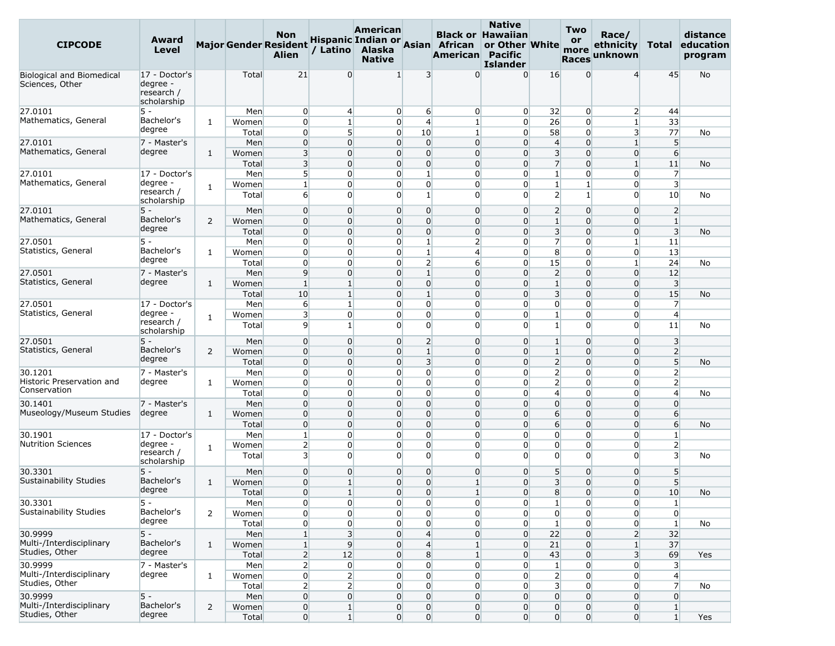| <b>CIPCODE</b>                                      | Award<br><b>Level</b>                                  |                |                | <b>Non</b><br><b>Major Gender Resident</b><br><b>Alien</b> | / Latino       | <b>American</b><br>Alaska<br><b>Native</b> |                | Hispanic Indian or Asian African<br>American | <b>Native</b><br><b>Black or Hawaiian</b><br>or Other White<br><b>Pacific</b><br><b>Islander</b> |                         | <b>Two</b><br>or<br>more<br><b>Races</b> | Race/<br>ethnicity<br>unknown |                               | distance<br>Total education<br>program |
|-----------------------------------------------------|--------------------------------------------------------|----------------|----------------|------------------------------------------------------------|----------------|--------------------------------------------|----------------|----------------------------------------------|--------------------------------------------------------------------------------------------------|-------------------------|------------------------------------------|-------------------------------|-------------------------------|----------------------------------------|
| <b>Biological and Biomedical</b><br>Sciences, Other | 17 - Doctor's<br>degree -<br>research /<br>scholarship |                | Total          | 21                                                         | $\Omega$       | 1                                          | 3              | $\Omega$                                     | $\Omega$                                                                                         | 16                      | $\overline{0}$                           | $\overline{4}$                | 45                            | <b>No</b>                              |
| 27.0101                                             | 5 -                                                    |                | Men            | $\overline{0}$                                             | $\overline{4}$ | $\overline{0}$                             | 6              | $\overline{0}$                               | $\overline{0}$                                                                                   | 32                      | $\overline{0}$                           | $\overline{2}$                | 44                            |                                        |
| Mathematics, General                                | Bachelor's                                             | $\mathbf{1}$   | Women          | $\overline{0}$                                             | $\mathbf{1}$   | $\overline{0}$                             | $\overline{4}$ | $\mathbf{1}$                                 | $\overline{0}$                                                                                   | 26                      | $\overline{0}$                           | $\mathbf{1}$                  | 33                            |                                        |
|                                                     | degree                                                 |                | Total          | $\overline{0}$                                             | 5 <sup>1</sup> | $\overline{0}$                             | 10             | $1\overline{ }$                              | $\Omega$                                                                                         | 58                      | $\overline{0}$                           | 3                             | 77                            | No                                     |
| 27.0101                                             | 7 - Master's                                           |                | Men            | $\overline{0}$                                             | $\Omega$       | $\overline{0}$                             | $\overline{0}$ | $\overline{0}$                               | $\overline{0}$                                                                                   | $\overline{4}$          | $\overline{0}$                           | $\mathbf{1}$                  | 5 <sup>5</sup>                |                                        |
| Mathematics, General                                | degree                                                 | $\mathbf{1}$   | Women          | 3                                                          | $\Omega$       | $\overline{0}$                             | $\overline{0}$ | $\overline{0}$                               | $\overline{0}$                                                                                   | $\overline{\mathbf{3}}$ | $\overline{0}$                           | $\overline{0}$                | 6                             |                                        |
|                                                     |                                                        |                | Total          | 3                                                          | $\Omega$       | $\overline{0}$                             | $\overline{0}$ | $\overline{0}$                               | $\Omega$                                                                                         | $\overline{7}$          | $\overline{0}$                           | $\mathbf{1}$                  | 11                            | <b>No</b>                              |
| 27.0101                                             | 17 - Doctor's                                          |                | Men            | 5 <sup>1</sup>                                             | $\Omega$       | $\overline{0}$                             | $\mathbf{1}$   | $\overline{0}$                               | $\Omega$                                                                                         | $\mathbf{1}$            | $\overline{0}$                           | 0                             | $\overline{7}$                |                                        |
| Mathematics, General                                | degree -                                               | $\mathbf{1}$   | Women          | $\mathbf{1}$                                               | $\Omega$       | $\overline{0}$                             | $\overline{0}$ | $\overline{0}$                               | $\overline{0}$                                                                                   | $\mathbf{1}$            | $1\overline{ }$                          | 0                             | $\overline{\mathbf{3}}$       |                                        |
|                                                     | research /<br>scholarship                              |                | Total          | 6                                                          | $\Omega$       | 0                                          | $\mathbf{1}$   | $\overline{0}$                               | $\Omega$                                                                                         | $\overline{2}$          | $1\overline{ }$                          | $\Omega$                      | 10                            | No                                     |
| 27.0101                                             | 5 -                                                    |                | Men            | $\overline{0}$                                             | $\Omega$       | $\overline{0}$                             | $\overline{0}$ | $\overline{0}$                               | $\Omega$                                                                                         | $\overline{2}$          | $\overline{0}$                           | 0                             | $\overline{2}$                |                                        |
| Mathematics, General                                | Bachelor's                                             | 2              | Women          | $\overline{0}$                                             | $\Omega$       | $\overline{0}$                             | $\overline{0}$ | $\overline{0}$                               | $\Omega$                                                                                         | $\mathbf{1}$            | $\overline{0}$                           | $\overline{0}$                | $\mathbf{1}$                  |                                        |
|                                                     | degree                                                 |                | Total          | $\overline{0}$                                             | $\Omega$       | $\Omega$                                   | $\overline{0}$ | $\overline{0}$                               | $\Omega$                                                                                         | $\overline{\mathbf{3}}$ | $\Omega$                                 | $\Omega$                      | $\overline{\mathbf{3}}$       | No                                     |
| 27.0501                                             | 5 -                                                    |                | Men            | $\overline{0}$                                             | $\Omega$       | $\overline{0}$                             | $\mathbf{1}$   | $\overline{2}$                               | $\overline{0}$                                                                                   | $\overline{7}$          | $\overline{0}$                           | $\mathbf{1}$                  | 11                            |                                        |
| Statistics, General                                 | Bachelor's                                             | $\mathbf{1}$   | Women          | $\overline{0}$                                             | $\Omega$       | $\overline{0}$                             | $\mathbf{1}$   | $\overline{4}$                               | $\Omega$                                                                                         | 8                       | $\overline{0}$                           | $\overline{0}$                | 13                            |                                        |
|                                                     | degree                                                 |                | Total          | $\overline{0}$                                             | $\Omega$       | 0                                          | $\overline{2}$ | $6 \overline{6}$                             | $\overline{0}$                                                                                   | 15                      | $\overline{0}$                           | $\mathbf{1}$                  | 24                            | No                                     |
| 27.0501                                             | 7 - Master's                                           |                | Men            | 9                                                          | $\Omega$       | $\overline{0}$                             | $\mathbf{1}$   | $\overline{0}$                               | $\overline{0}$                                                                                   | $\overline{2}$          | $\overline{0}$                           | $\overline{0}$                | 12                            |                                        |
| Statistics, General                                 | degree                                                 |                |                | $\mathbf{1}$                                               | $\mathbf{1}$   | $\overline{0}$                             | $\overline{0}$ | $\overline{0}$                               | $\Omega$                                                                                         | $\mathbf{1}$            | $\overline{0}$                           | $\overline{0}$                |                               |                                        |
|                                                     |                                                        | $\mathbf{1}$   | Women          | 10                                                         | $1\vert$       | $\overline{0}$                             | $\mathbf{1}$   | $\overline{0}$                               | $\Omega$                                                                                         | $\overline{\mathbf{3}}$ | $\overline{0}$                           | $\overline{0}$                | $\overline{\mathbf{3}}$<br>15 |                                        |
| 27.0501                                             |                                                        |                | Total          | 6                                                          | $\mathbf{1}$   | $\overline{0}$                             | $\overline{0}$ | $\overline{0}$                               | $\Omega$                                                                                         | $\overline{0}$          | $\overline{0}$                           | 0                             | $\overline{7}$                | No                                     |
| Statistics, General                                 | 17 - Doctor's<br>degree -                              |                | Men            | 3                                                          | $\Omega$       | 0                                          | $\overline{0}$ | $\overline{0}$                               | $\Omega$                                                                                         | $\mathbf{1}$            | $\overline{0}$                           | 0                             | $\overline{4}$                |                                        |
|                                                     | research /<br>scholarship                              | $\mathbf{1}$   | Women<br>Total | 9                                                          | 1              | $\overline{0}$                             | $\Omega$       | $\overline{0}$                               | $\Omega$                                                                                         | $\mathbf{1}$            | $\overline{0}$                           | $\overline{0}$                | 11                            | No                                     |
| 27.0501                                             | $5 -$                                                  |                | Men            | $\overline{0}$                                             | $\Omega$       | $\overline{0}$                             | $\overline{2}$ | $\overline{0}$                               | $\Omega$                                                                                         | $\mathbf{1}$            | $\overline{0}$                           | $\overline{0}$                | $\overline{\mathbf{3}}$       |                                        |
| Statistics, General                                 | Bachelor's                                             | $\overline{2}$ | Women          | $\overline{0}$                                             | $\Omega$       | $\Omega$                                   | $\mathbf{1}$   | $\overline{0}$                               | $\Omega$                                                                                         | $\mathbf{1}$            | $\Omega$                                 | $\overline{0}$                | 2                             |                                        |
|                                                     | degree                                                 |                | Total          | $\overline{0}$                                             | $\Omega$       | $\overline{0}$                             | 3              | $\overline{0}$                               | $\overline{0}$                                                                                   | $\overline{2}$          | $\overline{0}$                           | $\overline{0}$                | 5 <sup>5</sup>                | No                                     |
| 30.1201                                             | 7 - Master's                                           |                | Men            | $\overline{0}$                                             | $\Omega$       | $\overline{0}$                             | $\overline{0}$ | $\overline{0}$                               | $\Omega$                                                                                         | $\overline{2}$          | $\overline{0}$                           | $\overline{0}$                | $\overline{2}$                |                                        |
| Historic Preservation and                           | degree                                                 | $\mathbf{1}$   | Women          | $\overline{0}$                                             | $\Omega$       | $\overline{0}$                             | $\overline{0}$ | $\overline{0}$                               | $\Omega$                                                                                         | $\overline{2}$          | $\overline{0}$                           | 0                             | $\overline{2}$                |                                        |
| Conservation                                        |                                                        |                | Total          | $\overline{0}$                                             | $\Omega$       | $\overline{0}$                             | $\overline{0}$ | $\overline{0}$                               | $\Omega$                                                                                         | $\overline{4}$          | $\overline{0}$                           | 0                             | $\overline{4}$                | No                                     |
| 30.1401                                             | 7 - Master's                                           |                | Men            | $\overline{0}$                                             | $\Omega$       | $\overline{0}$                             | $\mathbf 0$    | $\overline{0}$                               | $\Omega$                                                                                         | $\overline{0}$          | $\overline{0}$                           | $\overline{0}$                | $\overline{0}$                |                                        |
| Museology/Museum Studies                            | degree                                                 | $\mathbf{1}$   | Women          | $\overline{0}$                                             | $\Omega$       | $\overline{0}$                             | $\overline{0}$ | $\overline{0}$                               | $\Omega$                                                                                         | 6                       | $\overline{0}$                           | $\overline{0}$                | 6                             |                                        |
|                                                     |                                                        |                | Total          | $\overline{0}$                                             | $\Omega$       | $\Omega$                                   | $\overline{0}$ | $\overline{0}$                               | $\Omega$                                                                                         | 6                       | $\overline{0}$                           | $\overline{0}$                | $6 \overline{6}$              | <b>No</b>                              |
| 30.1901                                             | 17 - Doctor's                                          |                | Men            | $\mathbf{1}$                                               | $\Omega$       | 0                                          | $\overline{0}$ | $\overline{0}$                               | $\Omega$                                                                                         | $\overline{0}$          | $\overline{0}$                           | 0                             | $\mathbf{1}$                  |                                        |
| <b>Nutrition Sciences</b>                           | degree -                                               |                | Women          | $\overline{2}$                                             | $\Omega$       | $\overline{0}$                             | $\overline{0}$ | $\overline{0}$                               | $\Omega$                                                                                         | $\overline{0}$          | $\overline{0}$                           | $\overline{0}$                | $\overline{2}$                |                                        |
|                                                     | research /                                             | $\mathbf{1}$   | Total          | $\overline{\mathbf{3}}$                                    | $\Omega$       | $\Omega$                                   | $\Omega$       | $\overline{0}$                               | $\Omega$                                                                                         | $\Omega$                | $\overline{0}$                           | $\overline{0}$                | $\overline{3}$                | No                                     |
|                                                     | scholarship                                            |                |                |                                                            |                |                                            |                |                                              |                                                                                                  |                         |                                          |                               |                               |                                        |
| 30.3301                                             | 5 -                                                    |                | Men            | $\overline{0}$                                             | $\Omega$       | 0                                          | $\overline{0}$ | $\overline{0}$                               | $\overline{0}$                                                                                   | 5 <sup>5</sup>          | $\overline{0}$                           | 0                             | 5                             |                                        |
| Sustainability Studies                              | Bachelor's                                             | $\mathbf{1}$   | Women          | $\overline{0}$                                             | $1\vert$       | $\overline{0}$                             | $\overline{0}$ | $\mathbf{1}$                                 | $\Omega$                                                                                         | $\overline{\mathbf{3}}$ | $\overline{0}$                           | $\overline{0}$                | 5 <sup>1</sup>                |                                        |
|                                                     | degree                                                 |                | Total          | $\overline{0}$                                             | $\mathbf{1}$   | $\overline{0}$                             | $\overline{0}$ | 1                                            | $\Omega$                                                                                         | 8                       | $\overline{0}$                           | $\overline{0}$                | 10                            | No                                     |
| 30.3301                                             | 5 -                                                    |                | Men            | $\overline{0}$                                             | $\overline{0}$ | $\overline{0}$                             | $\overline{0}$ | $\overline{0}$                               | $\overline{0}$                                                                                   | $1\overline{ }$         | $\overline{0}$                           | $\overline{0}$                | $\mathbf{1}$                  |                                        |
| Sustainability Studies                              | Bachelor's                                             | 2              | Women          | $\overline{0}$                                             | $\overline{0}$ | $\overline{0}$                             | $\overline{0}$ | $\overline{0}$                               | $\overline{0}$                                                                                   | $\overline{0}$          | $\overline{0}$                           | $\overline{0}$                | $\overline{0}$                |                                        |
|                                                     | degree                                                 |                | Total          | $\overline{0}$                                             | $\overline{0}$ | $\overline{0}$                             | $\overline{0}$ | $\overline{0}$                               | $\overline{0}$                                                                                   | $\mathbf{1}$            | $\overline{0}$                           | $\overline{0}$                | $\mathbf{1}$                  | No                                     |
| 30.9999                                             | $5 -$                                                  |                | Men            | $1\vert$                                                   | 3 <sup>l</sup> | $\overline{0}$                             | $\overline{4}$ | $\overline{0}$                               | $\overline{0}$                                                                                   | 22                      | $\overline{0}$                           | $\overline{2}$                | 32                            |                                        |
| Multi-/Interdisciplinary                            | Bachelor's                                             | $\mathbf{1}$   | Women          | 1                                                          | 9 <sup>1</sup> | $\overline{0}$                             | $\overline{4}$ | $1\vert$                                     | $\overline{0}$                                                                                   | 21                      | $\overline{0}$                           | $\mathbf{1}$                  | 37                            |                                        |
| Studies, Other                                      | degree                                                 |                | Total          | $\overline{2}$                                             | 12             | $\overline{0}$                             | 8 <sup>1</sup> | $1\overline{ }$                              | $\overline{0}$                                                                                   | 43                      | $\overline{0}$                           | $\overline{\mathbf{3}}$       | 69                            | Yes                                    |
| 30.9999                                             | 7 - Master's                                           |                | Men            | $\overline{2}$                                             | $\overline{0}$ | $\overline{0}$                             | $\overline{0}$ | $\overline{0}$                               | $\overline{0}$                                                                                   | $1\overline{ }$         | $\overline{0}$                           | $\overline{0}$                | $\overline{\mathbf{3}}$       |                                        |
| Multi-/Interdisciplinary                            | degree                                                 | $\mathbf{1}$   | Women          | $\overline{0}$                                             | $\overline{2}$ | $\overline{0}$                             | $\overline{0}$ | $\overline{0}$                               | $\overline{0}$                                                                                   | $\overline{2}$          | $\overline{0}$                           | $\overline{0}$                | $\overline{4}$                |                                        |
| Studies, Other                                      |                                                        |                | Total          | $\overline{2}$                                             | $\overline{2}$ | $\overline{0}$                             | $\overline{0}$ | $\overline{0}$                               | $\overline{0}$                                                                                   | $\overline{\mathbf{3}}$ | $\overline{0}$                           | $\overline{0}$                | $\overline{7}$                | No                                     |
| 30.9999                                             | $5 -$                                                  |                | Men            | $\overline{0}$                                             | $\overline{0}$ | $\overline{0}$                             | $\overline{0}$ | $\overline{0}$                               | $\overline{0}$                                                                                   | $\overline{0}$          | $\overline{0}$                           | $\overline{0}$                | $\overline{0}$                |                                        |
| Multi-/Interdisciplinary                            | Bachelor's                                             | $\overline{2}$ | Women          | $\overline{0}$                                             | 1 <sup>1</sup> | $\overline{0}$                             | $\overline{0}$ | $\overline{0}$                               | $\overline{0}$                                                                                   | $\overline{0}$          | $\overline{0}$                           | $\overline{0}$                | $\mathbf{1}$                  |                                        |
| Studies, Other                                      | degree                                                 |                | Total          | $\overline{0}$                                             | 1 <sup>1</sup> | $\overline{0}$                             | $\overline{0}$ | $\overline{0}$                               | $\overline{0}$                                                                                   | $\overline{0}$          | $\overline{0}$                           | $\overline{0}$                | 1 <sup>1</sup>                | Yes                                    |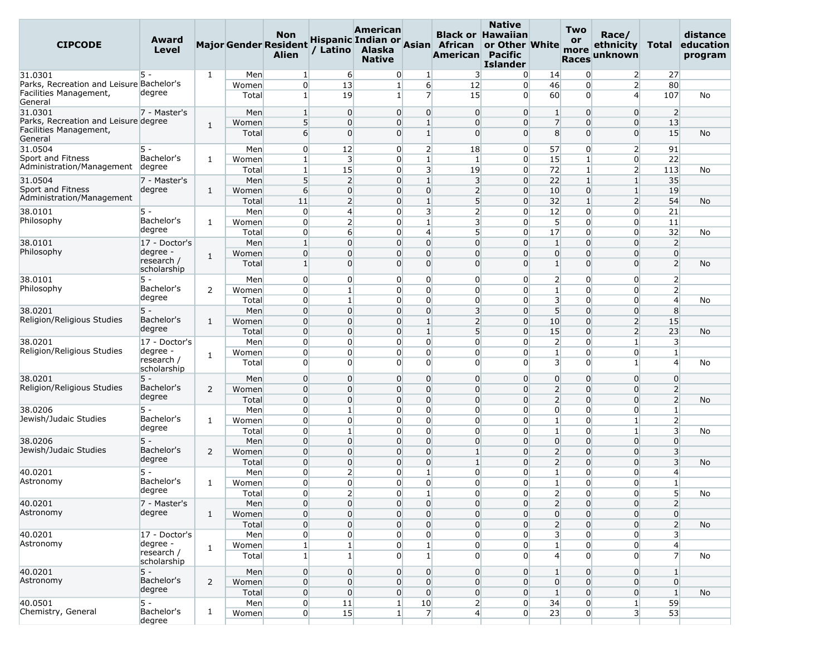| <b>CIPCODE</b>                                                 | Award<br>Level            |              |                | <b>Non</b><br><b>Major Gender Resident</b><br><b>Alien</b> | / Latino                | American<br>Alaska<br><b>Native</b> |                              | Hispanic Indian or Asian African<br>American Pacific | <b>Native</b><br><b>Black or Hawaiian</b><br>or Other White<br><b>Islander</b> |                         | Two<br>or<br>more<br><b>Races</b> | Race/<br>ethnicity<br>unknown    | Total                   | distance<br>education<br>program |
|----------------------------------------------------------------|---------------------------|--------------|----------------|------------------------------------------------------------|-------------------------|-------------------------------------|------------------------------|------------------------------------------------------|--------------------------------------------------------------------------------|-------------------------|-----------------------------------|----------------------------------|-------------------------|----------------------------------|
| 31.0301                                                        | 5 -                       | $\mathbf{1}$ | Men            | $\mathbf{1}$                                               | 6                       | $\overline{0}$                      | 1                            | $\overline{\mathbf{3}}$                              | $\overline{0}$                                                                 | 14                      | $\overline{0}$                    | $\overline{2}$                   | 27                      |                                  |
| Parks, Recreation and Leisure Bachelor's                       |                           |              | Women          | $\overline{0}$                                             | 13                      | $\mathbf{1}$                        | $6 \overline{}$              | 12                                                   | $\overline{0}$                                                                 | 46                      | $\overline{0}$                    | $\overline{2}$                   | 80                      |                                  |
| Facilities Management,<br>General                              | degree                    |              | Total          | $1\vert$                                                   | 19                      | $1\overline{ }$                     | $\overline{7}$               | 15                                                   | $\Omega$                                                                       | 60                      | $\Omega$                          | $\overline{4}$                   | 107                     | No                               |
| 31.0301                                                        | 7 - Master's              |              | Men            | 1                                                          | $\Omega$                | $\overline{0}$                      | 0                            | $\overline{0}$                                       | $\overline{0}$                                                                 | $\mathbf{1}$            | $\overline{0}$                    | $\overline{0}$                   | $\overline{2}$          |                                  |
| Parks, Recreation and Leisure degree<br>Facilities Management, |                           | 1            | Women<br>Total | 5 <sup>1</sup><br>$6 \overline{6}$                         | $\Omega$<br>$\Omega$    | $\overline{0}$<br>$\overline{0}$    | $\mathbf{1}$<br>$\mathbf{1}$ | $\overline{0}$<br>$\overline{0}$                     | $\Omega$<br>$\overline{0}$                                                     | $\overline{7}$<br>8     | $\overline{0}$<br>$\overline{0}$  | $\overline{0}$<br>$\overline{0}$ | 13<br>15                | <b>No</b>                        |
| General                                                        |                           |              |                |                                                            |                         |                                     |                              |                                                      |                                                                                |                         |                                   |                                  |                         |                                  |
| 31.0504                                                        | $5 -$                     |              | Men            | $\overline{0}$                                             | 12                      | $\overline{0}$                      | $\overline{2}$               | 18                                                   | $\overline{0}$                                                                 | 57                      | $\Omega$                          | 2                                | 91                      |                                  |
| Sport and Fitness<br>Administration/Management                 | Bachelor's<br>degree      | 1            | Women          | $1\vert$                                                   | $\overline{\mathbf{3}}$ | $\overline{0}$                      | $\mathbf{1}$                 | $\mathbf{1}$                                         | $\overline{0}$                                                                 | 15                      | $1\overline{ }$                   | $\overline{0}$                   | 22                      |                                  |
|                                                                |                           |              | Total          | 1                                                          | 15                      | $\overline{0}$                      | $\overline{\mathbf{3}}$      | 19                                                   | $\Omega$                                                                       | 72                      | $1\vert$                          | $\overline{2}$                   | 113                     | No                               |
| 31.0504                                                        | 7 - Master's              |              | Men            | 5                                                          | $\overline{2}$          | $\overline{0}$                      | $\mathbf{1}$                 | $\overline{3}$                                       | $\Omega$                                                                       | 22                      | $1\overline{ }$                   | $1\overline{ }$                  | 35                      |                                  |
| Sport and Fitness<br>Administration/Management                 | degree                    | $\mathbf{1}$ | Women          | 6                                                          | $\overline{0}$          | $\overline{0}$                      | $\overline{0}$               | $\overline{2}$                                       | $\overline{0}$                                                                 | 10                      | $\overline{0}$                    | $\mathbf{1}$                     | 19                      |                                  |
|                                                                |                           |              | Total          | 11                                                         | $\overline{2}$          | $\overline{0}$                      | $\mathbf{1}$                 | 5                                                    | $\Omega$                                                                       | 32                      | $\mathbf{1}$                      | $\overline{2}$                   | 54                      | No                               |
| 38.0101                                                        | 5 -                       |              | Men            | $\overline{0}$                                             | $\overline{4}$          | $\overline{0}$                      | $\overline{3}$               | $\overline{2}$                                       | $\overline{0}$                                                                 | 12                      | $\overline{0}$                    | $\overline{0}$                   | 21                      |                                  |
| Philosophy                                                     | Bachelor's                | $\mathbf{1}$ | Women          | $\overline{0}$                                             | 2                       | $\overline{0}$                      | $1\overline{ }$              | 3                                                    | $\overline{0}$                                                                 | 5 <sup>5</sup>          | $\Omega$                          | $\overline{0}$                   | 11                      |                                  |
|                                                                | degree                    |              | Total          | $\overline{0}$                                             | $6 \overline{6}$        | $\overline{0}$                      | $\overline{4}$               | $5\overline{)}$                                      | $\overline{0}$                                                                 | 17                      | $\overline{0}$                    | 0                                | 32                      | No                               |
| 38.0101                                                        | 17 - Doctor's             |              | Men            | $\mathbf{1}$                                               | $\Omega$                | $\overline{0}$                      | $\mathbf 0$                  | $\overline{0}$                                       | $\overline{0}$                                                                 | $\mathbf{1}$            | $\overline{0}$                    | $\overline{0}$                   | $\overline{2}$          |                                  |
| Philosophy                                                     | degree -                  | $\mathbf{1}$ | Women          | $\overline{0}$                                             | $\Omega$                | $\overline{0}$                      | $\overline{0}$               | $\overline{0}$                                       | $\Omega$                                                                       | $\overline{0}$          | $\overline{0}$                    | $\overline{0}$                   | $\overline{0}$          |                                  |
|                                                                | research /<br>scholarship |              | Total          | $\vert$ 1                                                  | $\Omega$                | $\overline{0}$                      | $\mathbf{0}$                 | $\overline{0}$                                       | $\Omega$                                                                       | $\mathbf{1}$            | $\Omega$                          | $\Omega$                         | $\overline{2}$          | No                               |
| 38.0101                                                        | 5 -                       |              | Men            | $\overline{0}$                                             | $\overline{0}$          | $\overline{0}$                      | $\overline{0}$               | $\overline{0}$                                       | $\overline{0}$                                                                 | $\overline{2}$          | $\overline{0}$                    | $\overline{0}$                   | $\overline{2}$          |                                  |
| Philosophy                                                     | Bachelor's                | 2            | Women          | $\overline{0}$                                             | $\mathbf{1}$            | $\overline{0}$                      | $\overline{0}$               | $\overline{0}$                                       | $\overline{0}$                                                                 | $\mathbf{1}$            | $\overline{0}$                    | $\overline{0}$                   | $\overline{2}$          |                                  |
|                                                                | degree                    |              | Total          | $\overline{0}$                                             | $1\vert$                | $\overline{0}$                      | $\overline{0}$               | $\overline{0}$                                       | $\overline{0}$                                                                 | $\overline{\mathbf{3}}$ | $\overline{0}$                    | 0                                | $\overline{4}$          | No                               |
| 38.0201                                                        | $5 -$                     |              | Men            | $\overline{0}$                                             | $\Omega$                | $\overline{0}$                      | $\Omega$                     | 3                                                    | $\Omega$                                                                       | 5 <sup>5</sup>          | $\Omega$                          | $\overline{0}$                   | 8                       |                                  |
| Religion/Religious Studies                                     | Bachelor's                | 1            | Women          | $\mathbf 0$                                                | $\Omega$                | 0                                   | $\mathbf{1}$                 | 2                                                    | $\Omega$                                                                       | 10                      | $\overline{0}$                    | $\overline{2}$                   | 15                      |                                  |
|                                                                | degree                    |              | Total          | $\overline{0}$                                             | $\overline{0}$          | $\overline{0}$                      | $\mathbf{1}$                 | $5\overline{)}$                                      | $\Omega$                                                                       | 15                      | $\overline{0}$                    | $\overline{2}$                   | 23                      | <b>No</b>                        |
| 38.0201                                                        | 17 - Doctor's             |              | Men            | $\overline{0}$                                             | $\Omega$                | $\overline{0}$                      | $\Omega$                     | $\overline{0}$                                       | $\overline{0}$                                                                 | $\overline{2}$          | $\overline{0}$                    | 1 <sup>1</sup>                   | $\overline{\mathbf{3}}$ |                                  |
| Religion/Religious Studies                                     | degree -                  | $\mathbf{1}$ | Women          | $\overline{0}$                                             | $\overline{0}$          | $\overline{0}$                      | 0                            | $\overline{0}$                                       | $\overline{0}$                                                                 | $\mathbf{1}$            | $\overline{0}$                    | 0                                | $\mathbf{1}$            |                                  |
|                                                                | research /<br>scholarship |              | Total          | $\overline{0}$                                             | $\Omega$                | $\Omega$                            | $\Omega$                     | $\Omega$                                             | $\Omega$                                                                       | $\overline{3}$          | $\Omega$                          | 1                                | $\overline{4}$          | No                               |
| 38.0201                                                        | $5 -$                     |              | Men            | $\overline{0}$                                             | $\Omega$                | $\overline{0}$                      | $\mathbf 0$                  | $\overline{0}$                                       | $\Omega$                                                                       | $\overline{0}$          | $\overline{0}$                    | $\overline{0}$                   | $\overline{0}$          |                                  |
| Religion/Religious Studies                                     | Bachelor's                | 2            | Women          | $\overline{0}$                                             | $\Omega$                | $\overline{0}$                      | $\mathbf{0}$                 | $\overline{0}$                                       | $\overline{0}$                                                                 | $\overline{2}$          | $\overline{0}$                    | $\overline{0}$                   | $\overline{2}$          |                                  |
|                                                                | degree                    |              | Total          | $\overline{0}$                                             | $\overline{0}$          | $\overline{0}$                      | $\overline{0}$               | $\overline{0}$                                       | $\Omega$                                                                       | $\overline{2}$          | $\overline{0}$                    | $\overline{0}$                   | $\overline{2}$          | No                               |
| 38.0206                                                        | $5 -$                     |              | Men            | $\overline{0}$                                             | 1                       | $\overline{0}$                      | 0                            | $\overline{0}$                                       | $\overline{0}$                                                                 | $\overline{0}$          | $\overline{0}$                    | $\overline{0}$                   | $\mathbf{1}$            |                                  |
| Jewish/Judaic Studies                                          | Bachelor's                | 1            | Women          | $\overline{0}$                                             | $\overline{0}$          | $\overline{0}$                      | $\overline{0}$               | $\overline{0}$                                       | $\Omega$                                                                       | $\mathbf{1}$            | $\overline{0}$                    | $\mathbf{1}$                     | $\overline{2}$          |                                  |
|                                                                | degree                    |              | Total          | $\overline{0}$                                             | $\mathbf{1}$            | $\overline{0}$                      | $\Omega$                     | $\overline{0}$                                       | $\overline{0}$                                                                 | $\mathbf{1}$            | $\overline{0}$                    | $\mathbf{1}$                     | $\overline{\mathbf{3}}$ | No                               |
| 38.0206                                                        | $5 -$                     |              | Men            | $\overline{0}$                                             | $\overline{0}$          | $\overline{0}$                      | $\mathbf 0$                  | $\overline{0}$                                       | $\overline{0}$                                                                 | $\overline{0}$          | $\overline{0}$                    | $\Omega$                         | $\overline{0}$          |                                  |
| Jewish/Judaic Studies                                          | Bachelor's                | 2            | Women          | $\overline{0}$                                             | $\Omega$                | $\overline{0}$                      | $\mathbf 0$                  | $\mathbf{1}$                                         | $\Omega$                                                                       | $\overline{2}$          | $\overline{0}$                    | $\overline{0}$                   | $\overline{3}$          |                                  |
|                                                                | degree                    |              | Total          | $\overline{0}$                                             | $\overline{0}$          | $\overline{0}$                      | $\overline{0}$               | $\vert$ 1                                            | $\Omega$                                                                       | $\overline{2}$          | $\overline{0}$                    | $\overline{0}$                   | $\overline{3}$          | No                               |
| 40.0201                                                        | $5 -$                     |              | Men            | $\overline{0}$                                             | 2                       | 0                                   | $\mathbf{1}$                 | $\overline{0}$                                       | $\Omega$                                                                       | $\mathbf{1}$            | $\overline{0}$                    | 0                                | $\overline{4}$          |                                  |
| Astronomy                                                      | Bachelor's                | $\mathbf{1}$ | Women          | $\overline{0}$                                             | $\overline{0}$          | $\overline{0}$                      | $\overline{0}$               | $\overline{0}$                                       | $\overline{0}$                                                                 | $\mathbf{1}$            | $\overline{0}$                    | $\overline{0}$                   | $\mathbf{1}$            |                                  |
|                                                                | degree                    |              | Total          | $\overline{0}$                                             | $\overline{2}$          | $\overline{0}$                      | $\mathbf{1}$                 | $\overline{0}$                                       | $\overline{0}$                                                                 | $\overline{2}$          | $\mathbf{0}$                      | $\overline{0}$                   | $\mathsf{S}$            | No                               |
| 40.0201                                                        | 7 - Master's              |              | Men            | $\mathbf 0$                                                | $\overline{0}$          | $\overline{0}$                      | 0                            | $\overline{0}$                                       | $\overline{0}$                                                                 | $\overline{2}$          | $\overline{0}$                    | $\overline{0}$                   | 2                       |                                  |
| Astronomy                                                      | degree                    | $\mathbf{1}$ | Women          | $\overline{0}$                                             | $\overline{0}$          | $\overline{0}$                      | $\overline{0}$               | $\overline{0}$                                       | $\overline{0}$                                                                 | $\overline{0}$          | $\overline{0}$                    | $\overline{0}$                   | $\overline{0}$          |                                  |
|                                                                |                           |              | Total          | $\overline{0}$                                             | $\overline{0}$          | $\overline{0}$                      | $\overline{0}$               | $\overline{0}$                                       | $\overline{0}$                                                                 | $\overline{2}$          | $\overline{0}$                    | $\overline{0}$                   | $\overline{2}$          | No                               |
| 40.0201                                                        | 17 - Doctor's             |              | Men            | $\overline{0}$                                             | $\overline{0}$          | $\overline{0}$                      | $\overline{0}$               | $\overline{0}$                                       | $\overline{0}$                                                                 | $\overline{\mathbf{3}}$ | $\overline{0}$                    | $\overline{0}$                   | $\overline{\mathbf{3}}$ |                                  |
| Astronomy                                                      | degree -                  |              | Women          | $1\vert$                                                   | $\mathbf{1}$            | $\overline{0}$                      | $\mathbf{1}$                 | $\overline{0}$                                       | $\overline{0}$                                                                 | $1\overline{ }$         | $\overline{0}$                    | $\overline{0}$                   | $\overline{4}$          |                                  |
|                                                                | research /<br>scholarship | $\mathbf{1}$ | Total          | $\mathbf{1}$                                               | $\mathbf{1}$            | $\overline{0}$                      | $\mathbf{1}$                 | $\overline{0}$                                       | $\overline{0}$                                                                 | $\overline{4}$          | $\overline{0}$                    | $\overline{0}$                   | $\overline{7}$          | No                               |
| 40.0201                                                        | $5 -$                     |              | Men            | $\overline{0}$                                             | $\overline{0}$          | $\overline{0}$                      | 0                            | $\overline{0}$                                       | $\overline{0}$                                                                 | $\mathbf{1}$            | $\overline{0}$                    | $\overline{0}$                   | $\mathbf{1}$            |                                  |
| Astronomy                                                      | Bachelor's                | 2            | Women          | $\overline{0}$                                             | $\overline{0}$          | $\overline{0}$                      | $\overline{0}$               | $\overline{0}$                                       | $\overline{0}$                                                                 | $\overline{0}$          | $\overline{0}$                    | $\overline{0}$                   | $\overline{0}$          |                                  |
|                                                                | degree                    |              |                |                                                            | $\overline{0}$          | $\overline{0}$                      | 0                            | $\overline{0}$                                       | $\overline{0}$                                                                 | $\mathbf{1}$            | $\overline{0}$                    |                                  | $\mathbf{1}$            |                                  |
| 40.0501                                                        | $5 -$                     |              | Total          | $\overline{0}$                                             |                         |                                     |                              |                                                      | $\overline{0}$                                                                 | 34                      |                                   | 0                                | 59                      | No                               |
| Chemistry, General                                             | Bachelor's                | $\mathbf{1}$ | Men<br>Women   | $\overline{0}$<br> 0                                       | 11<br>15                | $\mathbf{1}$<br>$\mathbf{1}$        | 10<br>$\overline{7}$         | $\overline{2}$<br>$\overline{4}$                     | $\overline{0}$                                                                 | 23                      | $\overline{0}$<br>$\overline{0}$  | $\mathbf{1}$<br>3 <sup>l</sup>   | 53                      |                                  |
|                                                                | degree                    |              |                |                                                            |                         |                                     |                              |                                                      |                                                                                |                         |                                   |                                  |                         |                                  |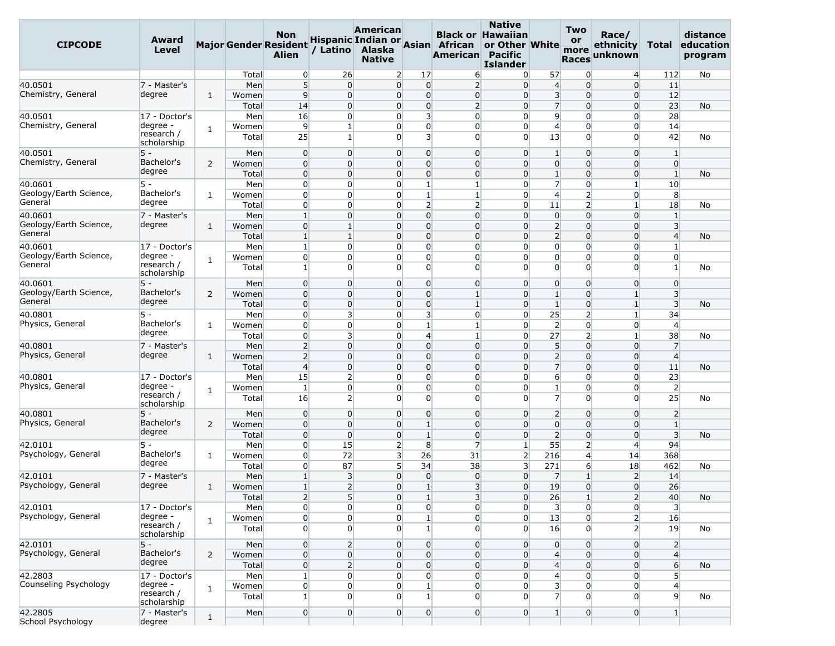| <b>CIPCODE</b>               | Award<br><b>Level</b>     |                |              | <b>Non</b><br><b>Major Gender Resident</b><br><b>Alien</b> | / Latino                | American<br>Alaska<br><b>Native</b> |                                   | Hispanic Indian or Asian African<br>American Pacific | <b>Native</b><br><b>Black or Hawaiian</b><br>or Other White<br><b>Islander</b> |                         | <b>Two</b><br>or<br>more<br><b>Races</b> | Race/<br>ethnicity<br>unknown | Total                   | distance<br>education<br>program |
|------------------------------|---------------------------|----------------|--------------|------------------------------------------------------------|-------------------------|-------------------------------------|-----------------------------------|------------------------------------------------------|--------------------------------------------------------------------------------|-------------------------|------------------------------------------|-------------------------------|-------------------------|----------------------------------|
|                              |                           |                | Total        | $\overline{0}$                                             | 26                      |                                     | $\overline{2}$<br>17              | 6                                                    | $\Omega$                                                                       | 57                      | $\overline{0}$                           | $\overline{4}$                | 112                     | No                               |
| 40.0501                      | 7 - Master's              |                | Men          | 5                                                          | $\Omega$                |                                     | $\overline{0}$<br>$\mathbf 0$     | $\overline{2}$                                       | $\Omega$                                                                       | $\overline{4}$          | $\overline{0}$                           | $\overline{0}$                | 11                      |                                  |
| Chemistry, General           | degree                    | $\mathbf{1}$   | Women        | $\overline{9}$                                             | $\overline{0}$          |                                     | $\overline{0}$<br>$\overline{0}$  | $\overline{0}$                                       | $\Omega$                                                                       | $\overline{\mathbf{3}}$ | $\overline{0}$                           | $\overline{0}$                | 12                      |                                  |
|                              |                           |                | Total        | 14                                                         | $\overline{0}$          |                                     | $\overline{0}$<br>0               | $\overline{2}$                                       | $\Omega$                                                                       | $\overline{7}$          | $\overline{0}$                           | $\overline{0}$                | 23                      | No                               |
| 40.0501                      | 17 - Doctor's             |                | Men          | 16                                                         | $\overline{0}$          |                                     | $\overline{3}$<br>0               | $\overline{0}$                                       | $\Omega$                                                                       | $\overline{9}$          | $\overline{0}$                           | $\overline{0}$                | 28                      |                                  |
| Chemistry, General           | degree -                  | $\mathbf{1}$   | Women        | $\overline{9}$                                             | $\mathbf{1}$            |                                     | $\overline{0}$<br>$\overline{0}$  | $\overline{0}$                                       | $\overline{0}$                                                                 | $\overline{4}$          | $\overline{0}$                           | $\overline{0}$                | 14                      |                                  |
|                              | research /<br>scholarship |                | Total        | 25                                                         | $\mathbf{1}$            |                                     | $\overline{3}$<br>0               | $\overline{0}$                                       | $\Omega$                                                                       | 13                      | $\overline{0}$                           | 0                             | 42                      | No                               |
| 40.0501                      | $5 -$                     |                | Men          | $\overline{0}$                                             | $\overline{0}$          |                                     | $\overline{0}$<br>0               | $\overline{0}$                                       | $\Omega$                                                                       | $\mathbf{1}$            | $\overline{0}$                           | $\overline{0}$                | $\mathbf{1}$            |                                  |
| Chemistry, General           | Bachelor's                | 2              | Women        | $\overline{0}$                                             | $\Omega$                |                                     | $\mathbf 0$<br>$\overline{0}$     | $\overline{0}$                                       | $\Omega$                                                                       | $\overline{0}$          | $\overline{0}$                           | $\overline{0}$                | $\overline{0}$          |                                  |
|                              | degree                    |                | Total        | $\overline{0}$                                             | $\Omega$                |                                     | $\Omega$<br>$\overline{0}$        | $\overline{0}$                                       | $\Omega$                                                                       | $\mathbf{1}$            | $\overline{0}$                           | $\overline{0}$                | $\mathbf{1}$            | No                               |
| 40.0601                      | 5 -                       |                | Men          | $\overline{0}$                                             | $\overline{0}$          |                                     | $\mathbf{1}$<br>$\overline{0}$    | $1\overline{ }$                                      | $\overline{0}$                                                                 | $\overline{7}$          | $\overline{0}$                           | $\mathbf{1}$                  | 10                      |                                  |
| Geology/Earth Science,       | Bachelor's                | $\mathbf{1}$   | Women        | $\overline{0}$                                             | $\Omega$                |                                     | $\mathbf{1}$<br>$\overline{0}$    | $\mathbf{1}$                                         | $\Omega$                                                                       | $\overline{4}$          | $\overline{2}$                           | $\overline{0}$                | 8                       |                                  |
| General                      | degree                    |                | Total        | $\overline{0}$                                             | $\overline{0}$          |                                     | $\overline{0}$                    | $\overline{2}$<br>$\overline{2}$                     | $\Omega$                                                                       | 11                      | $\overline{2}$                           | $\mathbf{1}$                  | 18                      | No                               |
| 40.0601                      | 7 - Master's              |                | Men          | $\mathbf{1}$                                               | $\overline{0}$          |                                     | $\overline{0}$<br>$\overline{0}$  | $\overline{0}$                                       | $\Omega$                                                                       | $\overline{0}$          | $\overline{0}$                           | $\Omega$                      | $\mathbf{1}$            |                                  |
| Geology/Earth Science,       | degree                    | 1              | Women        | $\mathbf 0$                                                | $\mathbf{1}$            |                                     | 0<br>0                            | $\overline{0}$                                       | $\Omega$                                                                       | $\overline{2}$          | $\overline{0}$                           | 0                             | 3                       |                                  |
| General                      |                           |                | Total        | $\mathbf{1}$                                               | $\mathbf{1}$            |                                     | $\mathbf 0$<br>$\overline{0}$     | $\overline{0}$                                       | $\Omega$                                                                       | $\overline{2}$          | $\overline{0}$                           | $\overline{0}$                | $\overline{4}$          | No                               |
| 40.0601                      | 17 - Doctor's             |                | Men          | $\mathbf{1}$                                               | $\overline{0}$          |                                     | $\overline{0}$<br>$\overline{0}$  | $\overline{0}$                                       | $\Omega$                                                                       | $\overline{0}$          | $\overline{0}$                           | $\overline{0}$                | $\mathbf{1}$            |                                  |
| Geology/Earth Science,       | degree -                  | $\mathbf{1}$   | Women        | $\overline{0}$                                             | $\overline{0}$          |                                     | 0<br>$\overline{0}$               | $\overline{0}$                                       | $\Omega$                                                                       | $\overline{0}$          | $\overline{0}$                           | $\overline{0}$                | $\overline{0}$          |                                  |
| General                      | research /<br>scholarship |                | Total        | $\mathbf{1}$                                               | $\Omega$                |                                     | $\Omega$<br>$\Omega$              | $\Omega$                                             | $\Omega$                                                                       | $\Omega$                | $\Omega$                                 | $\Omega$                      | $\mathbf{1}$            | No                               |
| 40.0601                      | $5 -$                     |                | Men          | $\overline{0}$                                             | $\Omega$                |                                     | $\mathbf 0$<br>$\overline{0}$     | $\overline{0}$                                       | $\Omega$                                                                       | $\overline{0}$          | $\overline{0}$                           | $\overline{0}$                | $\overline{0}$          |                                  |
| Geology/Earth Science,       | Bachelor's                | $\overline{2}$ | Women        | $\mathbf 0$                                                | $\Omega$                |                                     | $\Omega$<br>$\overline{0}$        | $\mathbf{1}$                                         | $\Omega$                                                                       | $\mathbf{1}$            | $\overline{0}$                           | $\mathbf{1}$                  | 3                       |                                  |
| General                      | degree                    |                | Total        | $\overline{0}$                                             | $\overline{0}$          |                                     | $\overline{0}$<br>$\mathbf 0$     | $1\overline{ }$                                      | $\Omega$                                                                       | $\mathbf{1}$            | $\overline{0}$                           | $\mathbf{1}$                  | $\overline{\mathbf{3}}$ | No                               |
| 40.0801                      | 5 -                       |                | Men          | $\overline{0}$                                             | 3                       |                                     | 3<br>$\overline{0}$               | $\overline{0}$                                       | $\Omega$                                                                       | 25                      | $\mathbf{2}$                             | $\mathbf{1}$                  | 34                      |                                  |
| Physics, General             | Bachelor's                | 1              | Women        | $\overline{0}$                                             | $\overline{0}$          |                                     | $\mathbf{1}$<br>$\overline{0}$    | $1\overline{ }$                                      | $\Omega$                                                                       | $\overline{2}$          | $\overline{0}$                           | $\overline{0}$                | $\overline{4}$          |                                  |
|                              | degree                    |                | Total        | $\overline{0}$                                             | $\overline{\mathbf{3}}$ |                                     | $\overline{4}$<br>$\overline{0}$  | $\mathbf{1}$                                         | $\Omega$                                                                       | 27                      | $\overline{2}$                           | $\mathbf{1}$                  | 38                      | No                               |
| 40.0801                      | 7 - Master's              |                | Men          | $\overline{2}$                                             | $\Omega$                |                                     | $\mathbf 0$<br>0                  | $\overline{0}$                                       | $\Omega$                                                                       | 5 <sup>1</sup>          | $\overline{0}$                           | $\overline{0}$                | $\overline{7}$          |                                  |
| Physics, General             | degree                    | 1              | Women        | $\overline{2}$                                             | $\Omega$                |                                     | $\mathbf 0$<br>$\overline{0}$     | $\overline{0}$                                       | $\Omega$                                                                       | $\overline{2}$          | $\overline{0}$                           | $\overline{0}$                | $\overline{4}$          |                                  |
|                              |                           |                | Total        | $\overline{4}$                                             | $\Omega$                |                                     | $\overline{0}$<br>$\overline{0}$  | $\overline{0}$                                       | $\Omega$                                                                       | $\overline{7}$          | $\overline{0}$                           | $\overline{0}$                | 11                      | No                               |
| 40.0801                      | 17 - Doctor's             |                | Men          | 15                                                         | $\overline{2}$          |                                     | 0<br>$\overline{0}$               | $\overline{0}$                                       | $\Omega$                                                                       | 6                       | $\overline{0}$                           | $\Omega$                      | 23                      |                                  |
| Physics, General             | degree -                  |                | Women        | 1                                                          | $\Omega$                |                                     | 0<br>$\overline{0}$               | $\overline{0}$                                       | $\Omega$                                                                       | $\mathbf{1}$            | $\overline{0}$                           | $\overline{0}$                | $\overline{2}$          |                                  |
|                              | research /<br>scholarship | 1              | Total        | 16                                                         | 2                       |                                     | $\overline{0}$<br>$\overline{0}$  | $\overline{0}$                                       | $\Omega$                                                                       | $\overline{7}$          | $\overline{0}$                           | $\overline{0}$                | 25                      | No                               |
| 40.0801                      | 5 -                       |                | Men          | $\overline{0}$                                             | $\overline{0}$          |                                     | $\mathbf 0$<br>$\overline{0}$     | $\overline{0}$                                       | $\overline{0}$                                                                 | $\overline{2}$          | $\overline{0}$                           | $\overline{0}$                | $\overline{2}$          |                                  |
| Physics, General             | Bachelor's                | 2              | Women        | $\mathbf 0$                                                | $\overline{0}$          |                                     | $\overline{0}$<br>$\mathbf{1}$    | $\overline{0}$                                       | $\Omega$                                                                       | $\overline{0}$          | $\overline{0}$                           | $\overline{0}$                | $\mathbf{1}$            |                                  |
|                              | degree                    |                | Total        | $\mathbf 0$                                                | $\Omega$                |                                     | 0<br>$\mathbf{1}$                 | $\overline{0}$                                       | $\Omega$                                                                       | $\overline{2}$          | $\overline{0}$                           | $\overline{0}$                | $\overline{3}$          | No                               |
| 42.0101                      | 5 -                       |                | Men          | $\overline{0}$                                             | 15                      |                                     | $\overline{2}$<br>8               | $\overline{7}$                                       | $\mathbf{1}$                                                                   | 55                      | $\overline{2}$                           | $\overline{4}$                | 94                      |                                  |
| Psychology, General          | Bachelor's                | $\mathbf{1}$   | Women        | $\overline{0}$                                             | 72                      |                                     | $\overline{\mathbf{3}}$<br>26     | 31                                                   | $\overline{2}$                                                                 | 216                     | $\overline{4}$                           | 14                            | 368                     |                                  |
|                              | degree                    |                | Total        | $\overline{0}$                                             | 87                      |                                     | 5 <sup>1</sup><br>34              | 38                                                   | $\overline{\mathbf{3}}$                                                        | 271                     | $6 \overline{}$                          | 18                            | 462                     | No                               |
| 42.0101                      | 7 - Master's              |                | Men          | $\mathbf{1}$                                               | 3                       |                                     | $\overline{0}$<br>0               | $\overline{0}$                                       | $\overline{0}$                                                                 | $\overline{7}$          | $1\overline{ }$                          | $\overline{2}$                | 14                      |                                  |
| Psychology, General          | degree                    | $\mathbf{1}$   | Women        | $\vert$ 1                                                  | $\overline{2}$          |                                     | $\mathbf{1}$<br>$\overline{0}$    | $\overline{3}$                                       | $\overline{0}$                                                                 | 19                      | $\overline{0}$                           | $\overline{0}$                | 26                      |                                  |
|                              |                           |                | <b>Total</b> | $\overline{2}$                                             | $5\overline{)}$         |                                     | $\overline{0}$<br>$\mathbf{1}$    | 3                                                    | $\overline{0}$                                                                 | 26                      | $\mathbf{1}$                             | $\mathsf{2}$                  | 40                      | No                               |
| 42.0101                      | 17 - Doctor's             |                | Men          | $\overline{0}$                                             | $\overline{0}$          |                                     | $\overline{0}$                    | $\overline{0}$<br>$\overline{0}$                     | $\overline{0}$                                                                 | $\overline{\mathbf{3}}$ | $\overline{0}$                           | $\overline{0}$                | $\overline{\mathbf{3}}$ |                                  |
| Psychology, General          | degree -                  |                | Women        | $\overline{0}$                                             | $\overline{0}$          |                                     | $\overline{0}$<br>$\mathbf{1}$    | $\overline{0}$                                       | $\overline{0}$                                                                 | 13                      | $\overline{0}$                           | $\overline{2}$                | 16                      |                                  |
|                              | research /<br>scholarship | $\mathbf{1}$   | Total        | $\overline{0}$                                             | $\overline{0}$          |                                     | $\overline{0}$<br>$\mathbf{1}$    | $\overline{0}$                                       | $\Omega$                                                                       | 16                      | $\overline{0}$                           | $\overline{2}$                | 19                      | No                               |
| 42.0101                      | $5 -$                     |                | Men          | $\overline{0}$                                             | $\overline{2}$          |                                     | $\overline{0}$                    | $\overline{0}$<br>$\overline{0}$                     | $\overline{0}$                                                                 | $\overline{0}$          | $\overline{0}$                           | $\overline{0}$                | $\overline{2}$          |                                  |
| Psychology, General          | Bachelor's                | $\overline{2}$ | Women        | $\overline{0}$                                             | $\overline{0}$          |                                     | $\overline{0}$<br>0               | $\overline{0}$                                       | $\overline{0}$                                                                 | $\overline{4}$          | 0                                        | $\overline{0}$                | $\overline{4}$          |                                  |
|                              | degree                    |                | Total        | $\overline{0}$                                             | $\overline{2}$          |                                     | $\overline{0}$<br>$\overline{0}$  | $\overline{0}$                                       | $\overline{0}$                                                                 | $\overline{4}$          | $\overline{0}$                           | $\overline{0}$                | $6 \overline{}$         | No                               |
| 42.2803                      | 17 - Doctor's             |                | Men          | $\mathbf{1}$                                               | $\overline{0}$          |                                     | $\overline{0}$                    | $\overline{0}$<br>$\overline{0}$                     | $\overline{0}$                                                                 | $\overline{4}$          | $\overline{0}$                           | $\overline{0}$                | $5\overline{)}$         |                                  |
| Counseling Psychology        | degree -                  |                | Women        | $\overline{0}$                                             | $\overline{0}$          |                                     | $\overline{0}$<br>$\mathbf{1}$    | $\overline{0}$                                       | $\overline{0}$                                                                 | $\overline{\mathbf{3}}$ | 0                                        | $\overline{0}$                | $\overline{4}$          |                                  |
|                              | research /                | $\mathbf{1}$   | Total        | $1\vert$                                                   | $\Omega$                |                                     | $\overline{0}$<br>$1\overline{ }$ | $\overline{0}$                                       | $\Omega$                                                                       | $\overline{7}$          | $\overline{0}$                           | $\Omega$                      | $\overline{9}$          | No                               |
|                              | scholarship               |                |              |                                                            |                         |                                     |                                   |                                                      |                                                                                |                         |                                          |                               |                         |                                  |
| 42.2805<br>School Psychology | 7 - Master's<br>degree    | $\mathbf{1}$   | Men          | 0                                                          | $\overline{0}$          |                                     | $\overline{0}$                    | $\overline{0}$<br>$\overline{0}$                     | $\overline{0}$                                                                 | $\mathbf{1}$            | $\overline{0}$                           | $\overline{0}$                | $\mathbf{1}$            |                                  |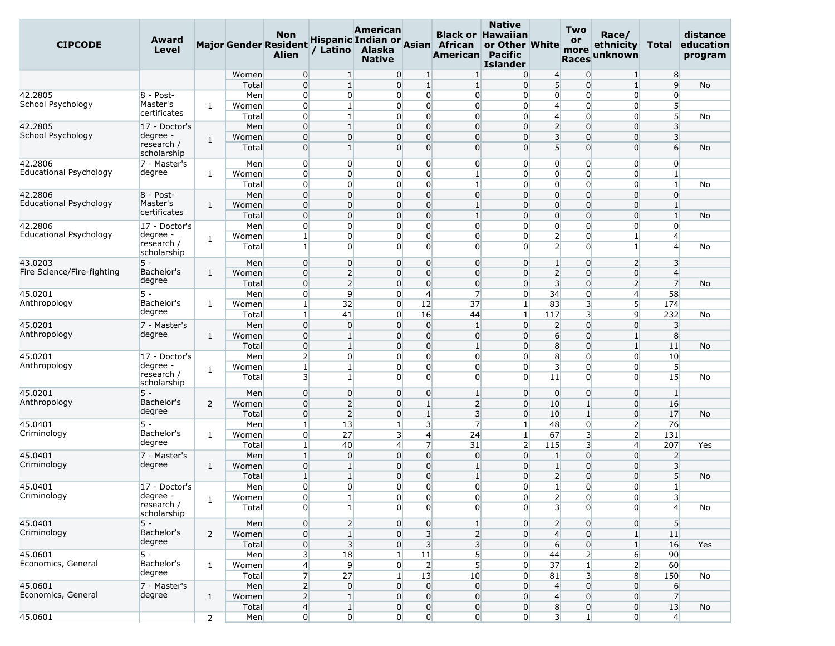| <b>CIPCODE</b>             | Award<br><b>Level</b>                 |                |                | Non<br><b>Major Gender Resident</b><br><b>Alien</b> | / Latino                       | American<br>Alaska<br><b>Native</b> |                      | Hispanic Indian or Asian African<br>American Pacific                 | <b>Native</b><br><b>Black or Hawaiian</b><br>or Other White<br><b>Islander</b> |                                           | <b>Two</b><br><b>or</b><br>more<br><b>Races</b> | Race/<br>ethnicity<br>unknown | Total                                       | distance<br>education<br>program |
|----------------------------|---------------------------------------|----------------|----------------|-----------------------------------------------------|--------------------------------|-------------------------------------|----------------------|----------------------------------------------------------------------|--------------------------------------------------------------------------------|-------------------------------------------|-------------------------------------------------|-------------------------------|---------------------------------------------|----------------------------------|
|                            |                                       |                | Women          | $\overline{0}$                                      | 1                              |                                     | $\overline{0}$<br>1  | $\vert$ 1                                                            | $\overline{0}$                                                                 | $\overline{4}$                            | $\mathbf{0}$                                    | $\mathbf{1}$                  | 8                                           |                                  |
|                            |                                       |                | Total          | $\overline{0}$                                      | $\mathbf{1}$                   |                                     | 0                    | $\mathbf{1}$<br>1                                                    | $\overline{0}$                                                                 | 5 <sup>1</sup>                            | $\overline{0}$                                  | $1\overline{ }$               | 9                                           | No                               |
| 42.2805                    | 8 - Post-                             |                | Men            | $\overline{0}$                                      | $\overline{0}$                 |                                     | 0                    | $\overline{0}$<br>$\overline{0}$                                     | $\overline{0}$                                                                 | $\overline{0}$                            | $\overline{0}$                                  | $\overline{0}$                | $\overline{0}$                              |                                  |
| School Psychology          | Master's                              | 1              | Women          | $\overline{0}$                                      | 1                              |                                     | 0                    | $\overline{0}$<br>$\overline{0}$                                     | $\Omega$                                                                       | $\overline{4}$                            | $\overline{0}$                                  | $\overline{0}$                | 5                                           |                                  |
|                            | certificates                          |                | Total          | $\overline{0}$                                      | 1                              |                                     | 0                    | $\overline{0}$<br>$\overline{0}$                                     | $\overline{0}$                                                                 | $\overline{4}$                            | $\overline{0}$                                  | 0                             | 5 <sup>5</sup>                              | No                               |
| 42.2805                    | 17 - Doctor's                         |                | Men            | $\overline{0}$                                      | $\mathbf{1}$                   |                                     | 0                    | $\overline{0}$<br>$\overline{0}$                                     | $\overline{0}$                                                                 | $\overline{2}$                            | $\overline{0}$                                  | $\overline{0}$                | $\overline{3}$                              |                                  |
| School Psychology          | degree -<br>research /<br>scholarship | $\mathbf{1}$   | Women<br>Total | $\overline{0}$<br>$\overline{0}$                    | $\overline{0}$<br>$\mathbf{1}$ |                                     | 0<br>$\overline{0}$  | $\overline{0}$<br>$\overline{0}$<br>$\overline{0}$<br>$\overline{0}$ | $\overline{0}$<br>$\overline{0}$                                               | $\overline{\mathbf{3}}$<br>5 <sup>1</sup> | $\overline{0}$<br>$\overline{0}$                | $\overline{0}$<br>$\Omega$    | $\overline{\mathbf{3}}$<br>$6 \overline{6}$ | No                               |
| 42.2806                    | 7 - Master's                          |                | Men            | $\overline{0}$                                      | $\overline{0}$                 |                                     | 0                    | $\overline{0}$<br>$\overline{0}$                                     | $\overline{0}$                                                                 | $\overline{0}$                            | $\overline{0}$                                  | $\overline{0}$                | $\overline{0}$                              |                                  |
| Educational Psychology     | degree                                | 1              | Women          | $\overline{0}$                                      | $\Omega$                       |                                     | 0                    | $\overline{0}$<br>$\mathbf{1}$                                       | $\overline{0}$                                                                 | $\overline{0}$                            | $\overline{0}$                                  | 0                             | $\mathbf{1}$                                |                                  |
|                            |                                       |                | Total          | $\overline{0}$                                      | $\overline{0}$                 |                                     | $\overline{0}$       | $\overline{0}$<br>$\mathbf{1}$                                       | $\overline{0}$                                                                 | $\overline{0}$                            | $\overline{0}$                                  | 0                             | $\mathbf{1}$                                | No                               |
| 42.2806                    | 8 - Post-                             |                | Men            | $\overline{0}$                                      | $\Omega$                       |                                     | 0                    | $\overline{0}$<br>$\overline{0}$                                     | $\Omega$                                                                       | $\overline{0}$                            | $\overline{0}$                                  | $\overline{0}$                | $\overline{0}$                              |                                  |
| Educational Psychology     | Master's                              | 1              | Women          | $\overline{0}$                                      | $\overline{0}$                 |                                     | 0                    | $\overline{0}$<br>$\mathbf{1}$                                       | $\overline{0}$                                                                 | $\overline{0}$                            | $\overline{0}$                                  | $\overline{0}$                | $\mathbf{1}$                                |                                  |
|                            | certificates                          |                | Total          | $\overline{0}$                                      | $\overline{0}$                 |                                     | $\overline{0}$       | $\overline{0}$<br>$\mathbf{1}$                                       | $\overline{0}$                                                                 | $\overline{0}$                            | $\overline{0}$                                  | $\overline{0}$                | $\mathbf{1}$                                | <b>No</b>                        |
| 42.2806                    | 17 - Doctor's                         |                | Men            | $\overline{0}$                                      | $\overline{0}$                 |                                     | 0                    | $\overline{0}$<br>$\overline{0}$                                     | $\Omega$                                                                       | $\overline{0}$                            | $\overline{0}$                                  | 0                             | $\mathbf{0}$                                |                                  |
| Educational Psychology     | degree -                              | 1              | Women          | $\mathbf{1}$                                        | $\overline{0}$                 |                                     | 0                    | $\overline{0}$<br>$\overline{0}$                                     | $\Omega$                                                                       | $\overline{2}$                            | $\overline{0}$                                  | $\mathbf{1}$                  | $\overline{4}$                              |                                  |
|                            | research /<br>scholarship             |                | Total          | $\mathbf{1}$                                        | $\overline{0}$                 |                                     | $\overline{0}$       | $\overline{0}$<br>$\overline{0}$                                     | $\Omega$                                                                       | $\overline{2}$                            | $\overline{0}$                                  | $\mathbf{1}$                  | $\overline{4}$                              | No                               |
| 43.0203                    | 5 -                                   |                | Men            | $\overline{0}$                                      | $\overline{0}$                 |                                     | 0                    | $\overline{0}$<br>$\overline{0}$                                     | $\overline{0}$                                                                 | 1                                         | $\overline{0}$                                  | 2                             | 3                                           |                                  |
| Fire Science/Fire-fighting | Bachelor's                            | 1              | Women          | $\overline{0}$                                      | $\overline{2}$                 |                                     | $\overline{0}$       | $\overline{0}$<br>$\overline{0}$                                     | $\overline{0}$                                                                 | $\overline{2}$                            | $\overline{0}$                                  | $\overline{0}$                | $\overline{4}$                              |                                  |
|                            | degree                                |                | Total          | $\overline{0}$                                      | $\overline{2}$                 |                                     | 0                    | $\overline{0}$<br>$\overline{0}$                                     | $\Omega$                                                                       | $\overline{3}$                            | $\overline{0}$                                  | $\overline{2}$                | $\overline{7}$                              | No                               |
| 45.0201                    | $5 -$                                 |                | Men            | $\overline{0}$                                      | 9                              |                                     | $\overline{4}$<br>0  | $\overline{7}$                                                       | $\overline{0}$                                                                 | 34                                        | $\overline{0}$                                  | $\overline{4}$                | 58                                          |                                  |
| Anthropology               | Bachelor's                            | 1              | Women          | $\mathbf{1}$                                        | 32                             |                                     | $\overline{0}$<br>12 | 37                                                                   | $\mathbf{1}$                                                                   | 83                                        | 3                                               | 5                             | 174                                         |                                  |
|                            | degree                                |                | Total          | $\mathbf{1}$                                        | 41                             |                                     | $\overline{0}$<br>16 | 44                                                                   | $\mathbf{1}$                                                                   | 117                                       | 3                                               | 9                             | 232                                         | No                               |
| 45.0201                    | 7 - Master's                          |                | Men            | $\overline{0}$                                      | $\overline{0}$                 |                                     | $\overline{0}$       | $\overline{0}$<br>$\vert$ 1                                          | $\overline{0}$                                                                 | $\overline{2}$                            | $\overline{0}$                                  | $\overline{0}$                | $\overline{3}$                              |                                  |
| Anthropology               | degree                                | $\mathbf{1}$   | Women          | $\overline{0}$                                      | $\mathbf{1}$                   |                                     | $\overline{0}$       | $\overline{0}$<br>$\overline{0}$                                     | $\overline{0}$                                                                 | $6 \overline{}$                           | $\overline{0}$                                  | $1\overline{ }$               | 8                                           |                                  |
|                            |                                       |                | Total          | $\overline{0}$                                      | 1                              |                                     | 0                    | $\overline{0}$<br>$\vert$ 1                                          | $\overline{0}$                                                                 | 8                                         | $\overline{0}$                                  | $\mathbf{1}$                  | 11                                          | No                               |
| 45.0201                    | 17 - Doctor's                         |                | Men            | $\overline{2}$                                      | $\overline{0}$                 |                                     | 0                    | $\overline{0}$<br>$\overline{0}$                                     | $\Omega$                                                                       | 8                                         | $\overline{0}$                                  | $\overline{0}$                | 10                                          |                                  |
| Anthropology               | degree -<br>research /                | $\mathbf{1}$   | Women<br>Total | $\mathbf{1}$<br>$\overline{\mathbf{3}}$             | $\mathbf{1}$<br>$\mathbf{1}$   |                                     | $\overline{0}$<br>0  | $\overline{0}$<br>$\overline{0}$<br>$\overline{0}$<br>$\overline{0}$ | $\Omega$<br>$\overline{0}$                                                     | $\overline{3}$<br>11                      | $\overline{0}$<br>$\overline{0}$                | $\overline{0}$<br>$\Omega$    | $5\overline{)}$<br>15                       | No                               |
| 45.0201                    | scholarship<br>$5 -$                  |                | Men            | $\overline{0}$                                      | $\overline{0}$                 |                                     | 0                    | $\overline{0}$<br>$\mathbf{1}$                                       | $\overline{0}$                                                                 | $\overline{0}$                            | $\overline{0}$                                  | $\overline{0}$                | $\mathbf{1}$                                |                                  |
| Anthropology               | Bachelor's                            | 2              | Women          | $\overline{0}$                                      | $\overline{2}$                 |                                     | 0                    | $\overline{2}$<br>$\mathbf{1}$                                       | $\overline{0}$                                                                 | 10                                        | $\mathbf{1}$                                    | $\overline{0}$                | 16                                          |                                  |
|                            | degree                                |                | Total          | $\overline{0}$                                      | 2                              |                                     | $\overline{0}$       | $1\overline{ }$<br>$\overline{\mathbf{3}}$                           | $\overline{0}$                                                                 | 10                                        | $1\vert$                                        | $\overline{0}$                | 17                                          | No                               |
| 45.0401                    | $5 -$                                 |                | Men            | $\mathbf{1}$                                        | 13                             |                                     | $\mathbf{1}$         | $\overline{\mathbf{3}}$<br>$\overline{7}$                            | $\mathbf{1}$                                                                   | 48                                        | $\overline{0}$                                  | $\overline{2}$                | 76                                          |                                  |
| Criminology                | Bachelor's                            | 1              | Women          | $\overline{0}$                                      | 27                             |                                     | 3                    | $\overline{4}$<br>24                                                 | $\mathbf{1}$                                                                   | 67                                        | 3                                               | $\overline{2}$                | 131                                         |                                  |
|                            | degree                                |                | Total          | $\mathbf{1}$                                        | 40                             |                                     | 4                    | $\overline{7}$<br>31                                                 | $\overline{2}$                                                                 | 115                                       | 3                                               | $\overline{4}$                | 207                                         | Yes                              |
| 45.0401                    | 7 - Master's                          |                | Men            | $\mathbf{1}$                                        | $\overline{0}$                 |                                     | $\overline{0}$       | $\overline{0}$<br>$\overline{0}$                                     | $\overline{0}$                                                                 | $\mathbf{1}$                              | $\overline{0}$                                  | $\overline{0}$                | $\overline{2}$                              |                                  |
| Criminology                | degree                                | 1              | Women          | $\overline{0}$                                      | 1                              |                                     | 0                    | $\overline{0}$<br>$\vert$ 1                                          | $\overline{0}$                                                                 | $\mathbf{1}$                              | $\overline{0}$                                  | $\overline{0}$                | $\overline{3}$                              |                                  |
|                            |                                       |                | Total          | $\mathbf{1}$                                        | 1                              |                                     | 0                    | $\overline{0}$<br>$\mathbf{1}$                                       | $\Omega$                                                                       | $\overline{2}$                            | $\overline{0}$                                  | $\overline{0}$                | 5 <sup>5</sup>                              | No                               |
| 45.0401                    | 17 - Doctor's                         |                | Men            | $\overline{0}$                                      | $\Omega$                       |                                     | 0                    | $\overline{0}$<br>$\overline{0}$                                     | $\overline{0}$                                                                 | $1\overline{ }$                           | $\overline{0}$                                  | $\overline{0}$                | $\mathbf{1}$                                |                                  |
| Criminology                | degree -                              |                | Women          | $\overline{0}$                                      | 1                              |                                     | 0                    | $\overline{0}$<br>$\overline{0}$                                     | $\overline{0}$                                                                 | $\overline{2}$                            | $\overline{0}$                                  | $\overline{0}$                | 3                                           |                                  |
|                            | research /<br>scholarship             | $1\,$          | Total          | $\overline{0}$                                      | $\mathbf{1}$                   |                                     | 0                    | $\overline{0}$<br>$\overline{0}$                                     | $\overline{0}$                                                                 | $\overline{\mathbf{3}}$                   | $\overline{0}$                                  | $\Omega$                      | $\overline{4}$                              | No                               |
| 45.0401                    | $5 -$                                 |                | Men            | $\overline{0}$                                      | $\overline{2}$                 |                                     | $\overline{0}$       | $\mathbf{1}$<br>$\overline{0}$                                       | $\overline{0}$                                                                 | $\overline{2}$                            | $\overline{0}$                                  | $\overline{0}$                | 5 <sup>5</sup>                              |                                  |
| Criminology                | Bachelor's                            | $\overline{2}$ | Women          | $\overline{0}$                                      | $1\overline{ }$                |                                     | $\overline{0}$       | 3<br>$\overline{2}$                                                  | $\overline{0}$                                                                 | $\overline{4}$                            | $\overline{0}$                                  | $\mathbf{1}$                  | 11                                          |                                  |
|                            | degree                                |                | Total          | $\overline{0}$                                      | $\overline{3}$                 |                                     | $\overline{0}$       | $\overline{\mathbf{3}}$<br>$\overline{\mathbf{3}}$                   | $\overline{0}$                                                                 | $6 \overline{6}$                          | $\overline{0}$                                  | $\vert$ 1                     | 16                                          | Yes                              |
| 45.0601                    | $5 -$                                 |                | Men            | $\overline{\mathbf{3}}$                             | 18                             | $\mathbf{1}$                        | 11                   | 5 <sup>1</sup>                                                       | $\overline{0}$                                                                 | 44                                        | $\mathbf{2}$                                    | 6                             | 90                                          |                                  |
| Economics, General         | Bachelor's                            | $\mathbf{1}$   | Women          | $\overline{4}$                                      | $\overline{9}$                 |                                     | 0                    | 5 <sup>1</sup><br>$\overline{2}$                                     | $\overline{0}$                                                                 | 37                                        | $1\overline{ }$                                 | $\overline{2}$                | 60                                          |                                  |
|                            | degree                                |                | Total          | $\overline{7}$                                      | 27                             | $\mathbf{1}$                        | 13                   | 10                                                                   | $\overline{0}$                                                                 | 81                                        | 3 <sup>1</sup>                                  | 8                             | 150                                         | No                               |
| 45.0601                    | 7 - Master's                          |                | Men            | $\overline{2}$                                      | $\overline{0}$                 |                                     | $\overline{0}$       | $\overline{0}$<br>$\overline{0}$                                     | $\overline{0}$                                                                 | $\overline{4}$                            | $\overline{0}$                                  | $\overline{0}$                | $6 \overline{6}$                            |                                  |
| Economics, General         | degree                                | 1              | Women          | $\overline{2}$                                      | $\mathbf{1}$                   |                                     | $\overline{0}$       | $\overline{0}$<br>$\overline{0}$                                     | $\overline{0}$                                                                 | $\overline{4}$                            | $\overline{0}$                                  | $\overline{0}$                | $\overline{7}$                              |                                  |
|                            |                                       |                | Total          | $\overline{4}$                                      | $1\overline{ }$                |                                     | $\overline{0}$       | $\overline{0}$<br>$\overline{0}$                                     | $\overline{0}$                                                                 | 8                                         | $\overline{0}$                                  | $\overline{0}$                | 13                                          | <b>No</b>                        |
| 45.0601                    |                                       | $\overline{2}$ | Men            | $\overline{0}$                                      | $\overline{0}$                 |                                     | 0                    | $\overline{0}$                                                       | $\overline{0}$<br>$\overline{0}$                                               | $\overline{\mathbf{3}}$                   | $1\vert$                                        | $\overline{0}$                | $\overline{4}$                              |                                  |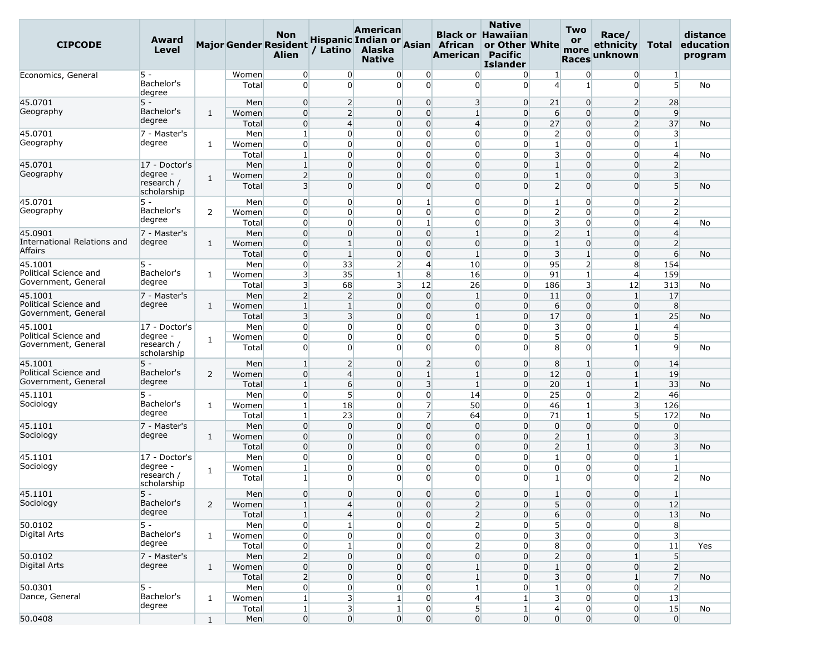| <b>CIPCODE</b>                               | Award<br>Level            |                |                | <b>Non</b><br><b>Major Gender Resident</b><br><b>Alien</b> | / Latino                          | <b>American</b><br>Alaska<br><b>Native</b> |                                                                    | Hispanic Indian or Asian African<br><b>American Pacific</b> | <b>Native</b><br><b>Black or Hawaiian</b><br>or Other White<br><b>Islander</b> |                                         | <b>Two</b><br><b>or</b><br>more<br><b>Races</b> | Race/<br>ethnicity<br>unknown    | Total                          | distance<br>education<br>program |
|----------------------------------------------|---------------------------|----------------|----------------|------------------------------------------------------------|-----------------------------------|--------------------------------------------|--------------------------------------------------------------------|-------------------------------------------------------------|--------------------------------------------------------------------------------|-----------------------------------------|-------------------------------------------------|----------------------------------|--------------------------------|----------------------------------|
| Economics, General                           | $5 -$                     |                | Women          | $\overline{0}$                                             | $\overline{0}$                    | $\overline{0}$                             | $\overline{0}$                                                     | $\Omega$                                                    | $\overline{0}$                                                                 | $\mathbf{1}$                            | $\overline{0}$                                  | $\overline{0}$                   | $\mathbf{1}$                   |                                  |
|                                              | Bachelor's<br>degree      |                | Total          | $\overline{0}$                                             | $\Omega$                          | $\Omega$                                   | $\Omega$                                                           | $\Omega$                                                    | $\Omega$                                                                       | $\overline{4}$                          | $\mathbf{1}$                                    | $\Omega$                         | 5 <sup>1</sup>                 | No                               |
| 45.0701                                      | $5 -$                     |                | Men            | $\overline{0}$                                             | $\overline{2}$                    | $\overline{0}$                             | $\overline{0}$                                                     | $\overline{\mathbf{3}}$                                     | $\overline{0}$                                                                 | 21                                      | $\overline{0}$                                  | $\overline{2}$                   | 28                             |                                  |
| Geography                                    | Bachelor's                | 1              | Women          | $\overline{0}$                                             | $\overline{2}$                    | $\overline{0}$                             | $\overline{0}$                                                     | $1\overline{ }$                                             | $\overline{0}$                                                                 | 6                                       | $\overline{0}$                                  | $\overline{0}$                   | 9                              |                                  |
|                                              | degree                    |                | Total          | $\overline{0}$                                             | $\overline{4}$                    | $\overline{0}$                             | $\overline{0}$                                                     | $\overline{4}$                                              | $\Omega$                                                                       | 27                                      | $\overline{0}$                                  | $\overline{2}$                   | 37                             | No                               |
| 45.0701<br>Geography                         | 7 - Master's<br>degree    |                | Men            | $\vert$ 1                                                  | $\overline{0}$                    | $\overline{0}$                             | $\overline{0}$                                                     | $\overline{0}$<br>$\Omega$                                  | $\overline{0}$                                                                 | $\overline{2}$                          | $\overline{0}$                                  | $\overline{0}$                   | $\overline{\mathbf{3}}$        |                                  |
|                                              |                           | $\mathbf{1}$   | Women          | $\overline{0}$<br>$1\vert$                                 | $\overline{0}$<br>$\overline{0}$  | $\overline{0}$<br>0                        | $\overline{0}$<br>$\overline{0}$                                   | $\overline{0}$                                              | $\Omega$<br>$\Omega$                                                           | $\mathbf{1}$<br>$\overline{\mathbf{3}}$ | $\overline{0}$<br>$\overline{0}$                | $\overline{0}$<br>$\overline{0}$ | $\mathbf{1}$<br>$\overline{4}$ |                                  |
| 45.0701                                      | 17 - Doctor's             |                | Total<br>Men   | $\vert$ 1                                                  | $\overline{0}$                    | $\overline{0}$                             | $\overline{0}$                                                     | $\overline{0}$                                              | $\overline{0}$                                                                 | $\mathbf{1}$                            | $\overline{0}$                                  | $\overline{0}$                   | $\overline{2}$                 | No                               |
| Geography                                    | degree -                  |                | Women          | $\overline{2}$                                             | $\Omega$                          | $\overline{0}$                             | $\overline{0}$                                                     | $\overline{0}$                                              | $\Omega$                                                                       | $\mathbf{1}$                            | $\overline{0}$                                  | $\overline{0}$                   | $\overline{\mathbf{3}}$        |                                  |
|                                              | research /<br>scholarship | $\mathbf{1}$   | Total          | $\overline{3}$                                             | $\Omega$                          | $\overline{0}$                             | $\Omega$                                                           | $\overline{0}$                                              | $\Omega$                                                                       | $\overline{2}$                          | $\overline{0}$                                  | $\Omega$                         | 5 <sup>5</sup>                 | No                               |
| 45.0701                                      | $5 -$                     |                | Men            | $\overline{0}$                                             | $\overline{0}$                    | $\overline{0}$                             | $\mathbf{1}$                                                       | $\overline{0}$                                              | $\overline{0}$                                                                 | $\mathbf{1}$                            | $\overline{0}$                                  | $\overline{0}$                   | $\overline{2}$                 |                                  |
| Geography                                    | Bachelor's                | 2              | Women          | $\overline{0}$                                             | $\Omega$                          | $\overline{0}$                             | $\overline{0}$                                                     | $\overline{0}$                                              | $\Omega$                                                                       | $\overline{2}$                          | $\Omega$                                        | $\Omega$                         | $\overline{2}$                 |                                  |
|                                              | degree                    |                | Total          | $\overline{0}$                                             | $\Omega$                          | $\overline{0}$                             | $\mathbf{1}$                                                       | $\overline{0}$                                              | $\Omega$                                                                       | $\overline{\mathbf{3}}$                 | $\overline{0}$                                  | $\overline{0}$                   | $\overline{4}$                 | No                               |
| 45.0901                                      | 7 - Master's              |                | Men            | $\overline{0}$                                             | $\overline{0}$                    | $\overline{0}$                             | $\overline{0}$                                                     | $\mathbf{1}$                                                | $\Omega$                                                                       | $\overline{2}$                          | $\mathbf{1}$                                    | $\overline{0}$                   | $\overline{4}$                 |                                  |
| International Relations and                  | degree                    | $\mathbf{1}$   | Women          | $\overline{0}$                                             | $\mathbf{1}$                      | $\overline{0}$                             | $\overline{0}$                                                     | $\overline{0}$                                              | $\overline{0}$                                                                 | $\mathbf{1}$                            | $\overline{0}$                                  | 0                                | $\overline{2}$                 |                                  |
| <b>Affairs</b>                               |                           |                | Total          | $\overline{0}$                                             | $\mathbf{1}$                      | $\overline{0}$                             | $\overline{0}$                                                     | $\mathbf{1}$                                                | $\overline{0}$                                                                 | $\overline{\mathbf{3}}$                 | $1\overline{ }$                                 | $\overline{0}$                   | $6 \overline{}$                | No                               |
| 45.1001                                      | $5 -$                     |                | Men            | $\overline{0}$                                             | 33                                | $\overline{2}$                             | $\overline{4}$                                                     | 10                                                          | $\Omega$                                                                       | 95                                      | $\overline{2}$                                  | 8                                | 154                            |                                  |
| Political Science and<br>Government, General | Bachelor's<br>degree      | 1              | Women          | 3 <sup>1</sup>                                             | 35                                | $\mathbf{1}$                               | 8                                                                  | 16                                                          | $\overline{0}$                                                                 | 91                                      | $1\vert$                                        | $\overline{4}$                   | 159                            |                                  |
|                                              |                           |                | Total          | $\overline{\mathbf{3}}$                                    | 68                                | 3                                          | 12                                                                 | 26                                                          | $\overline{0}$                                                                 | 186                                     | $\overline{\mathbf{3}}$                         | 12                               | 313                            | No                               |
| 45.1001<br>Political Science and             | 7 - Master's<br>degree    |                | Men            | $\overline{2}$                                             | $\overline{2}$                    | $\overline{0}$                             | $\overline{0}$                                                     | $\mathbf{1}$                                                | $\Omega$                                                                       | 11                                      | $\overline{0}$                                  | $\mathbf{1}$                     | 17                             |                                  |
| Government, General                          |                           | $\mathbf{1}$   | Women<br>Total | $\vert$ 1<br>$\overline{3}$                                | $1\overline{ }$<br>$\overline{3}$ | $\overline{0}$<br>$\overline{0}$           | $\overline{0}$<br>$\overline{0}$                                   | $\overline{0}$<br>$1\overline{ }$                           | $\overline{0}$<br>$\overline{0}$                                               | $6 \overline{6}$<br>17                  | $\overline{0}$<br>$\overline{0}$                | $\overline{0}$<br>$\mathbf{1}$   | 8<br>25                        | No                               |
| 45.1001                                      | 17 - Doctor's             |                | Men            | $\overline{0}$                                             | $\Omega$                          | 0                                          | $\overline{0}$                                                     | $\overline{0}$                                              | $\Omega$                                                                       | $\overline{\mathbf{3}}$                 | $\overline{0}$                                  | 1                                | $\overline{4}$                 |                                  |
| Political Science and                        | degree -                  |                | Women          | $\overline{0}$                                             | $\Omega$                          | $\overline{0}$                             | $\overline{0}$                                                     | $\overline{0}$                                              | $\Omega$                                                                       | 5 <sub>l</sub>                          | $\overline{0}$                                  | $\overline{0}$                   | 5 <sup>1</sup>                 |                                  |
| Government, General                          | research /<br>scholarship | 1              | Total          | $\overline{0}$                                             | $\overline{0}$                    | 0                                          | $\overline{0}$                                                     | $\overline{0}$                                              | $\Omega$                                                                       | 8                                       | $\overline{0}$                                  | $\mathbf{1}$                     | $\overline{9}$                 | No                               |
| 45.1001                                      | $5 -$                     |                | Men            | $\mathbf{1}$                                               | $\overline{2}$                    | $\overline{0}$                             | $\overline{2}$                                                     | $\overline{0}$                                              | $\overline{0}$                                                                 | 8                                       | $\mathbf{1}$                                    | $\overline{0}$                   | 14                             |                                  |
| Political Science and                        | Bachelor's                | 2              | Women          | $\overline{0}$                                             | $\overline{4}$                    | $\overline{0}$                             | $1\overline{ }$                                                    | $1\overline{ }$                                             | $\overline{0}$                                                                 | 12                                      | $\overline{0}$                                  | $1\overline{ }$                  | 19                             |                                  |
| Government, General                          | degree                    |                | Total          | $\mathbf{1}$                                               | $6 \overline{}$                   | $\overline{0}$                             | $\overline{3}$                                                     | $\mathbf{1}$                                                | $\Omega$                                                                       | 20                                      | $1\overline{ }$                                 | $\mathbf{1}$                     | 33                             | No                               |
| 45.1101                                      | $5 -$                     |                | Men            | $\overline{0}$                                             | 5 <sup>1</sup>                    | $\overline{0}$                             | $\overline{0}$                                                     | 14                                                          | $\overline{0}$                                                                 | 25                                      | $\overline{0}$                                  | $\overline{2}$                   | 46                             |                                  |
| Sociology                                    | Bachelor's                | 1              | Women          | $\vert$ 1                                                  | 18                                | $\overline{0}$                             | $\overline{7}$                                                     | 50                                                          | $\overline{0}$                                                                 | 46                                      | $1\overline{ }$                                 | $\overline{\mathbf{3}}$          | 126                            |                                  |
|                                              | degree                    |                | Total          | $1\vert$                                                   | 23                                | 0                                          | $\overline{7}$                                                     | 64                                                          | $\Omega$                                                                       | 71                                      | $\mathbf{1}$                                    | 5 <sup>1</sup>                   | 172                            | No                               |
| 45.1101                                      | 7 - Master's              |                | Men            | $\overline{0}$                                             | $\overline{0}$                    | $\overline{0}$                             | $\overline{0}$                                                     | $\overline{0}$                                              | $\overline{0}$                                                                 | $\overline{0}$                          | $\overline{0}$                                  | $\overline{0}$                   | $\overline{0}$                 |                                  |
| Sociology                                    | degree                    | $\mathbf{1}$   | Women          | $\overline{0}$                                             | $\overline{0}$                    | $\overline{0}$                             | $\overline{0}$                                                     | $\overline{0}$                                              | $\overline{0}$                                                                 | $\overline{2}$                          | $\mathbf{1}$                                    | $\overline{0}$                   | $\overline{\mathbf{3}}$        |                                  |
|                                              |                           |                | Total          | $\overline{0}$                                             | $\overline{0}$                    | $\overline{0}$                             | $\overline{0}$                                                     | $\overline{0}$                                              | $\Omega$                                                                       | $\overline{2}$                          | $\mathbf{1}$                                    | $\Omega$                         | $\overline{3}$                 | No                               |
| 45.1101<br>Sociology                         | 17 - Doctor's<br>degree - |                | Men            | $\overline{0}$<br>$\vert$ 1                                | $\Omega$<br>$\overline{0}$        | $\overline{0}$<br>$\overline{0}$           | $\overline{0}$<br>$\overline{0}$                                   | $\overline{0}$<br>$\overline{0}$                            | $\Omega$<br>$\Omega$                                                           | $\mathbf{1}$<br>$\overline{0}$          | $\overline{0}$<br>$\overline{0}$                | $\overline{0}$<br>$\overline{0}$ | $\mathbf{1}$<br>$\mathbf{1}$   |                                  |
|                                              | research /<br>scholarship | 1              | Women<br>Total | $\mathbf{1}$                                               | $\Omega$                          | $\Omega$                                   | $\Omega$                                                           | $\Omega$                                                    | $\Omega$                                                                       | $\mathbf{1}$                            | $\Omega$                                        | $\Omega$                         | $\overline{2}$                 | No                               |
| 45.1101                                      | $5 -$                     |                | Men            | $\overline{0}$                                             | $\overline{0}$                    |                                            | $\mathbf{0}$<br>$\overline{0}$                                     | $\overline{0}$                                              | $\overline{0}$                                                                 |                                         | $\overline{0}$                                  | $\overline{0}$                   | 1                              |                                  |
| Sociology                                    | Bachelor's                | $\overline{2}$ | Women          | $\mathbf{1}$                                               | $\overline{4}$                    | 0                                          | $\overline{0}$                                                     | $\overline{2}$                                              | $\overline{0}$                                                                 | 5 <sub>l</sub>                          | $\overline{0}$                                  | $\overline{0}$                   | 12                             |                                  |
|                                              | degree                    |                | Total          | $\vert$ 1                                                  | $\overline{4}$                    | $\overline{0}$                             | $\overline{0}$                                                     | $\overline{2}$                                              | $\overline{0}$                                                                 | 6                                       | $\overline{0}$                                  | $\overline{0}$                   | 13                             | No                               |
| 50.0102                                      | $5 -$                     |                | Men            | $\overline{0}$                                             | $1\overline{ }$                   | $\overline{0}$                             | $\overline{0}$                                                     | $2\vert$                                                    | $\overline{0}$                                                                 | 5 <sub>l</sub>                          | $\overline{0}$                                  | $\overline{0}$                   | 8                              |                                  |
| Digital Arts                                 | Bachelor's                | 1              | Women          | $\overline{0}$                                             | $\overline{0}$                    | 0                                          | $\overline{0}$                                                     | $\overline{0}$                                              | $\overline{0}$                                                                 | $\overline{\mathbf{3}}$                 | $\overline{0}$                                  | $\overline{0}$                   | $\overline{\mathbf{3}}$        |                                  |
|                                              | degree                    |                | Total          | $\overline{0}$                                             | $\mathbf{1}$                      | $\overline{0}$                             | $\overline{0}$                                                     | $\overline{2}$                                              | $\overline{0}$                                                                 | 8                                       | $\overline{0}$                                  | $\overline{0}$                   | 11                             | Yes                              |
| 50.0102                                      | 7 - Master's              |                | Men            | $\overline{2}$                                             | $\overline{0}$                    | $\overline{0}$                             | $\overline{0}$                                                     | $\overline{0}$                                              | $\overline{0}$                                                                 | $\overline{2}$                          | $\overline{0}$                                  | $\mathbf{1}$                     | 5 <sup>1</sup>                 |                                  |
| Digital Arts                                 | degree                    | $\mathbf{1}$   | Women          | $\overline{0}$                                             | $\overline{0}$                    | 0                                          | $\overline{0}$                                                     | $\mathbf{1}$                                                | $\overline{0}$                                                                 | $\mathbf{1}$                            | $\overline{0}$                                  | 0                                | $\overline{2}$                 |                                  |
|                                              |                           |                | Total          | $\overline{2}$                                             | $\overline{0}$                    | $\overline{0}$                             | $\overline{0}$                                                     | $\mathbf{1}$                                                | $\overline{0}$                                                                 | $\overline{\mathbf{3}}$                 | $\overline{0}$                                  | $\mathbf{1}$                     | $\overline{7}$                 | No                               |
| 50.0301<br>Dance, General                    | $5 -$<br>Bachelor's       |                | Men            | $\overline{0}$                                             | $\overline{0}$                    | $\overline{0}$                             | $\overline{0}$                                                     | $1\vert$                                                    | $\overline{0}$                                                                 | $\mathbf{1}$                            | $\overline{0}$                                  | $\overline{0}$                   | $\overline{2}$                 |                                  |
|                                              | degree                    | $\mathbf{1}$   | Women          | $\mathbf{1}$                                               | $\overline{\mathbf{3}}$           |                                            | $1\vert$<br>$\overline{0}$                                         | $\overline{4}$                                              | $\mathbf{1}$                                                                   | $\overline{\mathbf{3}}$                 | $\overline{0}$                                  | $\overline{0}$                   | 13                             |                                  |
| 50.0408                                      |                           |                | Total<br>Men   | $1\vert$<br> 0                                             | 3<br>$\overline{0}$               |                                            | $\mathbf{1}$<br>$\boldsymbol{0}$<br>$\mathbf{0}$<br>$\overline{0}$ | 5 <sup>1</sup><br>$\overline{0}$                            | $\mathbf{1}$<br>$\overline{0}$                                                 | $\overline{4}$<br>$\overline{0}$        | $\overline{0}$<br>$\overline{0}$                | 0<br>$\overline{0}$              | 15<br>$\overline{0}$           | No                               |
|                                              |                           | $\mathbf{1}$   |                |                                                            |                                   |                                            |                                                                    |                                                             |                                                                                |                                         |                                                 |                                  |                                |                                  |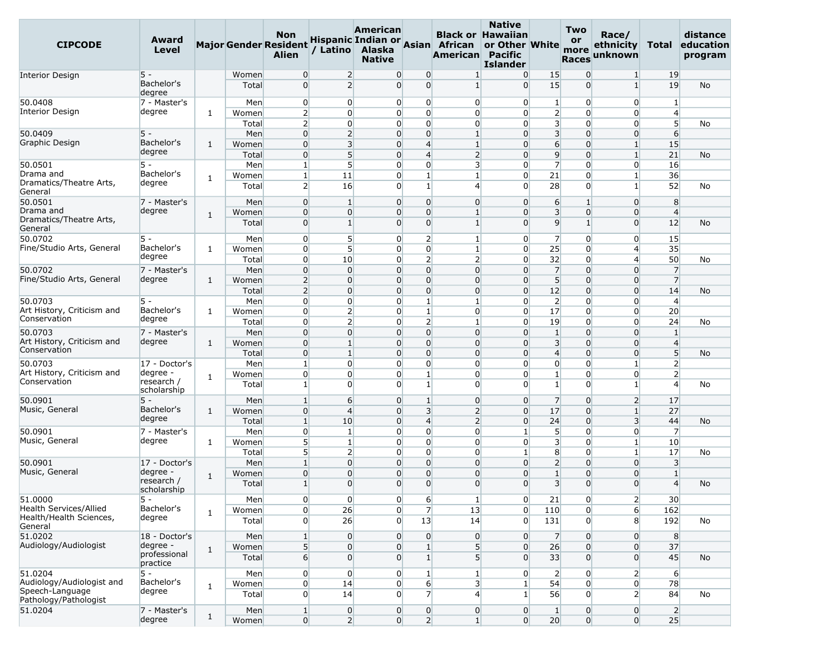| <b>CIPCODE</b>                           | Award<br>Level            |              |                | <b>Non</b><br><b>Major Gender Resident</b><br><b>Alien</b> |                            | American<br>/ Latino Alaska<br><b>Native</b> |                                                  | Hispanic Indian or Asian African<br>American Pacific         | <b>Native</b><br><b>Black or Hawaiian</b><br>or Other White<br><b>Islander</b> |                                         | <b>Two</b><br><b>or</b><br>more<br><b>Races</b> | Race/<br>ethnicity<br>unknown | Total                          | distance<br>education<br>program |
|------------------------------------------|---------------------------|--------------|----------------|------------------------------------------------------------|----------------------------|----------------------------------------------|--------------------------------------------------|--------------------------------------------------------------|--------------------------------------------------------------------------------|-----------------------------------------|-------------------------------------------------|-------------------------------|--------------------------------|----------------------------------|
| <b>Interior Design</b>                   | $5 -$                     |              | Women          | $\overline{0}$                                             | $\overline{2}$             |                                              | $\overline{0}$<br>0                              | $\mathbf{1}$                                                 | $\overline{0}$                                                                 | 15                                      | $\overline{0}$                                  | $\mathbf{1}$                  | 19                             |                                  |
|                                          | Bachelor's<br>degree      |              | Total          | $\overline{0}$                                             | $\overline{2}$             |                                              | $\Omega$<br>$\Omega$                             | $\mathbf{1}$                                                 | $\Omega$                                                                       | 15                                      | $\Omega$                                        | $1\overline{ }$               | 19                             | No                               |
| 50.0408                                  | 7 - Master's              |              | Men            | $\overline{0}$                                             | $\overline{0}$             |                                              | $\overline{0}$                                   | $\overline{0}$<br>$\overline{0}$                             | $\overline{0}$                                                                 | $\mathbf{1}$                            | $\overline{0}$                                  | $\overline{0}$                | $\mathbf{1}$                   |                                  |
| <b>Interior Design</b>                   | degree                    | $\mathbf{1}$ | Women          | $\overline{2}$                                             | $\Omega$                   |                                              | $\overline{0}$                                   | $\overline{0}$<br>$\overline{0}$                             | $\Omega$                                                                       | $\overline{2}$                          | $\overline{0}$                                  | $\overline{0}$                | $\overline{4}$                 |                                  |
|                                          |                           |              | Total          | $\overline{2}$                                             | $\overline{0}$             |                                              | $\mathbf{0}$<br>$\overline{0}$                   | $\overline{0}$                                               | $\overline{0}$                                                                 | $\overline{\mathbf{3}}$                 | $\Omega$                                        | 0                             | 5 <sup>1</sup>                 | No                               |
| 50.0409                                  | $5 -$                     |              | Men            | $\overline{0}$                                             | $\overline{2}$             |                                              | $\overline{0}$                                   | $\overline{0}$<br>$\mathbf{1}$                               | $\overline{0}$                                                                 | $\overline{3}$                          | $\overline{0}$                                  | $\overline{0}$                | 6                              |                                  |
| Graphic Design                           | Bachelor's<br>degree      | $\mathbf{1}$ | Women          | $\overline{0}$                                             | $\overline{\mathbf{3}}$    |                                              | $\overline{4}$<br>$\overline{0}$                 | $\mathbf{1}$                                                 | $\Omega$                                                                       | 6                                       | $\overline{0}$                                  | $\mathbf{1}$                  | 15                             |                                  |
|                                          |                           |              | Total          | $\overline{0}$                                             | 5                          | $\overline{0}$                               | $\overline{4}$                                   | $\overline{2}$                                               | $\Omega$                                                                       | 9                                       | $\Omega$                                        | $1\overline{ }$               | 21                             | No                               |
| 50.0501<br>Drama and                     | 5 -<br>Bachelor's         |              | Men            | $\mathbf{1}$<br>$\vert$ 1                                  | 5 <sup>1</sup>             |                                              | $\overline{0}$<br>$\mathbf{1}$<br>$\overline{0}$ | $\overline{0}$<br>$\overline{\mathbf{3}}$<br>$1\overline{ }$ | $\overline{0}$<br>$\Omega$                                                     | $\overline{7}$<br>21                    | $\overline{0}$<br>$\overline{0}$                | 0                             | 16<br>36                       |                                  |
| Dramatics/Theatre Arts,<br>General       | degree                    | 1            | Women<br>Total | $\overline{2}$                                             | 11<br>16                   |                                              | $\mathbf{1}$<br>$\Omega$                         | $\overline{4}$                                               | $\Omega$                                                                       | 28                                      | $\overline{0}$                                  | $\mathbf{1}$<br>1             | 52                             | No                               |
| 50.0501                                  | 7 - Master's              |              | Men            | $\overline{0}$                                             | $\mathbf{1}$               |                                              | $\overline{0}$                                   | $\Omega$<br>$\overline{0}$                                   | $\overline{0}$                                                                 | 6                                       | $1\overline{ }$                                 | $\overline{0}$                | 8                              |                                  |
| Drama and                                | degree                    | $\mathbf{1}$ | Women          | $\overline{0}$                                             | $\overline{0}$             | 0                                            | $\mathbf 0$                                      | $\mathbf{1}$                                                 | $\overline{0}$                                                                 | $\overline{\mathbf{3}}$                 | $\overline{0}$                                  | $\overline{0}$                | $\overline{4}$                 |                                  |
| Dramatics/Theatre Arts,<br>General       |                           |              | Total          | $\overline{0}$                                             | $1\vert$                   |                                              | $\Omega$                                         | $\Omega$<br>$\mathbf{1}$                                     | $\Omega$                                                                       | $\overline{9}$                          | $1\overline{ }$                                 | $\Omega$                      | 12                             | <b>No</b>                        |
| 50.0702                                  | $5 -$                     |              | Men            | $\overline{0}$                                             | 5 <sup>1</sup>             |                                              | $\overline{0}$                                   | $\overline{2}$<br>$\mathbf{1}$                               | $\overline{0}$                                                                 | $\overline{7}$                          | $\overline{0}$                                  | $\overline{0}$                | 15                             |                                  |
| Fine/Studio Arts, General                | Bachelor's                | 1            | Women          | $\overline{0}$                                             | 5 <sup>1</sup>             |                                              | $\overline{0}$                                   | $\overline{0}$<br>$\mathbf{1}$                               | $\overline{0}$                                                                 | 25                                      | $\overline{0}$                                  | $\overline{4}$                | 35                             |                                  |
|                                          | degree                    |              | Total          | $\overline{0}$                                             | 10                         |                                              | $\overline{0}$                                   | $\overline{2}$<br>$\overline{2}$                             | $\overline{0}$                                                                 | 32                                      | $\overline{0}$                                  | $\overline{4}$                | 50                             | No                               |
| 50.0702                                  | 7 - Master's              |              | Men            | $\overline{0}$                                             | $\Omega$                   |                                              | $\mathbf 0$<br>0                                 | $\overline{0}$                                               | $\overline{0}$                                                                 | $\overline{7}$                          | $\overline{0}$                                  | $\overline{0}$                | $\overline{7}$                 |                                  |
| Fine/Studio Arts, General                | degree                    | $\mathbf{1}$ | Women          | $\overline{2}$                                             | $\overline{0}$             | $\overline{0}$                               | $\overline{0}$                                   | $\overline{0}$                                               | $\overline{0}$                                                                 | 5 <sup>5</sup>                          | $\overline{0}$                                  | $\overline{0}$                | $\overline{7}$                 |                                  |
|                                          |                           |              | Total          | $\overline{2}$                                             | $\overline{0}$             |                                              | $\overline{0}$                                   | $\overline{0}$<br>$\overline{0}$                             | $\overline{0}$                                                                 | 12                                      | $\overline{0}$                                  | $\overline{0}$                | 14                             | No                               |
| 50.0703<br>Art History, Criticism and    | 5 -<br>Bachelor's         |              | Men            | $\overline{0}$                                             | $\overline{0}$             |                                              | $\mathbf{1}$<br>$\overline{0}$                   | $\mathbf{1}$                                                 | $\overline{0}$                                                                 | $\overline{2}$                          | $\overline{0}$                                  | 0                             | $\overline{4}$                 |                                  |
| Conservation                             | degree                    | 1            | Women          | $\overline{0}$                                             | $\overline{2}$             |                                              | $\overline{0}$                                   | $1\overline{ }$<br>$\overline{0}$                            | $\Omega$                                                                       | 17                                      | $\overline{0}$                                  | $\overline{0}$                | 20                             |                                  |
| 50.0703                                  |                           |              | Total          | $\overline{0}$<br>$\overline{0}$                           | 2 <sup>1</sup><br>$\Omega$ | $\overline{0}$                               | $\overline{0}$<br>$\mathbf 0$                    | $\overline{2}$<br>$\mathbf{1}$<br>$\overline{0}$             | $\Omega$<br>$\overline{0}$                                                     | 19<br>$\mathbf{1}$                      | $\overline{0}$<br>$\Omega$                      | 0<br>$\Omega$                 | 24<br>$\mathbf{1}$             | No                               |
| Art History, Criticism and               | 7 - Master's<br>degree    | $\mathbf{1}$ | Men<br>Women   | $\overline{0}$                                             | $\mathbf{1}$               |                                              | $\mathbf 0$<br>$\overline{0}$                    | $\overline{0}$                                               | $\overline{0}$                                                                 | $\overline{3}$                          | $\overline{0}$                                  | $\overline{0}$                | $\overline{4}$                 |                                  |
| Conservation                             |                           |              | Total          | $\overline{0}$                                             | $1\overline{ }$            |                                              | $\overline{0}$<br>$\overline{0}$                 | $\overline{0}$                                               | $\Omega$                                                                       | $\overline{4}$                          | $\overline{0}$                                  | $\overline{0}$                | 5 <sup>5</sup>                 | No                               |
| 50.0703                                  | 17 - Doctor's             |              | Men            | $\mathbf{1}$                                               | $\Omega$                   |                                              | $\mathbf{0}$<br>$\overline{0}$                   | $\Omega$                                                     | $\overline{0}$                                                                 | $\overline{0}$                          | $\Omega$                                        | $\mathbf{1}$                  | $\overline{2}$                 |                                  |
| Art History, Criticism and               | degree -                  | 1            | Women          | $\overline{0}$                                             | $\overline{0}$             |                                              | $\overline{0}$<br>$\mathbf{1}$                   | $\overline{0}$                                               | $\overline{0}$                                                                 | $\mathbf{1}$                            | $\overline{0}$                                  | 0                             | $\overline{2}$                 |                                  |
| Conservation                             | research /<br>scholarship |              | Total          | $\mathbf{1}$                                               | $\Omega$                   |                                              | $\mathbf{1}$<br>$\overline{0}$                   | $\overline{0}$                                               | $\Omega$                                                                       | $\mathbf{1}$                            | $\overline{0}$                                  | $\mathbf{1}$                  | $\overline{4}$                 | No                               |
| 50.0901                                  | $5 -$                     |              | Men            | $\mathbf{1}$                                               | $6 \overline{6}$           |                                              | $\overline{0}$<br>$\mathbf{1}$                   | $\overline{0}$                                               | $\Omega$                                                                       | $\overline{7}$                          | $\overline{0}$                                  | $\overline{2}$                | 17                             |                                  |
| Music, General                           | Bachelor's                | $\mathbf{1}$ | Women          | $\mathbf 0$                                                | $\overline{4}$             | $\overline{0}$                               |                                                  | $\overline{3}$<br>$\overline{2}$                             | $\Omega$                                                                       | 17                                      | $\overline{0}$                                  | $\mathbf{1}$                  | 27                             |                                  |
|                                          | degree                    |              | Total          | $\mathbf{1}$                                               | 10                         | 0                                            | $\overline{4}$                                   | $\overline{2}$                                               | $\overline{0}$                                                                 | 24                                      | $\overline{0}$                                  | $\overline{\mathbf{3}}$       | 44                             | No                               |
| 50.0901                                  | 7 - Master's              |              | Men            | $\overline{0}$                                             | $\mathbf{1}$               |                                              | 0<br>$\overline{0}$                              | $\overline{0}$                                               | $\mathbf{1}$                                                                   | 5 <sup>5</sup>                          | $\overline{0}$                                  | $\overline{0}$                | $\overline{7}$                 |                                  |
| Music, General                           | degree                    | 1            | Women          | 5 <sup>1</sup>                                             | 1 <sup>1</sup>             |                                              | $\overline{0}$                                   | $\overline{0}$<br>$\overline{0}$                             | $\overline{0}$                                                                 | $\overline{\mathbf{3}}$                 | $\overline{0}$                                  | $\mathbf{1}$                  | 10                             |                                  |
|                                          |                           |              | Total          | 5 <sup>1</sup>                                             | $\overline{2}$             |                                              | 0<br>$\overline{0}$                              | $\overline{0}$                                               | $\mathbf{1}$                                                                   | 8                                       | $\overline{0}$                                  | $\mathbf{1}$                  | 17                             | No                               |
| 50.0901<br>Music, General                | 17 - Doctor's<br>degree - |              | Men            | 1                                                          | $\Omega$                   |                                              | $\mathbf 0$<br>$\overline{0}$                    | $\overline{0}$                                               | $\Omega$                                                                       | $\overline{2}$                          | $\overline{0}$                                  | $\overline{0}$                | $\overline{\mathbf{3}}$        |                                  |
|                                          | research /                | $\mathbf{1}$ | Women          | $\mathbf 0$                                                | $\Omega$<br>$\Omega$       | $\overline{0}$<br>0                          | $\mathbf 0$<br>$\Omega$                          | $\overline{0}$<br>$\Omega$                                   | $\Omega$<br>$\Omega$                                                           | $\mathbf{1}$<br>$\overline{\mathbf{3}}$ | $\overline{0}$                                  | $\overline{0}$                | $\mathbf{1}$<br>$\overline{4}$ |                                  |
| 51.0000                                  | scholarship<br>5 -        |              | Total          | $\mathbf{1}$                                               | $\overline{0}$             |                                              | $\overline{0}$                                   |                                                              |                                                                                |                                         | $\Omega$<br>$\overline{0}$                      | $\Omega$                      | 30 <sup>°</sup>                | No                               |
| Health Services/Allied                   | Bachelor's                |              | Men<br>Women   | $\overline{0}$<br>$\overline{0}$                           | 26                         |                                              | $\overline{0}$                                   | $6 \mid$<br>$\mathbf{1}$<br>$\overline{7}$<br>13             | $\overline{0}$<br>$\overline{0}$                                               | 21<br>110                               | $\overline{0}$                                  | $\overline{2}$<br>$6 \mid$    | 162                            |                                  |
| Health/Health Sciences,                  | degree                    | $\mathbf{1}$ | Total          | $\overline{0}$                                             | 26                         |                                              | $\overline{0}$<br>13                             | 14                                                           | $\Omega$                                                                       | 131                                     | $\overline{0}$                                  | 8 <sup>1</sup>                | 192                            | No                               |
| General<br>51.0202                       | 18 - Doctor's             |              | Men            | $1\vert$                                                   | $\overline{0}$             |                                              | $\overline{0}$                                   | $\overline{0}$<br>$\overline{0}$                             | $\overline{0}$                                                                 | 7                                       | $\overline{0}$                                  | $\overline{0}$                | 8                              |                                  |
| Audiology/Audiologist                    | degree -                  |              | Women          | 5 <sup>1</sup>                                             | $\overline{0}$             |                                              | $\overline{0}$<br>$\mathbf{1}$                   | 5                                                            | $\overline{0}$                                                                 | 26                                      | $\overline{0}$                                  | $\overline{0}$                | 37                             |                                  |
|                                          | professional<br>practice  | $\mathbf{1}$ | Total          | $6 \overline{6}$                                           | $\overline{0}$             |                                              | $\overline{0}$                                   | 1 <sup>1</sup><br>5 <sub>l</sub>                             | $\overline{0}$                                                                 | 33                                      | $\overline{0}$                                  | $\overline{0}$                | 45                             | No                               |
| 51.0204                                  | $5 -$                     |              | Men            | $\overline{0}$                                             | $\overline{0}$             |                                              | $\overline{0}$                                   | $\mathbf{1}$<br>$1\vert$                                     | $\overline{0}$                                                                 | $\overline{2}$                          | $\overline{0}$                                  | $\overline{2}$                | $6 \mid$                       |                                  |
| Audiology/Audiologist and                | Bachelor's                | $\mathbf{1}$ | Women          | $\overline{0}$                                             | 14                         |                                              | $\overline{0}$                                   | 6<br>3 <sup>1</sup>                                          | 1 <sup>1</sup>                                                                 | 54                                      | $\overline{0}$                                  | $\overline{0}$                | 78                             |                                  |
| Speech-Language<br>Pathology/Pathologist | degree                    |              | Total          | $\overline{0}$                                             | 14                         |                                              | $\overline{0}$                                   | $\overline{7}$<br>$\overline{4}$                             | 1 <sup>1</sup>                                                                 | 56                                      | $\overline{0}$                                  | $\overline{2}$                | 84                             | No                               |
| 51.0204                                  | 7 - Master's              |              | Men            | $\mathbf{1}$                                               | $\overline{0}$             |                                              | $\overline{0}$                                   | $\overline{0}$<br>$\overline{0}$                             | $\overline{0}$                                                                 | $\mathbf{1}$                            | $\overline{0}$                                  | $\overline{0}$                | $\overline{2}$                 |                                  |
|                                          | degree                    | $\mathbf{1}$ | Women          | $\overline{0}$                                             | 2                          |                                              | $\overline{0}$                                   | 2 <sup>1</sup><br>1 <sup>1</sup>                             | $\overline{0}$                                                                 | 20                                      | $\overline{0}$                                  | $\overline{0}$                | 25                             |                                  |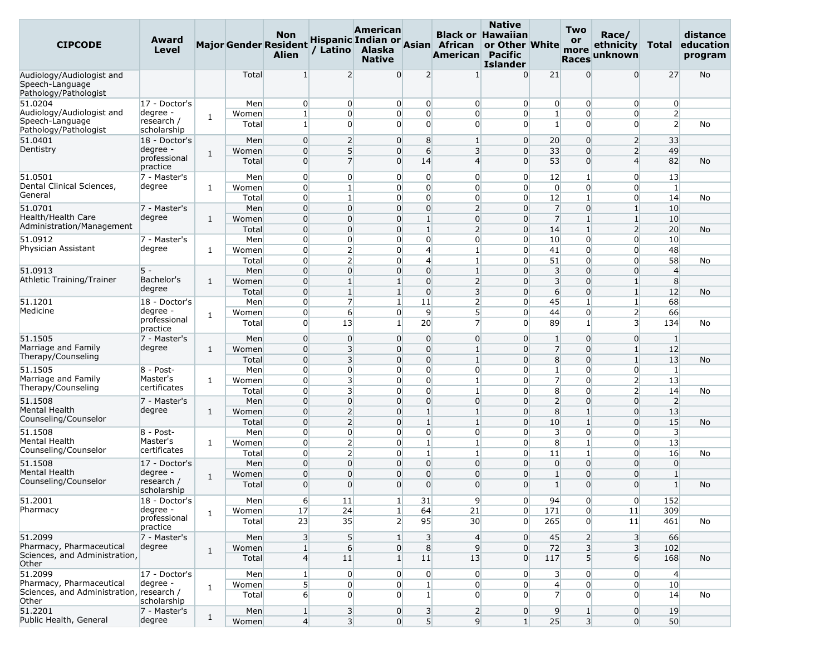| <b>CIPCODE</b>                                                        | Award<br>Level                        |              |                | Non<br><b>Major Gender Resident</b><br><b>Alien</b> | / Latino                         | American<br>Alaska<br><b>Native</b> |                                  | Hispanic Indian or Asian African<br><b>American Pacific</b> | <b>Native</b><br><b>Black or Hawaiian</b><br>or Other White<br><b>Islander</b> |                              | Two<br>or<br>more<br><b>Races</b> | Race/<br>ethnicity<br>unknown | Total                            | distance<br>education<br>program |
|-----------------------------------------------------------------------|---------------------------------------|--------------|----------------|-----------------------------------------------------|----------------------------------|-------------------------------------|----------------------------------|-------------------------------------------------------------|--------------------------------------------------------------------------------|------------------------------|-----------------------------------|-------------------------------|----------------------------------|----------------------------------|
| Audiology/Audiologist and<br>Speech-Language<br>Pathology/Pathologist |                                       |              | Total          | 1                                                   | $\overline{2}$                   | $\overline{0}$                      | 2                                | -1                                                          | $\Omega$                                                                       | 21                           | $\Omega$                          | 0                             | 27                               | No                               |
| 51.0204                                                               | 17 - Doctor's                         |              | Men            | 0                                                   | $\overline{0}$                   | $\overline{0}$                      | $\overline{0}$                   | $\overline{0}$                                              | $\Omega$                                                                       | $\overline{0}$               | $\overline{0}$                    | $\overline{0}$                | $\overline{0}$                   |                                  |
| Audiology/Audiologist and<br>Speech-Language<br>Pathology/Pathologist | degree -<br>research /<br>scholarship | $\mathbf{1}$ | Women<br>Total | $\mathbf{1}$<br>$\mathbf{1}$                        | $\overline{0}$<br>$\overline{0}$ | $\overline{0}$<br>0                 | $\overline{0}$<br>$\overline{0}$ | $\overline{0}$<br>$\overline{0}$                            | $\Omega$<br>$\Omega$                                                           | $\mathbf{1}$<br>$\mathbf{1}$ | $\overline{0}$<br>$\overline{0}$  | $\overline{0}$<br>0           | $\overline{2}$<br>$\overline{2}$ | No                               |
| 51.0401                                                               | 18 - Doctor's                         |              | Men            | $\overline{0}$                                      | $\overline{2}$                   | $\overline{0}$                      | 8                                | $\mathbf{1}$                                                | $\overline{0}$                                                                 | 20                           | $\overline{0}$                    | $\overline{2}$                | 33                               |                                  |
| Dentistry                                                             | degree -                              | $\mathbf{1}$ | Women          | $\overline{0}$                                      | 5                                | 0                                   | 6                                | 3                                                           | $\Omega$                                                                       | 33                           | $\overline{0}$                    | $\mathsf{2}$                  | 49                               |                                  |
|                                                                       | professional<br>practice              |              | Total          | $\overline{0}$                                      | $\overline{7}$                   | 0                                   | 14                               | $\overline{4}$                                              | $\Omega$                                                                       | 53                           | $\overline{0}$                    | $\overline{4}$                | 82                               | No                               |
| 51.0501                                                               | 7 - Master's                          |              | Men            | $\overline{0}$                                      | $\overline{0}$                   | $\overline{0}$                      | $\overline{0}$                   | $\overline{0}$                                              | $\overline{0}$                                                                 | 12                           | $\mathbf{1}$                      | $\overline{0}$                | 13                               |                                  |
| Dental Clinical Sciences,<br>General                                  | degree                                | $\mathbf{1}$ | Women          | $\overline{0}$<br>$\overline{0}$                    | $\mathbf{1}$<br>$\mathbf{1}$     | 0                                   | $\overline{0}$<br>$\overline{0}$ | $\overline{0}$                                              | $\overline{0}$<br>$\overline{0}$                                               | $\overline{0}$<br>12         | $\overline{0}$                    | 0                             | $\mathbf{1}$                     |                                  |
| 51.0701                                                               | 7 - Master's                          |              | Total<br>Men   | $\overline{0}$                                      | $\overline{0}$                   | $\overline{0}$<br>0                 | $\overline{0}$                   | $\overline{0}$<br>$\overline{2}$                            | $\Omega$                                                                       | 7                            | $\mathbf{1}$<br>$\overline{0}$    | 0<br>$1\overline{ }$          | 14<br>10                         | No                               |
| Health/Health Care                                                    | degree                                | $\mathbf{1}$ | Women          | $\overline{0}$                                      | $\Omega$                         | 0                                   | $\mathbf{1}$                     | $\overline{0}$                                              | $\Omega$                                                                       | $\overline{7}$               | $1\vert$                          | $1\overline{ }$               | 10                               |                                  |
| Administration/Management                                             |                                       |              | Total          | $\overline{0}$                                      | $\overline{0}$                   | 0                                   | $\mathbf{1}$                     | $\overline{2}$                                              | $\overline{0}$                                                                 | 14                           | $\mathbf{1}$                      | $\overline{2}$                | 20                               | No                               |
| 51.0912                                                               | 7 - Master's                          |              | Men            | $\overline{0}$                                      | $\Omega$                         | $\overline{0}$                      | $\overline{0}$                   | $\overline{0}$                                              | $\Omega$                                                                       | 10                           | $\overline{0}$                    | $\overline{0}$                | 10                               |                                  |
| Physician Assistant                                                   | degree                                | $\mathbf{1}$ | Women          | $\overline{0}$                                      | $\overline{2}$                   | $\overline{0}$                      | $\overline{4}$                   | $\mathbf{1}$                                                | $\Omega$                                                                       | 41                           | $\overline{0}$                    | 0                             | 48                               |                                  |
|                                                                       |                                       |              | Total          | $\overline{0}$                                      | $\mathsf{2}$                     | 0                                   | $\overline{4}$                   | $\mathbf{1}$                                                | $\overline{0}$                                                                 | 51                           | $\overline{0}$                    | 0                             | 58                               | No                               |
| 51.0913                                                               | $5 -$                                 |              | Men            | $\overline{0}$                                      | 0                                | 0                                   | $\overline{0}$                   | $\mathbf{1}$                                                | $\Omega$                                                                       | $\overline{\mathbf{3}}$      | $\overline{0}$                    | 0                             | $\overline{4}$                   |                                  |
| Athletic Training/Trainer                                             | Bachelor's                            | $\mathbf{1}$ | Women          | $\overline{0}$                                      | $\mathbf{1}$                     | $1\overline{ }$                     | $\overline{0}$                   | $\overline{2}$                                              | $\overline{0}$                                                                 | $\overline{3}$               | $\overline{0}$                    | $1\overline{ }$               | 8 <sup>°</sup>                   |                                  |
|                                                                       | degree                                |              | Total          | $\overline{0}$                                      | $\mathbf{1}$                     | $1\vert$                            | $\overline{0}$                   | $\overline{\mathbf{3}}$                                     | $\Omega$                                                                       | 6                            | $\overline{0}$                    | $1\vert$                      | 12                               | No                               |
| 51.1201                                                               | 18 - Doctor's                         |              | Men            | $\overline{0}$                                      | $\overline{7}$                   | $\mathbf{1}$                        | 11                               | $\mathbf{2}$                                                | 0                                                                              | 45                           | $\mathbf{1}$                      | $1\overline{ }$               | 68                               |                                  |
| Medicine                                                              | degree -<br>professional<br>practice  | 1            | Women<br>Total | $\overline{0}$<br>$\overline{0}$                    | 6<br>13                          | $\overline{0}$<br>$\mathbf{1}$      | $\overline{9}$<br>20             | 5 <sup>1</sup><br>$\overline{z}$                            | $\Omega$<br>$\Omega$                                                           | 44<br>89                     | $\overline{0}$<br>$1\vert$        | $\mathsf{2}$<br>3             | 66<br>134                        | No                               |
| 51.1505                                                               | 7 - Master's                          |              | Men            | $\overline{0}$                                      | 0                                | 0                                   | 0                                | $\overline{0}$                                              | $\overline{0}$                                                                 | $\mathbf{1}$                 | $\Omega$                          | 0                             | $\vert$ 1                        |                                  |
| Marriage and Family                                                   | degree                                | $\mathbf{1}$ | Women          | $\overline{0}$                                      | $\overline{\mathbf{3}}$          | 0                                   | $\overline{0}$                   | $1\overline{ }$                                             | $\overline{0}$                                                                 | $\overline{7}$               | $\overline{0}$                    | $1\vert$                      | 12                               |                                  |
| Therapy/Counseling                                                    |                                       |              | Total          | $\overline{0}$                                      | 3                                | $\overline{0}$                      | $\overline{0}$                   | $\mathbf{1}$                                                | $\Omega$                                                                       | 8                            | $\overline{0}$                    | $1\vert$                      | 13                               | <b>No</b>                        |
| 51.1505                                                               | $8 - Post -$                          |              | Men            | $\overline{0}$                                      | $\overline{0}$                   | $\overline{0}$                      | $\overline{0}$                   | $\overline{0}$                                              | $\Omega$                                                                       | $\mathbf{1}$                 | $\overline{0}$                    | 0                             | $\mathbf{1}$                     |                                  |
| Marriage and Family                                                   | Master's                              | $\mathbf{1}$ | Women          | $\overline{0}$                                      | 3                                | $\overline{0}$                      | $\overline{0}$                   | $\mathbf{1}$                                                | $\Omega$                                                                       | $\overline{7}$               | $\overline{0}$                    | $\mathsf{2}$                  | 13                               |                                  |
| Therapy/Counseling                                                    | certificates                          |              | Total          | $\overline{0}$                                      | 3                                | 0                                   | $\overline{0}$                   | $\mathbf{1}$                                                | $\Omega$                                                                       | 8                            | $\overline{0}$                    | $\mathsf{2}$                  | 14                               | No                               |
| 51.1508                                                               | 7 - Master's                          |              | Men            | $\overline{0}$                                      | $\overline{0}$                   | 0                                   | $\overline{0}$                   | $\overline{0}$                                              | $\Omega$                                                                       | 2                            | $\overline{0}$                    | 0                             | $\overline{2}$                   |                                  |
| Mental Health                                                         | degree                                | 1            | Women          | $\overline{0}$                                      | $\overline{2}$                   | 0                                   | $\mathbf{1}$                     | $\vert$ 1                                                   | $\Omega$                                                                       | 8                            | $1\vert$                          | 0                             | 13                               |                                  |
| Counseling/Counselor                                                  |                                       |              | Total          | $\overline{0}$                                      | $\overline{2}$                   | 0                                   | $\mathbf{1}$                     | $\mathbf{1}$                                                | $\Omega$                                                                       | 10                           | $\mathbf{1}$                      | 0                             | 15                               | No                               |
| 51.1508<br>Mental Health                                              | 8 - Post-<br>Master's                 |              | Men            | $\overline{0}$                                      | $\overline{0}$                   | $\overline{0}$                      | $\overline{0}$                   | $\overline{0}$                                              | $\Omega$                                                                       | 3                            | $\overline{0}$                    | $\overline{0}$                | $\overline{\mathbf{3}}$          |                                  |
| Counseling/Counselor                                                  | certificates                          | $\mathbf{1}$ | Women          | $\overline{0}$<br>$\overline{0}$                    | $\overline{2}$                   | $\overline{0}$                      | $\mathbf{1}$<br>$\mathbf{1}$     | $\mathbf{1}$                                                | $\overline{0}$<br>$\Omega$                                                     | 8                            | $1\vert$<br>$1\overline{ }$       | $\overline{0}$<br>0           | 13<br>16                         |                                  |
| 51.1508                                                               | 17 - Doctor's                         |              | Total<br>Men   | $\overline{0}$                                      | $\overline{2}$<br>$\overline{0}$ | $\overline{0}$<br>0                 | $\overline{0}$                   | $\mathbf{1}$<br>$\overline{0}$                              | $\Omega$                                                                       | 11<br>$\overline{0}$         | $\overline{0}$                    | 0                             | $\overline{0}$                   | No                               |
| Mental Health                                                         | degree -                              |              | Women          | $\overline{0}$                                      | $\overline{0}$                   | 0                                   | $\overline{0}$                   | $\overline{0}$                                              | $\Omega$                                                                       | $\mathbf{1}$                 | $\overline{0}$                    | 0                             | $\mathbf{1}$                     |                                  |
| Counseling/Counselor                                                  | research /<br>scholarship             | $\mathbf{1}$ | Total          | $\Omega$                                            | $\Omega$                         | 0                                   | $\Omega$                         | 0                                                           | $\Omega$                                                                       | 1                            | $\Omega$                          | 0                             | $\mathbf{1}$                     | No                               |
| 51.2001                                                               | 18 - Doctor's                         |              | Men            | $6 \mid$                                            | 11                               | $1\vert$                            | 31                               | 9                                                           | $\overline{0}$                                                                 | 94                           | $\overline{0}$                    | $\overline{0}$                | 152                              |                                  |
| Pharmacy                                                              | degree -                              | $\mathbf{1}$ | Women          | 17                                                  | 24                               | $1\overline{ }$                     | 64                               | 21                                                          | $\overline{0}$                                                                 | 171                          | $\overline{0}$                    | 11                            | 309                              |                                  |
|                                                                       | professional<br>practice              |              | Total          | 23                                                  | 35                               | $\overline{2}$                      | 95                               | 30 <sup>°</sup>                                             | $\overline{0}$                                                                 | 265                          | $\overline{0}$                    | 11                            | 461                              | No                               |
| 51.2099<br>Pharmacy, Pharmaceutical                                   | 7 - Master's<br>degree                |              | Men            | 3 <sup>1</sup>                                      | 5 <sup>1</sup>                   | $1\vert$                            | $\overline{\mathbf{3}}$          | $\overline{4}$                                              | $\overline{0}$                                                                 | 45                           | $\overline{2}$                    | 3 <sup>1</sup>                | 66                               |                                  |
| Sciences, and Administration,<br>Other                                |                                       | $\mathbf{1}$ | Women<br>Total | $1\overline{ }$<br>$\mathbf{4}$                     | $6 \overline{6}$<br>11           | $\overline{0}$<br>1 <sup>1</sup>    | 8<br>11                          | 9<br>13                                                     | $\overline{0}$<br>$\overline{0}$                                               | 72<br>117                    | 3 <sup>1</sup><br>5 <sup>1</sup>  | 3<br>$6 \mid$                 | 102<br>168                       | No                               |
| 51.2099                                                               | 17 - Doctor's                         |              | Men            | $\mathbf{1}$                                        | $\overline{0}$                   | $\overline{0}$                      | $\overline{0}$                   | $\overline{0}$                                              | $\overline{0}$                                                                 | $\overline{\mathbf{3}}$      | $\overline{0}$                    | $\overline{0}$                | $\overline{4}$                   |                                  |
| Pharmacy, Pharmaceutical                                              | degree -                              | $\mathbf{1}$ | Women          | 5 <sup>1</sup>                                      | $\overline{0}$                   | $\overline{0}$                      | $\mathbf{1}$                     | $\overline{0}$                                              | $\overline{0}$                                                                 | $\overline{4}$               | $\overline{0}$                    | $\overline{0}$                | 10 <sup>1</sup>                  |                                  |
| Sciences, and Administration, research /<br>Other                     | scholarship                           |              | Total          | $6 \mid$                                            | $\overline{0}$                   | $\overline{0}$                      | $1\vert$                         | $\overline{0}$                                              | $\overline{0}$                                                                 | $\overline{7}$               | $\overline{0}$                    | $\overline{0}$                | 14                               | No                               |
| 51.2201                                                               | 7 - Master's                          | $\mathbf{1}$ | Men            | 1 <sup>1</sup>                                      | $\overline{\mathbf{3}}$          | $\overline{0}$                      | $\overline{\mathbf{3}}$          | $\overline{2}$                                              | $\overline{0}$                                                                 | 9                            | 1 <sup>1</sup>                    | $\overline{0}$                | 19                               |                                  |
| Public Health, General                                                | degree                                |              | Women          | $\left 4\right $                                    | 3                                | $\overline{0}$                      |                                  | 5 <sup>1</sup><br>9                                         | 1 <sup>1</sup>                                                                 | 25                           | $\overline{\mathbf{3}}$           | $\overline{0}$                | 50                               |                                  |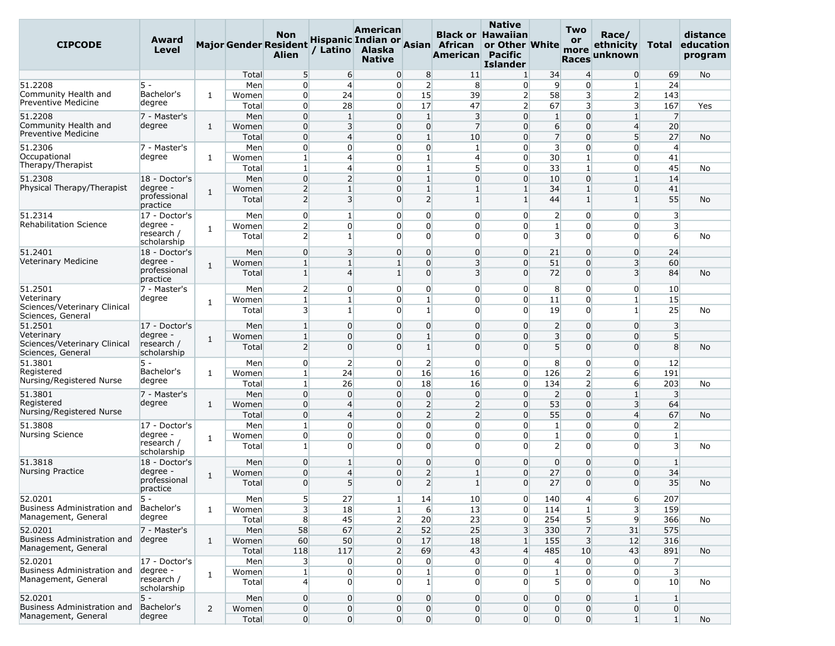| <b>CIPCODE</b>                                     | Award<br><b>Level</b>     |                |                | <b>Non</b><br><b>Major Gender Resident</b><br><b>Alien</b> | / Latino                         | American<br>Alaska<br><b>Native</b> |                                                                  | Hispanic Indian or Asian African<br>American Pacific | <b>Native</b><br><b>Black or Hawaiian</b><br>or Other White<br><b>Islander</b> |                         | Two<br>or<br>more<br><b>Races</b>  | Race/<br>ethnicity<br>unknown | Total                   | distance<br>education<br>program |
|----------------------------------------------------|---------------------------|----------------|----------------|------------------------------------------------------------|----------------------------------|-------------------------------------|------------------------------------------------------------------|------------------------------------------------------|--------------------------------------------------------------------------------|-------------------------|------------------------------------|-------------------------------|-------------------------|----------------------------------|
|                                                    |                           |                | Total          | 5 <sup>5</sup>                                             | 6                                | $\overline{0}$                      | 8                                                                | 11                                                   | $\mathbf{1}$                                                                   | 34                      | $\overline{4}$                     | $\overline{0}$                | 69                      | <b>No</b>                        |
| 51.2208                                            | 5 -                       |                | Men            | $\overline{0}$                                             | $\overline{4}$                   | $\overline{0}$                      | $\overline{2}$                                                   | 8                                                    | $\overline{0}$                                                                 | 9                       | $\overline{0}$                     | $\mathbf{1}$                  | 24                      |                                  |
| Community Health and                               | Bachelor's                | $\mathbf{1}$   | Women          | $\overline{0}$                                             | 24                               | $\overline{0}$                      | 15                                                               | 39                                                   | $\overline{2}$                                                                 | 58                      | 3                                  | $\overline{2}$                | 143                     |                                  |
| Preventive Medicine                                | degree                    |                | Total          | $\overline{0}$                                             | 28                               |                                     | $\overline{0}$<br>17                                             | 47                                                   | $\overline{2}$                                                                 | 67                      | 3                                  | $\overline{\mathbf{3}}$       | 167                     | Yes                              |
| 51.2208                                            | 7 - Master's              |                | Men            | $\overline{0}$                                             | $\mathbf{1}$                     | $\overline{0}$                      | $\mathbf{1}$                                                     | $\overline{\mathbf{3}}$                              | $\Omega$                                                                       | $\mathbf{1}$            | $\overline{0}$                     | $\mathbf{1}$                  | $\overline{7}$          |                                  |
| Community Health and<br><b>Preventive Medicine</b> | degree                    | $\mathbf{1}$   | Women          | $\overline{0}$                                             | $\overline{3}$                   | $\Omega$                            | $\overline{0}$                                                   | $\overline{7}$                                       | $\Omega$                                                                       | 6                       | $\Omega$                           | $\overline{4}$                | 20                      |                                  |
|                                                    |                           |                | Total          | $\overline{0}$                                             | $\overline{4}$                   |                                     | $\overline{0}$<br>$\mathbf{1}$                                   | 10                                                   | $\Omega$                                                                       | $\overline{7}$          | $\Omega$                           | 5 <sup>1</sup>                | 27                      | No                               |
| 51.2306                                            | 7 - Master's              |                | Men            | $\overline{0}$                                             | $\Omega$                         | $\Omega$                            | $\overline{0}$                                                   | $\mathbf{1}$                                         | $\Omega$                                                                       | $\overline{\mathbf{3}}$ | $\overline{0}$                     | $\Omega$                      | $\overline{4}$          |                                  |
| Occupational<br>Therapy/Therapist                  | degree                    | $\mathbf{1}$   | Women          | $1\vert$                                                   | $\overline{4}$                   | $\overline{0}$                      | $\mathbf{1}$                                                     | $\overline{4}$                                       | $\Omega$                                                                       | 30 <sup>°</sup>         | $1\overline{ }$                    | $\overline{0}$                | 41                      |                                  |
|                                                    |                           |                | Total          | $\mathbf{1}$                                               | $\overline{4}$<br>$\overline{2}$ |                                     | $\overline{0}$<br>$\mathbf{1}$<br>$\mathbf{1}$<br>$\overline{0}$ | 5<br>$\overline{0}$                                  | $\Omega$                                                                       | 33                      | $1\overline{ }$<br>$\overline{0}$  | 0<br>$\mathbf{1}$             | 45<br>14                | No                               |
| 51.2308<br>Physical Therapy/Therapist              | 18 - Doctor's<br>degree - |                | Men            | $\overline{0}$<br>2                                        | $1\vert$                         | $\overline{0}$                      | $\mathbf{1}$                                                     | $\mathbf{1}$                                         | $\overline{0}$<br>$\mathbf{1}$                                                 | 10<br>34                |                                    | $\overline{0}$                | 41                      |                                  |
|                                                    | professional<br>practice  | $\mathbf{1}$   | Women<br>Total | $\overline{2}$                                             | $\overline{3}$                   | $\Omega$                            | $\overline{2}$                                                   | $\mathbf{1}$                                         | $1\vert$                                                                       | 44                      | $1\overline{ }$<br>$1\overline{ }$ | $\mathbf{1}$                  | 55                      | No                               |
| 51.2314                                            | 17 - Doctor's             |                | Men            | $\overline{0}$                                             | $\mathbf{1}$                     | $\Omega$                            | $\overline{0}$                                                   | $\overline{0}$                                       | $\Omega$                                                                       | $\overline{2}$          | $\overline{0}$                     | $\overline{0}$                | $\overline{\mathbf{3}}$ |                                  |
| <b>Rehabilitation Science</b>                      | degree -                  |                | Women          | $\overline{2}$                                             | $\Omega$                         |                                     | $\overline{0}$<br>$\overline{0}$                                 | $\overline{0}$                                       | $\Omega$                                                                       | 1                       | $\overline{0}$                     | 0                             | 3 <sup>l</sup>          |                                  |
|                                                    | research /<br>scholarship | $\mathbf{1}$   | Total          | $\overline{2}$                                             | 1                                | $\Omega$                            | $\Omega$                                                         | $\Omega$                                             | $\Omega$                                                                       | $\overline{3}$          | $\overline{0}$                     | $\Omega$                      | 6                       | No                               |
| 51.2401                                            | 18 - Doctor's             |                | Men            | $\overline{0}$                                             | $\overline{3}$                   | $\overline{0}$                      | $\Omega$                                                         | $\overline{0}$                                       | $\Omega$                                                                       | 21                      | $\overline{0}$                     | $\overline{0}$                | 24                      |                                  |
| Veterinary Medicine                                | degree -                  | $\mathbf{1}$   | Women          | $\mathbf{1}$                                               | $\mathbf{1}$                     | $\mathbf{1}$                        | $\Omega$                                                         | 3                                                    | $\Omega$                                                                       | 51                      | $\Omega$                           | $\overline{\mathbf{3}}$       | 60                      |                                  |
|                                                    | professional<br>practice  |                | Total          | $1\overline{ }$                                            | $\overline{4}$                   | $1\overline{ }$                     | $\overline{0}$                                                   | 3                                                    | $\Omega$                                                                       | 72                      | $\overline{0}$                     | $\overline{3}$                | 84                      | No                               |
| 51.2501                                            | 7 - Master's              |                | Men            | $\overline{2}$                                             | $\Omega$                         |                                     | 0<br>$\overline{0}$                                              | $\overline{0}$                                       | $\Omega$                                                                       | 8                       | $\overline{0}$                     | $\overline{0}$                | 10                      |                                  |
| Veterinary                                         | degree                    | 1              | Women          | $\vert$                                                    | 1                                | $\overline{0}$                      | $\mathbf{1}$                                                     | $\overline{0}$                                       | $\Omega$                                                                       | 11                      | $\overline{0}$                     | $\mathbf{1}$                  | 15                      |                                  |
| Sciences/Veterinary Clinical<br>Sciences, General  |                           |                | Total          | $\overline{\mathbf{3}}$                                    | $\mathbf{1}$                     | $\overline{0}$                      | $\mathbf{1}$                                                     | $\overline{0}$                                       | $\Omega$                                                                       | 19                      | $\overline{0}$                     | $\mathbf{1}$                  | 25                      | No                               |
| 51.2501                                            | 17 - Doctor's             |                | Men            | $\mathbf{1}$                                               | $\Omega$                         | $\Omega$                            | $\Omega$                                                         | $\overline{0}$                                       | $\Omega$                                                                       | $\overline{2}$          | $\Omega$                           | $\Omega$                      | 3                       |                                  |
| Veterinary                                         | degree -<br>research /    | $\mathbf{1}$   | Women          | $1\overline{ }$                                            | $\Omega$                         |                                     | $\overline{0}$<br>$\mathbf{1}$                                   | $\overline{0}$                                       | $\Omega$                                                                       | $\overline{3}$          | $\overline{0}$                     | $\overline{0}$                | 5 <sup>5</sup>          |                                  |
| Sciences/Veterinary Clinical<br>Sciences, General  | scholarship               |                | Total          | 2                                                          | $\Omega$                         | $\overline{0}$                      | $\mathbf{1}$                                                     | $\overline{0}$                                       | $\Omega$                                                                       | 5 <sup>1</sup>          | $\overline{0}$                     | $\overline{0}$                | 8                       | <b>No</b>                        |
| 51.3801                                            | 5 -                       |                | Men            | $\overline{0}$                                             | $\overline{2}$                   | $\overline{0}$                      | $\overline{2}$                                                   | $\overline{0}$                                       | $\Omega$                                                                       | 8                       | $\overline{0}$                     | $\overline{0}$                | 12                      |                                  |
| Registered                                         | Bachelor's                | $\mathbf{1}$   | Women          | $1\overline{ }$                                            | 24                               | $\overline{0}$                      | 16                                                               | 16                                                   | $\Omega$                                                                       | 126                     | $\overline{2}$                     | $6 \mid$                      | 191                     |                                  |
| Nursing/Registered Nurse                           | degree                    |                | Total          | $\mathbf{1}$                                               | 26                               |                                     | $\overline{0}$<br>18                                             | 16                                                   | $\mathbf{0}$                                                                   | 134                     | $\overline{2}$                     | $6 \mid$                      | 203                     | No                               |
| 51.3801                                            | 7 - Master's              |                | Men            | $\overline{0}$                                             | $\Omega$                         | $\overline{0}$                      | $\overline{0}$                                                   | $\overline{0}$                                       | $\Omega$                                                                       | $\overline{2}$          | $\overline{0}$                     | $\mathbf{1}$                  | $\overline{\mathbf{3}}$ |                                  |
| Registered                                         | degree                    | $\mathbf{1}$   | Women          | $\overline{0}$                                             | $\overline{4}$                   | $\overline{0}$                      | 2                                                                | $\overline{2}$                                       | $\Omega$                                                                       | 53                      | $\overline{0}$                     | $\overline{\mathbf{3}}$       | 64                      |                                  |
| Nursing/Registered Nurse                           |                           |                | Total          | $\overline{0}$                                             | $\overline{4}$                   |                                     | $\overline{0}$<br>$\overline{2}$                                 | $\overline{2}$                                       | $\Omega$                                                                       | 55                      | $\Omega$                           | $\overline{4}$                | 67                      | No                               |
| 51.3808                                            | 17 - Doctor's             |                | Men            | $\mathbf{1}$                                               | $\Omega$                         |                                     | $\overline{0}$<br>$\overline{0}$                                 | $\overline{0}$                                       | $\Omega$                                                                       | $\mathbf{1}$            | $\overline{0}$                     | 0                             | $\overline{2}$          |                                  |
| Nursing Science                                    | degree -                  | $\mathbf{1}$   | Women          | $\overline{0}$                                             | $\Omega$                         | $\overline{0}$                      | $\overline{0}$                                                   | $\overline{0}$                                       | $\Omega$                                                                       | $\mathbf{1}$            | $\overline{0}$                     | $\overline{0}$                | $\mathbf{1}$            |                                  |
|                                                    | research /<br>scholarship |                | Total          | $1\vert$                                                   | $\Omega$                         | $\Omega$                            | $\Omega$                                                         | $\Omega$                                             | $\Omega$                                                                       | $\overline{2}$          | $\Omega$                           | $\Omega$                      | $\overline{3}$          | No                               |
| 51.3818                                            | 18 - Doctor's             |                | Men            | $\overline{0}$                                             | $1\vert$                         | $\Omega$                            | $\overline{0}$                                                   | $\overline{0}$                                       | $\Omega$                                                                       | $\overline{0}$          | $\overline{0}$                     | 0                             | $\mathbf{1}$            |                                  |
| <b>Nursing Practice</b>                            | degree -                  | $\mathbf{1}$   | Women          | $\overline{0}$                                             | $\overline{4}$                   | 0                                   | $\overline{2}$                                                   | $\mathbf{1}$                                         | $\Omega$                                                                       | 27                      | $\overline{0}$                     | $\Omega$                      | 34                      |                                  |
|                                                    | professional<br>practice  |                | Total          | $\Omega$                                                   | 5                                | $\Omega$                            | $\overline{2}$                                                   | 1                                                    | $\Omega$                                                                       | 27                      | $\Omega$                           | $\Omega$                      | 35                      | No                               |
| 52.0201                                            | 5 -                       |                | Men            | 5 <sub>l</sub>                                             | 27                               |                                     | $1\vert$<br>14                                                   | 10                                                   | $\overline{0}$                                                                 | 140                     | $\overline{4}$                     | 6                             | 207                     |                                  |
| Business Administration and                        | Bachelor's                | $\mathbf{1}$   | Women          | $\overline{\mathbf{3}}$                                    | 18                               |                                     | $1\overline{ }$<br>$6 \overline{6}$                              | 13                                                   | $\overline{0}$                                                                 | 114                     | 1 <sup>1</sup>                     | $\overline{\mathbf{3}}$       | 159                     |                                  |
| Management, General                                | degree                    |                | Total          | 8                                                          | 45                               |                                     | $\mathbf{2}$<br>20                                               | 23                                                   | $\overline{0}$                                                                 | 254                     | 5 <sup>1</sup>                     | 9                             | 366                     | No                               |
| 52.0201                                            | 7 - Master's              |                | Men            | 58                                                         | 67                               |                                     | $\overline{2}$<br>52                                             | 25                                                   | $\overline{3}$                                                                 | 330                     | 7                                  | 31                            | 575                     |                                  |
| Business Administration and                        | degree                    | $\mathbf{1}$   | Women          | 60                                                         | 50                               | $\overline{0}$                      | 17                                                               | 18                                                   | $\mathbf{1}$                                                                   | 155                     | 3 <sup>l</sup>                     | 12                            | 316                     |                                  |
| Management, General                                |                           |                | Total          | 118                                                        | 117                              |                                     | $\overline{2}$<br>69                                             | 43                                                   | $\overline{4}$                                                                 | 485                     | 10                                 | 43                            | 891                     | <b>No</b>                        |
| 52.0201                                            | 17 - Doctor's             |                | Men            | 3                                                          | $\overline{0}$                   | $\overline{0}$                      | $\overline{0}$                                                   | $\overline{0}$                                       | $\overline{0}$                                                                 | $\overline{4}$          | $\overline{0}$                     | $\overline{0}$                | $\overline{7}$          |                                  |
| Business Administration and<br>Management, General | degree -<br>research /    | $\mathbf{1}$   | Women          | $1\vert$                                                   | $\overline{0}$                   |                                     | $\overline{0}$<br>$\mathbf{1}$                                   | $\overline{0}$                                       | $\overline{0}$                                                                 | $1\overline{ }$         | $\overline{0}$                     | $\overline{0}$                | 3 <sup>l</sup>          |                                  |
|                                                    | scholarship               |                | Total          | $\overline{4}$                                             | $\Omega$                         |                                     | $\Omega$<br>1 <sup>1</sup>                                       | $\overline{0}$                                       | $\Omega$                                                                       | $\mathbf{5}$            | $\overline{0}$                     | $\Omega$                      | 10 <sup>°</sup>         | No                               |
| 52.0201                                            | 5 -<br>Bachelor's         |                | Men            | $\overline{0}$                                             | $\Omega$                         | $\overline{0}$                      | $\overline{0}$                                                   | $\overline{0}$                                       | $\overline{0}$                                                                 | $\overline{0}$          | $\overline{0}$                     | $\mathbf{1}$                  | $\mathbf{1}$            |                                  |
| Business Administration and<br>Management, General | degree                    | $\overline{2}$ | Women          | $\overline{0}$                                             | $\overline{0}$                   |                                     | $\overline{0}$<br>$\overline{0}$                                 | $\overline{0}$                                       | $\overline{0}$                                                                 | $\overline{0}$          | $\overline{0}$                     | $\overline{0}$                | $\overline{0}$          |                                  |
|                                                    |                           |                | Total          | $\overline{0}$                                             | $\overline{0}$                   |                                     | $\overline{0}$<br>$\overline{0}$                                 | $\overline{0}$                                       | $\overline{0}$                                                                 | $\overline{0}$          | $\overline{0}$                     | $1\overline{ }$               | $1\vert$                | No                               |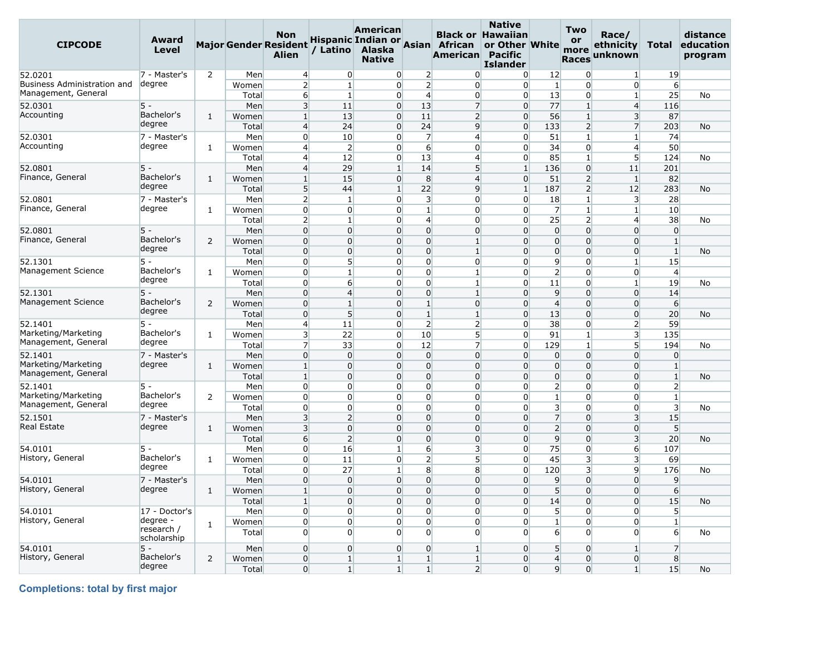| <b>CIPCODE</b>                 | Award<br>Level         |                |                | <b>Non</b><br><b>Major Gender Resident</b><br><b>Alien</b> | / Latino             | <b>American</b><br>Alaska<br><b>Native</b> |                               | Hispanic Indian or Asian African<br>American | <b>Native</b><br><b>Black or Hawaiian</b><br>or Other White<br><b>Pacific</b><br><b>Islander</b> |                                  | Two<br>or<br>more<br><b>Races</b> | Race/<br>ethnicity<br>unknown | Total                        | distance<br>education<br>program |
|--------------------------------|------------------------|----------------|----------------|------------------------------------------------------------|----------------------|--------------------------------------------|-------------------------------|----------------------------------------------|--------------------------------------------------------------------------------------------------|----------------------------------|-----------------------------------|-------------------------------|------------------------------|----------------------------------|
| 52.0201                        | 7 - Master's           | $\overline{2}$ | Men            | $\overline{4}$                                             | $\overline{0}$       | $\overline{0}$                             | $\overline{2}$                | $\overline{0}$                               | $\overline{0}$                                                                                   | 12                               | $\overline{0}$                    | $\mathbf{1}$                  | 19                           |                                  |
| Business Administration and    | degree                 |                | Women          | $\overline{2}$                                             | $1\vert$             | $\overline{0}$                             | 2                             | $\overline{0}$                               | $\overline{0}$                                                                                   | $\mathbf{1}$                     | $\overline{0}$                    | 0                             | 6                            |                                  |
| Management, General            |                        |                | Total          | 6                                                          | $\mathbf{1}$         | $\overline{0}$                             | $\overline{4}$                | $\overline{0}$                               | $\overline{0}$                                                                                   | 13                               | $\overline{0}$                    | $\mathbf{1}$                  | 25                           | No                               |
| 52.0301                        | 5 -                    |                | Men            | 3                                                          | 11                   | $\overline{0}$                             | 13                            | 7                                            | $\Omega$                                                                                         | 77                               | $\mathbf{1}$                      | $\overline{4}$                | 116                          |                                  |
| Accounting                     | Bachelor's             | $\mathbf{1}$   | Women          | $\mathbf{1}$                                               | 13                   | $\overline{0}$                             | 11                            | $\overline{2}$                               | $\Omega$                                                                                         | 56                               | $1\overline{ }$                   | $\overline{\mathbf{3}}$       | 87                           |                                  |
|                                | degree                 |                | Total          | $\overline{4}$                                             | 24                   | $\overline{0}$                             | 24                            | $\overline{9}$                               | $\overline{0}$                                                                                   | 133                              | $\overline{2}$                    | $\overline{7}$                | 203                          | No                               |
| 52.0301                        | 7 - Master's           |                | Men            | $\overline{0}$                                             | 10                   | $\overline{0}$                             | 7                             | $\overline{4}$                               | $\Omega$                                                                                         | 51                               | $1\overline{ }$                   | $\mathbf{1}$                  | 74                           |                                  |
| Accounting                     | degree                 | $\mathbf{1}$   | Women          | $\overline{4}$                                             | $\overline{2}$       | $\overline{0}$                             | $6 \overline{}$               | $\overline{0}$                               | $\Omega$                                                                                         | 34                               | $\overline{0}$                    | $\overline{4}$                | 50                           |                                  |
|                                |                        |                | Total          | $\overline{4}$                                             | 12                   | $\overline{0}$                             | 13                            | $\overline{4}$                               | $\overline{0}$                                                                                   | 85                               | $\mathbf{1}$                      | 5 <sup>1</sup>                | 124                          | No                               |
| 52.0801                        | 5 -                    |                | Men            | $\overline{4}$                                             | 29                   | $\mathbf{1}$                               | 14                            | $5\overline{)}$                              | $\mathbf{1}$                                                                                     | 136                              | $\overline{0}$                    | 11                            | 201                          |                                  |
| Finance, General               | Bachelor's             | $\mathbf{1}$   | Women          | $\mathbf{1}$                                               | 15                   | $\overline{0}$                             | 8                             | $\overline{4}$                               | $\overline{0}$                                                                                   | 51                               | $\overline{2}$                    | $\vert$ 1                     | 82                           |                                  |
|                                | degree                 |                | Total          | 5 <sup>5</sup>                                             | 44                   | $\mathbf{1}$                               | 22                            | $\overline{9}$                               | $\mathbf{1}$                                                                                     | 187                              | $\overline{2}$                    | 12                            | 283                          | No                               |
| 52.0801                        | 7 - Master's           |                | Men            | $\overline{2}$                                             | 1                    | $\overline{0}$                             | $\overline{3}$                | $\Omega$                                     | $\overline{0}$                                                                                   | 18                               | $\mathbf{1}$                      | 3                             | 28                           |                                  |
| Finance, General               | degree                 | $\mathbf{1}$   | Women          | $\overline{0}$                                             | $\overline{0}$       | $\overline{0}$                             | $\mathbf{1}$                  | $\overline{0}$                               | $\overline{0}$                                                                                   | $\overline{7}$                   | $1\overline{ }$                   | $\mathbf{1}$                  | 10                           |                                  |
|                                |                        |                | Total          | $\overline{2}$                                             | $\mathbf{1}$         | $\overline{0}$                             | $\overline{4}$                | $\Omega$                                     | $\Omega$                                                                                         | 25                               | $\overline{2}$                    | $\overline{4}$                | 38                           | No                               |
| 52.0801                        | $5 -$                  |                | Men            | $\overline{0}$                                             | $\Omega$             | $\overline{0}$                             | $\overline{0}$                | $\overline{0}$                               | $\Omega$                                                                                         | $\overline{0}$                   | $\overline{0}$                    | 0                             | $\overline{0}$               |                                  |
| Finance, General               | Bachelor's<br>degree   | 2              | Women          | $\overline{0}$                                             | $\Omega$             | $\Omega$                                   | $\overline{0}$                | $1\overline{ }$                              | $\Omega$                                                                                         | $\overline{0}$                   | $\Omega$                          | $\overline{0}$                | $\mathbf{1}$                 |                                  |
|                                |                        |                | Total          | $\overline{0}$                                             | $\Omega$             | $\overline{0}$                             | $\mathbf 0$                   | $\mathbf{1}$                                 | $\Omega$                                                                                         | $\overline{0}$                   | $\overline{0}$                    | 0                             | $\mathbf{1}$                 | No                               |
| 52.1301                        | 5 -                    |                | Men            | $\overline{0}$                                             | 5 <sup>1</sup>       | $\overline{0}$                             | $\overline{0}$                | $\overline{0}$                               | $\Omega$                                                                                         | $\overline{9}$                   | $\overline{0}$                    | $\mathbf{1}$                  | 15                           |                                  |
| Management Science             | Bachelor's<br>degree   | 1              | Women          | $\overline{0}$                                             | $\mathbf{1}$         | $\overline{0}$                             | $\overline{0}$                | $1\overline{ }$                              | $\Omega$                                                                                         | $\overline{2}$                   | $\overline{0}$                    | $\overline{0}$                | $\overline{4}$               |                                  |
|                                |                        |                | Total          | $\overline{0}$                                             | $6 \overline{6}$     | $\overline{0}$                             | $\overline{0}$                | $\mathbf{1}$                                 | $\Omega$                                                                                         | 11                               | $\overline{0}$                    | $\mathbf{1}$                  | 19                           | No                               |
| 52.1301                        | 5 -                    |                | Men            | $\overline{0}$                                             | $\overline{4}$       | $\overline{0}$                             | $\overline{0}$                | $\mathbf{1}$                                 | $\Omega$                                                                                         | 9                                | $\overline{0}$                    | $\overline{0}$                | 14                           |                                  |
| Management Science             | Bachelor's<br>degree   | 2              | Women          | $\overline{0}$                                             | $1\overline{ }$      | $\overline{0}$                             | $\mathbf{1}$                  | $\overline{0}$                               | $\Omega$                                                                                         | $\overline{4}$                   | $\overline{0}$                    | $\overline{0}$                | $6 \overline{}$              |                                  |
|                                |                        |                | Total          | $\overline{0}$                                             | 5 <sup>1</sup>       | $\overline{0}$                             | $\mathbf{1}$                  | $1\overline{ }$                              | $\Omega$                                                                                         | 13                               | $\Omega$                          | 0                             | 20                           | No                               |
| 52.1401<br>Marketing/Marketing | 5 -<br>Bachelor's      |                | Men            | $\overline{4}$                                             | 11                   | $\overline{0}$                             | 2                             | $\mathsf{2}$                                 | $\overline{0}$                                                                                   | 38                               | $\overline{0}$                    | $\overline{2}$                | 59                           |                                  |
| Management, General            | degree                 | 1              | Women          | $\overline{\mathbf{3}}$                                    | 22                   | $\overline{0}$                             | 10                            | $\overline{5}$                               | $\Omega$                                                                                         | 91                               | $\mathbf{1}$                      | $\overline{\mathbf{3}}$       | 135                          |                                  |
|                                |                        |                | Total          | $\overline{7}$                                             | 33                   | $\overline{0}$                             | 12                            | $\overline{7}$                               | $\Omega$                                                                                         | 129                              | $\mathbf{1}$                      | 5 <sup>1</sup>                | 194                          | No                               |
| 52.1401<br>Marketing/Marketing | 7 - Master's<br>degree |                | Men            | $\overline{0}$                                             | $\overline{0}$       | $\overline{0}$                             | $\overline{0}$                | $\overline{0}$                               | $\Omega$                                                                                         | $\overline{0}$                   | $\overline{0}$                    | $\overline{0}$                | $\overline{0}$               |                                  |
| Management, General            |                        | $\mathbf{1}$   | Women          | $\mathbf{1}$<br>$\mathbf{1}$                               | $\Omega$<br>$\Omega$ | $\overline{0}$<br>$\overline{0}$           | $\mathbf 0$<br>$\overline{0}$ | $\overline{0}$<br>$\overline{0}$             | $\Omega$<br>$\Omega$                                                                             | $\overline{0}$<br>$\overline{0}$ | $\overline{0}$<br>$\overline{0}$  | 0<br>$\overline{0}$           | $\mathbf{1}$<br>$\mathbf{1}$ |                                  |
| 52.1401                        | 5 -                    |                | Total<br>Men   | $\overline{0}$                                             | $\Omega$             | $\overline{0}$                             | $\overline{0}$                | $\overline{0}$                               | $\Omega$                                                                                         | $\overline{2}$                   | $\overline{0}$                    | $\Omega$                      | $\overline{2}$               | No                               |
| Marketing/Marketing            | Bachelor's             |                |                | $\overline{0}$                                             | $\Omega$             | $\overline{0}$                             | $\overline{0}$                | $\overline{0}$                               | $\Omega$                                                                                         |                                  | $\overline{0}$                    | 0                             | $\mathbf{1}$                 |                                  |
| Management, General            | degree                 | 2              | Women<br>Total | $\overline{0}$                                             | $\Omega$             | $\overline{0}$                             | $\overline{0}$                | $\overline{0}$                               | $\Omega$                                                                                         | 1<br>$\overline{\mathbf{3}}$     | $\overline{0}$                    | $\overline{0}$                | $\overline{\mathbf{3}}$      | No                               |
| 52.1501                        | 7 - Master's           |                | Men            | $\overline{3}$                                             | $\overline{2}$       | $\overline{0}$                             | $\Omega$                      | $\overline{0}$                               | $\Omega$                                                                                         | $\overline{7}$                   | $\overline{0}$                    | $\overline{3}$                | 15                           |                                  |
| <b>Real Estate</b>             | degree                 | $\mathbf{1}$   | Women          | 3                                                          | $\Omega$             | $\overline{0}$                             | $\overline{0}$                | $\overline{0}$                               | $\Omega$                                                                                         | $\overline{2}$                   | $\Omega$                          | $\overline{0}$                | 5 <sup>5</sup>               |                                  |
|                                |                        |                | Total          | $6 \overline{6}$                                           | $\overline{2}$       | $\overline{0}$                             | $\overline{0}$                | $\overline{0}$                               | $\Omega$                                                                                         | $\overline{9}$                   | $\overline{0}$                    | $\overline{\mathbf{3}}$       | 20                           | <b>No</b>                        |
| 54.0101                        | 5 -                    |                | Men            | $\overline{0}$                                             | 16                   | $1\overline{ }$                            | $6 \overline{}$               | $\overline{3}$                               | $\Omega$                                                                                         | 75                               | $\overline{0}$                    | $6 \mid$                      | 107                          |                                  |
| History, General               | Bachelor's             | $\mathbf{1}$   | Women          | $\overline{0}$                                             | 11                   | $\overline{0}$                             | $\overline{2}$                | 5                                            | $\Omega$                                                                                         | 45                               | 3                                 | 3                             | 69                           |                                  |
|                                | degree                 |                | Total          | $\overline{0}$                                             | 27                   | $\mathbf{1}$                               | 8                             | 8                                            | $\Omega$                                                                                         | 120                              | 3                                 | 9                             | 176                          | No                               |
| 54.0101                        | 7 - Master's           |                | Men            | $\overline{0}$                                             | $\Omega$             | $\overline{0}$                             | $\mathbf 0$                   | $\overline{0}$                               | $\Omega$                                                                                         | 9                                | $\overline{0}$                    | $\overline{0}$                | $\overline{9}$               |                                  |
| History, General               | degree                 | 1              | Women          | $1\overline{ }$                                            | $\Omega$             | $\Omega$                                   | $\Omega$                      | $\Omega$                                     | $\Omega$                                                                                         | 5 <sup>1</sup>                   | $\Omega$                          | $\Omega$                      | 6                            |                                  |
|                                |                        |                | Total          | $1\vert$                                                   | $\overline{0}$       | $\overline{0}$                             | $\overline{0}$                | $\overline{0}$                               | $\overline{0}$                                                                                   | 14                               | $\overline{0}$                    | $\overline{0}$                | 15                           | No                               |
| 54.0101                        | 17 - Doctor's          |                | Men            | $\overline{0}$                                             | $\overline{0}$       | $\overline{0}$                             | $\overline{0}$                | $\overline{0}$                               | $\overline{0}$                                                                                   | $5\overline{)}$                  | $\overline{0}$                    | $\overline{0}$                | 5 <sup>1</sup>               |                                  |
| History, General               | degree -               |                | Women          | $\overline{0}$                                             | $\overline{0}$       | $\overline{0}$                             | $\overline{0}$                | $\overline{0}$                               | $\overline{0}$                                                                                   | $1\vert$                         | $\overline{0}$                    | $\overline{0}$                | $1\vert$                     |                                  |
|                                | research /             | $\mathbf{1}$   | Total          | $\overline{0}$                                             | $\overline{0}$       | $\overline{0}$                             | $\overline{0}$                | $\overline{0}$                               | $\overline{0}$                                                                                   | $6 \overline{6}$                 | $\overline{0}$                    | $\overline{0}$                | $6 \overline{6}$             | No                               |
|                                | scholarship            |                |                |                                                            |                      |                                            |                               |                                              |                                                                                                  |                                  |                                   |                               |                              |                                  |
| 54.0101                        | $5 -$                  |                | Men            | $\overline{0}$                                             | $\overline{0}$       | $\overline{0}$                             | $\overline{0}$                | $1\vert$                                     | $\overline{0}$                                                                                   | 5 <sup>1</sup>                   | $\overline{0}$                    | $\mathbf{1}$                  | 7                            |                                  |
| History, General               | Bachelor's             | $\overline{2}$ | Women          | $\overline{0}$                                             | $1\vert$             | $1\overline{ }$                            | $\mathbf{1}$                  | $1\vert$                                     | $\overline{0}$                                                                                   | $\overline{4}$                   | $\overline{0}$                    | $\overline{0}$                | 8                            |                                  |
|                                | degree                 |                | Total          | $\overline{0}$                                             | $1\vert$             | $1\vert$                                   | $1\vert$                      | 2                                            | $\overline{0}$                                                                                   | 9                                | $\overline{0}$                    | 1                             | 15                           | No                               |

**Completions: total by first major**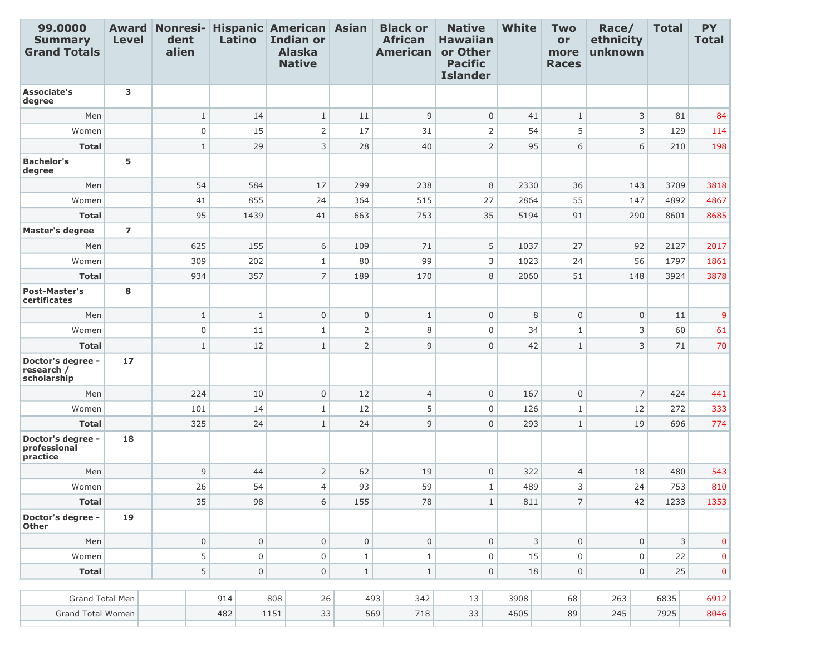| 99.0000<br><b>Summary</b><br><b>Grand Totals</b> | <b>Level</b>    | dent<br>alien       | Latino              | Award Nonresi- Hispanic American Asian<br><b>Indian or</b><br><b>Alaska</b><br><b>Native</b> |                | <b>Black or</b><br><b>African</b><br><b>American</b> | <b>Native</b><br><b>Hawaiian</b><br>or Other<br><b>Pacific</b><br><b>Islander</b> | <b>White</b> | <b>Two</b><br>or<br>more<br><b>Races</b> | Race/<br>ethnicity<br>unknown | <b>Total</b> | <b>PY</b><br><b>Total</b> |
|--------------------------------------------------|-----------------|---------------------|---------------------|----------------------------------------------------------------------------------------------|----------------|------------------------------------------------------|-----------------------------------------------------------------------------------|--------------|------------------------------------------|-------------------------------|--------------|---------------------------|
| <b>Associate's</b><br>degree                     | 3               |                     |                     |                                                                                              |                |                                                      |                                                                                   |              |                                          |                               |              |                           |
| Men                                              |                 | $1\,$               | 14                  | $1\,$                                                                                        | 11             | $\mathsf 9$                                          | $\mathbf 0$                                                                       | 41           | $\mathbf{1}$                             | $\mathsf{3}$                  | 81           | 84                        |
| Women                                            |                 | $\boldsymbol{0}$    | 15                  | $\overline{2}$                                                                               | 17             | 31                                                   | $\overline{2}$                                                                    | 54           | 5                                        | 3                             | 129          | 114                       |
| <b>Total</b>                                     |                 | $1\,$               | 29                  | 3                                                                                            | 28             | 40                                                   | $\overline{2}$                                                                    | 95           | 6                                        | 6                             | 210          | 198                       |
| <b>Bachelor's</b><br>degree                      | 5               |                     |                     |                                                                                              |                |                                                      |                                                                                   |              |                                          |                               |              |                           |
| Men                                              |                 | 54                  | 584                 | 17                                                                                           | 299            | 238                                                  | 8                                                                                 | 2330         | 36                                       | 143                           | 3709         | 3818                      |
| Women                                            |                 | 41                  | 855                 | 24                                                                                           | 364            | 515                                                  | 27                                                                                | 2864         | 55                                       | 147                           | 4892         | 4867                      |
| <b>Total</b>                                     |                 | 95                  | 1439                | 41                                                                                           | 663            | 753                                                  | 35                                                                                | 5194         | 91                                       | 290                           | 8601         | 8685                      |
| <b>Master's degree</b>                           | $\overline{ }$  |                     |                     |                                                                                              |                |                                                      |                                                                                   |              |                                          |                               |              |                           |
| Men                                              |                 | 625                 | 155                 | 6                                                                                            | 109            | 71                                                   | 5                                                                                 | 1037         | 27                                       | 92                            | 2127         | 2017                      |
| Women                                            |                 | 309                 | 202                 | $\mathbf{1}$                                                                                 | 80             | 99                                                   | 3                                                                                 | 1023         | 24                                       | 56                            | 1797         | 1861                      |
| <b>Total</b>                                     |                 | 934                 | 357                 | $\overline{7}$                                                                               | 189            | 170                                                  | 8                                                                                 | 2060         | 51                                       | 148                           | 3924         | 3878                      |
| <b>Post-Master's</b><br>certificates             | 8               |                     |                     |                                                                                              |                |                                                      |                                                                                   |              |                                          |                               |              |                           |
| Men                                              |                 | $\mathbf{1}$        | $\mathbf{1}$        | $\overline{0}$                                                                               | $\mathsf 0$    | $\,1\,$                                              | $\mathbf 0$                                                                       | 8            | $\mathbf{0}$                             | $\mathbf 0$                   | 11           | 9                         |
| Women                                            |                 | $\boldsymbol{0}$    | 11                  | $1\,$                                                                                        | $\overline{2}$ | 8                                                    | $\mathbf 0$                                                                       | 34           | $\mathbf{1}$                             | 3                             | 60           | 61                        |
| <b>Total</b>                                     |                 | $\mathbf{1}$        | 12                  | $\mathbf{1}$                                                                                 | $\mathsf{2}$   | 9                                                    | $\overline{0}$                                                                    | 42           | $\mathbf{1}$                             | 3                             | 71           | 70                        |
| Doctor's degree -<br>research /<br>scholarship   | 17 <sup>2</sup> |                     |                     |                                                                                              |                |                                                      |                                                                                   |              |                                          |                               |              |                           |
| Men                                              |                 | 224                 | 10                  | $\mathsf 0$                                                                                  | 12             | $\overline{4}$                                       | $\mathbf 0$                                                                       | 167          | $\mathbf{0}$                             | $\overline{7}$                | 424          | 441                       |
| Women                                            |                 | 101                 | 14                  | $\mathbf{1}$                                                                                 | 12             | 5                                                    | $\overline{0}$                                                                    | 126          | $\mathbf{1}$                             | 12                            | 272          | 333                       |
| <b>Total</b>                                     |                 | 325                 | 24                  | $\mathbf{1}$                                                                                 | 24             | $\overline{9}$                                       | $\mathbf 0$                                                                       | 293          | $\mathbf{1}$                             | 19                            | 696          | 774                       |
| Doctor's degree -<br>professional<br>practice    | 18              |                     |                     |                                                                                              |                |                                                      |                                                                                   |              |                                          |                               |              |                           |
| Men                                              |                 | 9                   | 44                  | $\overline{2}$                                                                               | 62             | 19                                                   | $\overline{0}$                                                                    | 322          | $\overline{4}$                           | 18                            | 480          | 543                       |
| Women                                            |                 | 26                  | 54                  | $\overline{4}$                                                                               | 93             | 59                                                   | $\mathbf{1}$                                                                      | 489          | 3                                        | 24                            | 753          | 810                       |
| <b>Total</b>                                     |                 | 35                  | 98                  | 6                                                                                            | 155            | 78                                                   | $1\,$                                                                             | 811          | $\overline{7}$                           | 42                            | 1233         | 1353                      |
| Doctor's degree -<br><b>Other</b>                | 19              |                     |                     |                                                                                              |                |                                                      |                                                                                   |              |                                          |                               |              |                           |
| Men                                              |                 | $\mathsf{O}\xspace$ | $\mathsf{O}\xspace$ | 0                                                                                            | $\mathbf 0$    | $\mathsf{O}\xspace$                                  | $\mathbf 0$                                                                       | 3            | $\mathsf{O}\xspace$                      | $\mathsf{O}\xspace$           | 3            | $\mathbf 0$               |
| Women                                            |                 | 5                   | $\mathsf{O}\xspace$ | $\mathsf 0$                                                                                  | $1\,$          | $1\,$                                                | $\mathsf 0$                                                                       | 15           | $\mathbf 0$                              | $\mathbf 0$                   | 22           | 0                         |
| <b>Total</b>                                     |                 | 5                   | $\mathsf{O}\xspace$ | $\mathsf 0$                                                                                  | $\,1\,$        | $\mathbf 1$                                          | $\mathsf 0$                                                                       | 18           | $\mathsf{O}\xspace$                      | $\mathsf{O}\xspace$           | 25           | $\mathbf{0}$              |
| Grand Total Men                                  |                 |                     | 914                 | 808<br>26                                                                                    |                | 493<br>342                                           | 13                                                                                | 3908         | 68                                       | 263                           | 6835         | 6912                      |
| Grand Total Women                                |                 |                     | 482                 | 1151<br>33                                                                                   |                | 569<br>718                                           | 33                                                                                | 4605         | 89                                       | 245                           | 7925         | 8046                      |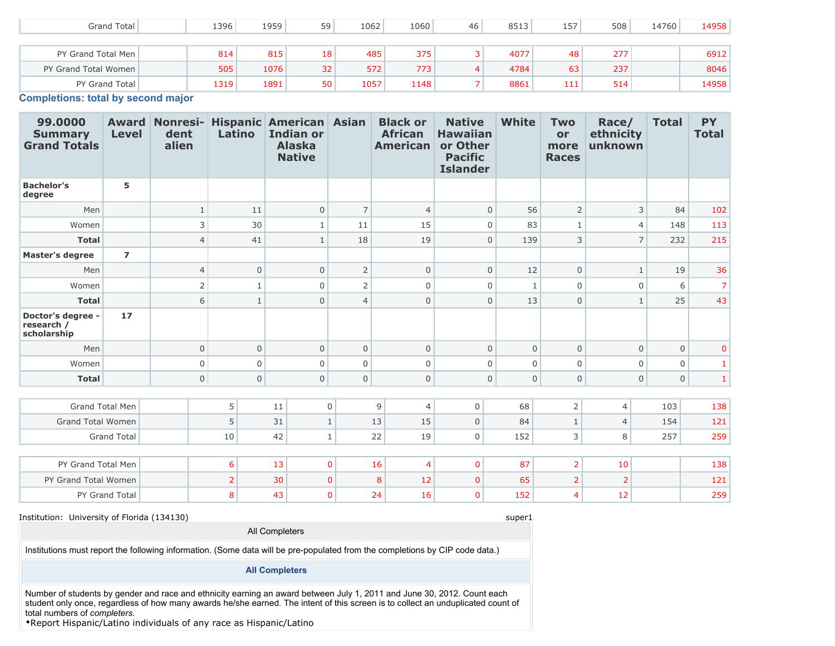| Grand Total          | .396 | 1959 | 59 | 1062 | 1060 | 46 | 8513 | 157 | 508 | 14760 | 14958 |
|----------------------|------|------|----|------|------|----|------|-----|-----|-------|-------|
|                      |      |      |    |      |      |    |      |     |     |       |       |
| PY Grand Total Men   | 814  | 815  | 18 | 485  | 375  |    | 4077 | 48  | 277 |       | 6912  |
| PY Grand Total Women | 505  | 1076 | 32 | 572  | 773  | 4  | 4784 | 63  | 237 |       | 8046  |
| PY Grand Total       | 1319 | 1891 | 50 | 1057 | 1148 |    | 8861 | 111 | 514 |       | 14958 |

**Completions: total by second major**

| 99.0000<br><b>Summary</b><br><b>Grand Totals</b> | <b>Award</b><br><b>Level</b> | dent<br>alien  | Latino         | Nonresi- Hispanic American Asian<br><b>Indian or</b><br><b>Alaska</b><br><b>Native</b> |                | <b>Black or</b><br><b>African</b><br><b>American</b> | <b>Native</b><br><b>Hawaiian</b><br>or Other<br><b>Pacific</b><br><b>Islander</b> | <b>White</b> | <b>Two</b><br>or<br>more<br><b>Races</b> | Race/<br>ethnicity<br>unknown | <b>Total</b> | <b>PY</b><br><b>Total</b> |
|--------------------------------------------------|------------------------------|----------------|----------------|----------------------------------------------------------------------------------------|----------------|------------------------------------------------------|-----------------------------------------------------------------------------------|--------------|------------------------------------------|-------------------------------|--------------|---------------------------|
| <b>Bachelor's</b><br>degree                      | 5                            |                |                |                                                                                        |                |                                                      |                                                                                   |              |                                          |                               |              |                           |
| Men                                              |                              | $\mathbf{1}$   | 11             | $\Omega$                                                                               | $\overline{7}$ | $\overline{4}$                                       | $\mathbf{0}$                                                                      | 56           | 2                                        | 3                             | 84           | 102                       |
| Women                                            |                              | 3              | 30             | $\mathbf{1}$                                                                           | 11             | 15                                                   | $\Omega$                                                                          | 83           | $\mathbf{1}$                             | $\overline{4}$                | 148          | 113                       |
| <b>Total</b>                                     |                              | $\overline{4}$ | 41             | $\mathbf{1}$                                                                           | 18             | 19                                                   | $\mathbf{0}$                                                                      | 139          | 3                                        | $\overline{7}$                | 232          | 215                       |
| <b>Master's degree</b>                           | $\overline{ }$               |                |                |                                                                                        |                |                                                      |                                                                                   |              |                                          |                               |              |                           |
| Men                                              |                              | $\overline{4}$ | $\overline{0}$ | $\mathbf{0}$                                                                           | $\mathsf{2}$   | $\overline{0}$                                       | $\mathbf 0$                                                                       | 12           | $\mathbf 0$                              | $\mathbf{1}$                  | 19           | 36                        |
| Women                                            |                              | $\overline{2}$ | $\mathbf{1}$   | $\mathbf 0$                                                                            | $\overline{2}$ | 0                                                    | $\mathbf 0$                                                                       | $\mathbf{1}$ | $\mathbf 0$                              | $\Omega$                      | 6            | 7 <sup>1</sup>            |
| <b>Total</b>                                     |                              | 6              | $\mathbf{1}$   | $\overline{0}$                                                                         | $\overline{4}$ | $\mathsf 0$                                          | $\mathbf 0$                                                                       | 13           | $\mathbf 0$                              | $\mathbf{1}$                  | 25           | 43                        |
| Doctor's degree -<br>research /<br>scholarship   | 17                           |                |                |                                                                                        |                |                                                      |                                                                                   |              |                                          |                               |              |                           |
| Men                                              |                              | $\mathbf 0$    | $\mathsf{O}$   | $\mathbf 0$                                                                            | $\mathbf 0$    | $\overline{0}$                                       | $\mathbf 0$                                                                       | $\mathbf 0$  | $\mathbf 0$                              | $\mathbf{0}$                  | $\mathbf{0}$ | $\mathbf 0$               |
| Women                                            |                              | $\mathbf 0$    | $\mathbf 0$    | $\Omega$                                                                               | $\mathbf 0$    | $\overline{0}$                                       | $\overline{0}$                                                                    | $\mathbf 0$  | $\Omega$                                 | $\mathbf 0$                   | $\mathbf 0$  | 1                         |
| <b>Total</b>                                     |                              | $\mathbf 0$    | $\mathsf{O}$   | $\mathbf 0$                                                                            | $\mathbf 0$    | $\mathsf 0$                                          | $\mathsf{O}\xspace$                                                               | $\mathbf 0$  | $\mathbf 0$                              | $\mathbf{0}$                  | $\mathbf 0$  | 1 <sup>1</sup>            |
|                                                  |                              |                |                |                                                                                        |                |                                                      |                                                                                   |              |                                          |                               |              |                           |
|                                                  | <b>Grand Total Men</b>       |                | 5              | 11                                                                                     | $\mathbf 0$    | 9<br>$\overline{4}$                                  | $\mathbf 0$                                                                       | 68           | $\overline{2}$                           | $\overline{4}$                | 103          | 138                       |
| <b>Grand Total Women</b>                         |                              |                | 5              | 31                                                                                     | $\mathbf{1}$   | 13<br>15                                             | $\mathbf 0$                                                                       | 84           | $\mathbf{1}$                             | $\overline{4}$                | 154          | 121                       |
|                                                  | <b>Grand Total</b>           |                | 10             | 42                                                                                     | $\mathbf{1}$   | 22<br>19                                             | $\mathbf 0$                                                                       | 152          | 3                                        | 8                             | 257          | 259                       |
|                                                  |                              |                |                |                                                                                        |                |                                                      |                                                                                   |              |                                          |                               |              |                           |
| PY Grand Total Men                               |                              |                | 6              | 13                                                                                     | $\mathbf{0}$   | 16<br>$\overline{4}$                                 | $\mathbf{0}$                                                                      | 87           | $\overline{2}$                           | 10                            |              | 138                       |
| PY Grand Total Women                             |                              |                | $\overline{2}$ | 30                                                                                     | $\mathbf{0}$   | 12<br>8                                              | $\mathbf{0}$                                                                      | 65           | $\overline{2}$                           | $\overline{2}$                |              | 121                       |
|                                                  | PY Grand Total               |                | 8              | 43                                                                                     | $\mathbf{0}$   | 24<br>16                                             | $\mathbf{0}$                                                                      | 152          | $\overline{4}$                           | 12                            |              | 259                       |

#### Institution: University of Florida (134130) super1

Institutions must report the following information. (Some data will be pre-populated from the completions by CIP code data.)

#### **All Completers**

All Completers

Number of students by gender and race and ethnicity earning an award between July 1, 2011 and June 30, 2012. Count each student only once, regardless of how many awards he/she earned. The intent of this screen is to collect an unduplicated count of total numbers of *completers*.

•Report Hispanic/Latino individuals of any race as Hispanic/Latino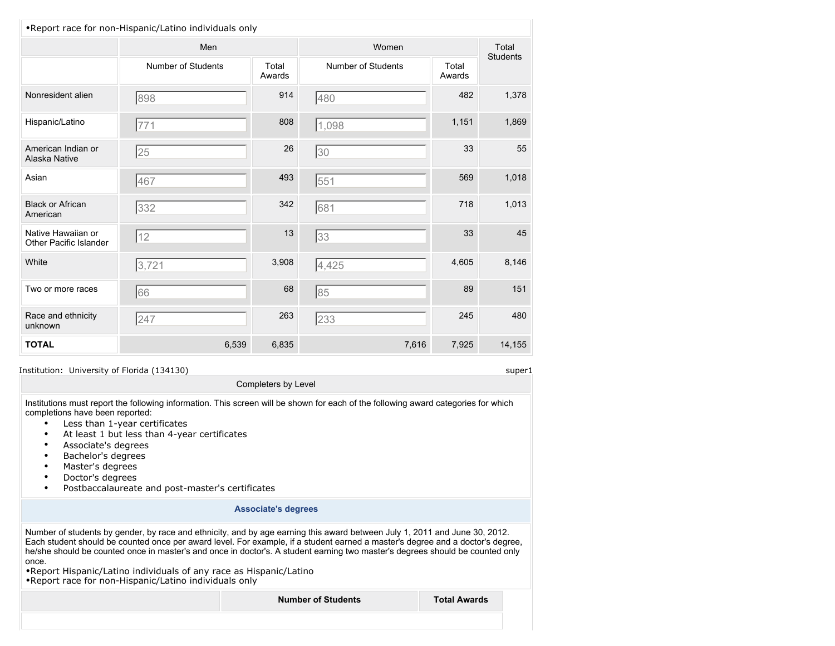| .Report race for non-Hispanic/Latino individuals only |                    |                 |                           |                 |                 |
|-------------------------------------------------------|--------------------|-----------------|---------------------------|-----------------|-----------------|
|                                                       | Men                |                 | Women                     |                 | Total           |
|                                                       | Number of Students | Total<br>Awards | <b>Number of Students</b> | Total<br>Awards | <b>Students</b> |
| Nonresident alien                                     | 898                | 914             | 480                       | 482             | 1,378           |
| Hispanic/Latino                                       | 771                | 808             | 1,098                     | 1,151           | 1,869           |
| American Indian or<br>Alaska Native                   | 25                 | 26              | 30                        | 33              | 55              |
| Asian                                                 | 467                | 493             | 551                       | 569             | 1,018           |
| <b>Black or African</b><br>American                   | 332                | 342             | 681                       | 718             | 1,013           |
| Native Hawaiian or<br>Other Pacific Islander          | 12                 | 13              | 33                        | 33              | 45              |
| White                                                 | 3,721              | 3,908           | 4,425                     | 4,605           | 8,146           |
| Two or more races                                     | 66                 | 68              | 85                        | 89              | 151             |
| Race and ethnicity<br>unknown                         | 247                | 263             | 233                       | 245             | 480             |
| <b>TOTAL</b>                                          | 6,539              | 6,835           | 7,616                     | 7,925           | 14,155          |

Completers by Level

Institutions must report the following information. This screen will be shown for each of the following award categories for which completions have been reported:

- Less than 1-year certificates
- At least 1 but less than 4-year certificates
- Associate's degrees
- Bachelor's degrees
- Master's degrees
- Doctor's degrees
- Postbaccalaureate and post-master's certificates

#### **Associate's degrees**

Number of students by gender, by race and ethnicity, and by age earning this award between July 1, 2011 and June 30, 2012. Each student should be counted once per award level. For example, if a student earned a master's degree and a doctor's degree, he/she should be counted once in master's and once in doctor's. A student earning two master's degrees should be counted only once.

•Report Hispanic/Latino individuals of any race as Hispanic/Latino •Report race for non-Hispanic/Latino individuals only

**Number of Students Total Awards**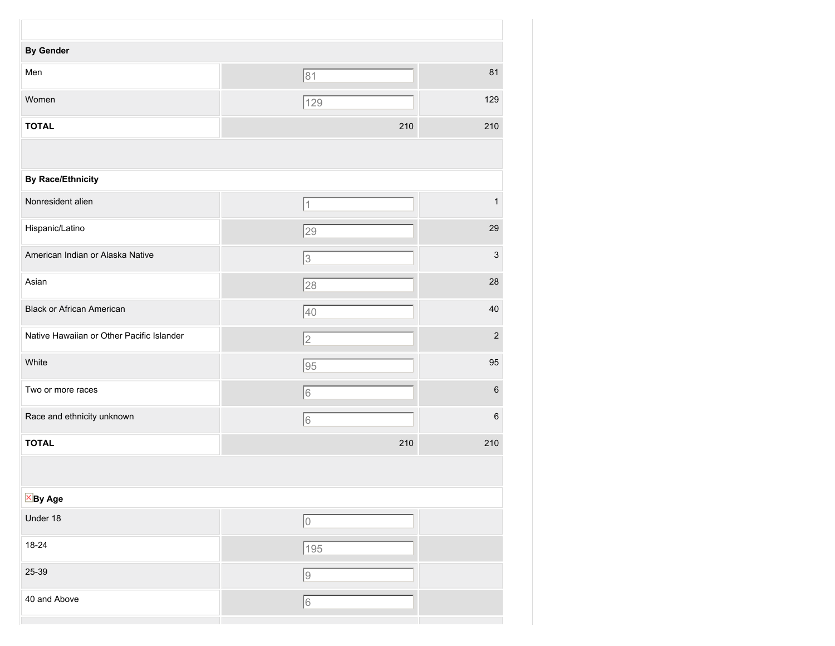| <b>By Gender</b>                          |              |                           |
|-------------------------------------------|--------------|---------------------------|
| Men                                       | 81           | 81                        |
| Women                                     | 129          | 129                       |
| <b>TOTAL</b>                              | 210          | 210                       |
|                                           |              |                           |
| <b>By Race/Ethnicity</b>                  |              |                           |
| Nonresident alien                         | 1            | 1                         |
| Hispanic/Latino                           | 29           | 29                        |
| American Indian or Alaska Native          | 3            | $\ensuremath{\mathsf{3}}$ |
| Asian                                     | 28           | 28                        |
| <b>Black or African American</b>          | 40           | 40                        |
| Native Hawaiian or Other Pacific Islander | 2            | $\sqrt{2}$                |
| White                                     | 95           | 95                        |
| Two or more races                         | 6            | 6                         |
| Race and ethnicity unknown                | 6            | $\,6\,$                   |
| <b>TOTAL</b>                              | 210          | 210                       |
|                                           |              |                           |
| <b>X</b> By Age                           |              |                           |
| Under 18                                  | $\boxed{0}$  |                           |
| $18 - 24$                                 | $\sqrt{195}$ |                           |
| 25-39                                     | o            |                           |
| 40 and Above                              | $\sqrt{6}$   |                           |
|                                           |              |                           |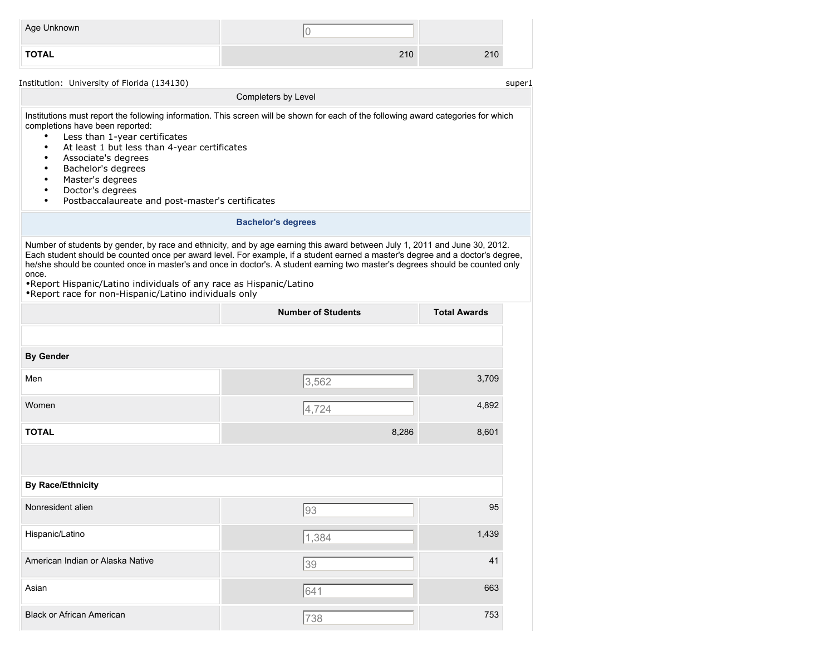| Age Unknown  |     |     |
|--------------|-----|-----|
| <b>TOTAL</b> | 210 | 210 |

Institutions must report the following information. This screen will be shown for each of the following award categories for which completions have been reported:

Completers by Level

- Less than 1-year certificates
- At least 1 but less than 4-year certificates
- Associate's degrees
- Bachelor's degrees
- Master's degrees
- Doctor's degrees
- Postbaccalaureate and post-master's certificates

#### **Bachelor's degrees**

Number of students by gender, by race and ethnicity, and by age earning this award between July 1, 2011 and June 30, 2012. Each student should be counted once per award level. For example, if a student earned a master's degree and a doctor's degree, he/she should be counted once in master's and once in doctor's. A student earning two master's degrees should be counted only once.

•Report Hispanic/Latino individuals of any race as Hispanic/Latino •Report race for non-Hispanic/Latino individuals only

|                                  | <b>Number of Students</b> | <b>Total Awards</b> |
|----------------------------------|---------------------------|---------------------|
|                                  |                           |                     |
| <b>By Gender</b>                 |                           |                     |
| Men                              | 3,562                     | 3,709               |
| Women                            | 4,724                     | 4,892               |
| <b>TOTAL</b>                     | 8,286                     | 8,601               |
|                                  |                           |                     |
| <b>By Race/Ethnicity</b>         |                           |                     |
| Nonresident alien                | 93                        | 95                  |
| Hispanic/Latino                  | 1,384                     | 1,439               |
| American Indian or Alaska Native | 39                        | 41                  |
| Asian                            | 641                       | 663                 |
| <b>Black or African American</b> | 738                       | 753                 |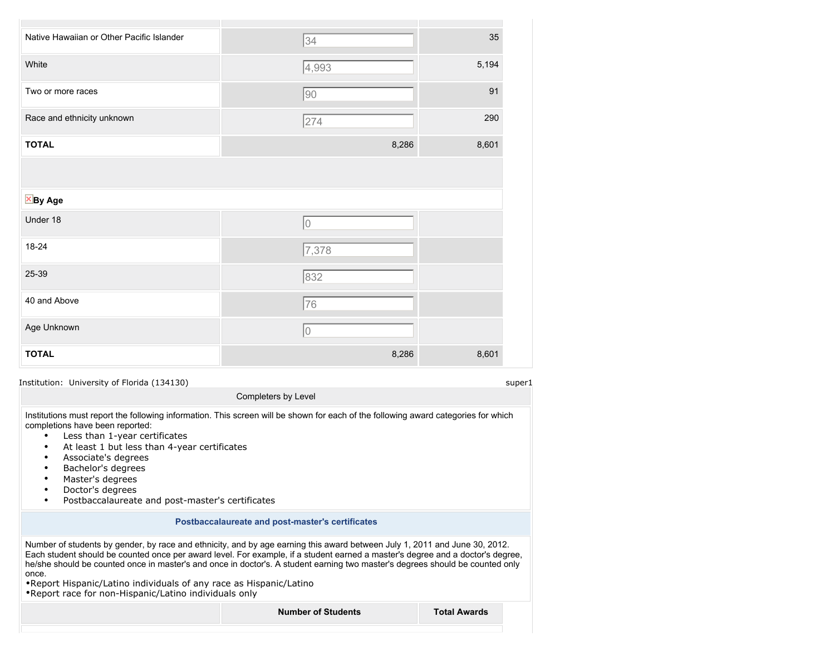| Native Hawaiian or Other Pacific Islander | 34          | 35    |
|-------------------------------------------|-------------|-------|
| White                                     | 4,993       | 5,194 |
| Two or more races                         | 90          | 91    |
| Race and ethnicity unknown                | 274         | 290   |
| <b>TOTAL</b>                              | 8,286       | 8,601 |
| $\times$ By Age                           |             |       |
| Under 18                                  | $\mathbf 0$ |       |
| 18-24                                     | 7,378       |       |
| 25-39                                     | 832         |       |
| 40 and Above                              | 76          |       |
| Age Unknown                               | 0           |       |
| <b>TOTAL</b>                              | 8,286       | 8,601 |

Institutions must report the following information. This screen will be shown for each of the following award categories for which completions have been reported:

Completers by Level

- Less than 1-year certificates
- At least 1 but less than 4-year certificates
- Associate's degrees
- Bachelor's degrees
- Master's degrees
- Doctor's degrees
- Postbaccalaureate and post-master's certificates

#### **Postbaccalaureate and post-master's certificates**

Number of students by gender, by race and ethnicity, and by age earning this award between July 1, 2011 and June 30, 2012. Each student should be counted once per award level. For example, if a student earned a master's degree and a doctor's degree, he/she should be counted once in master's and once in doctor's. A student earning two master's degrees should be counted only once.

•Report Hispanic/Latino individuals of any race as Hispanic/Latino •Report race for non-Hispanic/Latino individuals only

**Number of Students Total Awards**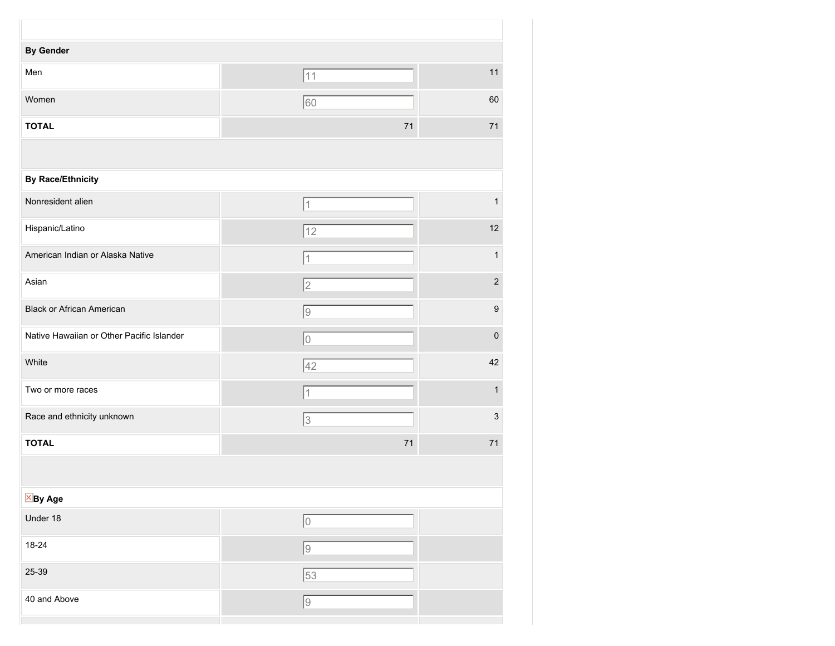| <b>By Gender</b>                          |                 |              |
|-------------------------------------------|-----------------|--------------|
| Men                                       | 11              | 11           |
| Women                                     | 60              | 60           |
| <b>TOTAL</b>                              | 71              | 71           |
|                                           |                 |              |
| <b>By Race/Ethnicity</b>                  |                 |              |
| Nonresident alien                         | 1               | $\mathbf{1}$ |
| Hispanic/Latino                           | 12              | 12           |
| American Indian or Alaska Native          | 1               | 1            |
| Asian                                     | $\overline{2}$  | $\sqrt{2}$   |
| <b>Black or African American</b>          | 9               | 9            |
| Native Hawaiian or Other Pacific Islander | 10              | $\mathbf 0$  |
| White                                     | 42              | 42           |
| Two or more races                         | 1               | 1            |
| Race and ethnicity unknown                | 3               | 3            |
| <b>TOTAL</b>                              | 71              | 71           |
|                                           |                 |              |
| $\overline{\boxtimes}$ By Age             |                 |              |
| Under 18                                  | 0               |              |
| $18 - 24$                                 | $\boxed{9}$     |              |
| 25-39                                     | $\overline{53}$ |              |
| 40 and Above                              | $\sqrt{9}$      |              |
|                                           |                 |              |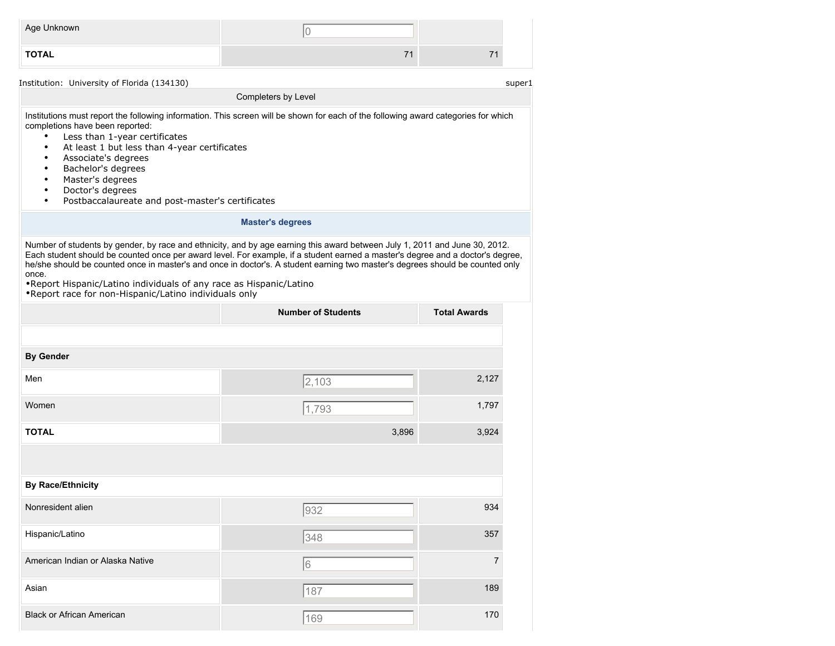| Age Unknown  |  |
|--------------|--|
| <b>TOTAL</b> |  |

Institutions must report the following information. This screen will be shown for each of the following award categories for which completions have been reported:

Completers by Level

- Less than 1-year certificates
- At least 1 but less than 4-year certificates
- Associate's degrees
- Bachelor's degrees
- Master's degrees
- Doctor's degrees
- Postbaccalaureate and post-master's certificates

#### **Master's degrees**

Number of students by gender, by race and ethnicity, and by age earning this award between July 1, 2011 and June 30, 2012. Each student should be counted once per award level. For example, if a student earned a master's degree and a doctor's degree, he/she should be counted once in master's and once in doctor's. A student earning two master's degrees should be counted only once.

•Report Hispanic/Latino individuals of any race as Hispanic/Latino •Report race for non-Hispanic/Latino individuals only

|                                  | <b>Number of Students</b> | <b>Total Awards</b> |
|----------------------------------|---------------------------|---------------------|
|                                  |                           |                     |
| <b>By Gender</b>                 |                           |                     |
| Men                              | 2,103                     | 2,127               |
| Women                            | 1,793                     | 1,797               |
| <b>TOTAL</b>                     | 3,896                     | 3,924               |
|                                  |                           |                     |
| <b>By Race/Ethnicity</b>         |                           |                     |
| Nonresident alien                | 932                       | 934                 |
| Hispanic/Latino                  | 348                       | 357                 |
| American Indian or Alaska Native | 6                         | $\overline{7}$      |
| Asian                            | 187                       | 189                 |
| <b>Black or African American</b> | 169                       | 170                 |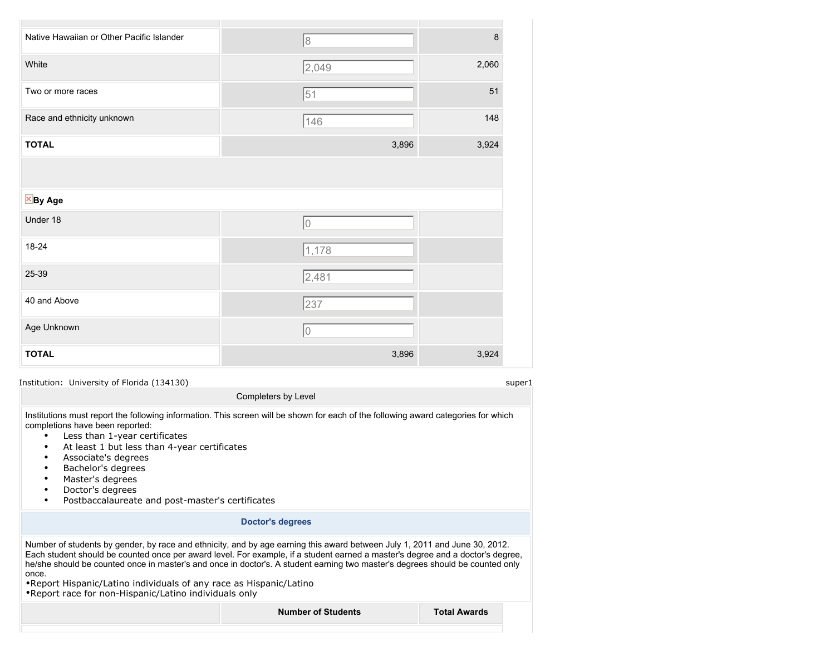| Native Hawaiian or Other Pacific Islander | 8              | 8     |
|-------------------------------------------|----------------|-------|
| White                                     | 2,049          | 2,060 |
| Two or more races                         | 51             | 51    |
| Race and ethnicity unknown                | 146            | 148   |
| <b>TOTAL</b>                              | 3,896          | 3,924 |
|                                           |                |       |
| $\times$ By Age                           |                |       |
| Under 18                                  | $\overline{0}$ |       |
| 18-24                                     | 1,178          |       |
| 25-39                                     | 2,481          |       |
| 40 and Above                              | 237            |       |
| Age Unknown                               | $\hbox{O}$     |       |
| <b>TOTAL</b>                              | 3,896          | 3,924 |

Institutions must report the following information. This screen will be shown for each of the following award categories for which completions have been reported:

Completers by Level

- Less than 1-year certificates
- At least 1 but less than 4-year certificates
- Associate's degrees
- Bachelor's degrees
- Master's degrees
- Doctor's degrees
- Postbaccalaureate and post-master's certificates

#### **Doctor's degrees**

Number of students by gender, by race and ethnicity, and by age earning this award between July 1, 2011 and June 30, 2012. Each student should be counted once per award level. For example, if a student earned a master's degree and a doctor's degree, he/she should be counted once in master's and once in doctor's. A student earning two master's degrees should be counted only once.

•Report Hispanic/Latino individuals of any race as Hispanic/Latino •Report race for non-Hispanic/Latino individuals only

**Number of Students Total Awards**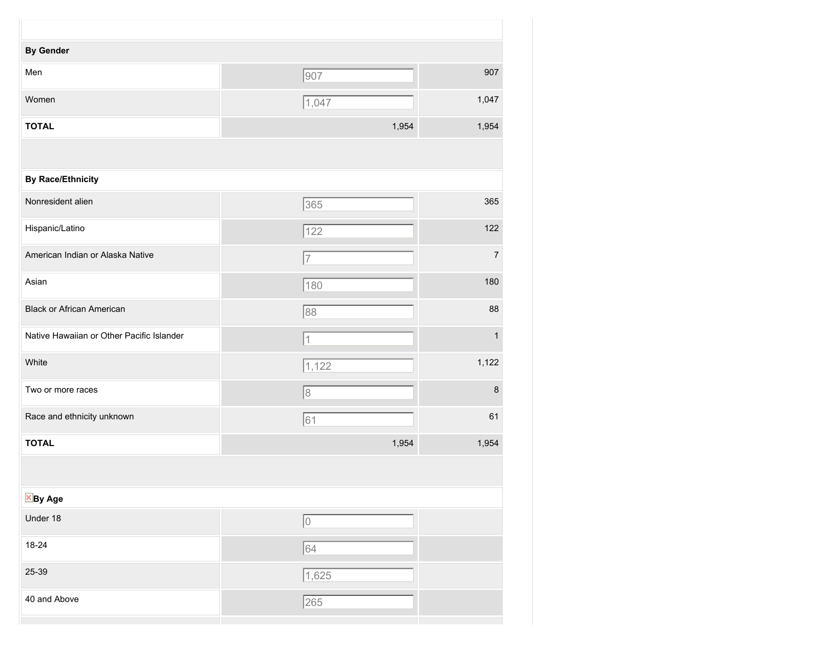| <b>By Gender</b>                          |                |                |
|-------------------------------------------|----------------|----------------|
| Men                                       | 907            | 907            |
| Women                                     | 1,047          | 1,047          |
| <b>TOTAL</b>                              | 1,954          | 1,954          |
|                                           |                |                |
| <b>By Race/Ethnicity</b>                  |                |                |
| Nonresident alien                         | 365            | 365            |
| Hispanic/Latino                           | 122            | 122            |
| American Indian or Alaska Native          | $\overline{7}$ | $\overline{7}$ |
| Asian                                     | 180            | 180            |
| <b>Black or African American</b>          | 88             | 88             |
| Native Hawaiian or Other Pacific Islander | $\mathbf 1$    | $\mathbf{1}$   |
| White                                     | 1,122          | 1,122          |
| Two or more races                         | 8              | 8              |
| Race and ethnicity unknown                | 61             | 61             |
| <b>TOTAL</b>                              | 1,954          | 1,954          |
|                                           |                |                |
| <b>X</b> By Age                           |                |                |
| Under 18                                  | o              |                |
| $18 - 24$                                 | 64             |                |
| 25-39                                     | 1,625          |                |
| 40 and Above                              | 265            |                |
|                                           |                |                |